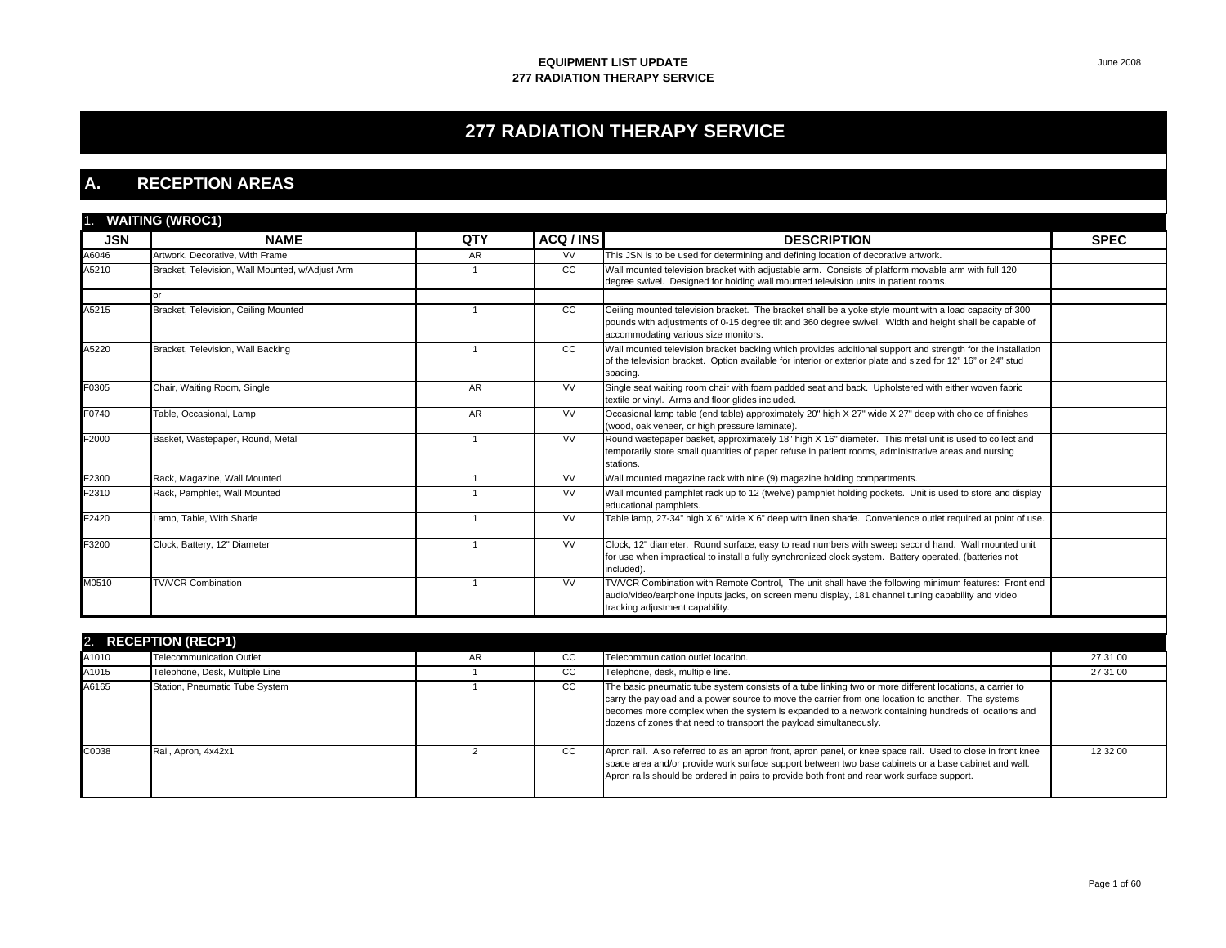# **277 RADIATION THERAPY SERVICE**

### **A. RECEPTION AREAS**

| 1.         | <b>WAITING (WROC1)</b>                          |           |               |                                                                                                                                                                                                                                                            |             |
|------------|-------------------------------------------------|-----------|---------------|------------------------------------------------------------------------------------------------------------------------------------------------------------------------------------------------------------------------------------------------------------|-------------|
| <b>JSN</b> | <b>NAME</b>                                     | QTY       | ACQ / INS     | <b>DESCRIPTION</b>                                                                                                                                                                                                                                         | <b>SPEC</b> |
| A6046      | Artwork, Decorative, With Frame                 | <b>AR</b> | <b>VV</b>     | This JSN is to be used for determining and defining location of decorative artwork.                                                                                                                                                                        |             |
| A5210      | Bracket, Television, Wall Mounted, w/Adjust Arm |           | <sub>CC</sub> | Wall mounted television bracket with adjustable arm. Consists of platform movable arm with full 120<br>degree swivel. Designed for holding wall mounted television units in patient rooms.                                                                 |             |
|            |                                                 |           |               |                                                                                                                                                                                                                                                            |             |
| A5215      | Bracket, Television, Ceiling Mounted            |           | <sub>CC</sub> | Ceiling mounted television bracket. The bracket shall be a yoke style mount with a load capacity of 300<br>pounds with adjustments of 0-15 degree tilt and 360 degree swivel. Width and height shall be capable of<br>accommodating various size monitors. |             |
| A5220      | Bracket, Television, Wall Backing               |           | <sub>CC</sub> | Wall mounted television bracket backing which provides additional support and strength for the installation<br>of the television bracket. Option available for interior or exterior plate and sized for 12" 16" or 24" stud<br>spacing.                    |             |
| F0305      | Chair, Waiting Room, Single                     | AR        | <b>VV</b>     | Single seat waiting room chair with foam padded seat and back. Upholstered with either woven fabric<br>textile or vinyl. Arms and floor glides included.                                                                                                   |             |
| F0740      | Table, Occasional, Lamp                         | <b>AR</b> | <b>VV</b>     | Occasional lamp table (end table) approximately 20" high X 27" wide X 27" deep with choice of finishes<br>(wood, oak veneer, or high pressure laminate).                                                                                                   |             |
| F2000      | Basket, Wastepaper, Round, Metal                |           | <b>VV</b>     | Round wastepaper basket, approximately 18" high X 16" diameter. This metal unit is used to collect and<br>temporarily store small quantities of paper refuse in patient rooms, administrative areas and nursing<br>stations.                               |             |
| F2300      | Rack, Magazine, Wall Mounted                    |           | <b>VV</b>     | Wall mounted magazine rack with nine (9) magazine holding compartments.                                                                                                                                                                                    |             |
| F2310      | Rack, Pamphlet, Wall Mounted                    |           | <b>VV</b>     | Wall mounted pamphlet rack up to 12 (twelve) pamphlet holding pockets. Unit is used to store and display<br>educational pamphlets.                                                                                                                         |             |
| F2420      | Lamp, Table, With Shade                         |           | <b>VV</b>     | Table lamp, 27-34" high X 6" wide X 6" deep with linen shade. Convenience outlet required at point of use.                                                                                                                                                 |             |
| F3200      | Clock, Battery, 12" Diameter                    |           | <b>VV</b>     | Clock, 12" diameter. Round surface, easy to read numbers with sweep second hand. Wall mounted unit<br>for use when impractical to install a fully synchronized clock system. Battery operated, (batteries not<br>included).                                |             |
| M0510      | <b>TV/VCR Combination</b>                       |           | <b>VV</b>     | TV/VCR Combination with Remote Control. The unit shall have the following minimum features: Front end<br>audio/video/earphone inputs jacks, on screen menu display, 181 channel tuning capability and video<br>tracking adjustment capability.             |             |
|            |                                                 |           |               |                                                                                                                                                                                                                                                            |             |

|       | 2. RECEPTION (RECP1)            |    |           |                                                                                                                                                                                                                                                                                                                                                                                            |          |  |  |  |
|-------|---------------------------------|----|-----------|--------------------------------------------------------------------------------------------------------------------------------------------------------------------------------------------------------------------------------------------------------------------------------------------------------------------------------------------------------------------------------------------|----------|--|--|--|
| A1010 | <b>Telecommunication Outlet</b> | AR | <b>CC</b> | Telecommunication outlet location.                                                                                                                                                                                                                                                                                                                                                         | 27 31 00 |  |  |  |
| A1015 | Telephone, Desk, Multiple Line  |    | CC.       | Telephone, desk, multiple line.                                                                                                                                                                                                                                                                                                                                                            | 27 31 00 |  |  |  |
| A6165 | Station, Pneumatic Tube System  |    | CC.       | The basic pneumatic tube system consists of a tube linking two or more different locations, a carrier to<br>carry the payload and a power source to move the carrier from one location to another. The systems<br>becomes more complex when the system is expanded to a network containing hundreds of locations and<br>dozens of zones that need to transport the payload simultaneously. |          |  |  |  |
| C0038 | Rail, Apron, 4x42x1             |    | cc        | Apron rail. Also referred to as an apron front, apron panel, or knee space rail. Used to close in front knee<br>space area and/or provide work surface support between two base cabinets or a base cabinet and wall.<br>Apron rails should be ordered in pairs to provide both front and rear work surface support.                                                                        | 12 32 00 |  |  |  |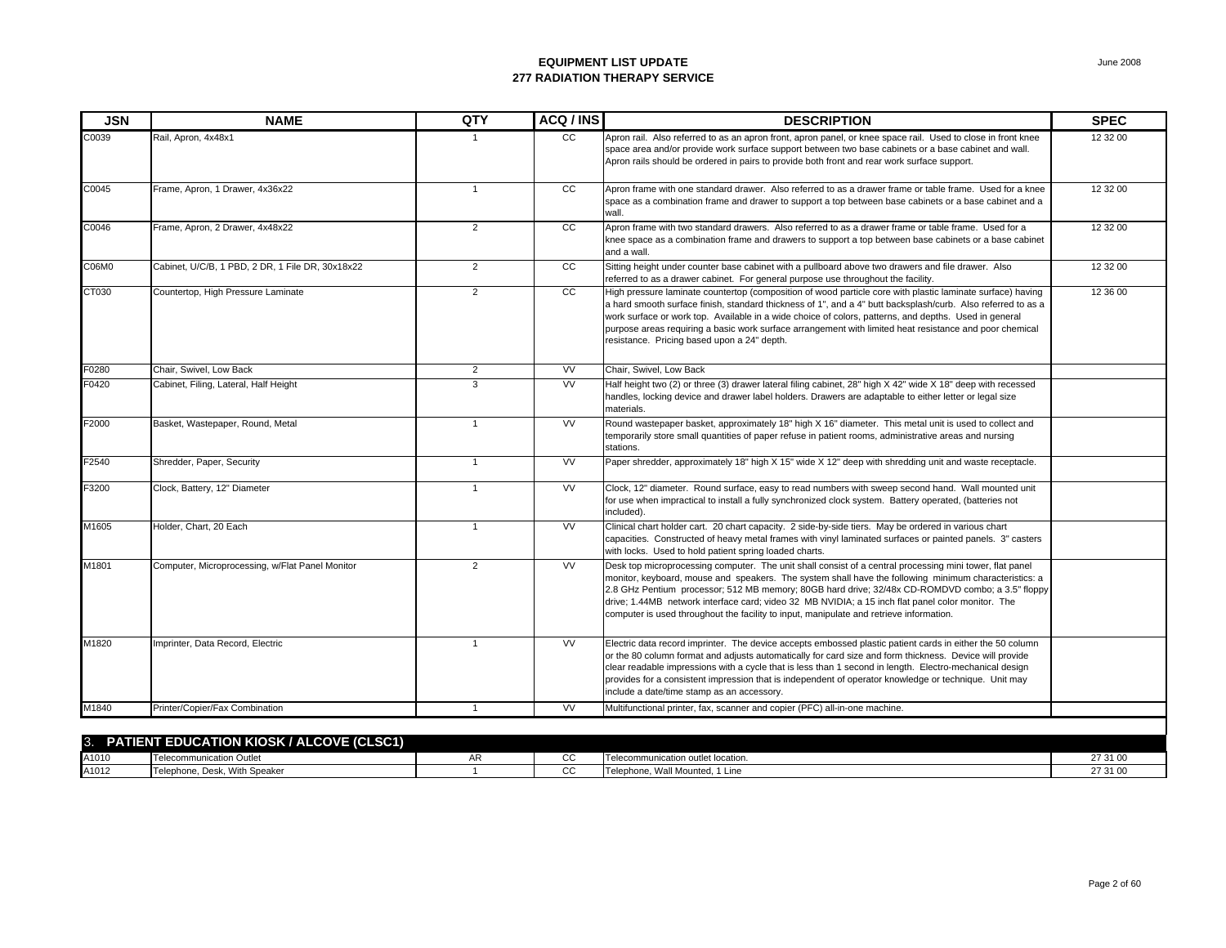| <b>JSN</b> | <b>NAME</b>                                      | QTY            | ACQ / INS       | <b>DESCRIPTION</b>                                                                                                                                                                                                                                                                                                                                                                                                                                                                                                    | <b>SPEC</b> |
|------------|--------------------------------------------------|----------------|-----------------|-----------------------------------------------------------------------------------------------------------------------------------------------------------------------------------------------------------------------------------------------------------------------------------------------------------------------------------------------------------------------------------------------------------------------------------------------------------------------------------------------------------------------|-------------|
| C0039      | Rail, Apron, 4x48x1                              |                | CC              | Apron rail. Also referred to as an apron front, apron panel, or knee space rail. Used to close in front knee<br>space area and/or provide work surface support between two base cabinets or a base cabinet and wall.<br>Apron rails should be ordered in pairs to provide both front and rear work surface support.                                                                                                                                                                                                   | 12 32 00    |
| C0045      | Frame, Apron, 1 Drawer, 4x36x22                  | $\mathbf{1}$   | cc              | Apron frame with one standard drawer. Also referred to as a drawer frame or table frame. Used for a knee<br>space as a combination frame and drawer to support a top between base cabinets or a base cabinet and a<br>wall.                                                                                                                                                                                                                                                                                           | 12 32 00    |
| C0046      | Frame, Apron, 2 Drawer, 4x48x22                  | $\overline{2}$ | cc              | Apron frame with two standard drawers. Also referred to as a drawer frame or table frame. Used for a<br>knee space as a combination frame and drawers to support a top between base cabinets or a base cabinet<br>and a wall.                                                                                                                                                                                                                                                                                         | 12 32 00    |
| C06M0      | Cabinet, U/C/B, 1 PBD, 2 DR, 1 File DR, 30x18x22 | $\overline{2}$ | $\overline{cc}$ | Sitting height under counter base cabinet with a pullboard above two drawers and file drawer. Also<br>referred to as a drawer cabinet. For general purpose use throughout the facility.                                                                                                                                                                                                                                                                                                                               | 12 32 00    |
| CT030      | Countertop, High Pressure Laminate               | 2              | cc              | High pressure laminate countertop (composition of wood particle core with plastic laminate surface) having<br>a hard smooth surface finish, standard thickness of 1", and a 4" butt backsplash/curb. Also referred to as a<br>work surface or work top. Available in a wide choice of colors, patterns, and depths. Used in general<br>purpose areas requiring a basic work surface arrangement with limited heat resistance and poor chemical<br>resistance. Pricing based upon a 24" depth.                         | 12 36 00    |
| F0280      | Chair, Swivel, Low Back                          | 2              | <b>VV</b>       | Chair, Swivel, Low Back                                                                                                                                                                                                                                                                                                                                                                                                                                                                                               |             |
| F0420      | Cabinet, Filing, Lateral, Half Height            | 3              | <b>VV</b>       | Half height two (2) or three (3) drawer lateral filing cabinet, 28" high X 42" wide X 18" deep with recessed<br>handles, locking device and drawer label holders. Drawers are adaptable to either letter or legal size<br>materials.                                                                                                                                                                                                                                                                                  |             |
| F2000      | Basket, Wastepaper, Round, Metal                 | $\mathbf{1}$   | <b>VV</b>       | Round wastepaper basket, approximately 18" high X 16" diameter. This metal unit is used to collect and<br>temporarily store small quantities of paper refuse in patient rooms, administrative areas and nursing<br>stations.                                                                                                                                                                                                                                                                                          |             |
| F2540      | Shredder, Paper, Security                        | $\mathbf{1}$   | <b>VV</b>       | Paper shredder, approximately 18" high X 15" wide X 12" deep with shredding unit and waste receptacle.                                                                                                                                                                                                                                                                                                                                                                                                                |             |
| F3200      | Clock, Battery, 12" Diameter                     | $\mathbf{1}$   | <b>VV</b>       | Clock, 12" diameter. Round surface, easy to read numbers with sweep second hand. Wall mounted unit<br>for use when impractical to install a fully synchronized clock system. Battery operated, (batteries not<br>included).                                                                                                                                                                                                                                                                                           |             |
| M1605      | Holder, Chart, 20 Each                           | $\mathbf{1}$   | <b>VV</b>       | Clinical chart holder cart. 20 chart capacity. 2 side-by-side tiers. May be ordered in various chart<br>capacities. Constructed of heavy metal frames with vinyl laminated surfaces or painted panels. 3" casters<br>with locks. Used to hold patient spring loaded charts.                                                                                                                                                                                                                                           |             |
| M1801      | Computer, Microprocessing, w/Flat Panel Monitor  | $\overline{2}$ | <b>VV</b>       | Desk top microprocessing computer. The unit shall consist of a central processing mini tower, flat panel<br>monitor, keyboard, mouse and speakers. The system shall have the following minimum characteristics: a<br>2.8 GHz Pentium processor; 512 MB memory; 80GB hard drive; 32/48x CD-ROMDVD combo; a 3.5" floppy<br>drive; 1.44MB network interface card; video 32 MB NVIDIA; a 15 inch flat panel color monitor. The<br>computer is used throughout the facility to input, manipulate and retrieve information. |             |
| M1820      | Imprinter, Data Record, Electric                 | $\overline{1}$ | <b>VV</b>       | Electric data record imprinter. The device accepts embossed plastic patient cards in either the 50 column<br>or the 80 column format and adjusts automatically for card size and form thickness. Device will provide<br>clear readable impressions with a cycle that is less than 1 second in length. Electro-mechanical design<br>provides for a consistent impression that is independent of operator knowledge or technique. Unit may<br>include a date/time stamp as an accessory.                                |             |
| M1840      | Printer/Copier/Fax Combination                   | $\mathbf{1}$   | <b>VV</b>       | Multifunctional printer, fax, scanner and copier (PFC) all-in-one machine.                                                                                                                                                                                                                                                                                                                                                                                                                                            |             |

| 3.<br><b>PATIE</b> N | (CLSC1)<br><b>EDUCATION KIOSK / ALCOVE (</b><br>ENT E |   |    |                                       |          |
|----------------------|-------------------------------------------------------|---|----|---------------------------------------|----------|
| A1010                | Telecommunication Outle*                              | ┒ | u. | Telecommunication outlet location.    | 27.24.06 |
| A1012                | With Speaker<br>Telephone, Desk                       |   | ື  | hone, Wall Mounted, 1 Line<br>- Teler | 27.24.06 |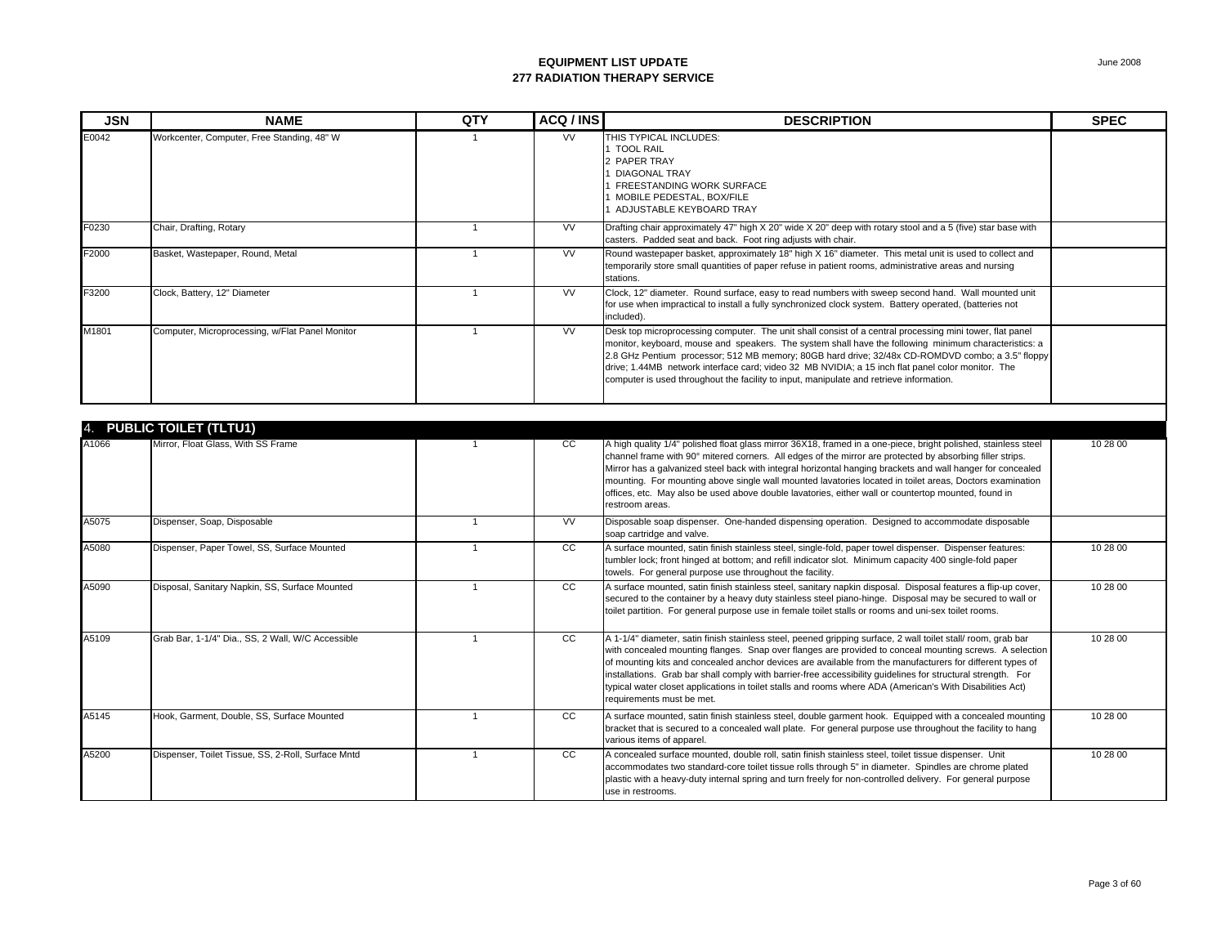| <b>JSN</b> | <b>NAME</b>                                        | QTY            | ACQ / INS | <b>DESCRIPTION</b>                                                                                                                                                                                                                                                                                                                                                                                                                                                                                                                                                                              | <b>SPEC</b> |
|------------|----------------------------------------------------|----------------|-----------|-------------------------------------------------------------------------------------------------------------------------------------------------------------------------------------------------------------------------------------------------------------------------------------------------------------------------------------------------------------------------------------------------------------------------------------------------------------------------------------------------------------------------------------------------------------------------------------------------|-------------|
| E0042      | Workcenter, Computer, Free Standing, 48" W         | $\mathbf{1}$   | <b>VV</b> | THIS TYPICAL INCLUDES:<br>1 TOOL RAIL<br>2 PAPER TRAY<br><b>DIAGONAL TRAY</b><br>FREESTANDING WORK SURFACE<br>MOBILE PEDESTAL, BOX/FILE<br>1 ADJUSTABLE KEYBOARD TRAY                                                                                                                                                                                                                                                                                                                                                                                                                           |             |
| F0230      | Chair, Drafting, Rotary                            | $\overline{1}$ | <b>VV</b> | Drafting chair approximately 47" high X 20" wide X 20" deep with rotary stool and a 5 (five) star base with<br>casters. Padded seat and back. Foot ring adjusts with chair.                                                                                                                                                                                                                                                                                                                                                                                                                     |             |
| F2000      | Basket, Wastepaper, Round, Metal                   | $\mathbf{1}$   | W         | Round wastepaper basket, approximately 18" high X 16" diameter. This metal unit is used to collect and<br>temporarily store small quantities of paper refuse in patient rooms, administrative areas and nursing<br>stations.                                                                                                                                                                                                                                                                                                                                                                    |             |
| F3200      | Clock, Battery, 12" Diameter                       | $\mathbf{1}$   | <b>VV</b> | Clock, 12" diameter. Round surface, easy to read numbers with sweep second hand. Wall mounted unit<br>for use when impractical to install a fully synchronized clock system. Battery operated, (batteries not<br>included).                                                                                                                                                                                                                                                                                                                                                                     |             |
| M1801      | Computer, Microprocessing, w/Flat Panel Monitor    | $\mathbf{1}$   | <b>VV</b> | Desk top microprocessing computer. The unit shall consist of a central processing mini tower, flat panel<br>monitor, keyboard, mouse and speakers. The system shall have the following minimum characteristics: a<br>2.8 GHz Pentium processor; 512 MB memory; 80GB hard drive; 32/48x CD-ROMDVD combo; a 3.5" floppy<br>drive; 1.44MB network interface card; video 32 MB NVIDIA; a 15 inch flat panel color monitor. The<br>computer is used throughout the facility to input, manipulate and retrieve information.                                                                           |             |
|            | 4. PUBLIC TOILET (TLTU1)                           |                |           |                                                                                                                                                                                                                                                                                                                                                                                                                                                                                                                                                                                                 |             |
| A1066      | Mirror, Float Glass, With SS Frame                 | $\overline{1}$ | cc        | A high quality 1/4" polished float glass mirror 36X18, framed in a one-piece, bright polished, stainless steel<br>channel frame with 90° mitered corners. All edges of the mirror are protected by absorbing filler strips.<br>Mirror has a galvanized steel back with integral horizontal hanging brackets and wall hanger for concealed<br>mounting. For mounting above single wall mounted lavatories located in toilet areas, Doctors examination<br>offices, etc. May also be used above double lavatories, either wall or countertop mounted, found in<br>restroom areas.                 | 10 28 00    |
| A5075      | Dispenser, Soap, Disposable                        | $\overline{1}$ | <b>VV</b> | Disposable soap dispenser. One-handed dispensing operation. Designed to accommodate disposable<br>soap cartridge and valve.                                                                                                                                                                                                                                                                                                                                                                                                                                                                     |             |
| A5080      | Dispenser, Paper Towel, SS, Surface Mounted        | $\mathbf{1}$   | cc        | A surface mounted, satin finish stainless steel, single-fold, paper towel dispenser. Dispenser features:<br>tumbler lock; front hinged at bottom; and refill indicator slot. Minimum capacity 400 single-fold paper<br>towels. For general purpose use throughout the facility.                                                                                                                                                                                                                                                                                                                 | 10 28 00    |
| A5090      | Disposal, Sanitary Napkin, SS, Surface Mounted     | $\mathbf{1}$   | cc        | A surface mounted, satin finish stainless steel, sanitary napkin disposal. Disposal features a flip-up cover,<br>secured to the container by a heavy duty stainless steel piano-hinge. Disposal may be secured to wall or<br>toilet partition. For general purpose use in female toilet stalls or rooms and uni-sex toilet rooms.                                                                                                                                                                                                                                                               | 10 28 00    |
| A5109      | Grab Bar, 1-1/4" Dia., SS, 2 Wall, W/C Accessible  | $\mathbf{1}$   | CC        | A 1-1/4" diameter, satin finish stainless steel, peened gripping surface, 2 wall toilet stall/ room, grab bar<br>with concealed mounting flanges. Snap over flanges are provided to conceal mounting screws. A selection<br>of mounting kits and concealed anchor devices are available from the manufacturers for different types of<br>installations. Grab bar shall comply with barrier-free accessibility guidelines for structural strength. For<br>typical water closet applications in toilet stalls and rooms where ADA (American's With Disabilities Act)<br>requirements must be met. | 10 28 00    |
| A5145      | Hook, Garment, Double, SS, Surface Mounted         | $\mathbf{1}$   | cc        | A surface mounted, satin finish stainless steel, double garment hook. Equipped with a concealed mounting<br>bracket that is secured to a concealed wall plate. For general purpose use throughout the facility to hang<br>various items of apparel.                                                                                                                                                                                                                                                                                                                                             | 10 28 00    |
| A5200      | Dispenser, Toilet Tissue, SS, 2-Roll, Surface Mntd | $\overline{1}$ | cc        | A concealed surface mounted, double roll, satin finish stainless steel, toilet tissue dispenser. Unit<br>accommodates two standard-core toilet tissue rolls through 5" in diameter. Spindles are chrome plated<br>plastic with a heavy-duty internal spring and turn freely for non-controlled delivery. For general purpose<br>use in restrooms.                                                                                                                                                                                                                                               | 10 28 00    |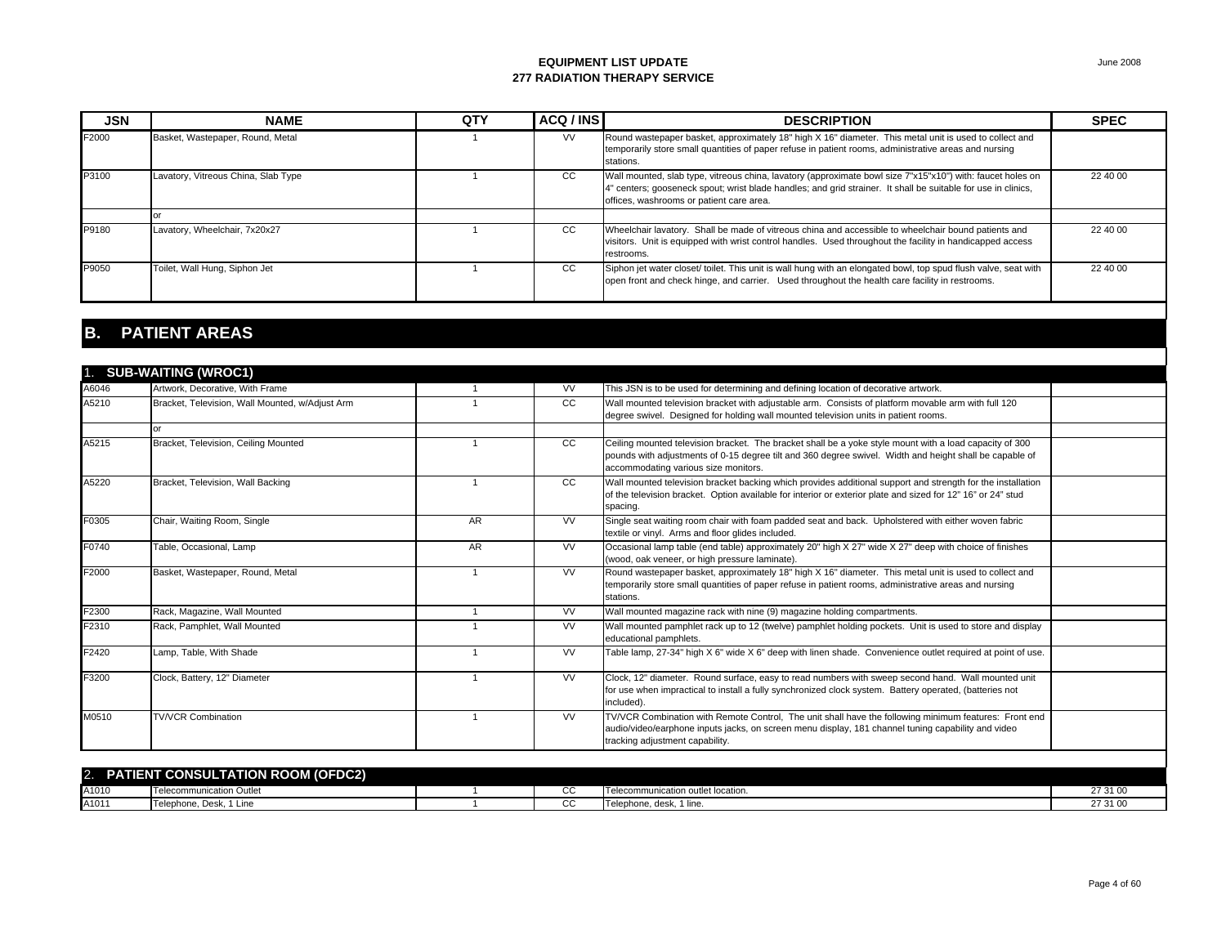| <b>JSN</b> | <b>NAME</b>                         | QTY | ACQ / INS | <b>DESCRIPTION</b>                                                                                                                                                                                                                                                      | <b>SPEC</b> |
|------------|-------------------------------------|-----|-----------|-------------------------------------------------------------------------------------------------------------------------------------------------------------------------------------------------------------------------------------------------------------------------|-------------|
| F2000      | Basket, Wastepaper, Round, Metal    |     | <b>VV</b> | Round wastepaper basket, approximately 18" high X 16" diameter. This metal unit is used to collect and<br>temporarily store small quantities of paper refuse in patient rooms, administrative areas and nursing<br>stations.                                            |             |
| P3100      | Lavatory, Vitreous China, Slab Type |     | CC        | Wall mounted, slab type, vitreous china, lavatory (approximate bowl size 7"x15"x10") with: faucet holes on<br>4" centers; gooseneck spout; wrist blade handles; and grid strainer. It shall be suitable for use in clinics,<br>offices, washrooms or patient care area. | 22 40 00    |
|            |                                     |     |           |                                                                                                                                                                                                                                                                         |             |
| P9180      | Lavatory, Wheelchair, 7x20x27       |     | CC.       | Wheelchair lavatory. Shall be made of vitreous china and accessible to wheelchair bound patients and<br>visitors. Unit is equipped with wrist control handles. Used throughout the facility in handicapped access<br>restrooms.                                         | 22 40 00    |
| P9050      | Toilet, Wall Hung, Siphon Jet       |     | cc        | Siphon jet water closet/ toilet. This unit is wall hung with an elongated bowl, top spud flush valve, seat with<br>open front and check hinge, and carrier. Used throughout the health care facility in restrooms.                                                      | 22 40 00    |

# **B. PATIENT AREAS**

|               | 1. SUB-WAITING (WROC1)                          |                         |               |                                                                                                                                                                                                                                                            |  |
|---------------|-------------------------------------------------|-------------------------|---------------|------------------------------------------------------------------------------------------------------------------------------------------------------------------------------------------------------------------------------------------------------------|--|
| A6046         | Artwork, Decorative, With Frame                 |                         | <b>VV</b>     | This JSN is to be used for determining and defining location of decorative artwork.                                                                                                                                                                        |  |
| A5210         | Bracket, Television, Wall Mounted, w/Adjust Arm |                         | <sub>CC</sub> | Wall mounted television bracket with adjustable arm. Consists of platform movable arm with full 120                                                                                                                                                        |  |
|               |                                                 |                         |               | degree swivel. Designed for holding wall mounted television units in patient rooms.                                                                                                                                                                        |  |
|               | $\Omega$ <sup>r</sup>                           |                         |               |                                                                                                                                                                                                                                                            |  |
| A5215         | Bracket, Television, Ceiling Mounted            |                         | <sub>CC</sub> | Ceiling mounted television bracket. The bracket shall be a yoke style mount with a load capacity of 300<br>pounds with adjustments of 0-15 degree tilt and 360 degree swivel. Width and height shall be capable of<br>accommodating various size monitors. |  |
| A5220         | Bracket, Television, Wall Backing               |                         | <sub>CC</sub> | Wall mounted television bracket backing which provides additional support and strength for the installation<br>of the television bracket. Option available for interior or exterior plate and sized for 12" 16" or 24" stud<br>spacing.                    |  |
| F0305         | Chair, Waiting Room, Single                     | AR                      | <b>VV</b>     | Single seat waiting room chair with foam padded seat and back. Upholstered with either woven fabric<br>textile or vinyl. Arms and floor glides included.                                                                                                   |  |
| F0740         | Table, Occasional, Lamp                         | <b>AR</b>               | <b>VV</b>     | Occasional lamp table (end table) approximately 20" high X 27" wide X 27" deep with choice of finishes<br>(wood, oak veneer, or high pressure laminate).                                                                                                   |  |
| F2000         | Basket, Wastepaper, Round, Metal                |                         | <b>VV</b>     | Round wastepaper basket, approximately 18" high X 16" diameter. This metal unit is used to collect and<br>temporarily store small quantities of paper refuse in patient rooms, administrative areas and nursing<br>stations.                               |  |
| F2300         | Rack, Magazine, Wall Mounted                    |                         | <b>VV</b>     | Wall mounted magazine rack with nine (9) magazine holding compartments.                                                                                                                                                                                    |  |
| F2310         | Rack, Pamphlet, Wall Mounted                    |                         | <b>VV</b>     | Wall mounted pamphlet rack up to 12 (twelve) pamphlet holding pockets. Unit is used to store and display<br>educational pamphlets.                                                                                                                         |  |
| F2420         | Lamp, Table, With Shade                         | $\overline{\mathbf{1}}$ | <b>VV</b>     | Table lamp, 27-34" high X 6" wide X 6" deep with linen shade. Convenience outlet required at point of use.                                                                                                                                                 |  |
| F3200         | Clock, Battery, 12" Diameter                    |                         | <b>VV</b>     | Clock, 12" diameter. Round surface, easy to read numbers with sweep second hand. Wall mounted unit<br>for use when impractical to install a fully synchronized clock system. Battery operated, (batteries not<br>included).                                |  |
| M0510         | <b>TV/VCR Combination</b>                       |                         | <b>VV</b>     | TV/VCR Combination with Remote Control, The unit shall have the following minimum features: Front end<br>audio/video/earphone inputs jacks, on screen menu display, 181 channel tuning capability and video<br>tracking adjustment capability.             |  |
| $\mathcal{D}$ | <b>PATIENT CONSULTATION ROOM (OFDC2)</b>        |                         |               |                                                                                                                                                                                                                                                            |  |

| <b>IENT CONSULTATION ROOM (OFDC2)</b><br>2.<br>э. |                              |  |               |                                           |         |  |  |
|---------------------------------------------------|------------------------------|--|---------------|-------------------------------------------|---------|--|--|
| A1010                                             | Telecommunication Outlet     |  | $\sim$<br>◡   | <b>Telecommunication outlet location.</b> | 27.24.2 |  |  |
| A1011                                             | 1 Line<br>Telephone, Desk, 1 |  | $\mathcal{L}$ | hone, desk, 1 line.<br>I l elep           | 27.24.2 |  |  |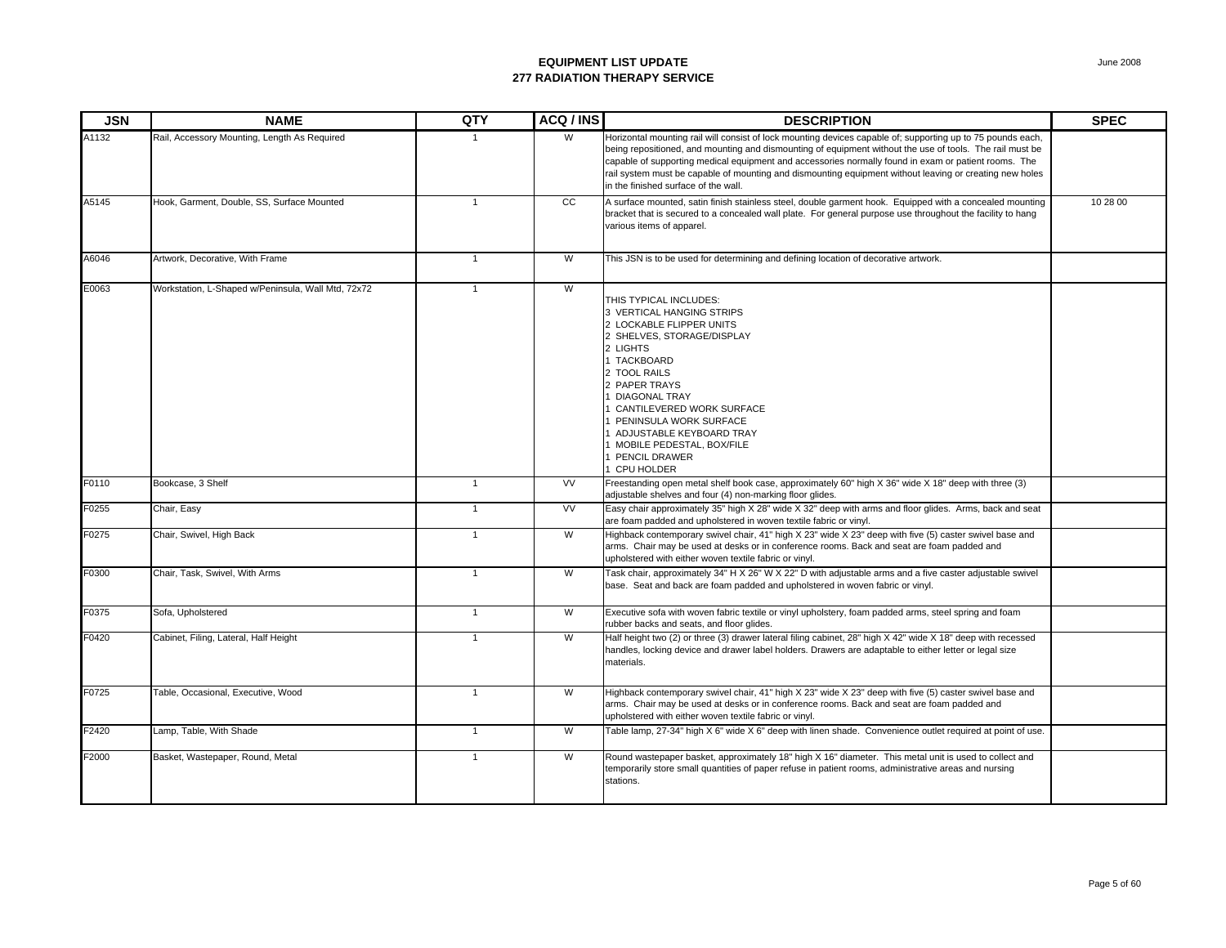| <b>JSN</b> | <b>NAME</b>                                        | QTY          | ACQ / INS      | <b>DESCRIPTION</b>                                                                                                                                                                                                                                                                                                                                                                                                                                                                 | <b>SPEC</b> |
|------------|----------------------------------------------------|--------------|----------------|------------------------------------------------------------------------------------------------------------------------------------------------------------------------------------------------------------------------------------------------------------------------------------------------------------------------------------------------------------------------------------------------------------------------------------------------------------------------------------|-------------|
| A1132      | Rail, Accessory Mounting, Length As Required       | $\mathbf{1}$ | W              | Horizontal mounting rail will consist of lock mounting devices capable of; supporting up to 75 pounds each,<br>being repositioned, and mounting and dismounting of equipment without the use of tools. The rail must be<br>capable of supporting medical equipment and accessories normally found in exam or patient rooms. The<br>rail system must be capable of mounting and dismounting equipment without leaving or creating new holes<br>in the finished surface of the wall. |             |
| A5145      | Hook, Garment, Double, SS, Surface Mounted         | $\mathbf{1}$ | cc             | A surface mounted, satin finish stainless steel, double garment hook. Equipped with a concealed mounting<br>bracket that is secured to a concealed wall plate. For general purpose use throughout the facility to hang<br>various items of apparel.                                                                                                                                                                                                                                | 10 28 00    |
| A6046      | Artwork, Decorative, With Frame                    | $\mathbf{1}$ | W              | This JSN is to be used for determining and defining location of decorative artwork.                                                                                                                                                                                                                                                                                                                                                                                                |             |
| E0063      | Workstation, L-Shaped w/Peninsula, Wall Mtd, 72x72 | $\mathbf{1}$ | $\overline{W}$ | THIS TYPICAL INCLUDES:<br>3 VERTICAL HANGING STRIPS<br>2 LOCKABLE FLIPPER UNITS<br>2 SHELVES, STORAGE/DISPLAY<br>2 LIGHTS<br><b>TACKBOARD</b><br>2 TOOL RAILS<br>2 PAPER TRAYS<br><b>DIAGONAL TRAY</b><br>CANTILEVERED WORK SURFACE<br>PENINSULA WORK SURFACE<br>ADJUSTABLE KEYBOARD TRAY<br>MOBILE PEDESTAL, BOX/FILE<br>PENCIL DRAWER<br>CPU HOLDER                                                                                                                              |             |
| F0110      | Bookcase, 3 Shelf                                  | $\mathbf{1}$ | <b>VV</b>      | Freestanding open metal shelf book case, approximately 60" high X 36" wide X 18" deep with three (3)<br>adjustable shelves and four (4) non-marking floor glides.                                                                                                                                                                                                                                                                                                                  |             |
| F0255      | Chair, Easy                                        | $\mathbf{1}$ | <b>VV</b>      | Easy chair approximately 35" high X 28" wide X 32" deep with arms and floor glides. Arms, back and seat<br>are foam padded and upholstered in woven textile fabric or vinyl.                                                                                                                                                                                                                                                                                                       |             |
| F0275      | Chair, Swivel, High Back                           | $\mathbf{1}$ | W              | Highback contemporary swivel chair, 41" high X 23" wide X 23" deep with five (5) caster swivel base and<br>arms. Chair may be used at desks or in conference rooms. Back and seat are foam padded and<br>upholstered with either woven textile fabric or vinyl.                                                                                                                                                                                                                    |             |
| F0300      | Chair, Task, Swivel, With Arms                     | $\mathbf{1}$ | W              | Task chair, approximately 34" H X 26" W X 22" D with adjustable arms and a five caster adjustable swivel<br>base. Seat and back are foam padded and upholstered in woven fabric or vinyl.                                                                                                                                                                                                                                                                                          |             |
| F0375      | Sofa, Upholstered                                  | $\mathbf{1}$ | W              | Executive sofa with woven fabric textile or vinyl upholstery, foam padded arms, steel spring and foam<br>rubber backs and seats, and floor glides.                                                                                                                                                                                                                                                                                                                                 |             |
| F0420      | Cabinet, Filing, Lateral, Half Height              | $\mathbf{1}$ | W              | Half height two (2) or three (3) drawer lateral filing cabinet, 28" high X 42" wide X 18" deep with recessed<br>handles, locking device and drawer label holders. Drawers are adaptable to either letter or legal size<br>materials.                                                                                                                                                                                                                                               |             |
| F0725      | Table, Occasional, Executive, Wood                 | $\mathbf{1}$ | W              | Highback contemporary swivel chair, 41" high X 23" wide X 23" deep with five (5) caster swivel base and<br>arms. Chair may be used at desks or in conference rooms. Back and seat are foam padded and<br>upholstered with either woven textile fabric or vinyl.                                                                                                                                                                                                                    |             |
| F2420      | Lamp, Table, With Shade                            | $\mathbf{1}$ | W              | Table lamp, 27-34" high X 6" wide X 6" deep with linen shade. Convenience outlet required at point of use.                                                                                                                                                                                                                                                                                                                                                                         |             |
| F2000      | Basket, Wastepaper, Round, Metal                   | $\mathbf{1}$ | W              | Round wastepaper basket, approximately 18" high X 16" diameter. This metal unit is used to collect and<br>temporarily store small quantities of paper refuse in patient rooms, administrative areas and nursing<br>stations.                                                                                                                                                                                                                                                       |             |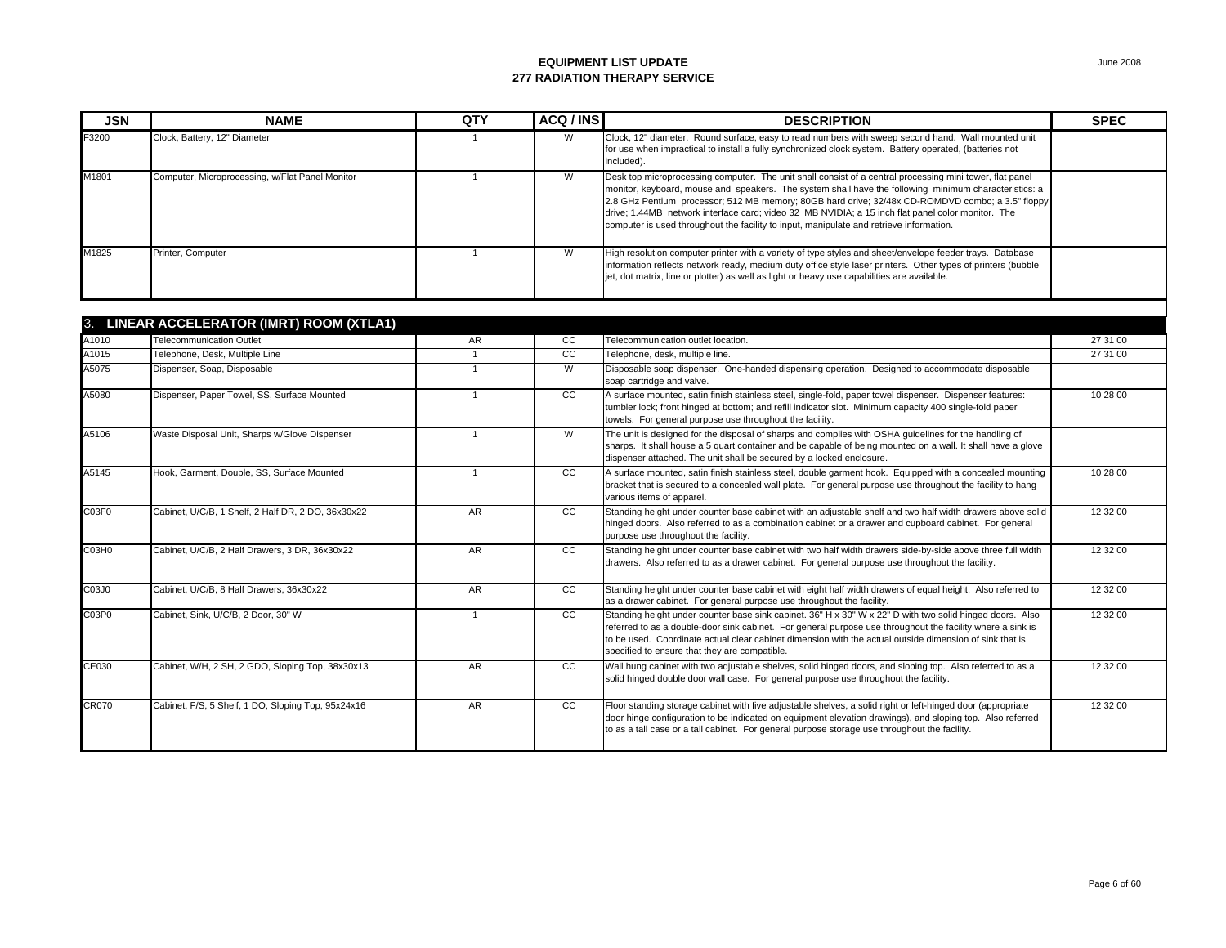| <b>JSN</b>        | <b>NAME</b>                                        | QTY          | ACQ / INS      | <b>DESCRIPTION</b>                                                                                                                                                                                                                                                                                                                                                                                                                                                                                                    | <b>SPEC</b> |
|-------------------|----------------------------------------------------|--------------|----------------|-----------------------------------------------------------------------------------------------------------------------------------------------------------------------------------------------------------------------------------------------------------------------------------------------------------------------------------------------------------------------------------------------------------------------------------------------------------------------------------------------------------------------|-------------|
| F3200             | Clock, Battery, 12" Diameter                       | $\mathbf{1}$ | W              | Clock, 12" diameter. Round surface, easy to read numbers with sweep second hand. Wall mounted unit<br>for use when impractical to install a fully synchronized clock system. Battery operated, (batteries not<br>included).                                                                                                                                                                                                                                                                                           |             |
| M1801             | Computer, Microprocessing, w/Flat Panel Monitor    | $\mathbf{1}$ | W              | Desk top microprocessing computer. The unit shall consist of a central processing mini tower, flat panel<br>monitor, keyboard, mouse and speakers. The system shall have the following minimum characteristics: a<br>2.8 GHz Pentium processor; 512 MB memory; 80GB hard drive; 32/48x CD-ROMDVD combo; a 3.5" floppy<br>drive; 1.44MB network interface card; video 32 MB NVIDIA; a 15 inch flat panel color monitor. The<br>computer is used throughout the facility to input, manipulate and retrieve information. |             |
| M1825             | Printer, Computer                                  | $\mathbf{1}$ | W              | High resolution computer printer with a variety of type styles and sheet/envelope feeder trays. Database<br>information reflects network ready, medium duty office style laser printers. Other types of printers (bubble<br>jet, dot matrix, line or plotter) as well as light or heavy use capabilities are available.                                                                                                                                                                                               |             |
|                   | 3. LINEAR ACCELERATOR (IMRT) ROOM (XTLA1)          |              |                |                                                                                                                                                                                                                                                                                                                                                                                                                                                                                                                       |             |
| A1010             | <b>Telecommunication Outlet</b>                    | AR           | cc             | Telecommunication outlet location.                                                                                                                                                                                                                                                                                                                                                                                                                                                                                    | 27 31 00    |
| A1015             | Telephone, Desk, Multiple Line                     | $\mathbf{1}$ | cc             | Telephone, desk, multiple line.                                                                                                                                                                                                                                                                                                                                                                                                                                                                                       | 27 31 00    |
| A5075             | Dispenser, Soap, Disposable                        | $\mathbf{1}$ | $\overline{W}$ | Disposable soap dispenser. One-handed dispensing operation. Designed to accommodate disposable<br>soap cartridge and valve.                                                                                                                                                                                                                                                                                                                                                                                           |             |
| A5080             | Dispenser, Paper Towel, SS, Surface Mounted        | $\mathbf{1}$ | cc             | A surface mounted, satin finish stainless steel, single-fold, paper towel dispenser. Dispenser features:<br>tumbler lock; front hinged at bottom; and refill indicator slot. Minimum capacity 400 single-fold paper<br>towels. For general purpose use throughout the facility.                                                                                                                                                                                                                                       | 10 28 00    |
| A5106             | Waste Disposal Unit, Sharps w/Glove Dispenser      | $\mathbf{1}$ | $\overline{W}$ | The unit is designed for the disposal of sharps and complies with OSHA quidelines for the handling of<br>sharps. It shall house a 5 quart container and be capable of being mounted on a wall. It shall have a glove<br>dispenser attached. The unit shall be secured by a locked enclosure.                                                                                                                                                                                                                          |             |
| A5145             | Hook, Garment, Double, SS, Surface Mounted         | $\mathbf{1}$ | cc             | A surface mounted, satin finish stainless steel, double garment hook. Equipped with a concealed mounting<br>bracket that is secured to a concealed wall plate. For general purpose use throughout the facility to hang<br>various items of apparel.                                                                                                                                                                                                                                                                   | 10 28 00    |
| C03F0             | Cabinet, U/C/B, 1 Shelf, 2 Half DR, 2 DO, 36x30x22 | AR           | cc             | Standing height under counter base cabinet with an adjustable shelf and two half width drawers above solid<br>hinged doors. Also referred to as a combination cabinet or a drawer and cupboard cabinet. For general<br>purpose use throughout the facility.                                                                                                                                                                                                                                                           | 12 32 00    |
| C03H <sub>0</sub> | Cabinet, U/C/B, 2 Half Drawers, 3 DR, 36x30x22     | AR.          | cc             | Standing height under counter base cabinet with two half width drawers side-by-side above three full width<br>drawers. Also referred to as a drawer cabinet. For general purpose use throughout the facility.                                                                                                                                                                                                                                                                                                         | 12 32 00    |
| C03J0             | Cabinet, U/C/B, 8 Half Drawers, 36x30x22           | AR           | <b>CC</b>      | Standing height under counter base cabinet with eight half width drawers of equal height. Also referred to<br>as a drawer cabinet. For general purpose use throughout the facility.                                                                                                                                                                                                                                                                                                                                   | 12 32 00    |
| C03P0             | Cabinet, Sink, U/C/B, 2 Door, 30" W                | $\mathbf{1}$ | CC             | Standing height under counter base sink cabinet. 36" H x 30" W x 22" D with two solid hinged doors. Also<br>referred to as a double-door sink cabinet. For general purpose use throughout the facility where a sink is<br>to be used. Coordinate actual clear cabinet dimension with the actual outside dimension of sink that is<br>specified to ensure that they are compatible.                                                                                                                                    | 12 32 00    |
| CE030             | Cabinet, W/H, 2 SH, 2 GDO, Sloping Top, 38x30x13   | <b>AR</b>    | cc             | Wall hung cabinet with two adjustable shelves, solid hinged doors, and sloping top. Also referred to as a<br>solid hinged double door wall case. For general purpose use throughout the facility.                                                                                                                                                                                                                                                                                                                     | 12 32 00    |
| <b>CR070</b>      | Cabinet, F/S, 5 Shelf, 1 DO, Sloping Top, 95x24x16 | AR.          | CC             | Floor standing storage cabinet with five adjustable shelves, a solid right or left-hinged door (appropriate<br>door hinge configuration to be indicated on equipment elevation drawings), and sloping top. Also referred<br>to as a tall case or a tall cabinet. For general purpose storage use throughout the facility.                                                                                                                                                                                             | 12 32 00    |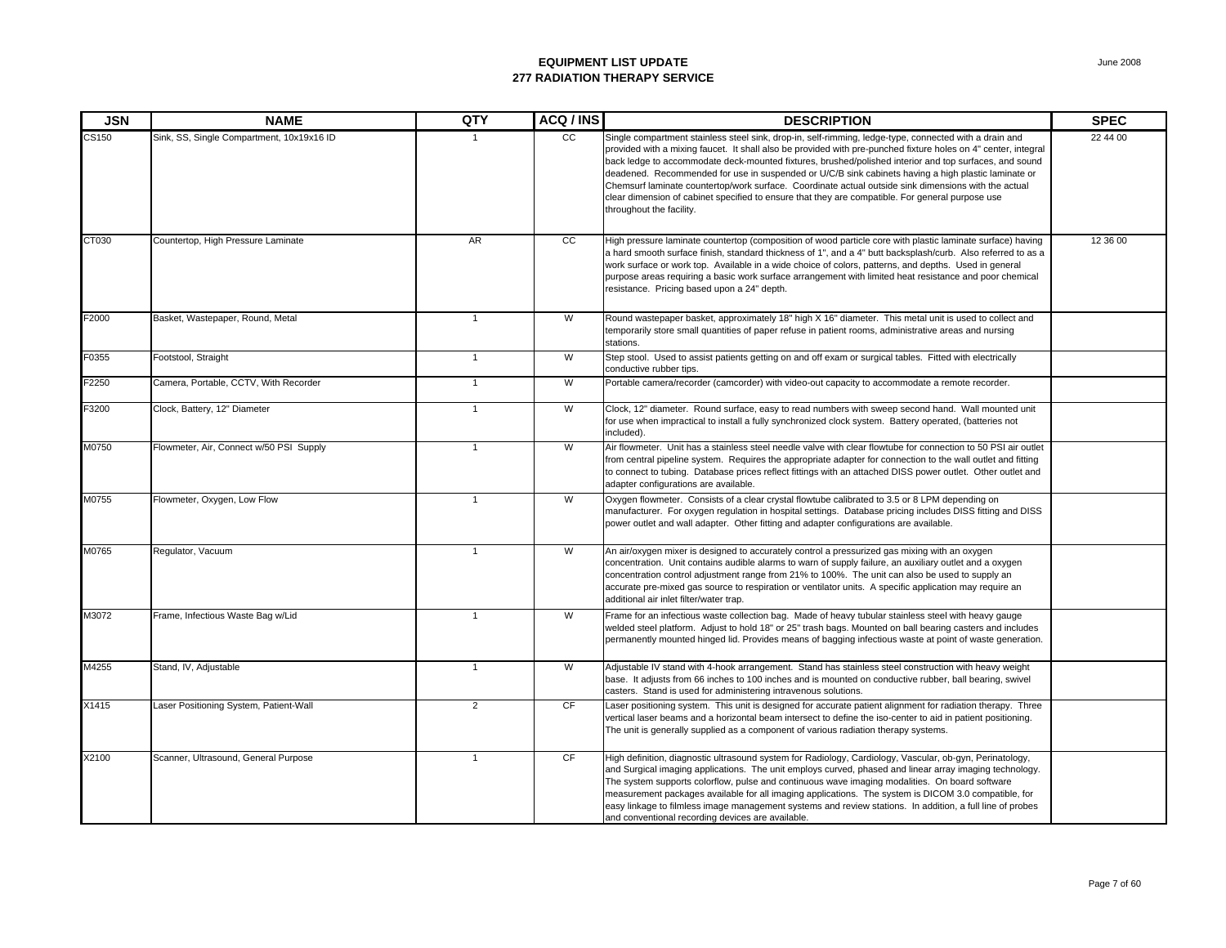| <b>JSN</b> | <b>NAME</b>                               | QTY            | ACQ / INS       | <b>DESCRIPTION</b>                                                                                                                                                                                                                                                                                                                                                                                                                                                                                                                                                                                                                                                                | <b>SPEC</b> |
|------------|-------------------------------------------|----------------|-----------------|-----------------------------------------------------------------------------------------------------------------------------------------------------------------------------------------------------------------------------------------------------------------------------------------------------------------------------------------------------------------------------------------------------------------------------------------------------------------------------------------------------------------------------------------------------------------------------------------------------------------------------------------------------------------------------------|-------------|
| CS150      | Sink, SS, Single Compartment, 10x19x16 ID |                | $\overline{cc}$ | Single compartment stainless steel sink, drop-in, self-rimming, ledge-type, connected with a drain and<br>provided with a mixing faucet. It shall also be provided with pre-punched fixture holes on 4" center, integral<br>back ledge to accommodate deck-mounted fixtures, brushed/polished interior and top surfaces, and sound<br>deadened. Recommended for use in suspended or U/C/B sink cabinets having a high plastic laminate or<br>Chemsurf laminate countertop/work surface. Coordinate actual outside sink dimensions with the actual<br>clear dimension of cabinet specified to ensure that they are compatible. For general purpose use<br>throughout the facility. | 22 44 00    |
| CT030      | Countertop, High Pressure Laminate        | AR             | cc              | High pressure laminate countertop (composition of wood particle core with plastic laminate surface) having<br>a hard smooth surface finish, standard thickness of 1", and a 4" butt backsplash/curb. Also referred to as a<br>work surface or work top. Available in a wide choice of colors, patterns, and depths. Used in general<br>purpose areas requiring a basic work surface arrangement with limited heat resistance and poor chemical<br>resistance. Pricing based upon a 24" depth.                                                                                                                                                                                     | 12 36 00    |
| F2000      | Basket, Wastepaper, Round, Metal          | $\overline{1}$ | W               | Round wastepaper basket, approximately 18" high X 16" diameter. This metal unit is used to collect and<br>temporarily store small quantities of paper refuse in patient rooms, administrative areas and nursing<br>stations.                                                                                                                                                                                                                                                                                                                                                                                                                                                      |             |
| F0355      | Footstool, Straight                       | $\mathbf{1}$   | W               | Step stool. Used to assist patients getting on and off exam or surgical tables. Fitted with electrically<br>conductive rubber tips.                                                                                                                                                                                                                                                                                                                                                                                                                                                                                                                                               |             |
| F2250      | Camera, Portable, CCTV, With Recorder     | $\mathbf{1}$   | W               | Portable camera/recorder (camcorder) with video-out capacity to accommodate a remote recorder.                                                                                                                                                                                                                                                                                                                                                                                                                                                                                                                                                                                    |             |
| F3200      | Clock, Battery, 12" Diameter              | $\overline{1}$ | W               | Clock, 12" diameter. Round surface, easy to read numbers with sweep second hand. Wall mounted unit<br>for use when impractical to install a fully synchronized clock system. Battery operated, (batteries not<br>included).                                                                                                                                                                                                                                                                                                                                                                                                                                                       |             |
| M0750      | Flowmeter, Air, Connect w/50 PSI Supply   | $\overline{1}$ | W               | Air flowmeter. Unit has a stainless steel needle valve with clear flowtube for connection to 50 PSI air outlet<br>from central pipeline system. Requires the appropriate adapter for connection to the wall outlet and fitting<br>to connect to tubing. Database prices reflect fittings with an attached DISS power outlet. Other outlet and<br>adapter configurations are available.                                                                                                                                                                                                                                                                                            |             |
| M0755      | Flowmeter, Oxygen, Low Flow               | $\overline{1}$ | W               | Oxygen flowmeter. Consists of a clear crystal flowtube calibrated to 3.5 or 8 LPM depending on<br>manufacturer. For oxygen regulation in hospital settings. Database pricing includes DISS fitting and DISS<br>power outlet and wall adapter. Other fitting and adapter configurations are available.                                                                                                                                                                                                                                                                                                                                                                             |             |
| M0765      | Regulator, Vacuum                         | $\mathbf{1}$   | W               | An air/oxygen mixer is designed to accurately control a pressurized gas mixing with an oxygen<br>concentration. Unit contains audible alarms to warn of supply failure, an auxiliary outlet and a oxygen<br>concentration control adjustment range from 21% to 100%. The unit can also be used to supply an<br>accurate pre-mixed gas source to respiration or ventilator units. A specific application may require an<br>additional air inlet filter/water trap.                                                                                                                                                                                                                 |             |
| M3072      | Frame, Infectious Waste Bag w/Lid         | $\overline{1}$ | W               | Frame for an infectious waste collection bag. Made of heavy tubular stainless steel with heavy gauge<br>welded steel platform. Adjust to hold 18" or 25" trash bags. Mounted on ball bearing casters and includes<br>permanently mounted hinged lid. Provides means of bagging infectious waste at point of waste generation.                                                                                                                                                                                                                                                                                                                                                     |             |
| M4255      | Stand, IV, Adjustable                     | $\overline{1}$ | W               | Adjustable IV stand with 4-hook arrangement. Stand has stainless steel construction with heavy weight<br>base. It adjusts from 66 inches to 100 inches and is mounted on conductive rubber, ball bearing, swivel<br>casters. Stand is used for administering intravenous solutions.                                                                                                                                                                                                                                                                                                                                                                                               |             |
| X1415      | Laser Positioning System, Patient-Wall    | $\overline{2}$ | CF              | Laser positioning system. This unit is designed for accurate patient alignment for radiation therapy. Three<br>vertical laser beams and a horizontal beam intersect to define the iso-center to aid in patient positioning.<br>The unit is generally supplied as a component of various radiation therapy systems.                                                                                                                                                                                                                                                                                                                                                                |             |
| X2100      | Scanner, Ultrasound, General Purpose      | $\overline{1}$ | CF              | High definition, diagnostic ultrasound system for Radiology, Cardiology, Vascular, ob-gyn, Perinatology,<br>and Surgical imaging applications. The unit employs curved, phased and linear array imaging technology.<br>The system supports colorflow, pulse and continuous wave imaging modalities. On board software<br>measurement packages available for all imaging applications. The system is DICOM 3.0 compatible, for<br>easy linkage to filmless image management systems and review stations. In addition, a full line of probes<br>and conventional recording devices are available.                                                                                   |             |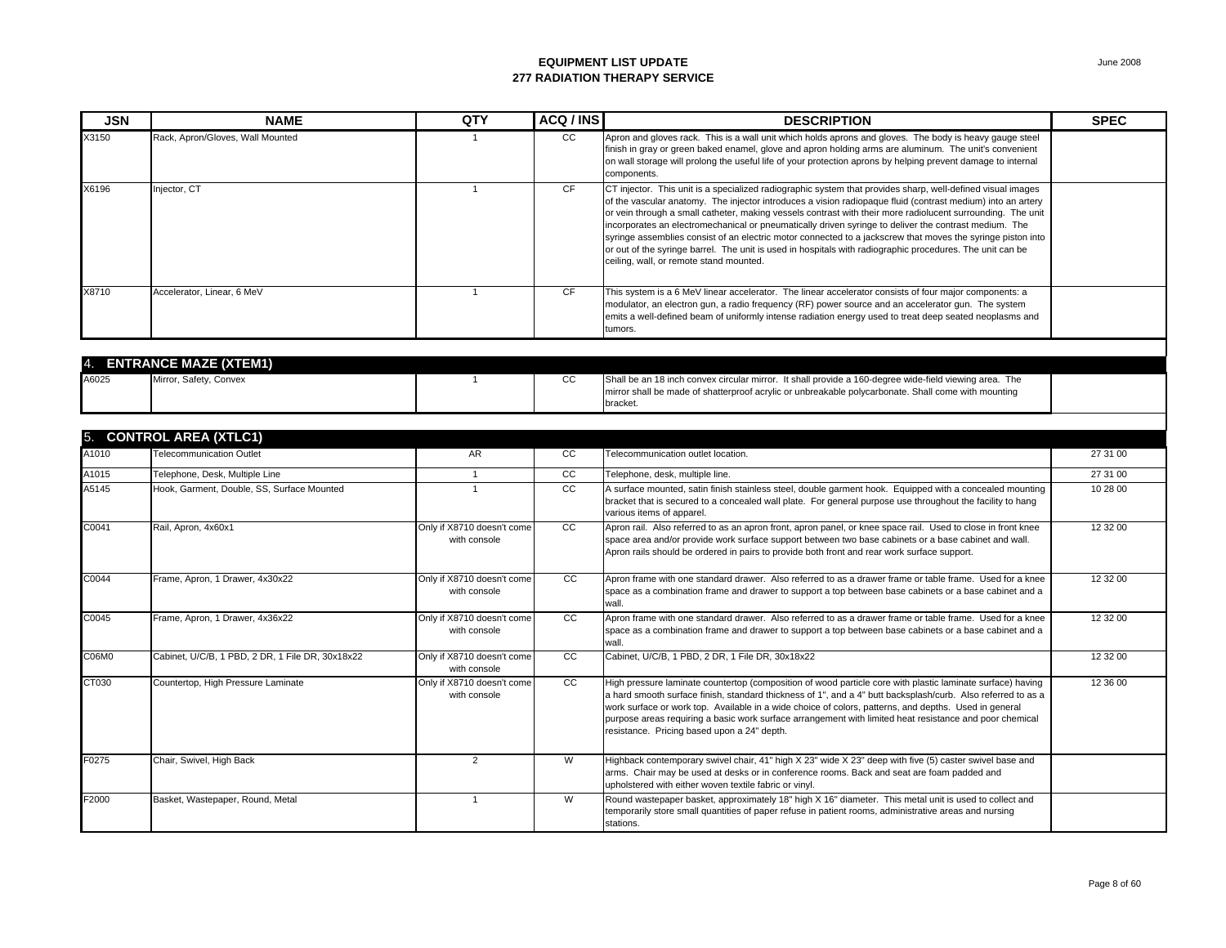| <b>JSN</b> | <b>NAME</b>                                      | QTY                                        | ACQ / INS       | <b>DESCRIPTION</b>                                                                                                                                                                                                                                                                                                                                                                                                                                                                                                                                                                                                                                                                                                        | <b>SPEC</b> |
|------------|--------------------------------------------------|--------------------------------------------|-----------------|---------------------------------------------------------------------------------------------------------------------------------------------------------------------------------------------------------------------------------------------------------------------------------------------------------------------------------------------------------------------------------------------------------------------------------------------------------------------------------------------------------------------------------------------------------------------------------------------------------------------------------------------------------------------------------------------------------------------------|-------------|
| X3150      | Rack, Apron/Gloves, Wall Mounted                 |                                            | cc              | Apron and gloves rack. This is a wall unit which holds aprons and gloves. The body is heavy gauge steel<br>finish in gray or green baked enamel, glove and apron holding arms are aluminum. The unit's convenient<br>on wall storage will prolong the useful life of your protection aprons by helping prevent damage to internal<br>components.                                                                                                                                                                                                                                                                                                                                                                          |             |
| X6196      | Injector, CT                                     | 1                                          | CF              | CT injector. This unit is a specialized radiographic system that provides sharp, well-defined visual images<br>of the vascular anatomy. The injector introduces a vision radiopaque fluid (contrast medium) into an artery<br>or vein through a small catheter, making vessels contrast with their more radiolucent surrounding. The unit<br>incorporates an electromechanical or pneumatically driven syringe to deliver the contrast medium. The<br>syringe assemblies consist of an electric motor connected to a jackscrew that moves the syringe piston into<br>or out of the syringe barrel. The unit is used in hospitals with radiographic procedures. The unit can be<br>ceiling, wall, or remote stand mounted. |             |
| X8710      | Accelerator, Linear, 6 MeV                       | $\mathbf{1}$                               | CF              | This system is a 6 MeV linear accelerator. The linear accelerator consists of four major components: a<br>modulator, an electron gun, a radio frequency (RF) power source and an accelerator gun. The system<br>emits a well-defined beam of uniformly intense radiation energy used to treat deep seated neoplasms and<br>tumors.                                                                                                                                                                                                                                                                                                                                                                                        |             |
|            |                                                  |                                            |                 |                                                                                                                                                                                                                                                                                                                                                                                                                                                                                                                                                                                                                                                                                                                           |             |
|            | <b>ENTRANCE MAZE (XTEM1)</b>                     |                                            |                 |                                                                                                                                                                                                                                                                                                                                                                                                                                                                                                                                                                                                                                                                                                                           |             |
| A6025      | Mirror, Safety, Convex                           | $\mathbf{1}$                               | CC              | Shall be an 18 inch convex circular mirror. It shall provide a 160-degree wide-field viewing area. The<br>mirror shall be made of shatterproof acrylic or unbreakable polycarbonate. Shall come with mounting<br>bracket.                                                                                                                                                                                                                                                                                                                                                                                                                                                                                                 |             |
|            |                                                  |                                            |                 |                                                                                                                                                                                                                                                                                                                                                                                                                                                                                                                                                                                                                                                                                                                           |             |
| 5.         | <b>CONTROL AREA (XTLC1)</b>                      |                                            |                 |                                                                                                                                                                                                                                                                                                                                                                                                                                                                                                                                                                                                                                                                                                                           |             |
| A1010      | <b>Telecommunication Outlet</b>                  | AR <sup>1</sup>                            | cc              | Telecommunication outlet location.                                                                                                                                                                                                                                                                                                                                                                                                                                                                                                                                                                                                                                                                                        | 27 31 00    |
| A1015      | Telephone, Desk, Multiple Line                   | $\overline{1}$                             | $\overline{cc}$ | Telephone, desk, multiple line.                                                                                                                                                                                                                                                                                                                                                                                                                                                                                                                                                                                                                                                                                           | 27 31 00    |
| A5145      | Hook, Garment, Double, SS, Surface Mounted       | $\overline{1}$                             | cc              | A surface mounted, satin finish stainless steel, double garment hook. Equipped with a concealed mounting<br>bracket that is secured to a concealed wall plate. For general purpose use throughout the facility to hang<br>various items of apparel.                                                                                                                                                                                                                                                                                                                                                                                                                                                                       | 10 28 00    |
| C0041      | Rail, Apron, 4x60x1                              | Only if X8710 doesn't come<br>with console | cc              | Apron rail. Also referred to as an apron front, apron panel, or knee space rail. Used to close in front knee<br>space area and/or provide work surface support between two base cabinets or a base cabinet and wall.<br>Apron rails should be ordered in pairs to provide both front and rear work surface support.                                                                                                                                                                                                                                                                                                                                                                                                       | 12 32 00    |
| C0044      | Frame, Apron, 1 Drawer, 4x30x22                  | Only if X8710 doesn't come<br>with console | cc              | Apron frame with one standard drawer. Also referred to as a drawer frame or table frame. Used for a knee<br>space as a combination frame and drawer to support a top between base cabinets or a base cabinet and a<br>wall.                                                                                                                                                                                                                                                                                                                                                                                                                                                                                               | 12 32 00    |
| C0045      | Frame, Apron, 1 Drawer, 4x36x22                  | Only if X8710 doesn't come<br>with console | <b>CC</b>       | Apron frame with one standard drawer. Also referred to as a drawer frame or table frame. Used for a knee<br>space as a combination frame and drawer to support a top between base cabinets or a base cabinet and a<br>wall.                                                                                                                                                                                                                                                                                                                                                                                                                                                                                               | 12 32 00    |
| C06M0      | Cabinet, U/C/B, 1 PBD, 2 DR, 1 File DR, 30x18x22 | Only if X8710 doesn't come<br>with console | $\overline{cc}$ | Cabinet, U/C/B, 1 PBD, 2 DR, 1 File DR, 30x18x22                                                                                                                                                                                                                                                                                                                                                                                                                                                                                                                                                                                                                                                                          | 12 32 00    |
| CT030      | Countertop, High Pressure Laminate               | Only if X8710 doesn't come<br>with console | <b>CC</b>       | High pressure laminate countertop (composition of wood particle core with plastic laminate surface) having<br>a hard smooth surface finish, standard thickness of 1", and a 4" butt backsplash/curb. Also referred to as a<br>work surface or work top. Available in a wide choice of colors, patterns, and depths. Used in general<br>purpose areas requiring a basic work surface arrangement with limited heat resistance and poor chemical<br>resistance. Pricing based upon a 24" depth.                                                                                                                                                                                                                             | 12 36 00    |
| F0275      | Chair, Swivel, High Back                         | 2                                          | W               | Highback contemporary swivel chair, 41" high X 23" wide X 23" deep with five (5) caster swivel base and<br>arms. Chair may be used at desks or in conference rooms. Back and seat are foam padded and<br>upholstered with either woven textile fabric or vinyl.                                                                                                                                                                                                                                                                                                                                                                                                                                                           |             |
| F2000      | Basket, Wastepaper, Round, Metal                 | $\mathbf{1}$                               | W               | Round wastepaper basket, approximately 18" high X 16" diameter. This metal unit is used to collect and<br>temporarily store small quantities of paper refuse in patient rooms, administrative areas and nursing<br>stations.                                                                                                                                                                                                                                                                                                                                                                                                                                                                                              |             |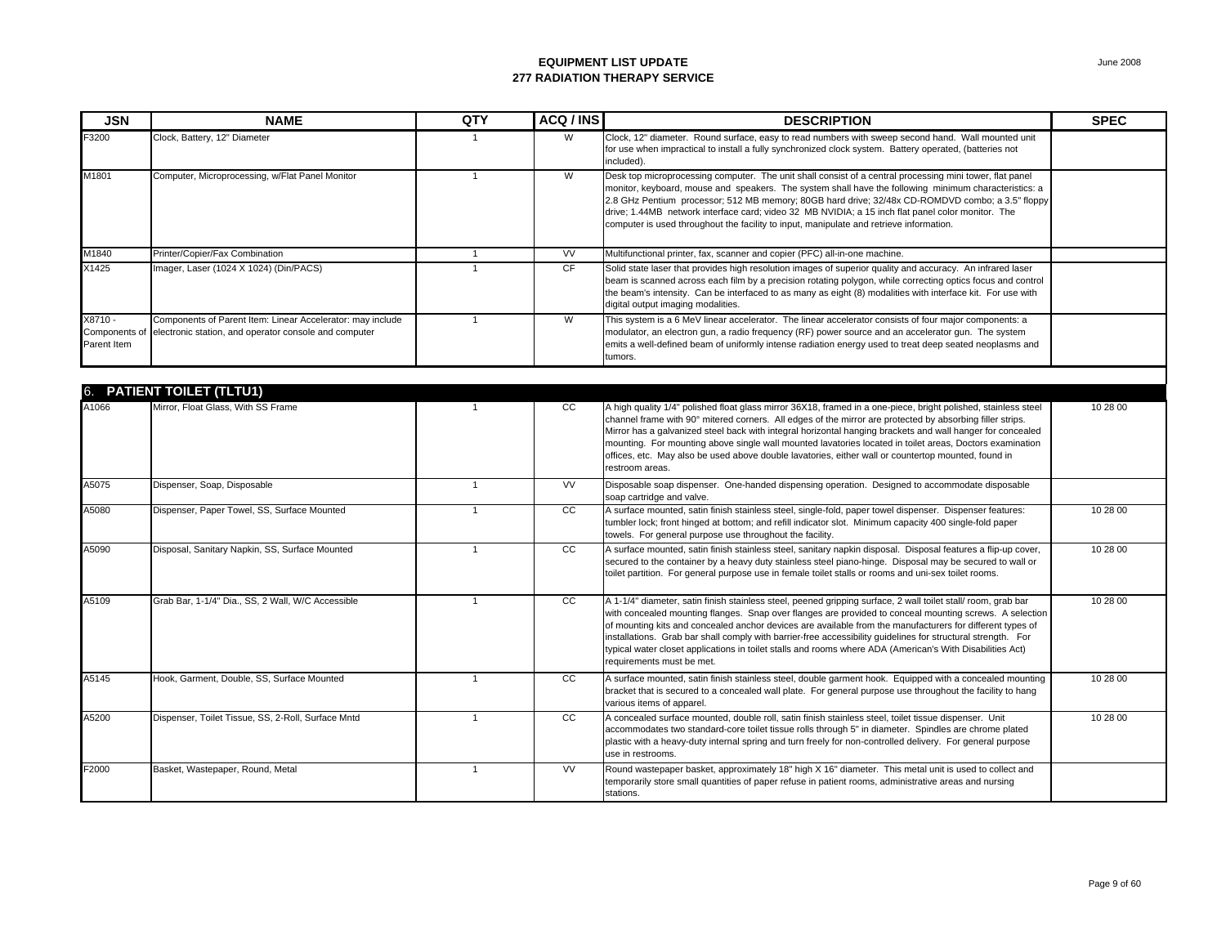| <b>JSN</b>             | <b>NAME</b>                                                                                                                       | QTY            | ACQ / INS       | <b>DESCRIPTION</b>                                                                                                                                                                                                                                                                                                                                                                                                                                                                                                                                                                              | <b>SPEC</b> |
|------------------------|-----------------------------------------------------------------------------------------------------------------------------------|----------------|-----------------|-------------------------------------------------------------------------------------------------------------------------------------------------------------------------------------------------------------------------------------------------------------------------------------------------------------------------------------------------------------------------------------------------------------------------------------------------------------------------------------------------------------------------------------------------------------------------------------------------|-------------|
| F3200                  | Clock, Battery, 12" Diameter                                                                                                      | $\mathbf{1}$   | W               | Clock, 12" diameter. Round surface, easy to read numbers with sweep second hand. Wall mounted unit<br>for use when impractical to install a fully synchronized clock system. Battery operated, (batteries not<br>included).                                                                                                                                                                                                                                                                                                                                                                     |             |
| M1801                  | Computer, Microprocessing, w/Flat Panel Monitor                                                                                   | $\overline{1}$ | W               | Desk top microprocessing computer. The unit shall consist of a central processing mini tower, flat panel<br>monitor, keyboard, mouse and speakers. The system shall have the following minimum characteristics: a<br>2.8 GHz Pentium processor; 512 MB memory; 80GB hard drive; 32/48x CD-ROMDVD combo; a 3.5" floppy<br>drive; 1.44MB network interface card; video 32 MB NVIDIA; a 15 inch flat panel color monitor. The<br>computer is used throughout the facility to input, manipulate and retrieve information.                                                                           |             |
| M1840                  | Printer/Copier/Fax Combination                                                                                                    | $\overline{1}$ | <b>VV</b>       | Multifunctional printer, fax, scanner and copier (PFC) all-in-one machine.                                                                                                                                                                                                                                                                                                                                                                                                                                                                                                                      |             |
| X1425                  | Imager, Laser (1024 X 1024) (Din/PACS)                                                                                            | $\overline{1}$ | CF              | Solid state laser that provides high resolution images of superior quality and accuracy. An infrared laser<br>beam is scanned across each film by a precision rotating polygon, while correcting optics focus and control<br>the beam's intensity. Can be interfaced to as many as eight (8) modalities with interface kit. For use with<br>digital output imaging modalities.                                                                                                                                                                                                                  |             |
| X8710 -<br>Parent Item | Components of Parent Item: Linear Accelerator: may include<br>Components of electronic station, and operator console and computer | $\overline{1}$ | $\overline{W}$  | This system is a 6 MeV linear accelerator. The linear accelerator consists of four major components: a<br>modulator, an electron qun, a radio frequency (RF) power source and an accelerator qun. The system<br>emits a well-defined beam of uniformly intense radiation energy used to treat deep seated neoplasms and<br>tumors.                                                                                                                                                                                                                                                              |             |
|                        |                                                                                                                                   |                |                 |                                                                                                                                                                                                                                                                                                                                                                                                                                                                                                                                                                                                 |             |
| 6.                     | <b>PATIENT TOILET (TLTU1)</b>                                                                                                     |                |                 |                                                                                                                                                                                                                                                                                                                                                                                                                                                                                                                                                                                                 |             |
| A1066                  | Mirror, Float Glass, With SS Frame                                                                                                | $\overline{1}$ | cc              | A high quality 1/4" polished float glass mirror 36X18, framed in a one-piece, bright polished, stainless steel<br>channel frame with 90° mitered corners. All edges of the mirror are protected by absorbing filler strips.<br>Mirror has a galvanized steel back with integral horizontal hanging brackets and wall hanger for concealed<br>mounting. For mounting above single wall mounted lavatories located in toilet areas, Doctors examination<br>offices, etc. May also be used above double lavatories, either wall or countertop mounted, found in<br>restroom areas.                 | 10 28 00    |
| A5075                  | Dispenser, Soap, Disposable                                                                                                       | $\overline{1}$ | <b>VV</b>       | Disposable soap dispenser. One-handed dispensing operation. Designed to accommodate disposable<br>soap cartridge and valve.                                                                                                                                                                                                                                                                                                                                                                                                                                                                     |             |
| A5080                  | Dispenser, Paper Towel, SS, Surface Mounted                                                                                       | $\overline{1}$ | $\overline{cc}$ | A surface mounted, satin finish stainless steel, single-fold, paper towel dispenser. Dispenser features:<br>tumbler lock; front hinged at bottom; and refill indicator slot. Minimum capacity 400 single-fold paper<br>towels. For general purpose use throughout the facility.                                                                                                                                                                                                                                                                                                                 | 10 28 00    |
| A5090                  | Disposal, Sanitary Napkin, SS, Surface Mounted                                                                                    | $\overline{1}$ | cc              | A surface mounted, satin finish stainless steel, sanitary napkin disposal. Disposal features a flip-up cover,<br>secured to the container by a heavy duty stainless steel piano-hinge. Disposal may be secured to wall or<br>toilet partition. For general purpose use in female toilet stalls or rooms and uni-sex toilet rooms.                                                                                                                                                                                                                                                               | 10 28 00    |
| A5109                  | Grab Bar, 1-1/4" Dia., SS, 2 Wall, W/C Accessible                                                                                 | $\overline{1}$ | cc              | A 1-1/4" diameter, satin finish stainless steel, peened gripping surface, 2 wall toilet stall/ room, grab bar<br>with concealed mounting flanges. Snap over flanges are provided to conceal mounting screws. A selection<br>of mounting kits and concealed anchor devices are available from the manufacturers for different types of<br>installations. Grab bar shall comply with barrier-free accessibility guidelines for structural strength. For<br>typical water closet applications in toilet stalls and rooms where ADA (American's With Disabilities Act)<br>requirements must be met. | 10 28 00    |
| A5145                  | Hook, Garment, Double, SS, Surface Mounted                                                                                        | $\overline{1}$ | cc              | A surface mounted, satin finish stainless steel, double garment hook. Equipped with a concealed mounting<br>bracket that is secured to a concealed wall plate. For general purpose use throughout the facility to hang<br>various items of apparel.                                                                                                                                                                                                                                                                                                                                             | 10 28 00    |
| A5200                  | Dispenser, Toilet Tissue, SS, 2-Roll, Surface Mntd                                                                                | $\mathbf{1}$   | cc              | A concealed surface mounted, double roll, satin finish stainless steel, toilet tissue dispenser. Unit<br>accommodates two standard-core toilet tissue rolls through 5" in diameter. Spindles are chrome plated<br>plastic with a heavy-duty internal spring and turn freely for non-controlled delivery. For general purpose                                                                                                                                                                                                                                                                    | 10 28 00    |

use in restrooms.

stations.

temporarily store small quantities of paper refuse in patient rooms, administrative areas and nursing

F2000 Basket, Wastepaper, Round, Metal 1 1 1 VV Round wastepaper basket, approximately 18" high X 16" diameter. This metal unit is used to collect and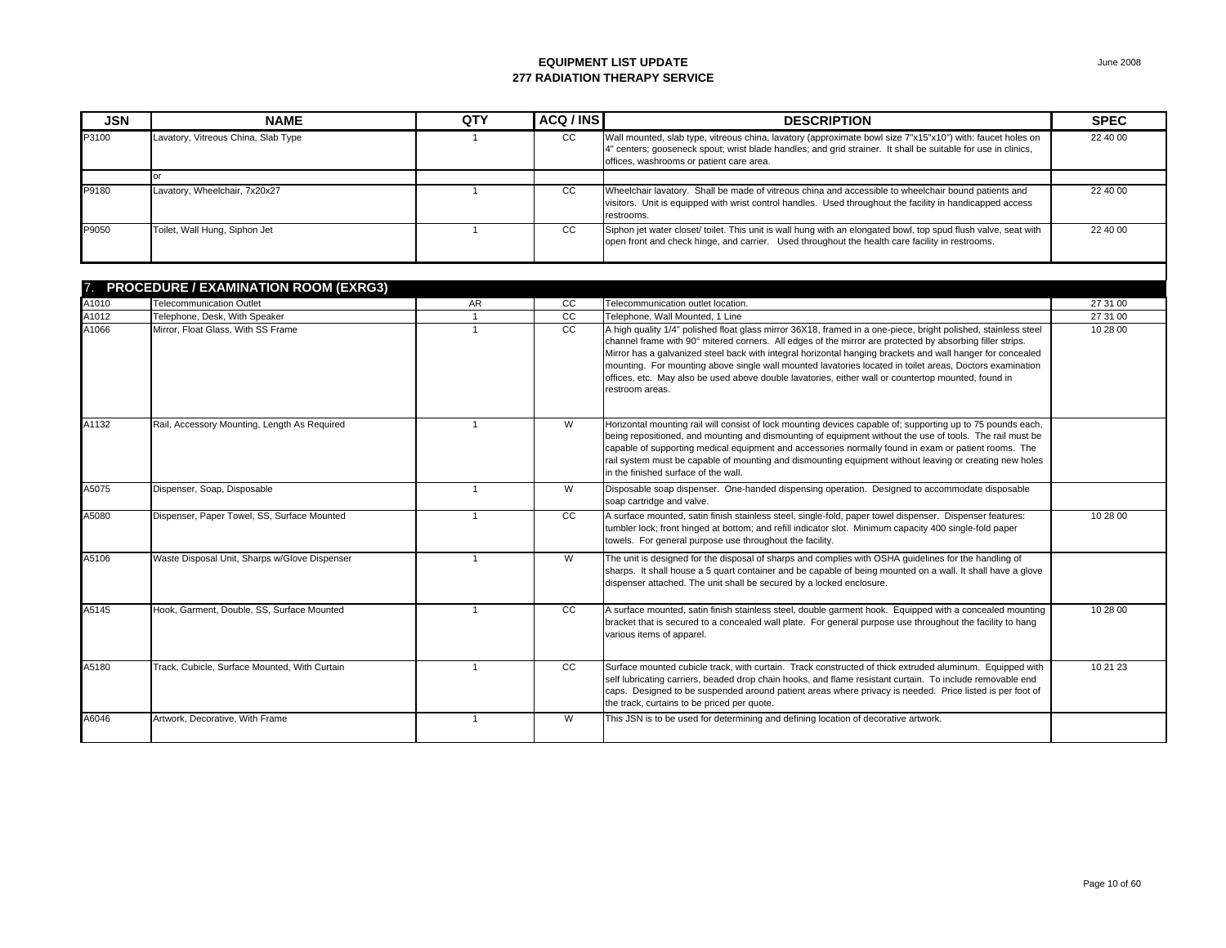| <b>JSN</b> | <b>NAME</b>                         | QTY | ACQ / INS | <b>DESCRIPTION</b>                                                                                                                                                                                                                                                      | <b>SPEC</b> |
|------------|-------------------------------------|-----|-----------|-------------------------------------------------------------------------------------------------------------------------------------------------------------------------------------------------------------------------------------------------------------------------|-------------|
| P3100      | Lavatory, Vitreous China, Slab Type |     | CC        | Wall mounted, slab type, vitreous china, lavatory (approximate bowl size 7"x15"x10") with: faucet holes on<br>4" centers; gooseneck spout; wrist blade handles; and grid strainer. It shall be suitable for use in clinics,<br>offices, washrooms or patient care area. | 22 40 00    |
|            |                                     |     |           |                                                                                                                                                                                                                                                                         |             |
| P9180      | Lavatory, Wheelchair, 7x20x27       |     | CC        | Wheelchair lavatory. Shall be made of vitreous china and accessible to wheelchair bound patients and<br>visitors. Unit is equipped with wrist control handles. Used throughout the facility in handicapped access<br>restrooms.                                         | 22 40 00    |
| P9050      | Toilet, Wall Hung, Siphon Jet       |     | CC        | Siphon jet water closet/ toilet. This unit is wall hung with an elongated bowl, top spud flush valve, seat with<br>open front and check hinge, and carrier. Used throughout the health care facility in restrooms.                                                      | 22 40 00    |

|       | <b>PROCEDURE / EXAMINATION ROOM (EXRG3)</b>   |              |     |                                                                                                                                                                                                                                                                                                                                                                                                                                                                                                                                                                                 |          |
|-------|-----------------------------------------------|--------------|-----|---------------------------------------------------------------------------------------------------------------------------------------------------------------------------------------------------------------------------------------------------------------------------------------------------------------------------------------------------------------------------------------------------------------------------------------------------------------------------------------------------------------------------------------------------------------------------------|----------|
| A1010 | <b>Telecommunication Outlet</b>               | AR           | cc  | Telecommunication outlet location.                                                                                                                                                                                                                                                                                                                                                                                                                                                                                                                                              | 27 31 00 |
| A1012 | Telephone, Desk, With Speaker                 | $\mathbf{1}$ | cc  | Telephone, Wall Mounted, 1 Line                                                                                                                                                                                                                                                                                                                                                                                                                                                                                                                                                 | 27 31 00 |
| A1066 | Mirror, Float Glass, With SS Frame            |              | cc  | A high quality 1/4" polished float glass mirror 36X18, framed in a one-piece, bright polished, stainless steel<br>channel frame with 90° mitered corners. All edges of the mirror are protected by absorbing filler strips.<br>Mirror has a galvanized steel back with integral horizontal hanging brackets and wall hanger for concealed<br>mounting. For mounting above single wall mounted lavatories located in toilet areas, Doctors examination<br>offices, etc. May also be used above double lavatories, either wall or countertop mounted, found in<br>restroom areas. | 10 28 00 |
| A1132 | Rail, Accessory Mounting, Length As Required  | $\mathbf{1}$ | W   | Horizontal mounting rail will consist of lock mounting devices capable of; supporting up to 75 pounds each,<br>being repositioned, and mounting and dismounting of equipment without the use of tools. The rail must be<br>capable of supporting medical equipment and accessories normally found in exam or patient rooms. The<br>rail system must be capable of mounting and dismounting equipment without leaving or creating new holes<br>in the finished surface of the wall.                                                                                              |          |
| A5075 | Dispenser, Soap, Disposable                   | $\mathbf{1}$ | W   | Disposable soap dispenser. One-handed dispensing operation. Designed to accommodate disposable<br>soap cartridge and valve.                                                                                                                                                                                                                                                                                                                                                                                                                                                     |          |
| A5080 | Dispenser, Paper Towel, SS, Surface Mounted   |              | CC  | A surface mounted, satin finish stainless steel, single-fold, paper towel dispenser. Dispenser features:<br>tumbler lock; front hinged at bottom; and refill indicator slot. Minimum capacity 400 single-fold paper<br>towels. For general purpose use throughout the facility.                                                                                                                                                                                                                                                                                                 | 10 28 00 |
| A5106 | Waste Disposal Unit, Sharps w/Glove Dispenser |              | W   | The unit is designed for the disposal of sharps and complies with OSHA guidelines for the handling of<br>sharps. It shall house a 5 quart container and be capable of being mounted on a wall. It shall have a glove<br>dispenser attached. The unit shall be secured by a locked enclosure.                                                                                                                                                                                                                                                                                    |          |
| A5145 | Hook, Garment, Double, SS, Surface Mounted    | $\mathbf{1}$ | CC. | A surface mounted, satin finish stainless steel, double garment hook. Equipped with a concealed mounting<br>bracket that is secured to a concealed wall plate. For general purpose use throughout the facility to hang<br>various items of apparel.                                                                                                                                                                                                                                                                                                                             | 10 28 00 |
| A5180 | Track, Cubicle, Surface Mounted, With Curtain | $\mathbf{1}$ | CC  | Surface mounted cubicle track, with curtain. Track constructed of thick extruded aluminum. Equipped with<br>self lubricating carriers, beaded drop chain hooks, and flame resistant curtain. To include removable end<br>caps. Designed to be suspended around patient areas where privacy is needed. Price listed is per foot of<br>the track, curtains to be priced per quote.                                                                                                                                                                                                | 10 21 23 |
| A6046 | Artwork, Decorative, With Frame               |              | W   | This JSN is to be used for determining and defining location of decorative artwork.                                                                                                                                                                                                                                                                                                                                                                                                                                                                                             |          |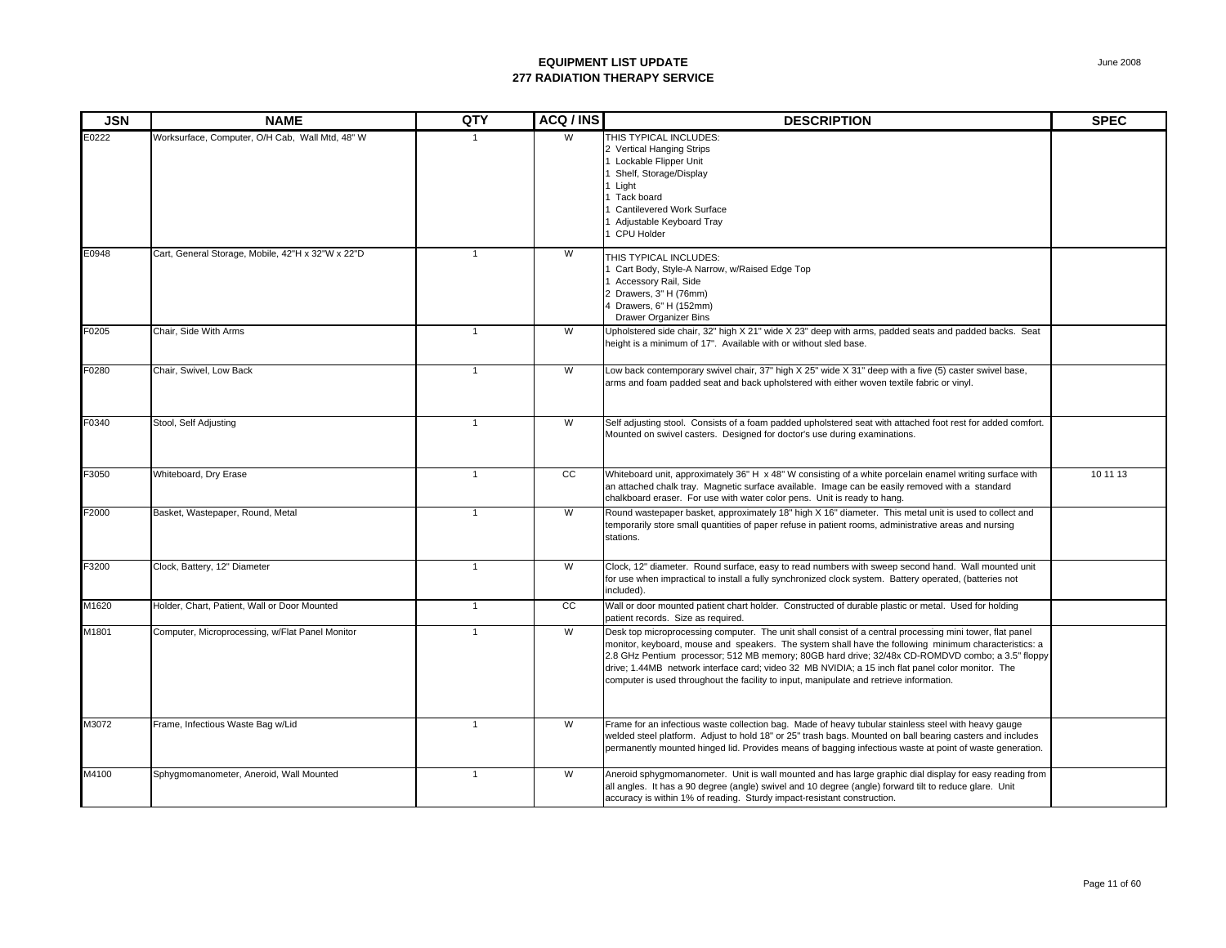| <b>JSN</b> | <b>NAME</b>                                       | QTY          | ACQ / INS       | <b>DESCRIPTION</b>                                                                                                                                                                                                                                                                                                                                                                                                                                                                                                    | <b>SPEC</b> |
|------------|---------------------------------------------------|--------------|-----------------|-----------------------------------------------------------------------------------------------------------------------------------------------------------------------------------------------------------------------------------------------------------------------------------------------------------------------------------------------------------------------------------------------------------------------------------------------------------------------------------------------------------------------|-------------|
| E0222      | Worksurface, Computer, O/H Cab, Wall Mtd, 48" W   |              | W               | THIS TYPICAL INCLUDES:<br>2 Vertical Hanging Strips<br>Lockable Flipper Unit<br>Shelf, Storage/Display<br>Light<br>Tack board<br><b>Cantilevered Work Surface</b><br>Adjustable Keyboard Tray<br>CPU Holder                                                                                                                                                                                                                                                                                                           |             |
| E0948      | Cart, General Storage, Mobile, 42"H x 32"W x 22"D | $\mathbf{1}$ | W               | THIS TYPICAL INCLUDES:<br>Cart Body, Style-A Narrow, w/Raised Edge Top<br>Accessory Rail, Side<br>Drawers, 3" H (76mm)<br>Drawers, 6" H (152mm)<br>Drawer Organizer Bins                                                                                                                                                                                                                                                                                                                                              |             |
| F0205      | Chair, Side With Arms                             | $\mathbf{1}$ | W               | Upholstered side chair, 32" high X 21" wide X 23" deep with arms, padded seats and padded backs. Seat<br>height is a minimum of 17". Available with or without sled base.                                                                                                                                                                                                                                                                                                                                             |             |
| F0280      | Chair, Swivel, Low Back                           | $\mathbf{1}$ | W               | Low back contemporary swivel chair, 37" high X 25" wide X 31" deep with a five (5) caster swivel base,<br>arms and foam padded seat and back upholstered with either woven textile fabric or vinyl.                                                                                                                                                                                                                                                                                                                   |             |
| F0340      | Stool, Self Adjusting                             | $\mathbf{1}$ | W               | Self adjusting stool. Consists of a foam padded upholstered seat with attached foot rest for added comfort.<br>Mounted on swivel casters. Designed for doctor's use during examinations.                                                                                                                                                                                                                                                                                                                              |             |
| F3050      | Whiteboard, Dry Erase                             | $\mathbf{1}$ | cc              | Whiteboard unit, approximately 36" H x 48" W consisting of a white porcelain enamel writing surface with<br>an attached chalk tray. Magnetic surface available. Image can be easily removed with a standard<br>chalkboard eraser. For use with water color pens. Unit is ready to hang.                                                                                                                                                                                                                               | 10 11 13    |
| F2000      | Basket, Wastepaper, Round, Metal                  | $\mathbf{1}$ | W               | Round wastepaper basket, approximately 18" high X 16" diameter. This metal unit is used to collect and<br>temporarily store small quantities of paper refuse in patient rooms, administrative areas and nursing<br>stations.                                                                                                                                                                                                                                                                                          |             |
| F3200      | Clock, Battery, 12" Diameter                      | $\mathbf{1}$ | W               | Clock, 12" diameter. Round surface, easy to read numbers with sweep second hand. Wall mounted unit<br>for use when impractical to install a fully synchronized clock system. Battery operated, (batteries not<br>included).                                                                                                                                                                                                                                                                                           |             |
| M1620      | Holder, Chart, Patient, Wall or Door Mounted      | $\mathbf{1}$ | $\overline{cc}$ | Wall or door mounted patient chart holder. Constructed of durable plastic or metal. Used for holding<br>patient records. Size as required.                                                                                                                                                                                                                                                                                                                                                                            |             |
| M1801      | Computer, Microprocessing, w/Flat Panel Monitor   | $\mathbf{1}$ | W               | Desk top microprocessing computer. The unit shall consist of a central processing mini tower, flat panel<br>monitor, keyboard, mouse and speakers. The system shall have the following minimum characteristics: a<br>2.8 GHz Pentium processor; 512 MB memory; 80GB hard drive; 32/48x CD-ROMDVD combo; a 3.5" floppy<br>drive; 1.44MB network interface card; video 32 MB NVIDIA; a 15 inch flat panel color monitor. The<br>computer is used throughout the facility to input, manipulate and retrieve information. |             |
| M3072      | Frame, Infectious Waste Bag w/Lid                 | $\mathbf{1}$ | W               | Frame for an infectious waste collection bag. Made of heavy tubular stainless steel with heavy gauge<br>welded steel platform. Adjust to hold 18" or 25" trash bags. Mounted on ball bearing casters and includes<br>permanently mounted hinged lid. Provides means of bagging infectious waste at point of waste generation.                                                                                                                                                                                         |             |
| M4100      | Sphygmomanometer, Aneroid, Wall Mounted           | $\mathbf{1}$ | W               | Aneroid sphygmomanometer. Unit is wall mounted and has large graphic dial display for easy reading from<br>all angles. It has a 90 degree (angle) swivel and 10 degree (angle) forward tilt to reduce glare. Unit<br>accuracy is within 1% of reading. Sturdy impact-resistant construction.                                                                                                                                                                                                                          |             |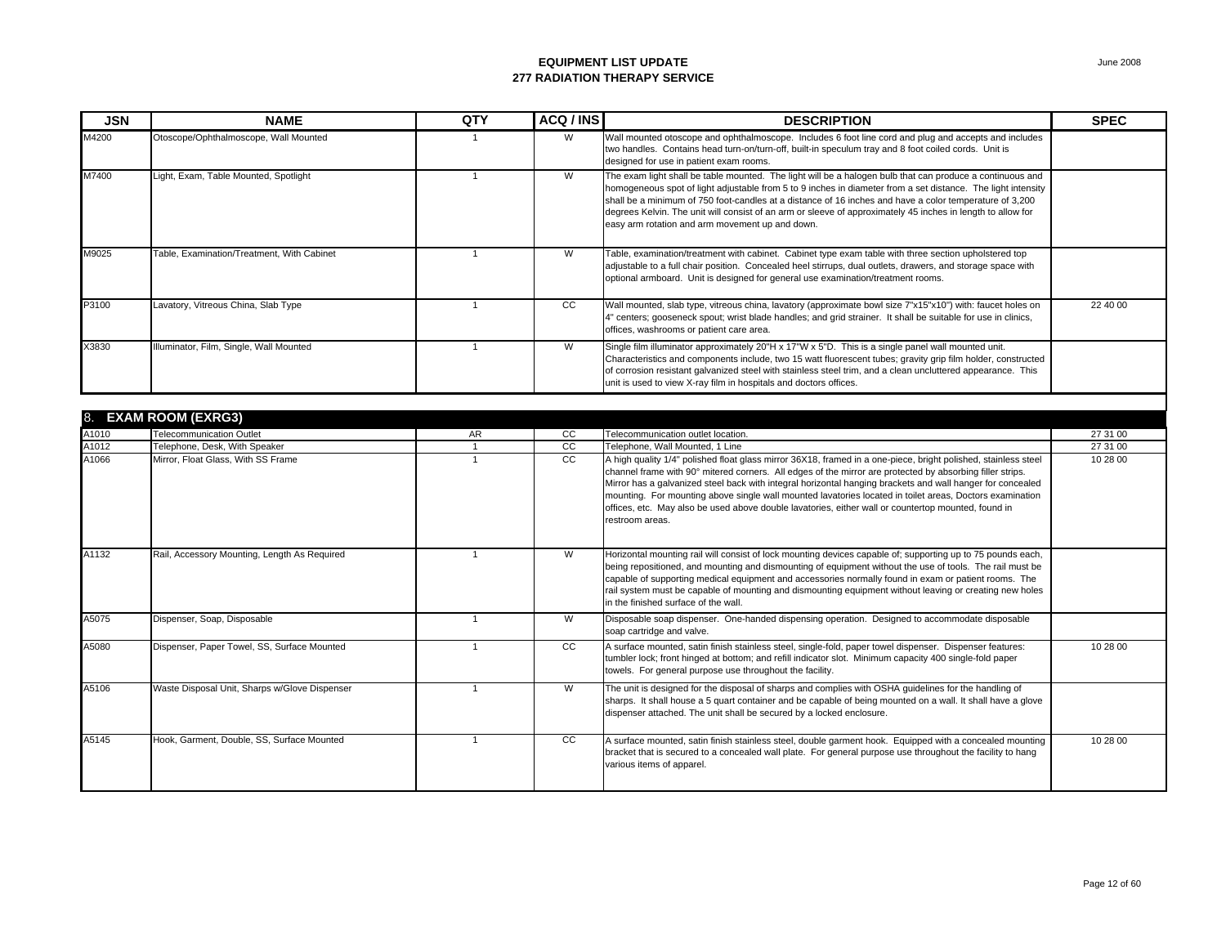| <b>JSN</b> | <b>NAME</b>                                | <b>QTY</b> | ACQ / INS | <b>DESCRIPTION</b>                                                                                                                                                                                                                                                                                                                                                                                                                                                                                     | <b>SPEC</b> |
|------------|--------------------------------------------|------------|-----------|--------------------------------------------------------------------------------------------------------------------------------------------------------------------------------------------------------------------------------------------------------------------------------------------------------------------------------------------------------------------------------------------------------------------------------------------------------------------------------------------------------|-------------|
| M4200      | Otoscope/Ophthalmoscope, Wall Mounted      |            | W         | Wall mounted otoscope and ophthalmoscope. Includes 6 foot line cord and plug and accepts and includes<br>two handles. Contains head turn-on/turn-off, built-in speculum tray and 8 foot coiled cords. Unit is<br>designed for use in patient exam rooms.                                                                                                                                                                                                                                               |             |
| M7400      | Light, Exam, Table Mounted, Spotlight      |            | W         | The exam light shall be table mounted. The light will be a halogen bulb that can produce a continuous and<br>homogeneous spot of light adjustable from 5 to 9 inches in diameter from a set distance. The light intensity<br>shall be a minimum of 750 foot-candles at a distance of 16 inches and have a color temperature of 3,200<br>degrees Kelvin. The unit will consist of an arm or sleeve of approximately 45 inches in length to allow for<br>easy arm rotation and arm movement up and down. |             |
| M9025      | Table, Examination/Treatment, With Cabinet |            | W         | Table, examination/treatment with cabinet. Cabinet type exam table with three section upholstered top<br>adjustable to a full chair position. Concealed heel stirrups, dual outlets, drawers, and storage space with<br>optional armboard. Unit is designed for general use examination/treatment rooms.                                                                                                                                                                                               |             |
| P3100      | Lavatory, Vitreous China, Slab Type        |            | CC        | Wall mounted, slab type, vitreous china, lavatory (approximate bowl size 7"x15"x10") with: faucet holes on<br>4" centers; gooseneck spout; wrist blade handles; and grid strainer. It shall be suitable for use in clinics,<br>offices, washrooms or patient care area.                                                                                                                                                                                                                                | 22 40 00    |
| X3830      | Illuminator, Film, Single, Wall Mounted    |            | W         | Single film illuminator approximately 20"H x 17"W x 5"D. This is a single panel wall mounted unit.<br>Characteristics and components include, two 15 watt fluorescent tubes; gravity grip film holder, constructed<br>of corrosion resistant galvanized steel with stainless steel trim, and a clean uncluttered appearance. This<br>unit is used to view X-ray film in hospitals and doctors offices.                                                                                                 |             |

| 8.    | <b>EXAM ROOM (EXRG3)</b>                      |     |    |                                                                                                                                                                                                                                                                                                                                                                                                                                                                                                                                                                                 |          |  |  |  |
|-------|-----------------------------------------------|-----|----|---------------------------------------------------------------------------------------------------------------------------------------------------------------------------------------------------------------------------------------------------------------------------------------------------------------------------------------------------------------------------------------------------------------------------------------------------------------------------------------------------------------------------------------------------------------------------------|----------|--|--|--|
| A1010 | <b>Telecommunication Outlet</b>               | AR. | cc | Telecommunication outlet location.                                                                                                                                                                                                                                                                                                                                                                                                                                                                                                                                              | 27 31 00 |  |  |  |
| A1012 | Telephone, Desk, With Speaker                 |     | cc | Telephone, Wall Mounted, 1 Line                                                                                                                                                                                                                                                                                                                                                                                                                                                                                                                                                 | 27 31 00 |  |  |  |
| A1066 | Mirror, Float Glass, With SS Frame            |     | CC | A high quality 1/4" polished float glass mirror 36X18, framed in a one-piece, bright polished, stainless steel<br>channel frame with 90° mitered corners. All edges of the mirror are protected by absorbing filler strips.<br>Mirror has a galvanized steel back with integral horizontal hanging brackets and wall hanger for concealed<br>mounting. For mounting above single wall mounted lavatories located in toilet areas, Doctors examination<br>offices, etc. May also be used above double lavatories, either wall or countertop mounted, found in<br>restroom areas. | 10 28 00 |  |  |  |
| A1132 | Rail, Accessory Mounting, Length As Required  |     | W  | Horizontal mounting rail will consist of lock mounting devices capable of; supporting up to 75 pounds each,<br>being repositioned, and mounting and dismounting of equipment without the use of tools. The rail must be<br>capable of supporting medical equipment and accessories normally found in exam or patient rooms. The<br>rail system must be capable of mounting and dismounting equipment without leaving or creating new holes<br>in the finished surface of the wall.                                                                                              |          |  |  |  |
| A5075 | Dispenser, Soap, Disposable                   |     | W  | Disposable soap dispenser. One-handed dispensing operation. Designed to accommodate disposable<br>soap cartridge and valve.                                                                                                                                                                                                                                                                                                                                                                                                                                                     |          |  |  |  |
| A5080 | Dispenser, Paper Towel, SS, Surface Mounted   |     | CC | A surface mounted, satin finish stainless steel, single-fold, paper towel dispenser. Dispenser features:<br>tumbler lock; front hinged at bottom; and refill indicator slot. Minimum capacity 400 single-fold paper<br>towels. For general purpose use throughout the facility.                                                                                                                                                                                                                                                                                                 | 10 28 00 |  |  |  |
| A5106 | Waste Disposal Unit, Sharps w/Glove Dispenser |     | W  | The unit is designed for the disposal of sharps and complies with OSHA guidelines for the handling of<br>sharps. It shall house a 5 quart container and be capable of being mounted on a wall. It shall have a glove<br>dispenser attached. The unit shall be secured by a locked enclosure.                                                                                                                                                                                                                                                                                    |          |  |  |  |
| A5145 | Hook, Garment, Double, SS, Surface Mounted    |     | CC | A surface mounted, satin finish stainless steel, double garment hook. Equipped with a concealed mounting<br>bracket that is secured to a concealed wall plate. For general purpose use throughout the facility to hang<br>various items of apparel.                                                                                                                                                                                                                                                                                                                             | 10 28 00 |  |  |  |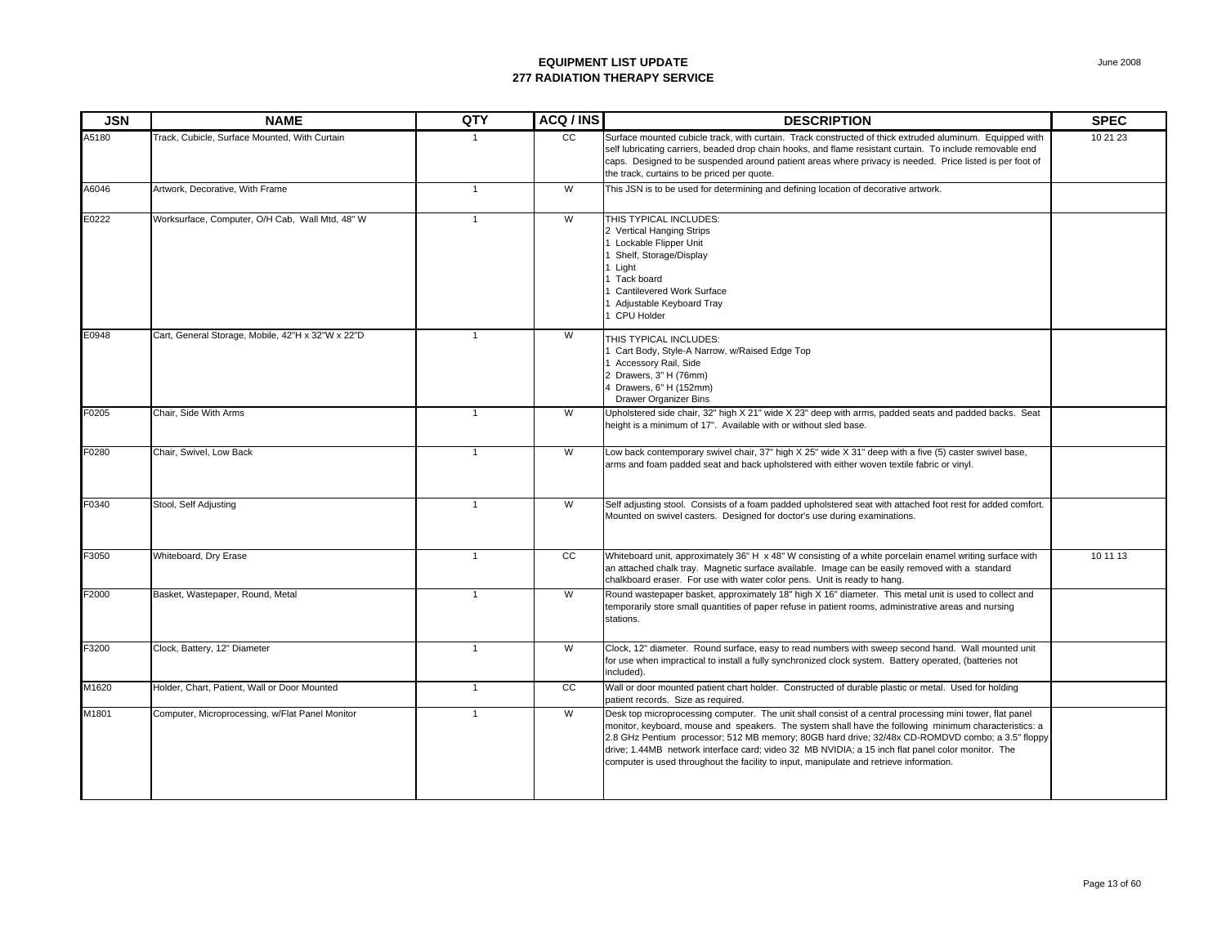| <b>JSN</b> | <b>NAME</b>                                       | QTY            | ACQ / INS | <b>DESCRIPTION</b>                                                                                                                                                                                                                                                                                                                                                                                                                                                                                                    | <b>SPEC</b> |
|------------|---------------------------------------------------|----------------|-----------|-----------------------------------------------------------------------------------------------------------------------------------------------------------------------------------------------------------------------------------------------------------------------------------------------------------------------------------------------------------------------------------------------------------------------------------------------------------------------------------------------------------------------|-------------|
| A5180      | Track, Cubicle, Surface Mounted, With Curtain     |                | cc        | Surface mounted cubicle track, with curtain. Track constructed of thick extruded aluminum. Equipped with<br>self lubricating carriers, beaded drop chain hooks, and flame resistant curtain. To include removable end<br>caps. Designed to be suspended around patient areas where privacy is needed. Price listed is per foot of<br>the track, curtains to be priced per quote.                                                                                                                                      | 10 21 23    |
| A6046      | Artwork, Decorative, With Frame                   | $\overline{1}$ | W         | This JSN is to be used for determining and defining location of decorative artwork.                                                                                                                                                                                                                                                                                                                                                                                                                                   |             |
| E0222      | Worksurface, Computer, O/H Cab, Wall Mtd, 48" W   | $\overline{1}$ | W         | THIS TYPICAL INCLUDES:<br>2 Vertical Hanging Strips<br>1 Lockable Flipper Unit<br>Shelf, Storage/Display<br>Light<br>Tack board<br>Cantilevered Work Surface<br>Adjustable Keyboard Tray<br>CPU Holder                                                                                                                                                                                                                                                                                                                |             |
| E0948      | Cart, General Storage, Mobile, 42"H x 32"W x 22"D | $\overline{1}$ | W         | THIS TYPICAL INCLUDES:<br>Cart Body, Style-A Narrow, w/Raised Edge Top<br>Accessory Rail, Side<br>2 Drawers, 3" H (76mm)<br>4 Drawers, 6" H (152mm)<br><b>Drawer Organizer Bins</b>                                                                                                                                                                                                                                                                                                                                   |             |
| F0205      | Chair, Side With Arms                             | $\mathbf{1}$   | W         | Upholstered side chair, 32" high X 21" wide X 23" deep with arms, padded seats and padded backs. Seat<br>height is a minimum of 17". Available with or without sled base.                                                                                                                                                                                                                                                                                                                                             |             |
| F0280      | Chair, Swivel, Low Back                           | $\overline{1}$ | W         | Low back contemporary swivel chair, 37" high X 25" wide X 31" deep with a five (5) caster swivel base,<br>arms and foam padded seat and back upholstered with either woven textile fabric or vinyl.                                                                                                                                                                                                                                                                                                                   |             |
| F0340      | Stool, Self Adjusting                             | $\overline{1}$ | W         | Self adjusting stool. Consists of a foam padded upholstered seat with attached foot rest for added comfort.<br>Mounted on swivel casters. Designed for doctor's use during examinations.                                                                                                                                                                                                                                                                                                                              |             |
| F3050      | Whiteboard, Dry Erase                             | $\mathbf{1}$   | cc        | Whiteboard unit, approximately 36" H x 48" W consisting of a white porcelain enamel writing surface with<br>an attached chalk tray. Magnetic surface available. Image can be easily removed with a standard<br>chalkboard eraser. For use with water color pens. Unit is ready to hang.                                                                                                                                                                                                                               | 10 11 13    |
| F2000      | Basket, Wastepaper, Round, Metal                  | $\mathbf{1}$   | W         | Round wastepaper basket, approximately 18" high X 16" diameter. This metal unit is used to collect and<br>temporarily store small quantities of paper refuse in patient rooms, administrative areas and nursing<br>stations.                                                                                                                                                                                                                                                                                          |             |
| F3200      | Clock, Battery, 12" Diameter                      | $\mathbf{1}$   | W         | Clock, 12" diameter. Round surface, easy to read numbers with sweep second hand. Wall mounted unit<br>for use when impractical to install a fully synchronized clock system. Battery operated, (batteries not<br>included).                                                                                                                                                                                                                                                                                           |             |
| M1620      | Holder, Chart, Patient, Wall or Door Mounted      | $\mathbf{1}$   | cc        | Wall or door mounted patient chart holder. Constructed of durable plastic or metal. Used for holding<br>patient records. Size as required.                                                                                                                                                                                                                                                                                                                                                                            |             |
| M1801      | Computer, Microprocessing, w/Flat Panel Monitor   | $\mathbf{1}$   | W         | Desk top microprocessing computer. The unit shall consist of a central processing mini tower, flat panel<br>monitor, keyboard, mouse and speakers. The system shall have the following minimum characteristics: a<br>2.8 GHz Pentium processor; 512 MB memory; 80GB hard drive; 32/48x CD-ROMDVD combo; a 3.5" floppy<br>drive; 1.44MB network interface card; video 32 MB NVIDIA; a 15 inch flat panel color monitor. The<br>computer is used throughout the facility to input, manipulate and retrieve information. |             |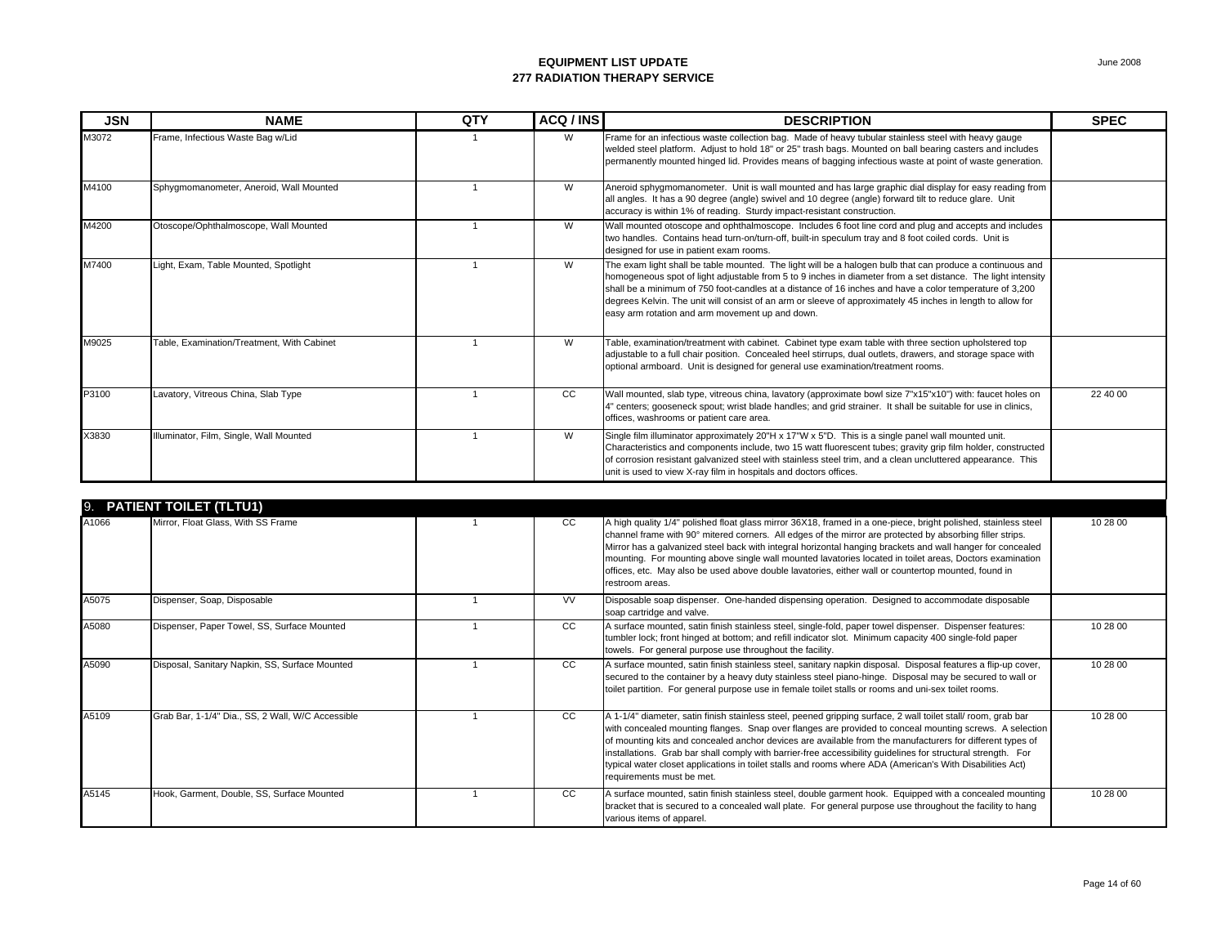| <b>JSN</b> | <b>NAME</b>                                | QTY | ACQ / INS | <b>DESCRIPTION</b>                                                                                                                                                                                                                                                                                                                                                                                                                                                                                     | <b>SPEC</b> |
|------------|--------------------------------------------|-----|-----------|--------------------------------------------------------------------------------------------------------------------------------------------------------------------------------------------------------------------------------------------------------------------------------------------------------------------------------------------------------------------------------------------------------------------------------------------------------------------------------------------------------|-------------|
| M3072      | Frame, Infectious Waste Bag w/Lid          |     | W         | Frame for an infectious waste collection bag. Made of heavy tubular stainless steel with heavy gauge<br>welded steel platform. Adjust to hold 18" or 25" trash bags. Mounted on ball bearing casters and includes<br>permanently mounted hinged lid. Provides means of bagging infectious waste at point of waste generation.                                                                                                                                                                          |             |
| M4100      | Sphygmomanometer, Aneroid, Wall Mounted    |     | W         | Aneroid sphygmomanometer. Unit is wall mounted and has large graphic dial display for easy reading from<br>all angles. It has a 90 degree (angle) swivel and 10 degree (angle) forward tilt to reduce glare. Unit<br>accuracy is within 1% of reading. Sturdy impact-resistant construction.                                                                                                                                                                                                           |             |
| M4200      | Otoscope/Ophthalmoscope, Wall Mounted      |     | W         | Wall mounted otoscope and ophthalmoscope. Includes 6 foot line cord and plug and accepts and includes<br>two handles. Contains head turn-on/turn-off, built-in speculum tray and 8 foot coiled cords. Unit is<br>designed for use in patient exam rooms.                                                                                                                                                                                                                                               |             |
| M7400      | Light, Exam, Table Mounted, Spotlight      |     | W         | The exam light shall be table mounted. The light will be a halogen bulb that can produce a continuous and<br>homogeneous spot of light adjustable from 5 to 9 inches in diameter from a set distance. The light intensity<br>shall be a minimum of 750 foot-candles at a distance of 16 inches and have a color temperature of 3,200<br>degrees Kelvin. The unit will consist of an arm or sleeve of approximately 45 inches in length to allow for<br>easy arm rotation and arm movement up and down. |             |
| M9025      | Table, Examination/Treatment, With Cabinet |     | W         | Table, examination/treatment with cabinet. Cabinet type exam table with three section upholstered top<br>adjustable to a full chair position. Concealed heel stirrups, dual outlets, drawers, and storage space with<br>optional armboard. Unit is designed for general use examination/treatment rooms.                                                                                                                                                                                               |             |
| P3100      | Lavatory, Vitreous China, Slab Type        |     | CC        | Wall mounted, slab type, vitreous china, lavatory (approximate bowl size 7"x15"x10") with: faucet holes on<br>4" centers; gooseneck spout; wrist blade handles; and grid strainer. It shall be suitable for use in clinics,<br>offices, washrooms or patient care area.                                                                                                                                                                                                                                | 22 40 00    |
| X3830      | Illuminator, Film, Single, Wall Mounted    |     | W         | Single film illuminator approximately 20"H x 17"W x 5"D. This is a single panel wall mounted unit.<br>Characteristics and components include, two 15 watt fluorescent tubes; gravity grip film holder, constructed<br>of corrosion resistant galvanized steel with stainless steel trim, and a clean uncluttered appearance. This<br>unit is used to view X-ray film in hospitals and doctors offices.                                                                                                 |             |

|       | 9. PATIENT TOILET (TLTU1)                         |           |                                                                                                                                                                                                                                                                                                                                                                                                                                                                                                                                                                                                 |          |
|-------|---------------------------------------------------|-----------|-------------------------------------------------------------------------------------------------------------------------------------------------------------------------------------------------------------------------------------------------------------------------------------------------------------------------------------------------------------------------------------------------------------------------------------------------------------------------------------------------------------------------------------------------------------------------------------------------|----------|
| A1066 | Mirror, Float Glass, With SS Frame                | CC.       | A high quality 1/4" polished float glass mirror 36X18, framed in a one-piece, bright polished, stainless steel<br>channel frame with 90° mitered corners. All edges of the mirror are protected by absorbing filler strips.<br>Mirror has a galvanized steel back with integral horizontal hanging brackets and wall hanger for concealed<br>mounting. For mounting above single wall mounted lavatories located in toilet areas, Doctors examination<br>offices, etc. May also be used above double lavatories, either wall or countertop mounted, found in<br>restroom areas.                 | 10 28 00 |
| A5075 | Dispenser, Soap, Disposable                       | <b>VV</b> | Disposable soap dispenser. One-handed dispensing operation. Designed to accommodate disposable<br>soap cartridge and valve.                                                                                                                                                                                                                                                                                                                                                                                                                                                                     |          |
| A5080 | Dispenser, Paper Towel, SS, Surface Mounted       | CC        | A surface mounted, satin finish stainless steel, single-fold, paper towel dispenser. Dispenser features:<br>tumbler lock; front hinged at bottom; and refill indicator slot. Minimum capacity 400 single-fold paper<br>towels. For general purpose use throughout the facility.                                                                                                                                                                                                                                                                                                                 | 10 28 00 |
| A5090 | Disposal, Sanitary Napkin, SS, Surface Mounted    | CC.       | A surface mounted, satin finish stainless steel, sanitary napkin disposal. Disposal features a flip-up cover,<br>secured to the container by a heavy duty stainless steel piano-hinge. Disposal may be secured to wall or<br>toilet partition. For general purpose use in female toilet stalls or rooms and uni-sex toilet rooms.                                                                                                                                                                                                                                                               | 10 28 00 |
| A5109 | Grab Bar, 1-1/4" Dia., SS, 2 Wall, W/C Accessible | CC        | A 1-1/4" diameter, satin finish stainless steel, peened gripping surface, 2 wall toilet stall/ room, grab bar<br>with concealed mounting flanges. Snap over flanges are provided to conceal mounting screws. A selection<br>of mounting kits and concealed anchor devices are available from the manufacturers for different types of<br>installations. Grab bar shall comply with barrier-free accessibility guidelines for structural strength. For<br>typical water closet applications in toilet stalls and rooms where ADA (American's With Disabilities Act)<br>requirements must be met. | 10 28 00 |
| A5145 | Hook, Garment, Double, SS, Surface Mounted        | CC        | A surface mounted, satin finish stainless steel, double garment hook. Equipped with a concealed mounting<br>bracket that is secured to a concealed wall plate. For general purpose use throughout the facility to hang<br>various items of apparel.                                                                                                                                                                                                                                                                                                                                             | 10 28 00 |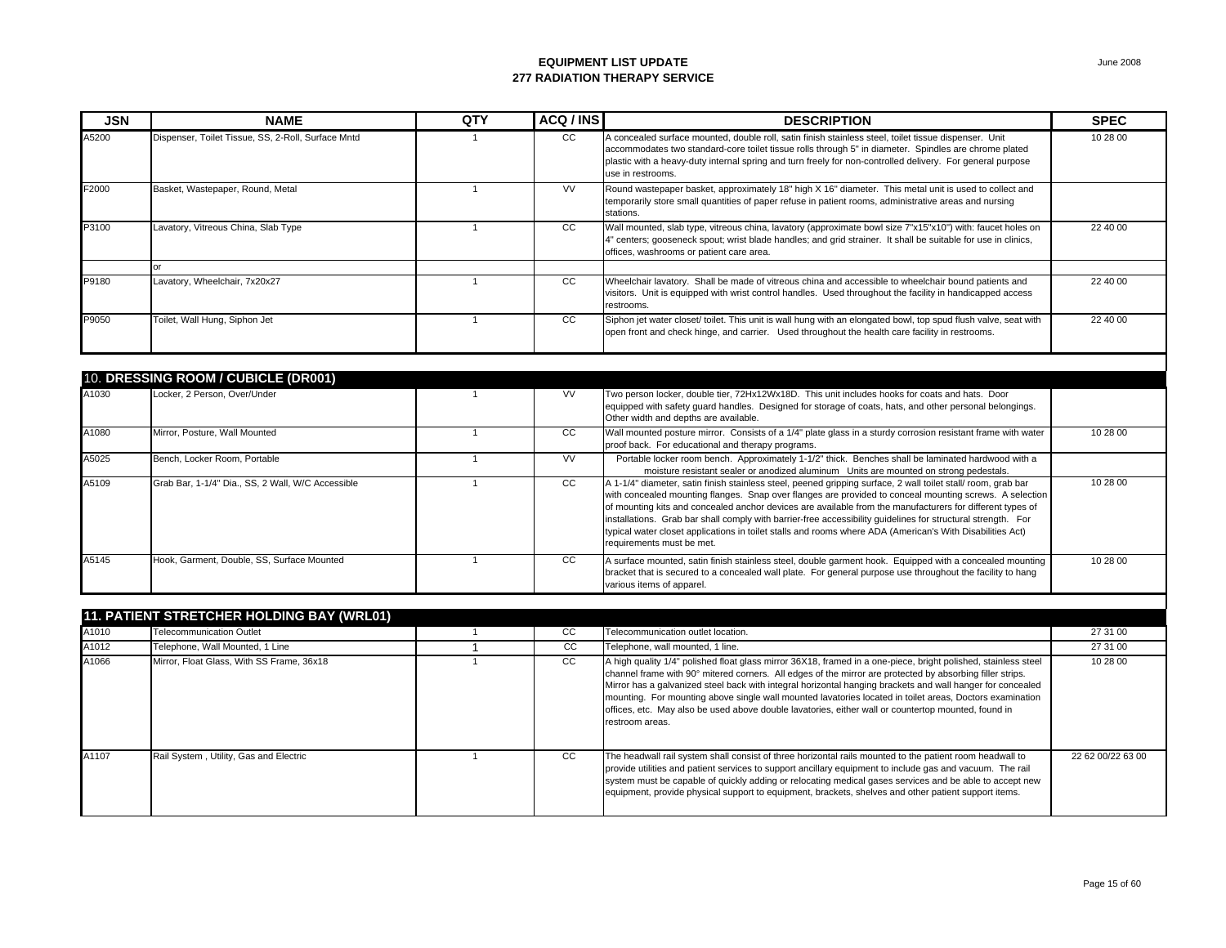| <b>JSN</b> | <b>NAME</b>                                        | QTY            | ACQ / INS | <b>DESCRIPTION</b>                                                                                                                                                                                                                                                                                                                                                                                                                                                                                                                                                                              | <b>SPEC</b> |
|------------|----------------------------------------------------|----------------|-----------|-------------------------------------------------------------------------------------------------------------------------------------------------------------------------------------------------------------------------------------------------------------------------------------------------------------------------------------------------------------------------------------------------------------------------------------------------------------------------------------------------------------------------------------------------------------------------------------------------|-------------|
| A5200      | Dispenser, Toilet Tissue, SS, 2-Roll, Surface Mntd |                | CC        | A concealed surface mounted, double roll, satin finish stainless steel, toilet tissue dispenser. Unit<br>accommodates two standard-core toilet tissue rolls through 5" in diameter. Spindles are chrome plated<br>plastic with a heavy-duty internal spring and turn freely for non-controlled delivery. For general purpose<br>use in restrooms.                                                                                                                                                                                                                                               | 10 28 00    |
| F2000      | Basket, Wastepaper, Round, Metal                   |                | <b>VV</b> | Round wastepaper basket, approximately 18" high X 16" diameter. This metal unit is used to collect and<br>temporarily store small quantities of paper refuse in patient rooms, administrative areas and nursing<br>stations.                                                                                                                                                                                                                                                                                                                                                                    |             |
| P3100      | Lavatory, Vitreous China, Slab Type                |                | CC        | Wall mounted, slab type, vitreous china, lavatory (approximate bowl size 7"x15"x10") with: faucet holes on<br>4" centers; gooseneck spout; wrist blade handles; and grid strainer. It shall be suitable for use in clinics,<br>offices, washrooms or patient care area.                                                                                                                                                                                                                                                                                                                         | 22 40 00    |
|            | $\alpha$ r                                         |                |           |                                                                                                                                                                                                                                                                                                                                                                                                                                                                                                                                                                                                 |             |
| P9180      | Lavatory, Wheelchair, 7x20x27                      |                | CC.       | Wheelchair lavatory. Shall be made of vitreous china and accessible to wheelchair bound patients and<br>visitors. Unit is equipped with wrist control handles. Used throughout the facility in handicapped access<br>restrooms.                                                                                                                                                                                                                                                                                                                                                                 | 22 40 00    |
| P9050      | Toilet, Wall Hung, Siphon Jet                      |                | CC        | Siphon jet water closet/ toilet. This unit is wall hung with an elongated bowl, top spud flush valve, seat with<br>open front and check hinge, and carrier. Used throughout the health care facility in restrooms.                                                                                                                                                                                                                                                                                                                                                                              | 22 40 00    |
|            | 10. DRESSING ROOM / CUBICLE (DR001)                |                |           |                                                                                                                                                                                                                                                                                                                                                                                                                                                                                                                                                                                                 |             |
| A1030      | Locker, 2 Person, Over/Under                       |                | <b>VV</b> | Two person locker, double tier, 72Hx12Wx18D. This unit includes hooks for coats and hats. Door<br>equipped with safety guard handles. Designed for storage of coats, hats, and other personal belongings.<br>Other width and depths are available.                                                                                                                                                                                                                                                                                                                                              |             |
| A1080      | Mirror, Posture, Wall Mounted                      |                | CC        | Wall mounted posture mirror. Consists of a 1/4" plate glass in a sturdy corrosion resistant frame with water<br>proof back. For educational and therapy programs.                                                                                                                                                                                                                                                                                                                                                                                                                               | 10 28 00    |
| A5025      | Bench, Locker Room, Portable                       |                | <b>VV</b> | Portable locker room bench. Approximately 1-1/2" thick. Benches shall be laminated hardwood with a<br>moisture resistant sealer or anodized aluminum Units are mounted on strong pedestals.                                                                                                                                                                                                                                                                                                                                                                                                     |             |
| A5109      | Grab Bar, 1-1/4" Dia., SS, 2 Wall, W/C Accessible  | $\mathbf{A}$   | cc        | A 1-1/4" diameter, satin finish stainless steel, peened gripping surface, 2 wall toilet stall/ room, grab bar<br>with concealed mounting flanges. Snap over flanges are provided to conceal mounting screws. A selection<br>of mounting kits and concealed anchor devices are available from the manufacturers for different types of<br>installations. Grab bar shall comply with barrier-free accessibility quidelines for structural strength. For<br>typical water closet applications in toilet stalls and rooms where ADA (American's With Disabilities Act)<br>requirements must be met. | 10 28 00    |
| A5145      | Hook, Garment, Double, SS, Surface Mounted         | $\overline{1}$ | cc        | A surface mounted, satin finish stainless steel, double garment hook. Equipped with a concealed mounting<br>bracket that is secured to a concealed wall plate. For general purpose use throughout the facility to hang<br>various items of apparel.                                                                                                                                                                                                                                                                                                                                             | 10 28 00    |

|       | <b>11. PATIENT STRETCHER HOLDING BAY (WRL01)</b> |  |     |                                                                                                                                                                                                                                                                                                                                                                                                                                                                                                                                                                                 |                   |  |  |  |
|-------|--------------------------------------------------|--|-----|---------------------------------------------------------------------------------------------------------------------------------------------------------------------------------------------------------------------------------------------------------------------------------------------------------------------------------------------------------------------------------------------------------------------------------------------------------------------------------------------------------------------------------------------------------------------------------|-------------------|--|--|--|
| A1010 | <b>Telecommunication Outlet</b>                  |  | CC. | Telecommunication outlet location.                                                                                                                                                                                                                                                                                                                                                                                                                                                                                                                                              | 27 31 00          |  |  |  |
| A1012 | Telephone, Wall Mounted, 1 Line                  |  | CC  | Telephone, wall mounted, 1 line.                                                                                                                                                                                                                                                                                                                                                                                                                                                                                                                                                | 27 31 00          |  |  |  |
| A1066 | Mirror, Float Glass, With SS Frame, 36x18        |  | CC. | A high quality 1/4" polished float glass mirror 36X18, framed in a one-piece, bright polished, stainless steel<br>channel frame with 90° mitered corners. All edges of the mirror are protected by absorbing filler strips.<br>Mirror has a galvanized steel back with integral horizontal hanging brackets and wall hanger for concealed<br>mounting. For mounting above single wall mounted lavatories located in toilet areas, Doctors examination<br>offices, etc. May also be used above double lavatories, either wall or countertop mounted, found in<br>restroom areas. | 10 28 00          |  |  |  |
| A1107 | Rail System, Utility, Gas and Electric           |  | CC. | The headwall rail system shall consist of three horizontal rails mounted to the patient room headwall to<br>provide utilities and patient services to support ancillary equipment to include gas and vacuum. The rail<br>system must be capable of quickly adding or relocating medical gases services and be able to accept new<br>equipment, provide physical support to equipment, brackets, shelves and other patient support items.                                                                                                                                        | 22 62 00/22 63 00 |  |  |  |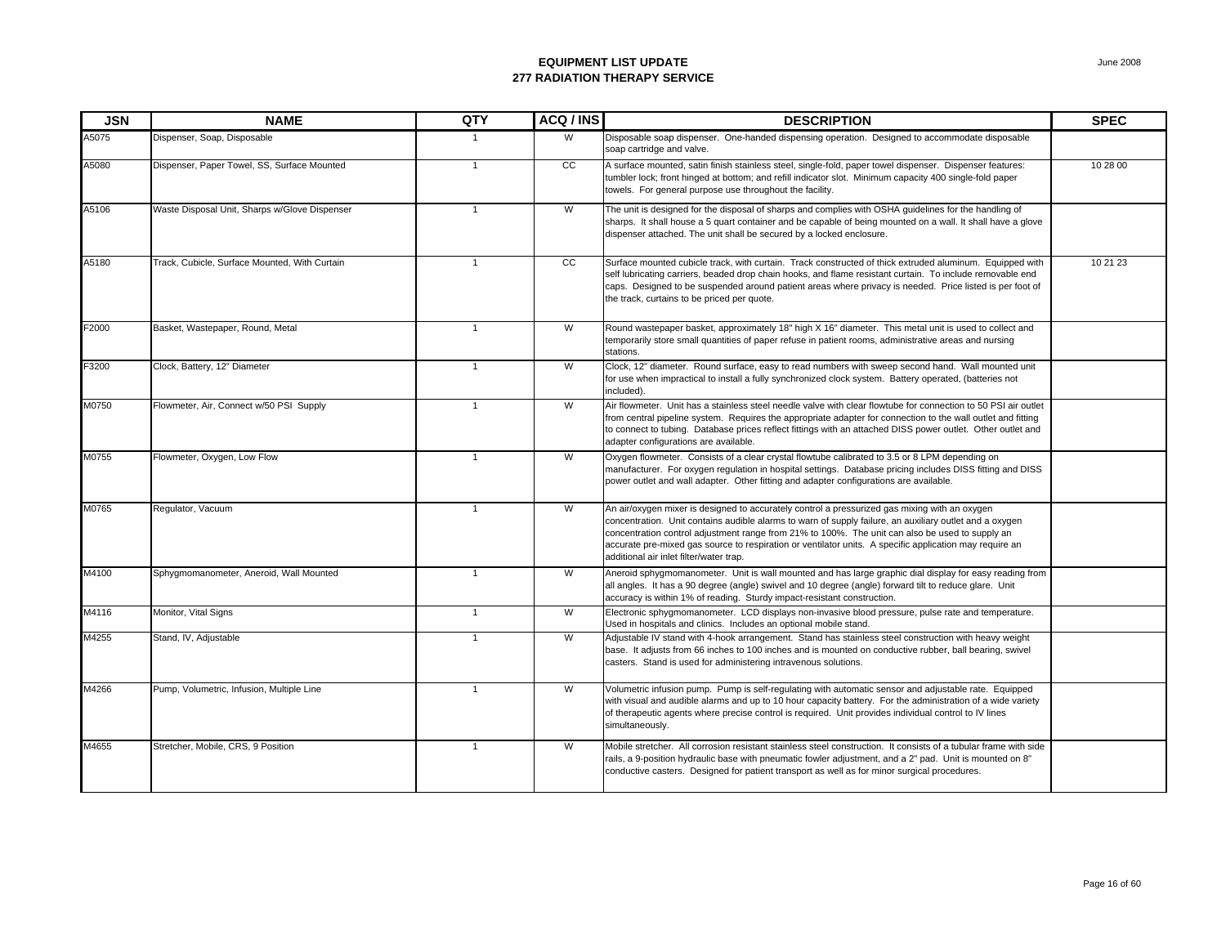| <b>JSN</b> | <b>NAME</b>                                   | QTY            | ACQ / INS      | <b>DESCRIPTION</b>                                                                                                                                                                                                                                                                                                                                                                                                                                                | <b>SPEC</b> |
|------------|-----------------------------------------------|----------------|----------------|-------------------------------------------------------------------------------------------------------------------------------------------------------------------------------------------------------------------------------------------------------------------------------------------------------------------------------------------------------------------------------------------------------------------------------------------------------------------|-------------|
| A5075      | Dispenser, Soap, Disposable                   | -1             | W              | Disposable soap dispenser. One-handed dispensing operation. Designed to accommodate disposable<br>soap cartridge and valve.                                                                                                                                                                                                                                                                                                                                       |             |
| A5080      | Dispenser, Paper Towel, SS, Surface Mounted   | $\overline{1}$ | cc             | A surface mounted, satin finish stainless steel, single-fold, paper towel dispenser. Dispenser features:<br>tumbler lock; front hinged at bottom; and refill indicator slot. Minimum capacity 400 single-fold paper<br>towels. For general purpose use throughout the facility.                                                                                                                                                                                   | 10 28 00    |
| A5106      | Waste Disposal Unit, Sharps w/Glove Dispenser | $\mathbf{1}$   | W              | The unit is designed for the disposal of sharps and complies with OSHA guidelines for the handling of<br>sharps. It shall house a 5 quart container and be capable of being mounted on a wall. It shall have a glove<br>dispenser attached. The unit shall be secured by a locked enclosure.                                                                                                                                                                      |             |
| A5180      | Track, Cubicle, Surface Mounted, With Curtain | $\overline{1}$ | cc             | Surface mounted cubicle track, with curtain. Track constructed of thick extruded aluminum. Equipped with<br>self lubricating carriers, beaded drop chain hooks, and flame resistant curtain. To include removable end<br>caps. Designed to be suspended around patient areas where privacy is needed. Price listed is per foot of<br>the track, curtains to be priced per quote.                                                                                  | 10 21 23    |
| F2000      | Basket, Wastepaper, Round, Metal              | $\mathbf{1}$   | W              | Round wastepaper basket, approximately 18" high X 16" diameter. This metal unit is used to collect and<br>temporarily store small quantities of paper refuse in patient rooms, administrative areas and nursing<br>stations.                                                                                                                                                                                                                                      |             |
| F3200      | Clock, Battery, 12" Diameter                  | $\overline{1}$ | W              | Clock, 12" diameter. Round surface, easy to read numbers with sweep second hand. Wall mounted unit<br>for use when impractical to install a fully synchronized clock system. Battery operated, (batteries not<br>included).                                                                                                                                                                                                                                       |             |
| M0750      | Flowmeter, Air, Connect w/50 PSI Supply       | $\mathbf{1}$   | W              | Air flowmeter. Unit has a stainless steel needle valve with clear flowtube for connection to 50 PSI air outlet<br>from central pipeline system. Requires the appropriate adapter for connection to the wall outlet and fitting<br>to connect to tubing. Database prices reflect fittings with an attached DISS power outlet. Other outlet and<br>adapter configurations are available.                                                                            |             |
| M0755      | Flowmeter, Oxygen, Low Flow                   | $\mathbf{1}$   | W              | Oxygen flowmeter. Consists of a clear crystal flowtube calibrated to 3.5 or 8 LPM depending on<br>manufacturer. For oxygen regulation in hospital settings. Database pricing includes DISS fitting and DISS<br>power outlet and wall adapter. Other fitting and adapter configurations are available.                                                                                                                                                             |             |
| M0765      | Regulator, Vacuum                             | $\mathbf{1}$   | W              | An air/oxygen mixer is designed to accurately control a pressurized gas mixing with an oxygen<br>concentration. Unit contains audible alarms to warn of supply failure, an auxiliary outlet and a oxygen<br>concentration control adjustment range from 21% to 100%. The unit can also be used to supply an<br>accurate pre-mixed gas source to respiration or ventilator units. A specific application may require an<br>additional air inlet filter/water trap. |             |
| M4100      | Sphygmomanometer, Aneroid, Wall Mounted       | $\overline{1}$ | W              | Aneroid sphygmomanometer. Unit is wall mounted and has large graphic dial display for easy reading from<br>all angles. It has a 90 degree (angle) swivel and 10 degree (angle) forward tilt to reduce glare. Unit<br>accuracy is within 1% of reading. Sturdy impact-resistant construction.                                                                                                                                                                      |             |
| M4116      | Monitor, Vital Signs                          | $\overline{1}$ | $\overline{W}$ | Electronic sphygmomanometer. LCD displays non-invasive blood pressure, pulse rate and temperature.<br>Used in hospitals and clinics. Includes an optional mobile stand.                                                                                                                                                                                                                                                                                           |             |
| M4255      | Stand, IV, Adjustable                         | $\overline{1}$ | W              | Adjustable IV stand with 4-hook arrangement. Stand has stainless steel construction with heavy weight<br>base. It adjusts from 66 inches to 100 inches and is mounted on conductive rubber, ball bearing, swivel<br>casters. Stand is used for administering intravenous solutions.                                                                                                                                                                               |             |
| M4266      | Pump, Volumetric, Infusion, Multiple Line     | $\overline{1}$ | W              | Volumetric infusion pump. Pump is self-regulating with automatic sensor and adjustable rate. Equipped<br>with visual and audible alarms and up to 10 hour capacity battery. For the administration of a wide variety<br>of therapeutic agents where precise control is required. Unit provides individual control to IV lines<br>simultaneously.                                                                                                                  |             |
| M4655      | Stretcher, Mobile, CRS, 9 Position            | $\mathbf{1}$   | W              | Mobile stretcher. All corrosion resistant stainless steel construction. It consists of a tubular frame with side<br>rails, a 9-position hydraulic base with pneumatic fowler adjustment, and a 2" pad. Unit is mounted on 8"<br>conductive casters. Designed for patient transport as well as for minor surgical procedures.                                                                                                                                      |             |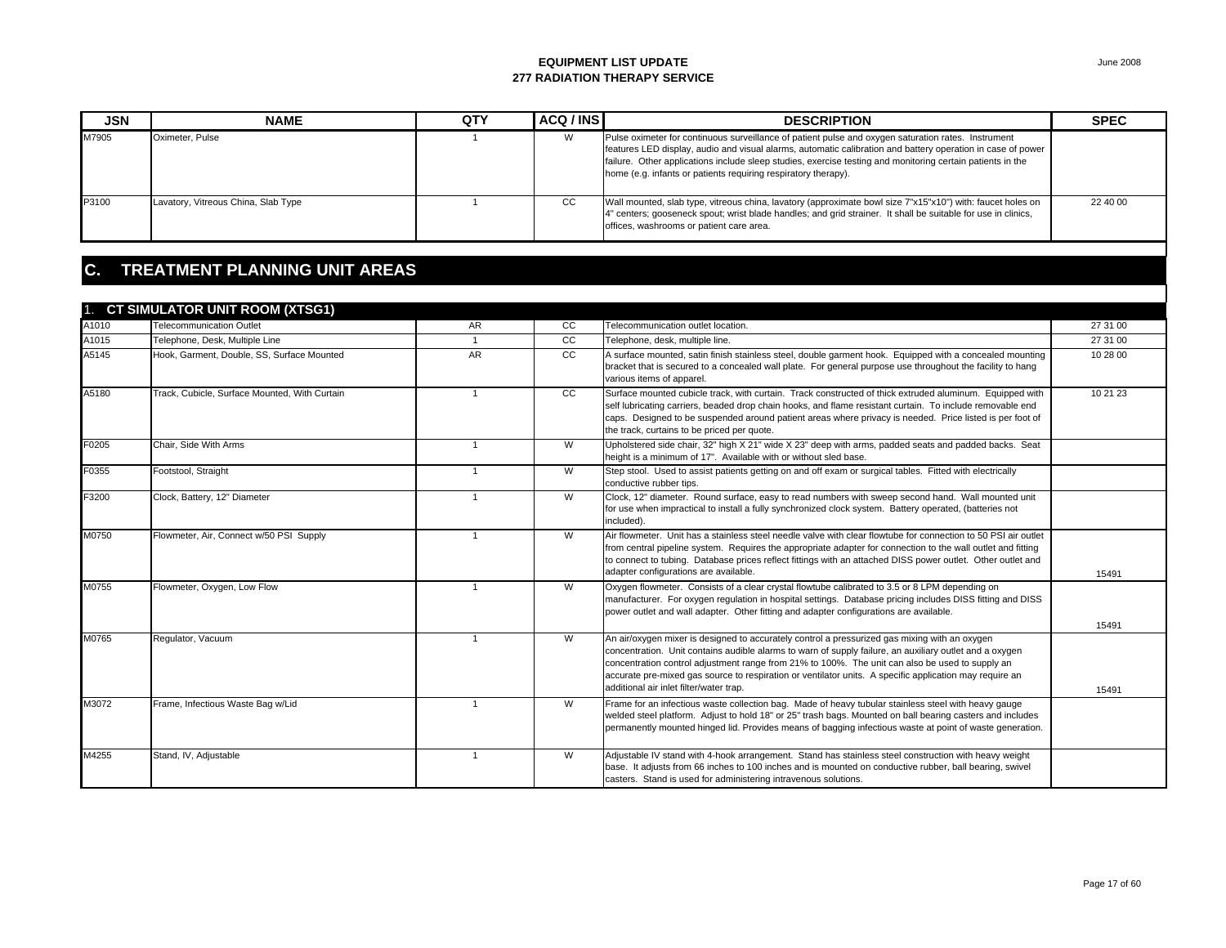| <b>JSN</b> | <b>NAME</b>                         | QTY | ACQ / INS | <b>DESCRIPTION</b>                                                                                                                                                                                                                                                                                                                                                                                 | <b>SPEC</b> |
|------------|-------------------------------------|-----|-----------|----------------------------------------------------------------------------------------------------------------------------------------------------------------------------------------------------------------------------------------------------------------------------------------------------------------------------------------------------------------------------------------------------|-------------|
| M7905      | Oximeter, Pulse                     |     | W         | Pulse oximeter for continuous surveillance of patient pulse and oxygen saturation rates. Instrument<br>features LED display, audio and visual alarms, automatic calibration and battery operation in case of power<br>failure. Other applications include sleep studies, exercise testing and monitoring certain patients in the<br>home (e.g. infants or patients requiring respiratory therapy). |             |
| P3100      | Lavatory, Vitreous China, Slab Type |     | CC        | Wall mounted, slab type, vitreous china, lavatory (approximate bowl size 7"x15"x10") with: faucet holes on<br>4" centers; gooseneck spout; wrist blade handles; and grid strainer. It shall be suitable for use in clinics,<br>offices, washrooms or patient care area.                                                                                                                            | 22 40 00    |

## **C. TREATMENT PLANNING UNIT AREAS**

| A1010 | 1. CT SIMULATOR UNIT ROOM (XTSG1)<br><b>Telecommunication Outlet</b> | AR             | cc | Telecommunication outlet location.                                                                                                                                                                                                                                                                                                                                                                                                                                | 27 31 00 |
|-------|----------------------------------------------------------------------|----------------|----|-------------------------------------------------------------------------------------------------------------------------------------------------------------------------------------------------------------------------------------------------------------------------------------------------------------------------------------------------------------------------------------------------------------------------------------------------------------------|----------|
| A1015 | Telephone, Desk, Multiple Line                                       | $\mathbf{1}$   | cc | Telephone, desk, multiple line.                                                                                                                                                                                                                                                                                                                                                                                                                                   | 27 31 00 |
| A5145 | Hook, Garment, Double, SS, Surface Mounted                           | AR             | cc | A surface mounted, satin finish stainless steel, double garment hook. Equipped with a concealed mounting<br>bracket that is secured to a concealed wall plate. For general purpose use throughout the facility to hang<br>various items of apparel.                                                                                                                                                                                                               | 10 28 00 |
| A5180 | Track, Cubicle, Surface Mounted, With Curtain                        | $\mathbf{1}$   | cc | Surface mounted cubicle track, with curtain. Track constructed of thick extruded aluminum. Equipped with<br>self lubricating carriers, beaded drop chain hooks, and flame resistant curtain. To include removable end<br>caps. Designed to be suspended around patient areas where privacy is needed. Price listed is per foot of<br>the track, curtains to be priced per quote.                                                                                  | 10 21 23 |
| F0205 | Chair, Side With Arms                                                | $\mathbf{1}$   | W  | Upholstered side chair, 32" high X 21" wide X 23" deep with arms, padded seats and padded backs. Seat<br>height is a minimum of 17". Available with or without sled base.                                                                                                                                                                                                                                                                                         |          |
| F0355 | Footstool, Straight                                                  |                | W  | Step stool. Used to assist patients getting on and off exam or surgical tables. Fitted with electrically<br>conductive rubber tips.                                                                                                                                                                                                                                                                                                                               |          |
| F3200 | Clock, Battery, 12" Diameter                                         |                | W  | Clock, 12" diameter. Round surface, easy to read numbers with sweep second hand. Wall mounted unit<br>for use when impractical to install a fully synchronized clock system. Battery operated, (batteries not<br>included).                                                                                                                                                                                                                                       |          |
| M0750 | Flowmeter, Air, Connect w/50 PSI Supply                              | $\overline{1}$ | W  | Air flowmeter. Unit has a stainless steel needle valve with clear flowtube for connection to 50 PSI air outlet<br>from central pipeline system. Requires the appropriate adapter for connection to the wall outlet and fitting<br>to connect to tubing. Database prices reflect fittings with an attached DISS power outlet. Other outlet and<br>adapter configurations are available.                                                                            | 15491    |
| M0755 | Flowmeter, Oxygen, Low Flow                                          | $\overline{1}$ | W  | Oxygen flowmeter. Consists of a clear crystal flowtube calibrated to 3.5 or 8 LPM depending on<br>manufacturer. For oxygen regulation in hospital settings. Database pricing includes DISS fitting and DISS<br>power outlet and wall adapter. Other fitting and adapter configurations are available.                                                                                                                                                             | 15491    |
| M0765 | Regulator, Vacuum                                                    | $\overline{1}$ | W  | An air/oxygen mixer is designed to accurately control a pressurized gas mixing with an oxygen<br>concentration. Unit contains audible alarms to warn of supply failure, an auxiliary outlet and a oxygen<br>concentration control adjustment range from 21% to 100%. The unit can also be used to supply an<br>accurate pre-mixed gas source to respiration or ventilator units. A specific application may require an<br>additional air inlet filter/water trap. | 15491    |
| M3072 | Frame, Infectious Waste Bag w/Lid                                    |                | W  | Frame for an infectious waste collection bag. Made of heavy tubular stainless steel with heavy gauge<br>welded steel platform. Adjust to hold 18" or 25" trash bags. Mounted on ball bearing casters and includes<br>permanently mounted hinged lid. Provides means of bagging infectious waste at point of waste generation.                                                                                                                                     |          |
| M4255 | Stand, IV, Adjustable                                                | $\overline{1}$ | W  | Adjustable IV stand with 4-hook arrangement. Stand has stainless steel construction with heavy weight<br>base. It adjusts from 66 inches to 100 inches and is mounted on conductive rubber, ball bearing, swivel<br>casters. Stand is used for administering intravenous solutions.                                                                                                                                                                               |          |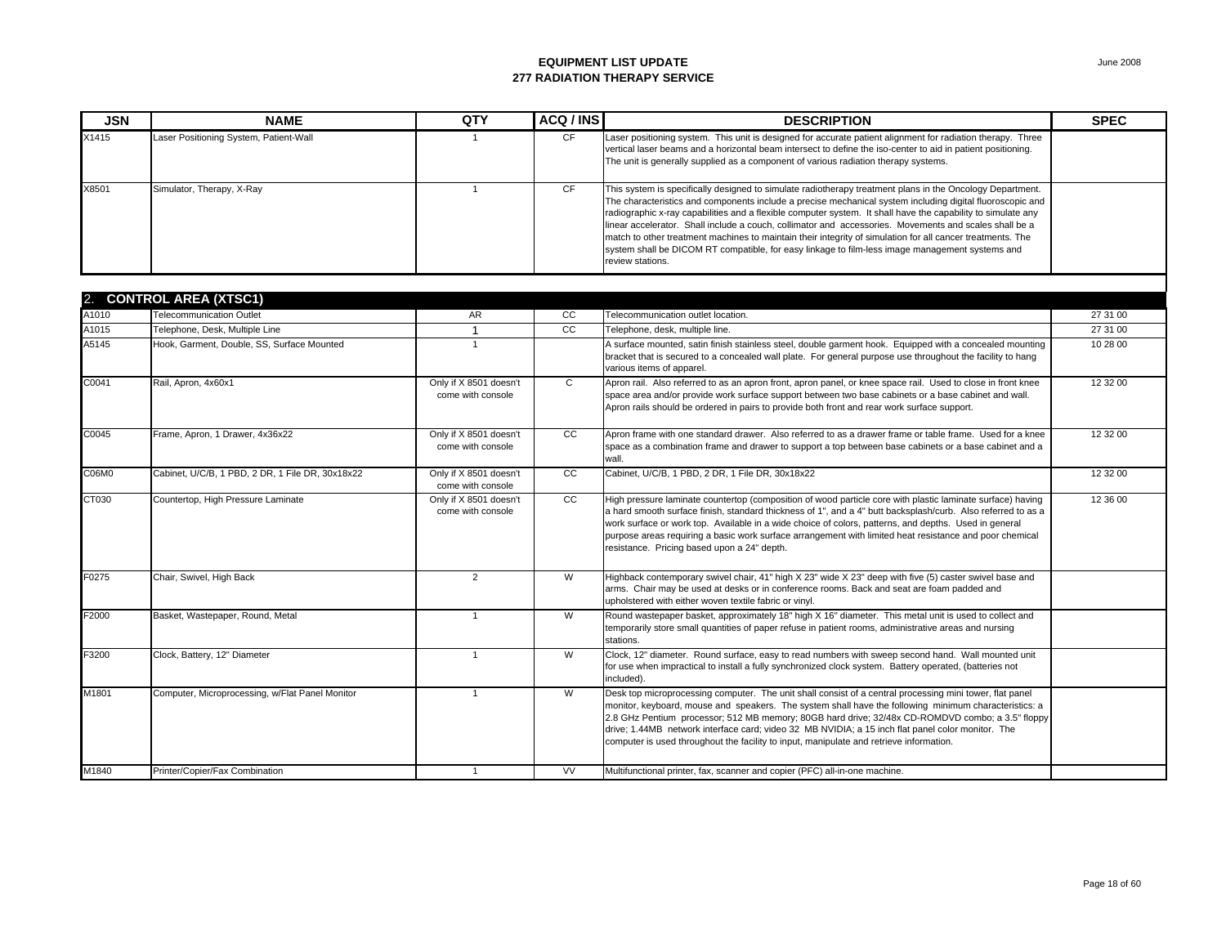| <b>JSN</b> | <b>NAME</b>                                      | QTY                                         | ACQ / INS    | <b>DESCRIPTION</b>                                                                                                                                                                                                                                                                                                                                                                                                                                                                                                                                                                                                                                                                    | <b>SPEC</b> |
|------------|--------------------------------------------------|---------------------------------------------|--------------|---------------------------------------------------------------------------------------------------------------------------------------------------------------------------------------------------------------------------------------------------------------------------------------------------------------------------------------------------------------------------------------------------------------------------------------------------------------------------------------------------------------------------------------------------------------------------------------------------------------------------------------------------------------------------------------|-------------|
| X1415      | Laser Positioning System, Patient-Wall           |                                             | <b>CF</b>    | Laser positioning system. This unit is designed for accurate patient alignment for radiation therapy. Three<br>vertical laser beams and a horizontal beam intersect to define the iso-center to aid in patient positioning.<br>The unit is generally supplied as a component of various radiation therapy systems.                                                                                                                                                                                                                                                                                                                                                                    |             |
| X8501      | Simulator, Therapy, X-Ray                        | $\overline{1}$                              | <b>CF</b>    | This system is specifically designed to simulate radiotherapy treatment plans in the Oncology Department.<br>The characteristics and components include a precise mechanical system including digital fluoroscopic and<br>radiographic x-ray capabilities and a flexible computer system. It shall have the capability to simulate any<br>linear accelerator. Shall include a couch, collimator and accessories. Movements and scales shall be a<br>match to other treatment machines to maintain their integrity of simulation for all cancer treatments. The<br>system shall be DICOM RT compatible, for easy linkage to film-less image management systems and<br>review stations. |             |
|            | 2. CONTROL AREA (XTSC1)                          |                                             |              |                                                                                                                                                                                                                                                                                                                                                                                                                                                                                                                                                                                                                                                                                       |             |
| A1010      | Telecommunication Outlet                         | AR                                          | cc           | Telecommunication outlet location.                                                                                                                                                                                                                                                                                                                                                                                                                                                                                                                                                                                                                                                    | 27 31 00    |
| A1015      | Telephone, Desk, Multiple Line                   | $\overline{1}$                              | cc           | Telephone, desk, multiple line.                                                                                                                                                                                                                                                                                                                                                                                                                                                                                                                                                                                                                                                       | 27 31 00    |
| A5145      | Hook, Garment, Double, SS, Surface Mounted       | $\overline{1}$                              |              | A surface mounted, satin finish stainless steel, double garment hook. Equipped with a concealed mounting<br>bracket that is secured to a concealed wall plate. For general purpose use throughout the facility to hang<br>various items of apparel.                                                                                                                                                                                                                                                                                                                                                                                                                                   | 10 28 00    |
| C0041      | Rail, Apron, 4x60x1                              | Only if X 8501 doesn't<br>come with console | $\mathbf{C}$ | Apron rail. Also referred to as an apron front, apron panel, or knee space rail. Used to close in front knee<br>space area and/or provide work surface support between two base cabinets or a base cabinet and wall.<br>Apron rails should be ordered in pairs to provide both front and rear work surface support.                                                                                                                                                                                                                                                                                                                                                                   | 12 32 00    |
| C0045      | Frame, Apron, 1 Drawer, 4x36x22                  | Only if X 8501 doesn't<br>come with console | CC           | Apron frame with one standard drawer. Also referred to as a drawer frame or table frame. Used for a knee<br>space as a combination frame and drawer to support a top between base cabinets or a base cabinet and a<br>wall.                                                                                                                                                                                                                                                                                                                                                                                                                                                           | 12 32 00    |
| C06M0      | Cabinet, U/C/B, 1 PBD, 2 DR, 1 File DR, 30x18x22 | Only if X 8501 doesn't<br>come with console | cc           | Cabinet, U/C/B, 1 PBD, 2 DR, 1 File DR, 30x18x22                                                                                                                                                                                                                                                                                                                                                                                                                                                                                                                                                                                                                                      | 12 32 00    |
| CT030      | Countertop, High Pressure Laminate               | Only if X 8501 doesn't<br>come with console | CC           | High pressure laminate countertop (composition of wood particle core with plastic laminate surface) having<br>a hard smooth surface finish, standard thickness of 1", and a 4" butt backsplash/curb. Also referred to as a<br>work surface or work top. Available in a wide choice of colors, patterns, and depths. Used in general<br>purpose areas requiring a basic work surface arrangement with limited heat resistance and poor chemical<br>resistance. Pricing based upon a 24" depth.                                                                                                                                                                                         | 12 36 00    |
| F0275      | Chair, Swivel, High Back                         | 2                                           | W            | Highback contemporary swivel chair, 41" high X 23" wide X 23" deep with five (5) caster swivel base and<br>arms. Chair may be used at desks or in conference rooms. Back and seat are foam padded and<br>upholstered with either woven textile fabric or vinyl.                                                                                                                                                                                                                                                                                                                                                                                                                       |             |
| F2000      | Basket, Wastepaper, Round, Metal                 | $\overline{1}$                              | W            | Round wastepaper basket, approximately 18" high X 16" diameter. This metal unit is used to collect and<br>temporarily store small quantities of paper refuse in patient rooms, administrative areas and nursing<br>stations.                                                                                                                                                                                                                                                                                                                                                                                                                                                          |             |
| F3200      | Clock, Battery, 12" Diameter                     | $\overline{1}$                              | W            | Clock, 12" diameter. Round surface, easy to read numbers with sweep second hand. Wall mounted unit<br>for use when impractical to install a fully synchronized clock system. Battery operated, (batteries not<br>included).                                                                                                                                                                                                                                                                                                                                                                                                                                                           |             |
| M1801      | Computer, Microprocessing, w/Flat Panel Monitor  | $\overline{1}$                              | W            | Desk top microprocessing computer. The unit shall consist of a central processing mini tower, flat panel<br>monitor, keyboard, mouse and speakers. The system shall have the following minimum characteristics: a<br>2.8 GHz Pentium processor; 512 MB memory; 80GB hard drive; 32/48x CD-ROMDVD combo; a 3.5" floppy<br>drive; 1.44MB network interface card; video 32 MB NVIDIA; a 15 inch flat panel color monitor. The<br>computer is used throughout the facility to input, manipulate and retrieve information.                                                                                                                                                                 |             |
| M1840      | Printer/Copier/Fax Combination                   |                                             | <b>VV</b>    | Multifunctional printer, fax, scanner and copier (PFC) all-in-one machine.                                                                                                                                                                                                                                                                                                                                                                                                                                                                                                                                                                                                            |             |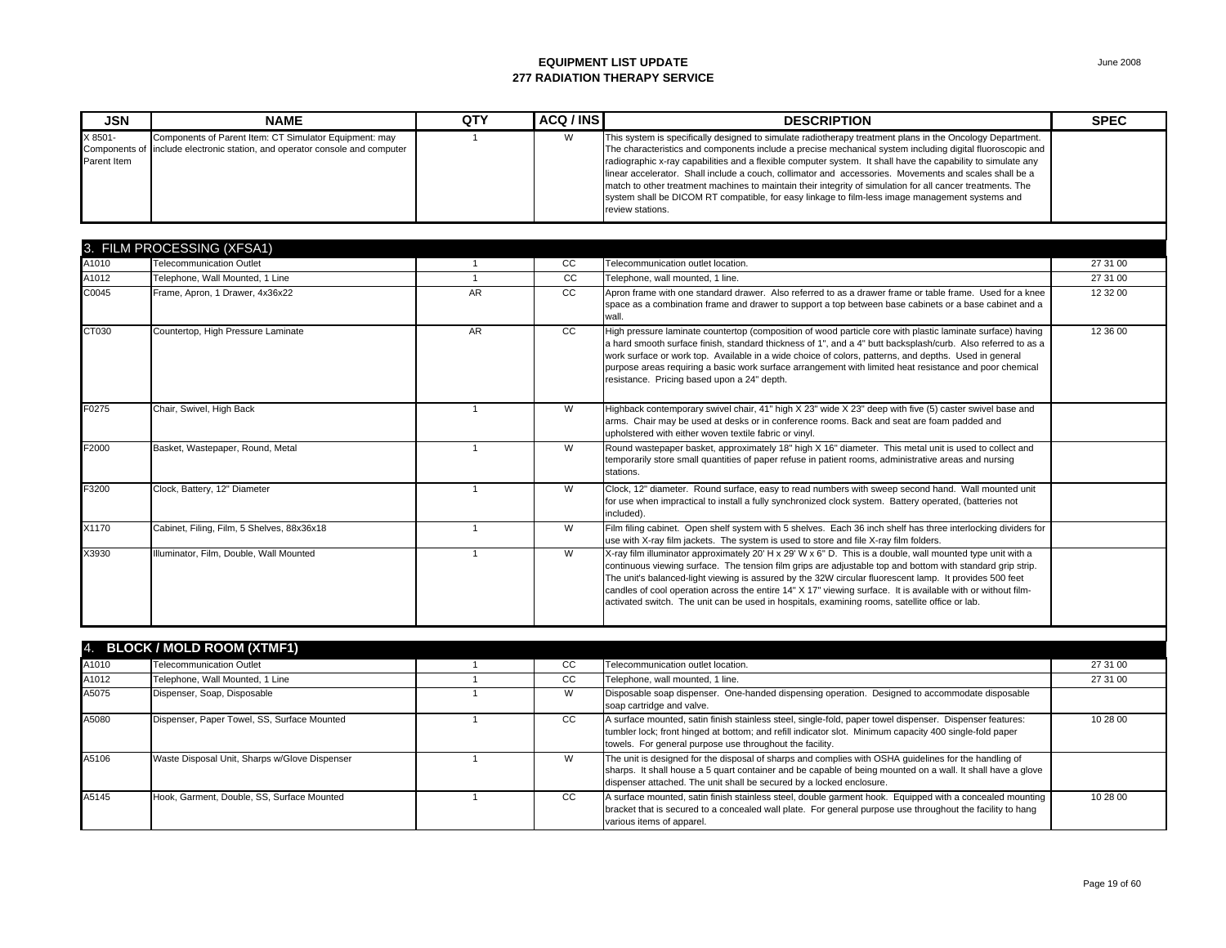| <b>JSN</b>             | <b>NAME</b>                                                                                                                           | QTY | ACQ / INS | <b>DESCRIPTION</b>                                                                                                                                                                                                                                                                                                                                                                                                                                                                                                                                                                                                                                                                    | <b>SPEC</b> |
|------------------------|---------------------------------------------------------------------------------------------------------------------------------------|-----|-----------|---------------------------------------------------------------------------------------------------------------------------------------------------------------------------------------------------------------------------------------------------------------------------------------------------------------------------------------------------------------------------------------------------------------------------------------------------------------------------------------------------------------------------------------------------------------------------------------------------------------------------------------------------------------------------------------|-------------|
| X 8501-<br>Parent Item | Components of Parent Item: CT Simulator Equipment: may<br>Components of include electronic station, and operator console and computer |     | W         | This system is specifically designed to simulate radiotherapy treatment plans in the Oncology Department.<br>The characteristics and components include a precise mechanical system including digital fluoroscopic and<br>radiographic x-ray capabilities and a flexible computer system. It shall have the capability to simulate any<br>linear accelerator. Shall include a couch, collimator and accessories. Movements and scales shall be a<br>match to other treatment machines to maintain their integrity of simulation for all cancer treatments. The<br>system shall be DICOM RT compatible, for easy linkage to film-less image management systems and<br>review stations. |             |

|       | 3. FILM PROCESSING (XFSA1)                 |     |    |                                                                                                                                                                                                                                                                                                                                                                                                                                                                                                                                                       |          |
|-------|--------------------------------------------|-----|----|-------------------------------------------------------------------------------------------------------------------------------------------------------------------------------------------------------------------------------------------------------------------------------------------------------------------------------------------------------------------------------------------------------------------------------------------------------------------------------------------------------------------------------------------------------|----------|
| A1010 | <b>Telecommunication Outlet</b>            |     | CC | Telecommunication outlet location.                                                                                                                                                                                                                                                                                                                                                                                                                                                                                                                    | 27 31 00 |
| A1012 | Telephone, Wall Mounted, 1 Line            |     | CC | Telephone, wall mounted, 1 line.                                                                                                                                                                                                                                                                                                                                                                                                                                                                                                                      | 27 31 00 |
| C0045 | Frame, Apron, 1 Drawer, 4x36x22            | AR  | CC | Apron frame with one standard drawer. Also referred to as a drawer frame or table frame. Used for a knee<br>space as a combination frame and drawer to support a top between base cabinets or a base cabinet and a<br>wall.                                                                                                                                                                                                                                                                                                                           | 12 32 00 |
| CT030 | Countertop, High Pressure Laminate         | AR. | CC | High pressure laminate countertop (composition of wood particle core with plastic laminate surface) having<br>a hard smooth surface finish, standard thickness of 1", and a 4" butt backsplash/curb. Also referred to as a<br>work surface or work top. Available in a wide choice of colors, patterns, and depths. Used in general<br>purpose areas requiring a basic work surface arrangement with limited heat resistance and poor chemical<br>resistance. Pricing based upon a 24" depth.                                                         | 12 36 00 |
| F0275 | Chair, Swivel, High Back                   |     | W  | Highback contemporary swivel chair, 41" high X 23" wide X 23" deep with five (5) caster swivel base and<br>arms. Chair may be used at desks or in conference rooms. Back and seat are foam padded and<br>upholstered with either woven textile fabric or vinyl.                                                                                                                                                                                                                                                                                       |          |
| F2000 | Basket, Wastepaper, Round, Metal           |     | W  | Round wastepaper basket, approximately 18" high X 16" diameter. This metal unit is used to collect and<br>temporarily store small quantities of paper refuse in patient rooms, administrative areas and nursing<br>stations.                                                                                                                                                                                                                                                                                                                          |          |
| F3200 | Clock, Battery, 12" Diameter               |     | W  | Clock, 12" diameter. Round surface, easy to read numbers with sweep second hand. Wall mounted unit<br>for use when impractical to install a fully synchronized clock system. Battery operated, (batteries not<br>included).                                                                                                                                                                                                                                                                                                                           |          |
| X1170 | Cabinet, Filing, Film, 5 Shelves, 88x36x18 |     | W  | Film filing cabinet. Open shelf system with 5 shelves. Each 36 inch shelf has three interlocking dividers for<br>use with X-ray film jackets. The system is used to store and file X-ray film folders.                                                                                                                                                                                                                                                                                                                                                |          |
| X3930 | Illuminator, Film, Double, Wall Mounted    |     | W  | X-ray film illuminator approximately 20' H x 29' W x 6" D. This is a double, wall mounted type unit with a<br>continuous viewing surface. The tension film grips are adjustable top and bottom with standard grip strip.<br>The unit's balanced-light viewing is assured by the 32W circular fluorescent lamp. It provides 500 feet<br>candles of cool operation across the entire 14" X 17" viewing surface. It is available with or without film-<br>activated switch. The unit can be used in hospitals, examining rooms, satellite office or lab. |          |

|       | 4. BLOCK / MOLD ROOM (XTMF1)                  |               |                                                                                                                                                                                                                                                                                              |          |
|-------|-----------------------------------------------|---------------|----------------------------------------------------------------------------------------------------------------------------------------------------------------------------------------------------------------------------------------------------------------------------------------------|----------|
| A1010 | <b>Telecommunication Outlet</b>               | CC            | Telecommunication outlet location.                                                                                                                                                                                                                                                           | 27 31 00 |
| A1012 | Telephone, Wall Mounted, 1 Line               | <sub>CC</sub> | Telephone, wall mounted, 1 line.                                                                                                                                                                                                                                                             | 27 31 00 |
| A5075 | Dispenser, Soap, Disposable                   | W             | Disposable soap dispenser. One-handed dispensing operation. Designed to accommodate disposable<br>soap cartridge and valve.                                                                                                                                                                  |          |
| A5080 | Dispenser, Paper Towel, SS, Surface Mounted   | <sub>CC</sub> | A surface mounted, satin finish stainless steel, single-fold, paper towel dispenser. Dispenser features:<br>tumbler lock; front hinged at bottom; and refill indicator slot. Minimum capacity 400 single-fold paper<br>towels. For general purpose use throughout the facility.              | 10 28 00 |
| A5106 | Waste Disposal Unit, Sharps w/Glove Dispenser | W             | The unit is designed for the disposal of sharps and complies with OSHA guidelines for the handling of<br>sharps. It shall house a 5 quart container and be capable of being mounted on a wall. It shall have a glove<br>dispenser attached. The unit shall be secured by a locked enclosure. |          |
| A5145 | Hook, Garment, Double, SS, Surface Mounted    | CC.           | A surface mounted, satin finish stainless steel, double garment hook. Equipped with a concealed mounting<br>bracket that is secured to a concealed wall plate. For general purpose use throughout the facility to hang<br>various items of apparel.                                          | 10 28 00 |

Page 19 of 60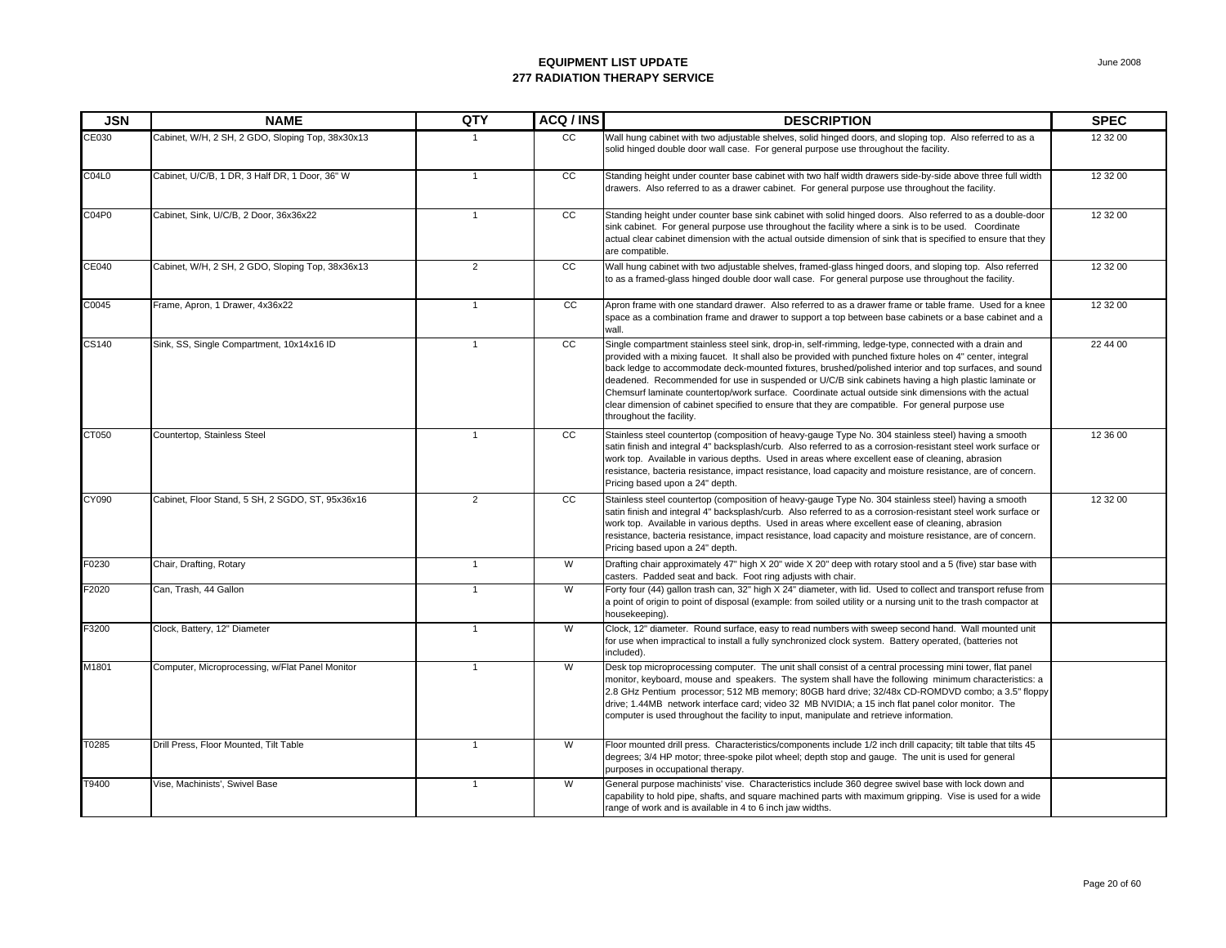| <b>JSN</b> | <b>NAME</b>                                      | QTY            | ACQ / INS       | <b>DESCRIPTION</b>                                                                                                                                                                                                                                                                                                                                                                                                                                                                                                                                                                                                                                                            | <b>SPEC</b> |
|------------|--------------------------------------------------|----------------|-----------------|-------------------------------------------------------------------------------------------------------------------------------------------------------------------------------------------------------------------------------------------------------------------------------------------------------------------------------------------------------------------------------------------------------------------------------------------------------------------------------------------------------------------------------------------------------------------------------------------------------------------------------------------------------------------------------|-------------|
| CE030      | Cabinet, W/H, 2 SH, 2 GDO, Sloping Top, 38x30x13 | $\mathbf{1}$   | CC              | Wall hung cabinet with two adjustable shelves, solid hinged doors, and sloping top. Also referred to as a<br>solid hinged double door wall case. For general purpose use throughout the facility.                                                                                                                                                                                                                                                                                                                                                                                                                                                                             | 12 32 00    |
| C04L0      | Cabinet, U/C/B, 1 DR, 3 Half DR, 1 Door, 36" W   | $\mathbf{1}$   | $\overline{cc}$ | Standing height under counter base cabinet with two half width drawers side-by-side above three full width<br>drawers. Also referred to as a drawer cabinet. For general purpose use throughout the facility.                                                                                                                                                                                                                                                                                                                                                                                                                                                                 | 12 32 00    |
| C04P0      | Cabinet, Sink, U/C/B, 2 Door, 36x36x22           | $\mathbf{1}$   | $\overline{cc}$ | Standing height under counter base sink cabinet with solid hinged doors. Also referred to as a double-door<br>sink cabinet. For general purpose use throughout the facility where a sink is to be used. Coordinate<br>actual clear cabinet dimension with the actual outside dimension of sink that is specified to ensure that they<br>are compatible.                                                                                                                                                                                                                                                                                                                       | 12 32 00    |
| CE040      | Cabinet, W/H, 2 SH, 2 GDO, Sloping Top, 38x36x13 | $\overline{2}$ | CC              | Wall hung cabinet with two adjustable shelves, framed-glass hinged doors, and sloping top. Also referred<br>to as a framed-glass hinged double door wall case. For general purpose use throughout the facility.                                                                                                                                                                                                                                                                                                                                                                                                                                                               | 12 32 00    |
| C0045      | Frame, Apron, 1 Drawer, 4x36x22                  | $\mathbf{1}$   | cc              | Apron frame with one standard drawer. Also referred to as a drawer frame or table frame. Used for a knee<br>space as a combination frame and drawer to support a top between base cabinets or a base cabinet and a<br>wall.                                                                                                                                                                                                                                                                                                                                                                                                                                                   | 12 32 00    |
| CS140      | Sink, SS, Single Compartment, 10x14x16 ID        | $\mathbf{1}$   | cc              | Single compartment stainless steel sink, drop-in, self-rimming, ledge-type, connected with a drain and<br>provided with a mixing faucet. It shall also be provided with punched fixture holes on 4" center, integral<br>back ledge to accommodate deck-mounted fixtures, brushed/polished interior and top surfaces, and sound<br>deadened. Recommended for use in suspended or U/C/B sink cabinets having a high plastic laminate or<br>Chemsurf laminate countertop/work surface. Coordinate actual outside sink dimensions with the actual<br>clear dimension of cabinet specified to ensure that they are compatible. For general purpose use<br>throughout the facility. | 22 44 00    |
| CT050      | Countertop, Stainless Steel                      | $\mathbf{1}$   | cc              | Stainless steel countertop (composition of heavy-gauge Type No. 304 stainless steel) having a smooth<br>satin finish and integral 4" backsplash/curb. Also referred to as a corrosion-resistant steel work surface or<br>work top. Available in various depths. Used in areas where excellent ease of cleaning, abrasion<br>resistance, bacteria resistance, impact resistance, load capacity and moisture resistance, are of concern.<br>Pricing based upon a 24" depth.                                                                                                                                                                                                     | 12 36 00    |
| CY090      | Cabinet, Floor Stand, 5 SH, 2 SGDO, ST, 95x36x16 | 2              | CC              | Stainless steel countertop (composition of heavy-gauge Type No. 304 stainless steel) having a smooth<br>satin finish and integral 4" backsplash/curb. Also referred to as a corrosion-resistant steel work surface or<br>work top. Available in various depths. Used in areas where excellent ease of cleaning, abrasion<br>resistance, bacteria resistance, impact resistance, load capacity and moisture resistance, are of concern.<br>Pricing based upon a 24" depth.                                                                                                                                                                                                     | 12 32 00    |
| F0230      | Chair, Drafting, Rotary                          | $\mathbf{1}$   | W               | Drafting chair approximately 47" high X 20" wide X 20" deep with rotary stool and a 5 (five) star base with<br>casters. Padded seat and back. Foot ring adjusts with chair.                                                                                                                                                                                                                                                                                                                                                                                                                                                                                                   |             |
| F2020      | Can, Trash, 44 Gallon                            | $\mathbf{1}$   | W               | Forty four (44) gallon trash can, 32" high X 24" diameter, with lid. Used to collect and transport refuse from<br>a point of origin to point of disposal (example: from soiled utility or a nursing unit to the trash compactor at<br>housekeeping).                                                                                                                                                                                                                                                                                                                                                                                                                          |             |
| F3200      | Clock, Battery, 12" Diameter                     | $\overline{1}$ | W               | Clock, 12" diameter. Round surface, easy to read numbers with sweep second hand. Wall mounted unit<br>for use when impractical to install a fully synchronized clock system. Battery operated, (batteries not<br>included).                                                                                                                                                                                                                                                                                                                                                                                                                                                   |             |
| M1801      | Computer, Microprocessing, w/Flat Panel Monitor  | $\overline{1}$ | W               | Desk top microprocessing computer. The unit shall consist of a central processing mini tower, flat panel<br>monitor, keyboard, mouse and speakers. The system shall have the following minimum characteristics: a<br>2.8 GHz Pentium processor; 512 MB memory; 80GB hard drive; 32/48x CD-ROMDVD combo; a 3.5" floppy<br>drive; 1.44MB network interface card; video 32 MB NVIDIA; a 15 inch flat panel color monitor. The<br>computer is used throughout the facility to input, manipulate and retrieve information.                                                                                                                                                         |             |
| T0285      | Drill Press, Floor Mounted, Tilt Table           | $\mathbf{1}$   | W               | Floor mounted drill press. Characteristics/components include 1/2 inch drill capacity; tilt table that tilts 45<br>degrees; 3/4 HP motor; three-spoke pilot wheel; depth stop and gauge. The unit is used for general<br>purposes in occupational therapy.                                                                                                                                                                                                                                                                                                                                                                                                                    |             |
| T9400      | Vise, Machinists', Swivel Base                   | $\mathbf{1}$   | W               | General purpose machinists' vise. Characteristics include 360 degree swivel base with lock down and<br>capability to hold pipe, shafts, and square machined parts with maximum gripping. Vise is used for a wide<br>range of work and is available in 4 to 6 inch jaw widths.                                                                                                                                                                                                                                                                                                                                                                                                 |             |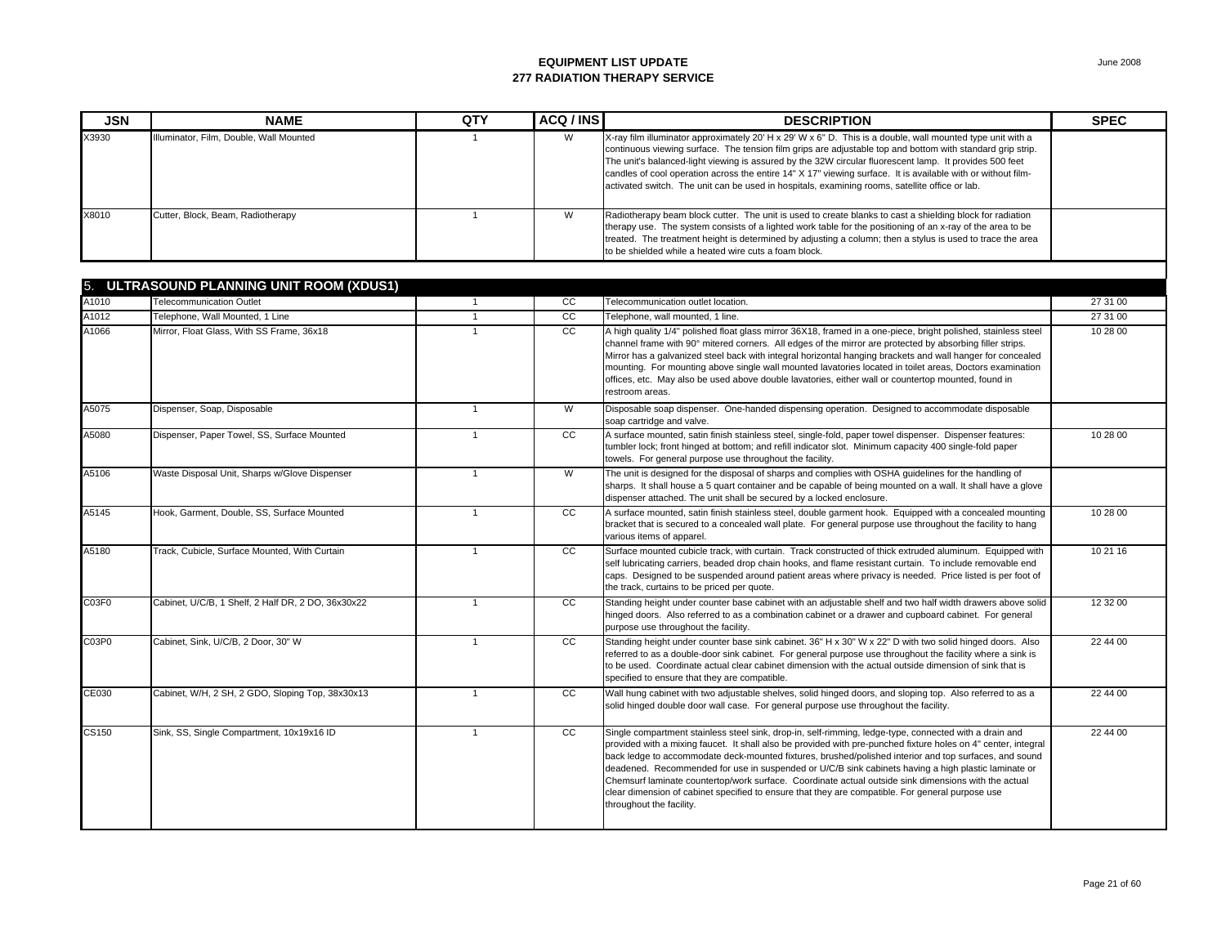| <b>JSN</b> | <b>NAME</b>                               | QTY | ACQ / INS     | <b>DESCRIPTION</b>                                                                                                                                                                                                                                                                                                                                                                                                                                                                                                                                    | <b>SPEC</b> |
|------------|-------------------------------------------|-----|---------------|-------------------------------------------------------------------------------------------------------------------------------------------------------------------------------------------------------------------------------------------------------------------------------------------------------------------------------------------------------------------------------------------------------------------------------------------------------------------------------------------------------------------------------------------------------|-------------|
| X3930      | Illuminator, Film, Double, Wall Mounted   |     | W             | X-ray film illuminator approximately 20' H x 29' W x 6" D. This is a double, wall mounted type unit with a<br>continuous viewing surface. The tension film grips are adjustable top and bottom with standard grip strip.<br>The unit's balanced-light viewing is assured by the 32W circular fluorescent lamp. It provides 500 feet<br>candles of cool operation across the entire 14" X 17" viewing surface. It is available with or without film-<br>activated switch. The unit can be used in hospitals, examining rooms, satellite office or lab. |             |
| X8010      | Cutter, Block, Beam, Radiotherapy         |     | W             | Radiotherapy beam block cutter. The unit is used to create blanks to cast a shielding block for radiation<br>therapy use. The system consists of a lighted work table for the positioning of an x-ray of the area to be<br>treated. The treatment height is determined by adjusting a column; then a stylus is used to trace the area<br>to be shielded while a heated wire cuts a foam block.                                                                                                                                                        |             |
|            |                                           |     |               |                                                                                                                                                                                                                                                                                                                                                                                                                                                                                                                                                       |             |
|            | 5. ULTRASOUND PLANNING UNIT ROOM (XDUS1)  |     |               |                                                                                                                                                                                                                                                                                                                                                                                                                                                                                                                                                       |             |
| A1010      | <b>Telecommunication Outlet</b>           |     | CC.           | Telecommunication outlet location.                                                                                                                                                                                                                                                                                                                                                                                                                                                                                                                    | 27 31 00    |
| A1012      | Telephone, Wall Mounted, 1 Line           |     | <sub>CC</sub> | Telephone, wall mounted, 1 line.                                                                                                                                                                                                                                                                                                                                                                                                                                                                                                                      | 27 31 00    |
| A1066      | Mirror, Float Glass, With SS Frame, 36x18 |     | CC.           | A high quality 1/4" polished float glass mirror 36X18, framed in a one-piece, bright polished, stainless steel<br>channel frame with 90° mitered corners. All edges of the mirror are protected by absorbing filler strips.<br>Mirror has a galvanized steel back with integral horizontal hanging brackets and wall hanger for concealed<br>mounting. For mounting above single well mounted levetories located in toilet areas. Dectars eveningtion                                                                                                 | 10 28 00    |

| A1066 | Mirror, Float Glass, With SS Frame, 36x18          |                | cc              | A high quality 1/4" polished float glass mirror 36X18, framed in a one-piece, bright polished, stainless steel<br>channel frame with 90° mitered corners. All edges of the mirror are protected by absorbing filler strips.<br>Mirror has a galvanized steel back with integral horizontal hanging brackets and wall hanger for concealed<br>mounting. For mounting above single wall mounted lavatories located in toilet areas, Doctors examination<br>offices, etc. May also be used above double lavatories, either wall or countertop mounted, found in<br>restroom areas.                                                                                                   | 10 28 00 |
|-------|----------------------------------------------------|----------------|-----------------|-----------------------------------------------------------------------------------------------------------------------------------------------------------------------------------------------------------------------------------------------------------------------------------------------------------------------------------------------------------------------------------------------------------------------------------------------------------------------------------------------------------------------------------------------------------------------------------------------------------------------------------------------------------------------------------|----------|
| A5075 | Dispenser, Soap, Disposable                        | $\overline{1}$ | W               | Disposable soap dispenser. One-handed dispensing operation. Designed to accommodate disposable<br>soap cartridge and valve.                                                                                                                                                                                                                                                                                                                                                                                                                                                                                                                                                       |          |
| A5080 | Dispenser, Paper Towel, SS, Surface Mounted        | $\mathbf{1}$   | cc              | A surface mounted, satin finish stainless steel, single-fold, paper towel dispenser. Dispenser features:<br>tumbler lock; front hinged at bottom; and refill indicator slot. Minimum capacity 400 single-fold paper<br>towels. For general purpose use throughout the facility.                                                                                                                                                                                                                                                                                                                                                                                                   | 10 28 00 |
| A5106 | Waste Disposal Unit, Sharps w/Glove Dispenser      | $\overline{1}$ | W               | The unit is designed for the disposal of sharps and complies with OSHA guidelines for the handling of<br>sharps. It shall house a 5 quart container and be capable of being mounted on a wall. It shall have a glove<br>dispenser attached. The unit shall be secured by a locked enclosure.                                                                                                                                                                                                                                                                                                                                                                                      |          |
| A5145 | Hook, Garment, Double, SS, Surface Mounted         | $\mathbf{1}$   | cc              | A surface mounted, satin finish stainless steel, double garment hook. Equipped with a concealed mounting<br>bracket that is secured to a concealed wall plate. For general purpose use throughout the facility to hang<br>various items of apparel.                                                                                                                                                                                                                                                                                                                                                                                                                               | 10 28 00 |
| A5180 | Track, Cubicle, Surface Mounted, With Curtain      | $\mathbf{1}$   | <b>CC</b>       | Surface mounted cubicle track, with curtain. Track constructed of thick extruded aluminum. Equipped with<br>self lubricating carriers, beaded drop chain hooks, and flame resistant curtain. To include removable end<br>caps. Designed to be suspended around patient areas where privacy is needed. Price listed is per foot of<br>the track, curtains to be priced per quote.                                                                                                                                                                                                                                                                                                  | 10 21 16 |
| C03F0 | Cabinet, U/C/B, 1 Shelf, 2 Half DR, 2 DO, 36x30x22 | $\overline{1}$ | CC              | Standing height under counter base cabinet with an adjustable shelf and two half width drawers above solid<br>hinged doors. Also referred to as a combination cabinet or a drawer and cupboard cabinet. For general<br>purpose use throughout the facility.                                                                                                                                                                                                                                                                                                                                                                                                                       | 12 32 00 |
| C03P0 | Cabinet, Sink, U/C/B, 2 Door, 30" W                | $\mathbf{1}$   | $\overline{cc}$ | Standing height under counter base sink cabinet. 36" H x 30" W x 22" D with two solid hinged doors. Also<br>referred to as a double-door sink cabinet. For general purpose use throughout the facility where a sink is<br>to be used. Coordinate actual clear cabinet dimension with the actual outside dimension of sink that is<br>specified to ensure that they are compatible.                                                                                                                                                                                                                                                                                                | 22 44 00 |
| CE030 | Cabinet, W/H, 2 SH, 2 GDO, Sloping Top, 38x30x13   | $\mathbf 1$    | <sub>CC</sub>   | Wall hung cabinet with two adjustable shelves, solid hinged doors, and sloping top. Also referred to as a<br>solid hinged double door wall case. For general purpose use throughout the facility.                                                                                                                                                                                                                                                                                                                                                                                                                                                                                 | 22 44 00 |
| CS150 | Sink, SS, Single Compartment, 10x19x16 ID          | $\overline{1}$ | $\overline{cc}$ | Single compartment stainless steel sink, drop-in, self-rimming, ledge-type, connected with a drain and<br>provided with a mixing faucet. It shall also be provided with pre-punched fixture holes on 4" center, integral<br>back ledge to accommodate deck-mounted fixtures, brushed/polished interior and top surfaces, and sound<br>deadened. Recommended for use in suspended or U/C/B sink cabinets having a high plastic laminate or<br>Chemsurf laminate countertop/work surface. Coordinate actual outside sink dimensions with the actual<br>clear dimension of cabinet specified to ensure that they are compatible. For general purpose use<br>throughout the facility. | 22 44 00 |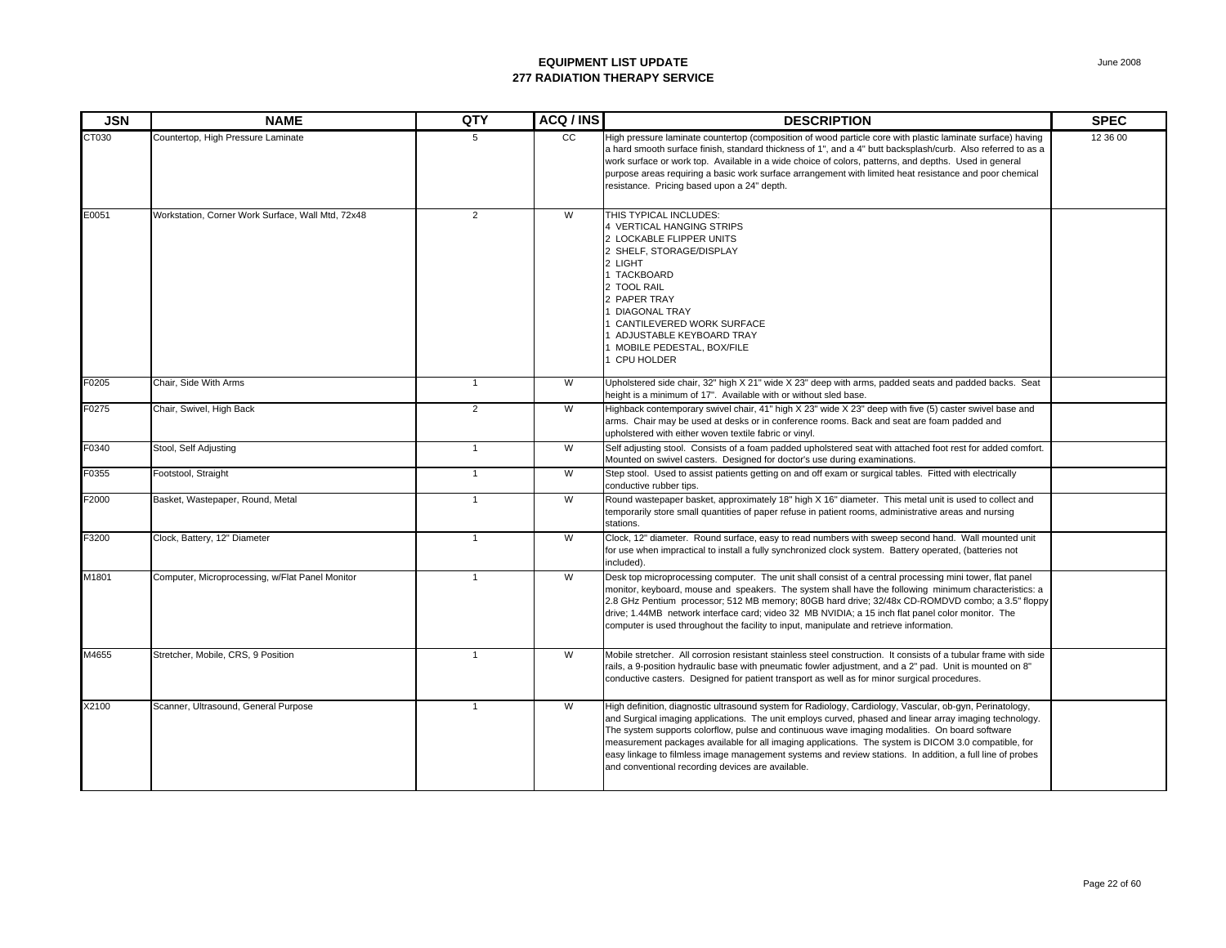| <b>JSN</b> | <b>NAME</b>                                       | QTY            | ACQ / INS      | <b>DESCRIPTION</b>                                                                                                                                                                                                                                                                                                                                                                                                                                                                                                                                                                              | <b>SPEC</b> |
|------------|---------------------------------------------------|----------------|----------------|-------------------------------------------------------------------------------------------------------------------------------------------------------------------------------------------------------------------------------------------------------------------------------------------------------------------------------------------------------------------------------------------------------------------------------------------------------------------------------------------------------------------------------------------------------------------------------------------------|-------------|
| CT030      | Countertop, High Pressure Laminate                | 5              | CC             | High pressure laminate countertop (composition of wood particle core with plastic laminate surface) having<br>a hard smooth surface finish, standard thickness of 1", and a 4" butt backsplash/curb. Also referred to as a<br>work surface or work top. Available in a wide choice of colors, patterns, and depths. Used in general<br>purpose areas requiring a basic work surface arrangement with limited heat resistance and poor chemical<br>resistance. Pricing based upon a 24" depth.                                                                                                   | 12 36 00    |
| E0051      | Workstation, Corner Work Surface, Wall Mtd, 72x48 | $\overline{2}$ | W              | THIS TYPICAL INCLUDES:<br>4 VERTICAL HANGING STRIPS<br>2 LOCKABLE FLIPPER UNITS<br>2 SHELF, STORAGE/DISPLAY<br>2 LIGHT<br><b>TACKBOARD</b><br>2 TOOL RAIL<br>2 PAPER TRAY<br><b>DIAGONAL TRAY</b><br>CANTILEVERED WORK SURFACE<br>ADJUSTABLE KEYBOARD TRAY<br>MOBILE PEDESTAL, BOX/FILE<br>CPU HOLDER                                                                                                                                                                                                                                                                                           |             |
| F0205      | Chair, Side With Arms                             | $\mathbf{1}$   | W              | Upholstered side chair, 32" high X 21" wide X 23" deep with arms, padded seats and padded backs. Seat<br>height is a minimum of 17". Available with or without sled base.                                                                                                                                                                                                                                                                                                                                                                                                                       |             |
| F0275      | Chair, Swivel, High Back                          | $\overline{2}$ | $\overline{W}$ | Highback contemporary swivel chair, 41" high X 23" wide X 23" deep with five (5) caster swivel base and<br>arms. Chair may be used at desks or in conference rooms. Back and seat are foam padded and<br>upholstered with either woven textile fabric or vinyl.                                                                                                                                                                                                                                                                                                                                 |             |
| F0340      | Stool, Self Adjusting                             | $\overline{1}$ | W              | Self adjusting stool. Consists of a foam padded upholstered seat with attached foot rest for added comfort.<br>Mounted on swivel casters. Designed for doctor's use during examinations.                                                                                                                                                                                                                                                                                                                                                                                                        |             |
| F0355      | Footstool, Straight                               | $\mathbf{1}$   | W              | Step stool. Used to assist patients getting on and off exam or surgical tables. Fitted with electrically<br>conductive rubber tips.                                                                                                                                                                                                                                                                                                                                                                                                                                                             |             |
| F2000      | Basket, Wastepaper, Round, Metal                  | $\mathbf{1}$   | $\overline{W}$ | Round wastepaper basket, approximately 18" high X 16" diameter. This metal unit is used to collect and<br>temporarily store small quantities of paper refuse in patient rooms, administrative areas and nursing<br>stations.                                                                                                                                                                                                                                                                                                                                                                    |             |
| F3200      | Clock, Battery, 12" Diameter                      | $\overline{1}$ | W              | Clock, 12" diameter. Round surface, easy to read numbers with sweep second hand. Wall mounted unit<br>for use when impractical to install a fully synchronized clock system. Battery operated, (batteries not<br>included).                                                                                                                                                                                                                                                                                                                                                                     |             |
| M1801      | Computer, Microprocessing, w/Flat Panel Monitor   | $\mathbf{1}$   | $\overline{W}$ | Desk top microprocessing computer. The unit shall consist of a central processing mini tower, flat panel<br>monitor, keyboard, mouse and speakers. The system shall have the following minimum characteristics: a<br>2.8 GHz Pentium processor; 512 MB memory; 80GB hard drive; 32/48x CD-ROMDVD combo; a 3.5" floppy<br>drive; 1.44MB network interface card; video 32 MB NVIDIA; a 15 inch flat panel color monitor. The<br>computer is used throughout the facility to input, manipulate and retrieve information.                                                                           |             |
| M4655      | Stretcher, Mobile, CRS, 9 Position                | $\overline{1}$ | W              | Mobile stretcher. All corrosion resistant stainless steel construction. It consists of a tubular frame with side<br>rails, a 9-position hydraulic base with pneumatic fowler adjustment, and a 2" pad. Unit is mounted on 8"<br>conductive casters. Designed for patient transport as well as for minor surgical procedures.                                                                                                                                                                                                                                                                    |             |
| X2100      | Scanner, Ultrasound, General Purpose              | $\mathbf{1}$   | W              | High definition, diagnostic ultrasound system for Radiology, Cardiology, Vascular, ob-gyn, Perinatology,<br>and Surgical imaging applications. The unit employs curved, phased and linear array imaging technology.<br>The system supports colorflow, pulse and continuous wave imaging modalities. On board software<br>measurement packages available for all imaging applications. The system is DICOM 3.0 compatible, for<br>easy linkage to filmless image management systems and review stations. In addition, a full line of probes<br>and conventional recording devices are available. |             |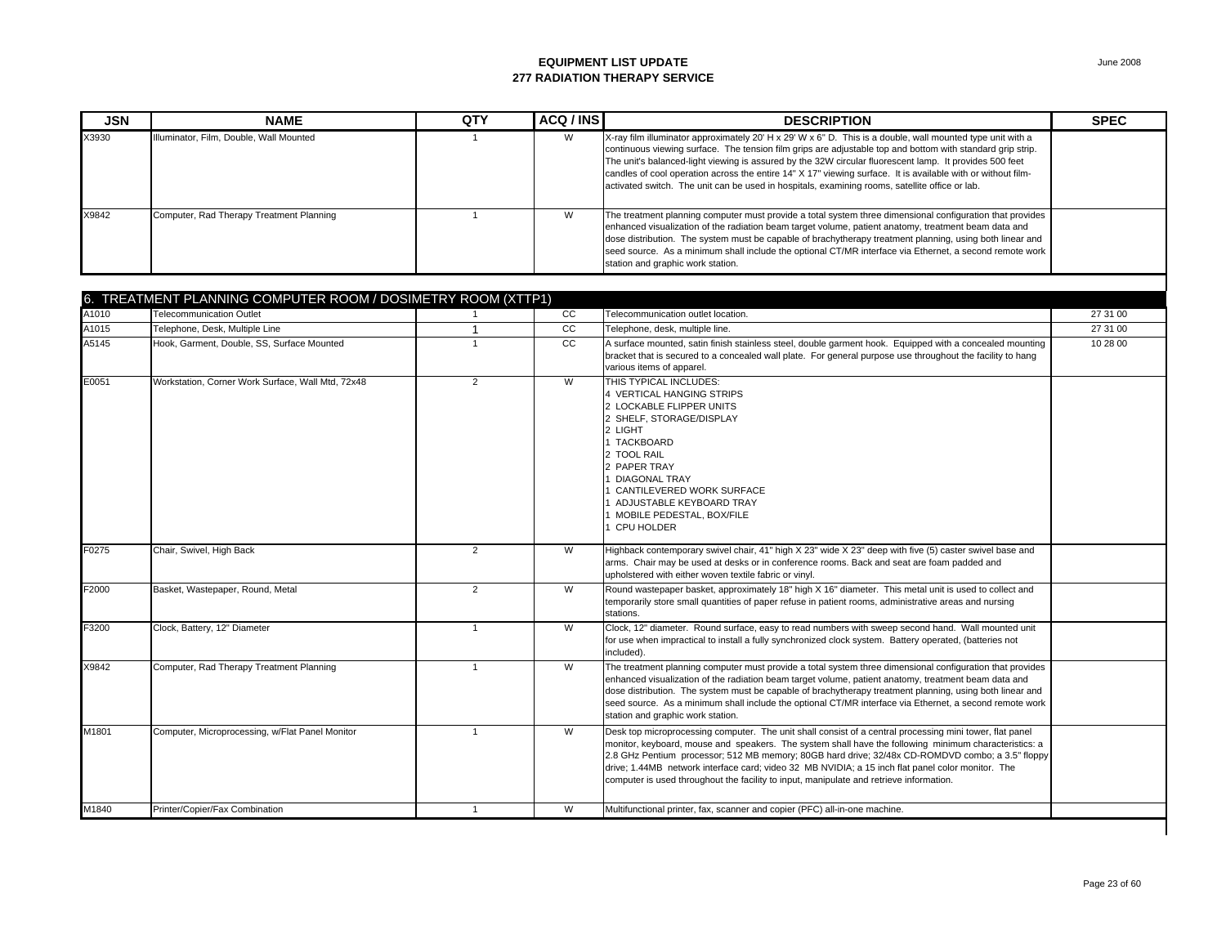| <b>JSN</b> | <b>NAME</b>                              | QTY | ACQ / INS | <b>DESCRIPTION</b>                                                                                                                                                                                                                                                                                                                                                                                                                                                                                                                                    | <b>SPEC</b> |
|------------|------------------------------------------|-----|-----------|-------------------------------------------------------------------------------------------------------------------------------------------------------------------------------------------------------------------------------------------------------------------------------------------------------------------------------------------------------------------------------------------------------------------------------------------------------------------------------------------------------------------------------------------------------|-------------|
| X3930      | Illuminator, Film, Double, Wall Mounted  |     | W         | X-ray film illuminator approximately 20' H x 29' W x 6" D. This is a double, wall mounted type unit with a<br>continuous viewing surface. The tension film grips are adjustable top and bottom with standard grip strip.<br>The unit's balanced-light viewing is assured by the 32W circular fluorescent lamp. It provides 500 feet<br>candles of cool operation across the entire 14" X 17" viewing surface. It is available with or without film-<br>activated switch. The unit can be used in hospitals, examining rooms, satellite office or lab. |             |
| X9842      | Computer, Rad Therapy Treatment Planning |     | W         | The treatment planning computer must provide a total system three dimensional configuration that provides<br>enhanced visualization of the radiation beam target volume, patient anatomy, treatment beam data and<br>dose distribution. The system must be capable of brachytherapy treatment planning, using both linear and<br>seed source. As a minimum shall include the optional CT/MR interface via Ethernet, a second remote work<br>station and graphic work station.                                                                         |             |

|       | 6. TREATMENT PLANNING COMPUTER ROOM / DOSIMETRY ROOM (XTTP1) |                |     |                                                                                                                                                                                                                                                                                                                                                                                                                                                                                                                       |          |
|-------|--------------------------------------------------------------|----------------|-----|-----------------------------------------------------------------------------------------------------------------------------------------------------------------------------------------------------------------------------------------------------------------------------------------------------------------------------------------------------------------------------------------------------------------------------------------------------------------------------------------------------------------------|----------|
| A1010 | <b>Telecommunication Outlet</b>                              |                | CC. | Telecommunication outlet location.                                                                                                                                                                                                                                                                                                                                                                                                                                                                                    | 27 31 00 |
| A1015 | Telephone, Desk, Multiple Line                               |                | cc  | Telephone, desk, multiple line.                                                                                                                                                                                                                                                                                                                                                                                                                                                                                       | 27 31 00 |
| A5145 | Hook, Garment, Double, SS, Surface Mounted                   | $\overline{1}$ | CC  | A surface mounted, satin finish stainless steel, double garment hook. Equipped with a concealed mounting<br>bracket that is secured to a concealed wall plate. For general purpose use throughout the facility to hang<br>various items of apparel.                                                                                                                                                                                                                                                                   | 10 28 00 |
| E0051 | Workstation, Corner Work Surface, Wall Mtd, 72x48            | $\overline{2}$ | W   | THIS TYPICAL INCLUDES:<br>4 VERTICAL HANGING STRIPS<br>2 LOCKABLE FLIPPER UNITS<br>2 SHELF, STORAGE/DISPLAY<br>2 LIGHT<br>1 TACKBOARD<br>2 TOOL RAIL<br>2 PAPER TRAY<br><b>DIAGONAL TRAY</b><br>CANTILEVERED WORK SURFACE<br>ADJUSTABLE KEYBOARD TRAY<br>MOBILE PEDESTAL. BOX/FILE<br><b>CPU HOLDER</b>                                                                                                                                                                                                               |          |
| F0275 | Chair, Swivel, High Back                                     | $\overline{2}$ | W   | Highback contemporary swivel chair, 41" high X 23" wide X 23" deep with five (5) caster swivel base and<br>arms. Chair may be used at desks or in conference rooms. Back and seat are foam padded and<br>upholstered with either woven textile fabric or vinyl.                                                                                                                                                                                                                                                       |          |
| F2000 | Basket, Wastepaper, Round, Metal                             | 2              | W   | Round wastepaper basket, approximately 18" high X 16" diameter. This metal unit is used to collect and<br>temporarily store small quantities of paper refuse in patient rooms, administrative areas and nursing<br>stations.                                                                                                                                                                                                                                                                                          |          |
| F3200 | Clock, Battery, 12" Diameter                                 | $\overline{1}$ | W   | Clock, 12" diameter. Round surface, easy to read numbers with sweep second hand. Wall mounted unit<br>for use when impractical to install a fully synchronized clock system. Battery operated, (batteries not<br>included).                                                                                                                                                                                                                                                                                           |          |
| X9842 | Computer, Rad Therapy Treatment Planning                     | $\overline{1}$ | W   | The treatment planning computer must provide a total system three dimensional configuration that provides<br>enhanced visualization of the radiation beam target volume, patient anatomy, treatment beam data and<br>dose distribution. The system must be capable of brachytherapy treatment planning, using both linear and<br>seed source. As a minimum shall include the optional CT/MR interface via Ethernet, a second remote work<br>station and graphic work station.                                         |          |
| M1801 | Computer, Microprocessing, w/Flat Panel Monitor              | $\overline{1}$ | W   | Desk top microprocessing computer. The unit shall consist of a central processing mini tower, flat panel<br>monitor, keyboard, mouse and speakers. The system shall have the following minimum characteristics: a<br>2.8 GHz Pentium processor; 512 MB memory; 80GB hard drive; 32/48x CD-ROMDVD combo; a 3.5" floppy<br>drive; 1.44MB network interface card; video 32 MB NVIDIA; a 15 inch flat panel color monitor. The<br>computer is used throughout the facility to input, manipulate and retrieve information. |          |
| M1840 | Printer/Copier/Fax Combination                               | $\mathbf{1}$   | W   | Multifunctional printer, fax, scanner and copier (PFC) all-in-one machine.                                                                                                                                                                                                                                                                                                                                                                                                                                            |          |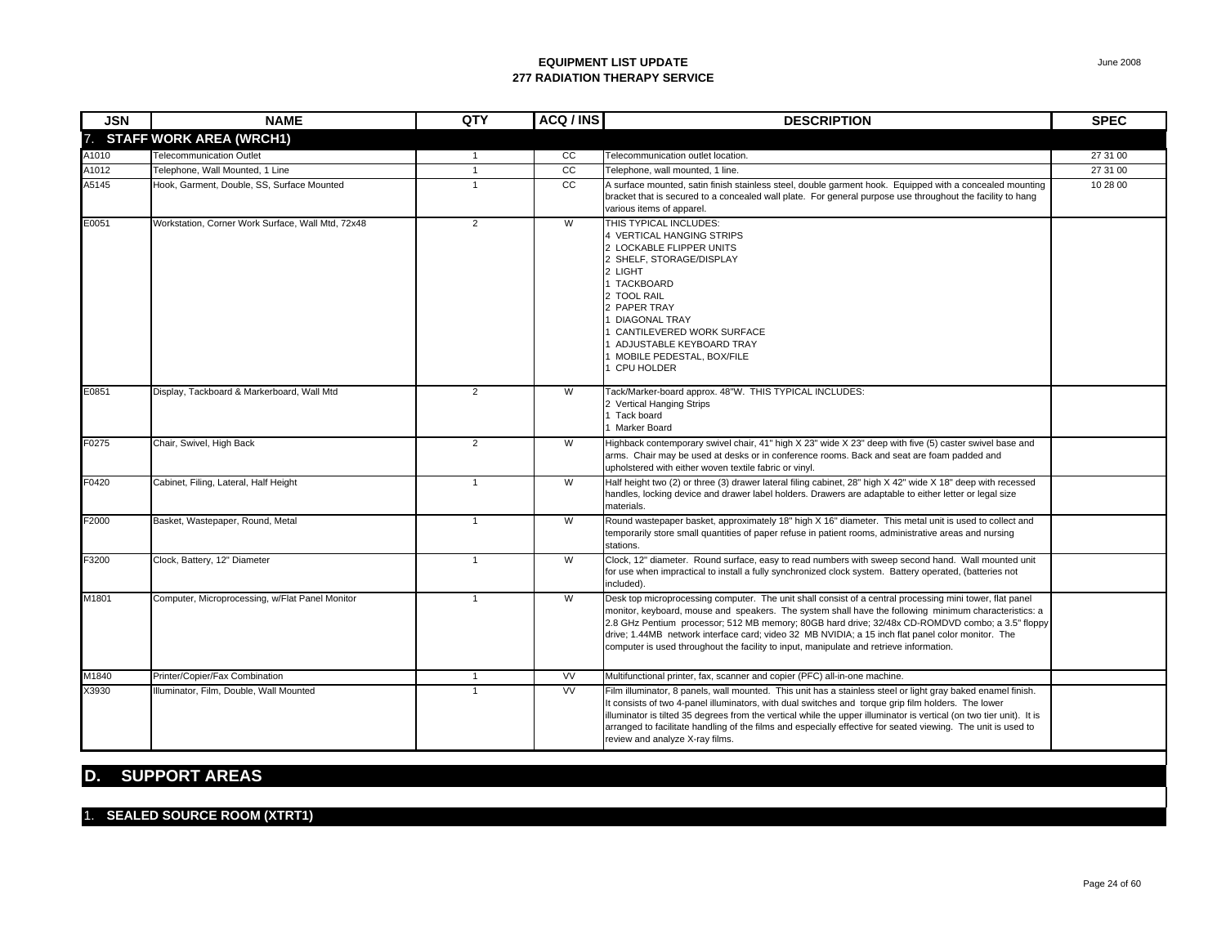| <b>JSN</b> | <b>NAME</b>                                       | QTY            | ACQ / INS | <b>DESCRIPTION</b>                                                                                                                                                                                                                                                                                                                                                                                                                                                                                                    | <b>SPEC</b> |
|------------|---------------------------------------------------|----------------|-----------|-----------------------------------------------------------------------------------------------------------------------------------------------------------------------------------------------------------------------------------------------------------------------------------------------------------------------------------------------------------------------------------------------------------------------------------------------------------------------------------------------------------------------|-------------|
| 7.         | <b>STAFF WORK AREA (WRCH1)</b>                    |                |           |                                                                                                                                                                                                                                                                                                                                                                                                                                                                                                                       |             |
| A1010      | <b>Telecommunication Outlet</b>                   | $\mathbf{1}$   | CC        | Telecommunication outlet location.                                                                                                                                                                                                                                                                                                                                                                                                                                                                                    | 27 31 00    |
| A1012      | Telephone, Wall Mounted, 1 Line                   | $\mathbf{1}$   | cc        | Telephone, wall mounted, 1 line.                                                                                                                                                                                                                                                                                                                                                                                                                                                                                      | 27 31 00    |
| A5145      | Hook, Garment, Double, SS, Surface Mounted        | $\overline{1}$ | cc        | A surface mounted, satin finish stainless steel, double garment hook. Equipped with a concealed mounting<br>bracket that is secured to a concealed wall plate. For general purpose use throughout the facility to hang<br>various items of apparel.                                                                                                                                                                                                                                                                   | 10 28 00    |
| E0051      | Workstation, Corner Work Surface, Wall Mtd, 72x48 | $\overline{2}$ | W         | THIS TYPICAL INCLUDES:<br>4 VERTICAL HANGING STRIPS<br>2 LOCKABLE FLIPPER UNITS<br>2 SHELF, STORAGE/DISPLAY<br>2 LIGHT<br>1 TACKBOARD<br>2 TOOL RAIL<br>2 PAPER TRAY<br><b>DIAGONAL TRAY</b><br>CANTILEVERED WORK SURFACE<br>ADJUSTABLE KEYBOARD TRAY<br>MOBILE PEDESTAL, BOX/FILE<br><b>CPU HOLDER</b>                                                                                                                                                                                                               |             |
| E0851      | Display, Tackboard & Markerboard, Wall Mtd        | $\overline{2}$ | W         | Tack/Marker-board approx. 48"W. THIS TYPICAL INCLUDES:<br>2 Vertical Hanging Strips<br>1 Tack board<br><b>Marker Board</b>                                                                                                                                                                                                                                                                                                                                                                                            |             |
| F0275      | Chair, Swivel, High Back                          | $\overline{2}$ | W         | Highback contemporary swivel chair, 41" high X 23" wide X 23" deep with five (5) caster swivel base and<br>arms. Chair may be used at desks or in conference rooms. Back and seat are foam padded and<br>upholstered with either woven textile fabric or vinyl.                                                                                                                                                                                                                                                       |             |
| F0420      | Cabinet, Filing, Lateral, Half Height             | $\mathbf{1}$   | W         | Half height two (2) or three (3) drawer lateral filing cabinet, 28" high X 42" wide X 18" deep with recessed<br>handles, locking device and drawer label holders. Drawers are adaptable to either letter or legal size<br>materials.                                                                                                                                                                                                                                                                                  |             |
| F2000      | Basket, Wastepaper, Round, Metal                  | $\overline{1}$ | W         | Round wastepaper basket, approximately 18" high X 16" diameter. This metal unit is used to collect and<br>temporarily store small quantities of paper refuse in patient rooms, administrative areas and nursing<br>stations.                                                                                                                                                                                                                                                                                          |             |
| F3200      | Clock, Battery, 12" Diameter                      | $\mathbf{1}$   | W         | Clock, 12" diameter. Round surface, easy to read numbers with sweep second hand. Wall mounted unit<br>for use when impractical to install a fully synchronized clock system. Battery operated, (batteries not<br>included).                                                                                                                                                                                                                                                                                           |             |
| M1801      | Computer, Microprocessing, w/Flat Panel Monitor   | $\overline{1}$ | W         | Desk top microprocessing computer. The unit shall consist of a central processing mini tower, flat panel<br>monitor, keyboard, mouse and speakers. The system shall have the following minimum characteristics: a<br>2.8 GHz Pentium processor; 512 MB memory; 80GB hard drive; 32/48x CD-ROMDVD combo; a 3.5" floppy<br>drive; 1.44MB network interface card; video 32 MB NVIDIA; a 15 inch flat panel color monitor. The<br>computer is used throughout the facility to input, manipulate and retrieve information. |             |
| M1840      | Printer/Copier/Fax Combination                    | $\mathbf{1}$   | <b>VV</b> | Multifunctional printer, fax, scanner and copier (PFC) all-in-one machine.                                                                                                                                                                                                                                                                                                                                                                                                                                            |             |
| X3930      | Illuminator, Film, Double, Wall Mounted           | $\mathbf{1}$   | VV        | Film illuminator, 8 panels, wall mounted. This unit has a stainless steel or light gray baked enamel finish.<br>It consists of two 4-panel illuminators, with dual switches and torque grip film holders. The lower<br>illuminator is tilted 35 degrees from the vertical while the upper illuminator is vertical (on two tier unit). It is<br>arranged to facilitate handling of the films and especially effective for seated viewing. The unit is used to<br>review and analyze X-ray films.                       |             |

### **D. SUPPORT AREAS**

#### 1. **SEALED SOURCE ROOM (XTRT1)**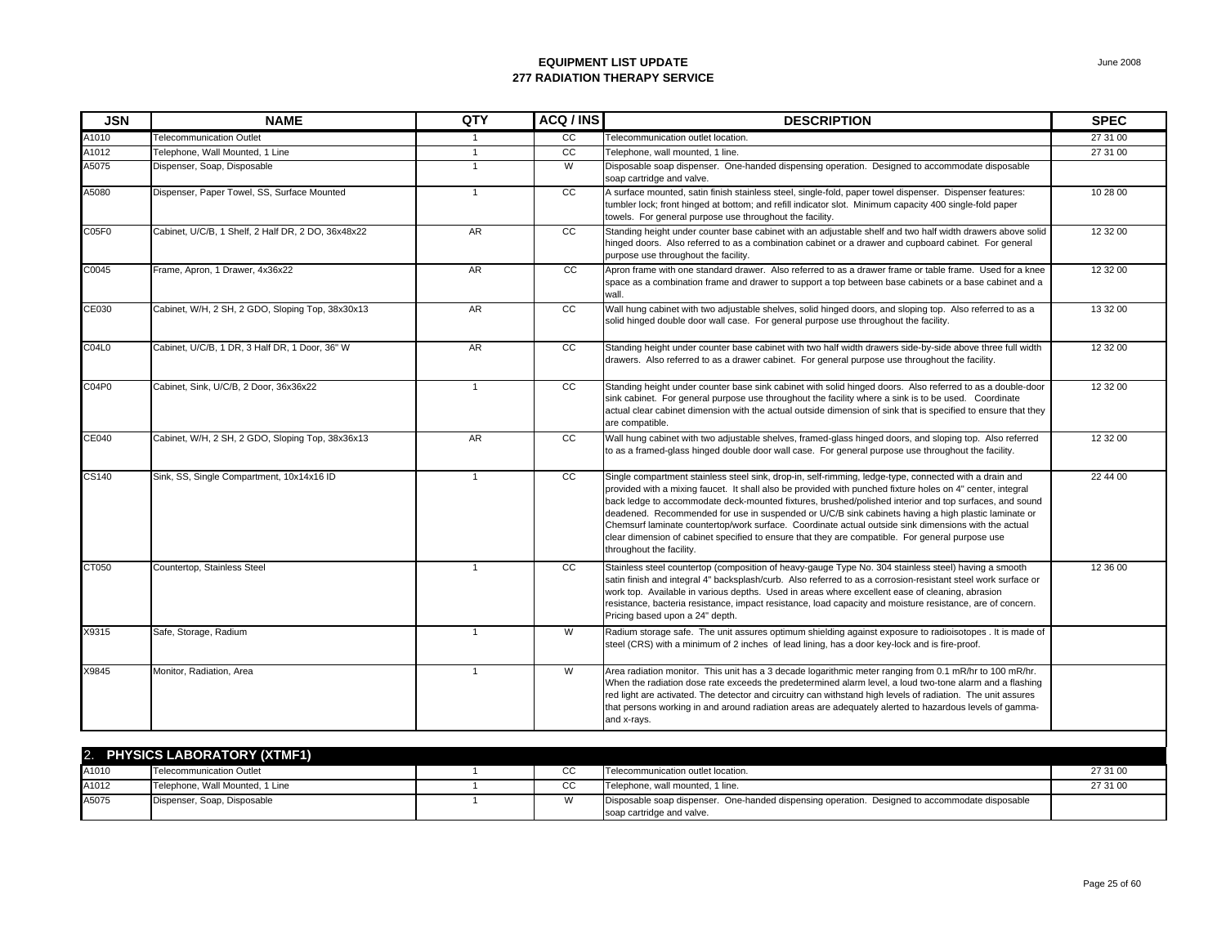| <b>JSN</b> | <b>NAME</b>                                        | QTY          | ACQ/INS         | <b>DESCRIPTION</b>                                                                                                                                                                                                                                                                                                                                                                                                                                                                                                                                                                                                                                                            | <b>SPEC</b> |
|------------|----------------------------------------------------|--------------|-----------------|-------------------------------------------------------------------------------------------------------------------------------------------------------------------------------------------------------------------------------------------------------------------------------------------------------------------------------------------------------------------------------------------------------------------------------------------------------------------------------------------------------------------------------------------------------------------------------------------------------------------------------------------------------------------------------|-------------|
| A1010      | <b>Telecommunication Outlet</b>                    | 1            | CC              | Felecommunication outlet location.                                                                                                                                                                                                                                                                                                                                                                                                                                                                                                                                                                                                                                            | 27 31 00    |
| A1012      | Telephone, Wall Mounted, 1 Line                    | $\mathbf{1}$ | cc              | Felephone, wall mounted, 1 line.                                                                                                                                                                                                                                                                                                                                                                                                                                                                                                                                                                                                                                              | 27 31 00    |
| A5075      | Dispenser, Soap, Disposable                        | $\mathbf{1}$ | W               | Disposable soap dispenser. One-handed dispensing operation. Designed to accommodate disposable<br>soap cartridge and valve.                                                                                                                                                                                                                                                                                                                                                                                                                                                                                                                                                   |             |
| A5080      | Dispenser, Paper Towel, SS, Surface Mounted        | $\mathbf{1}$ | $\overline{cc}$ | A surface mounted, satin finish stainless steel, single-fold, paper towel dispenser. Dispenser features:<br>tumbler lock; front hinged at bottom; and refill indicator slot. Minimum capacity 400 single-fold paper<br>towels. For general purpose use throughout the facility.                                                                                                                                                                                                                                                                                                                                                                                               | 10 28 00    |
| C05F0      | Cabinet, U/C/B, 1 Shelf, 2 Half DR, 2 DO, 36x48x22 | <b>AR</b>    | CC              | Standing height under counter base cabinet with an adjustable shelf and two half width drawers above solid<br>hinged doors. Also referred to as a combination cabinet or a drawer and cupboard cabinet. For general<br>purpose use throughout the facility.                                                                                                                                                                                                                                                                                                                                                                                                                   | 12 32 00    |
| C0045      | Frame, Apron, 1 Drawer, 4x36x22                    | AR           | cc              | Apron frame with one standard drawer. Also referred to as a drawer frame or table frame. Used for a knee<br>space as a combination frame and drawer to support a top between base cabinets or a base cabinet and a<br>wall.                                                                                                                                                                                                                                                                                                                                                                                                                                                   | 12 32 00    |
| CE030      | Cabinet, W/H, 2 SH, 2 GDO, Sloping Top, 38x30x13   | AR           | cc              | Wall hung cabinet with two adjustable shelves, solid hinged doors, and sloping top. Also referred to as a<br>solid hinged double door wall case. For general purpose use throughout the facility.                                                                                                                                                                                                                                                                                                                                                                                                                                                                             | 13 32 00    |
| C04L0      | Cabinet, U/C/B, 1 DR, 3 Half DR, 1 Door, 36" W     | AR           | cc              | Standing height under counter base cabinet with two half width drawers side-by-side above three full width<br>drawers. Also referred to as a drawer cabinet. For general purpose use throughout the facility.                                                                                                                                                                                                                                                                                                                                                                                                                                                                 | 12 32 00    |
| C04P0      | Cabinet, Sink, U/C/B, 2 Door, 36x36x22             | $\mathbf{1}$ | cc              | Standing height under counter base sink cabinet with solid hinged doors. Also referred to as a double-door<br>sink cabinet. For general purpose use throughout the facility where a sink is to be used. Coordinate<br>actual clear cabinet dimension with the actual outside dimension of sink that is specified to ensure that they<br>are compatible.                                                                                                                                                                                                                                                                                                                       | 12 32 00    |
| CE040      | Cabinet, W/H, 2 SH, 2 GDO, Sloping Top, 38x36x13   | <b>AR</b>    | <b>CC</b>       | Wall hung cabinet with two adjustable shelves, framed-glass hinged doors, and sloping top. Also referred<br>to as a framed-glass hinged double door wall case. For general purpose use throughout the facility.                                                                                                                                                                                                                                                                                                                                                                                                                                                               | 12 32 00    |
| CS140      | Sink, SS, Single Compartment, 10x14x16 ID          | $\mathbf{1}$ | <sub>CC</sub>   | Single compartment stainless steel sink, drop-in, self-rimming, ledge-type, connected with a drain and<br>provided with a mixing faucet. It shall also be provided with punched fixture holes on 4" center, integral<br>back ledge to accommodate deck-mounted fixtures, brushed/polished interior and top surfaces, and sound<br>deadened. Recommended for use in suspended or U/C/B sink cabinets having a high plastic laminate or<br>Chemsurf laminate countertop/work surface. Coordinate actual outside sink dimensions with the actual<br>clear dimension of cabinet specified to ensure that they are compatible. For general purpose use<br>throughout the facility. | 22 44 00    |
| CT050      | Countertop, Stainless Steel                        | $\mathbf{1}$ | cc              | Stainless steel countertop (composition of heavy-gauge Type No. 304 stainless steel) having a smooth<br>satin finish and integral 4" backsplash/curb. Also referred to as a corrosion-resistant steel work surface or<br>work top. Available in various depths. Used in areas where excellent ease of cleaning, abrasion<br>resistance, bacteria resistance, impact resistance, load capacity and moisture resistance, are of concern.<br>Pricing based upon a 24" depth.                                                                                                                                                                                                     | 12 36 00    |
| X9315      | Safe, Storage, Radium                              | $\mathbf{1}$ | W               | Radium storage safe. The unit assures optimum shielding against exposure to radioisotopes . It is made of<br>steel (CRS) with a minimum of 2 inches of lead lining, has a door key-lock and is fire-proof.                                                                                                                                                                                                                                                                                                                                                                                                                                                                    |             |
| X9845      | Monitor, Radiation, Area                           | $\mathbf{1}$ | W               | Area radiation monitor. This unit has a 3 decade logarithmic meter ranging from 0.1 mR/hr to 100 mR/hr.<br>When the radiation dose rate exceeds the predetermined alarm level, a loud two-tone alarm and a flashing<br>red light are activated. The detector and circuitry can withstand high levels of radiation. The unit assures<br>that persons working in and around radiation areas are adequately alerted to hazardous levels of gamma-<br>and x-rays.                                                                                                                                                                                                                 |             |
|            |                                                    |              |                 |                                                                                                                                                                                                                                                                                                                                                                                                                                                                                                                                                                                                                                                                               |             |
|            | <b>PHYSICS LABORATORY (XTMF1)</b>                  |              |                 |                                                                                                                                                                                                                                                                                                                                                                                                                                                                                                                                                                                                                                                                               |             |
| A1010      | Telecommunication Outlet                           |              | CC.             | Telecommunication outlet location                                                                                                                                                                                                                                                                                                                                                                                                                                                                                                                                                                                                                                             | 27 31 00    |

|       | 2. PHYSICS LABORATORY (XTMF1)   |  |        |                                                                                                                             |          |  |  |  |  |
|-------|---------------------------------|--|--------|-----------------------------------------------------------------------------------------------------------------------------|----------|--|--|--|--|
| A1010 | <b>Telecommunication Outlet</b> |  | $\sim$ | Telecommunication outlet location.                                                                                          | 27 31 00 |  |  |  |  |
| A1012 | Telephone, Wall Mounted, 1 Line |  | rr     | Telephone, wall mounted, 1 line.                                                                                            | 27 31 00 |  |  |  |  |
| A5075 | Dispenser, Soap, Disposable     |  |        | Disposable soap dispenser. One-handed dispensing operation. Designed to accommodate disposable<br>soap cartridge and valve. |          |  |  |  |  |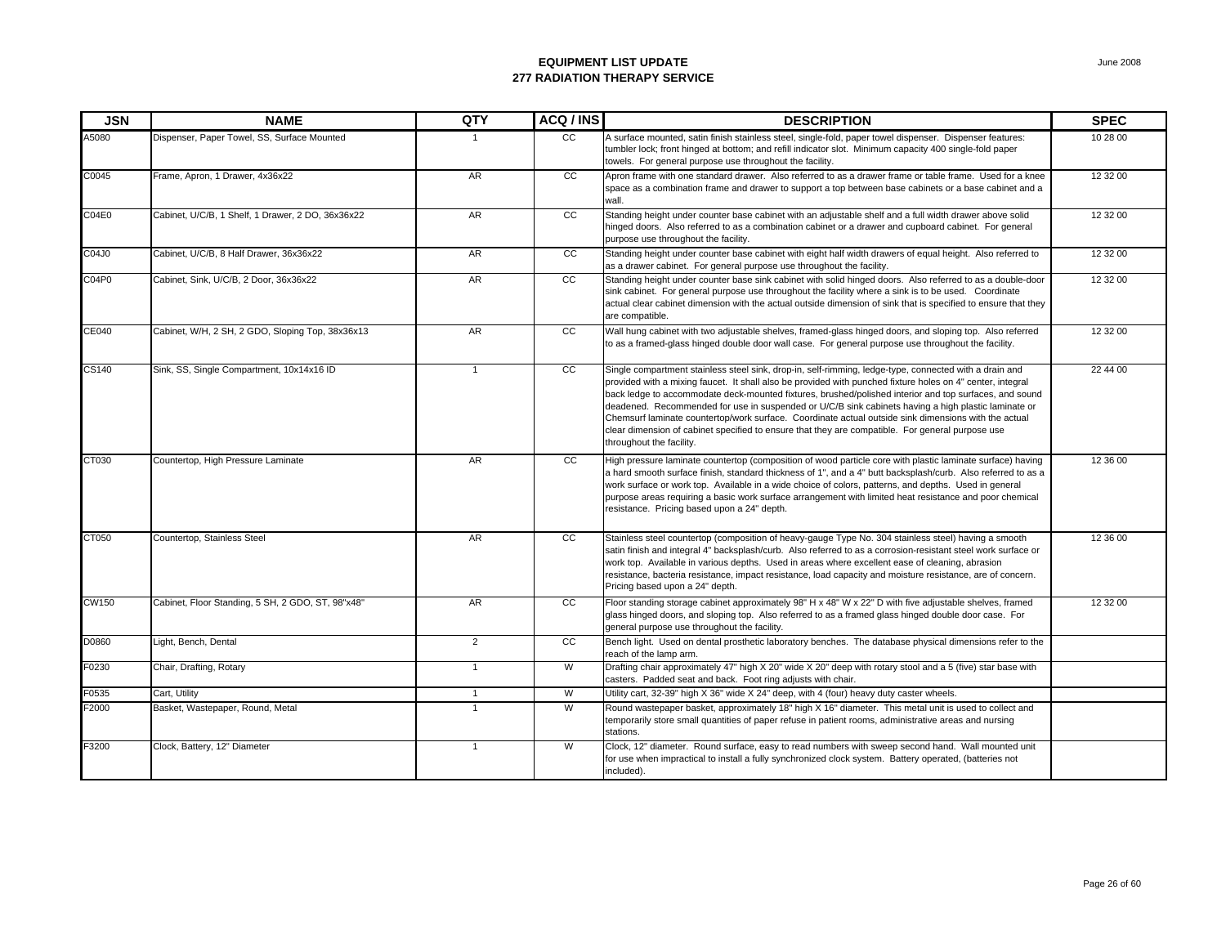| <b>JSN</b>   | <b>NAME</b>                                       | QTY            | ACQ / INS       | <b>DESCRIPTION</b>                                                                                                                                                                                                                                                                                                                                                                                                                                                                                                                                                                                                                                                            | <b>SPEC</b> |
|--------------|---------------------------------------------------|----------------|-----------------|-------------------------------------------------------------------------------------------------------------------------------------------------------------------------------------------------------------------------------------------------------------------------------------------------------------------------------------------------------------------------------------------------------------------------------------------------------------------------------------------------------------------------------------------------------------------------------------------------------------------------------------------------------------------------------|-------------|
| A5080        | Dispenser, Paper Towel, SS, Surface Mounted       | $\mathbf{1}$   | <sub>CC</sub>   | A surface mounted, satin finish stainless steel, single-fold, paper towel dispenser. Dispenser features:<br>tumbler lock; front hinged at bottom; and refill indicator slot. Minimum capacity 400 single-fold paper<br>towels. For general purpose use throughout the facility.                                                                                                                                                                                                                                                                                                                                                                                               | 10 28 00    |
| C0045        | Frame, Apron, 1 Drawer, 4x36x22                   | <b>AR</b>      | cc              | Apron frame with one standard drawer. Also referred to as a drawer frame or table frame. Used for a knee<br>space as a combination frame and drawer to support a top between base cabinets or a base cabinet and a<br>wall.                                                                                                                                                                                                                                                                                                                                                                                                                                                   | 12 32 00    |
| CO4E0        | Cabinet, U/C/B, 1 Shelf, 1 Drawer, 2 DO, 36x36x22 | AR             | cc              | Standing height under counter base cabinet with an adjustable shelf and a full width drawer above solid<br>hinged doors. Also referred to as a combination cabinet or a drawer and cupboard cabinet. For general<br>purpose use throughout the facility.                                                                                                                                                                                                                                                                                                                                                                                                                      | 12 32 00    |
| C04J0        | Cabinet, U/C/B, 8 Half Drawer, 36x36x22           | AR             | cc              | Standing height under counter base cabinet with eight half width drawers of equal height. Also referred to<br>as a drawer cabinet. For general purpose use throughout the facility.                                                                                                                                                                                                                                                                                                                                                                                                                                                                                           | 12 32 00    |
| C04P0        | Cabinet, Sink, U/C/B, 2 Door, 36x36x22            | <b>AR</b>      | <sub>CC</sub>   | Standing height under counter base sink cabinet with solid hinged doors. Also referred to as a double-door<br>sink cabinet. For general purpose use throughout the facility where a sink is to be used. Coordinate<br>actual clear cabinet dimension with the actual outside dimension of sink that is specified to ensure that they<br>are compatible.                                                                                                                                                                                                                                                                                                                       | 12 32 00    |
| <b>CE040</b> | Cabinet, W/H, 2 SH, 2 GDO, Sloping Top, 38x36x13  | A <sub>R</sub> | cc              | Wall hung cabinet with two adjustable shelves, framed-glass hinged doors, and sloping top. Also referred<br>to as a framed-glass hinged double door wall case. For general purpose use throughout the facility.                                                                                                                                                                                                                                                                                                                                                                                                                                                               | 12 32 00    |
| CS140        | Sink, SS, Single Compartment, 10x14x16 ID         | $\mathbf{1}$   | <sub>CC</sub>   | Single compartment stainless steel sink, drop-in, self-rimming, ledge-type, connected with a drain and<br>provided with a mixing faucet. It shall also be provided with punched fixture holes on 4" center, integral<br>back ledge to accommodate deck-mounted fixtures, brushed/polished interior and top surfaces, and sound<br>deadened. Recommended for use in suspended or U/C/B sink cabinets having a high plastic laminate or<br>Chemsurf laminate countertop/work surface. Coordinate actual outside sink dimensions with the actual<br>clear dimension of cabinet specified to ensure that they are compatible. For general purpose use<br>throughout the facility. | 22 44 00    |
| CT030        | Countertop, High Pressure Laminate                | <b>AR</b>      | CC              | High pressure laminate countertop (composition of wood particle core with plastic laminate surface) having<br>a hard smooth surface finish, standard thickness of 1", and a 4" butt backsplash/curb. Also referred to as a<br>work surface or work top. Available in a wide choice of colors, patterns, and depths. Used in general<br>purpose areas requiring a basic work surface arrangement with limited heat resistance and poor chemical<br>resistance. Pricing based upon a 24" depth.                                                                                                                                                                                 | 12 36 00    |
| CT050        | Countertop, Stainless Steel                       | <b>AR</b>      | CC              | Stainless steel countertop (composition of heavy-gauge Type No. 304 stainless steel) having a smooth<br>satin finish and integral 4" backsplash/curb. Also referred to as a corrosion-resistant steel work surface or<br>work top. Available in various depths. Used in areas where excellent ease of cleaning, abrasion<br>resistance, bacteria resistance, impact resistance, load capacity and moisture resistance, are of concern.<br>Pricing based upon a 24" depth.                                                                                                                                                                                                     | 12 36 00    |
| CW150        | Cabinet, Floor Standing, 5 SH, 2 GDO, ST, 98"x48" | AR             | cc              | Floor standing storage cabinet approximately 98" H x 48" W x 22" D with five adjustable shelves, framed<br>glass hinged doors, and sloping top. Also referred to as a framed glass hinged double door case. For<br>general purpose use throughout the facility.                                                                                                                                                                                                                                                                                                                                                                                                               | 12 32 00    |
| D0860        | Light, Bench, Dental                              | 2              | $\overline{cc}$ | Bench light. Used on dental prosthetic laboratory benches. The database physical dimensions refer to the<br>reach of the lamp arm.                                                                                                                                                                                                                                                                                                                                                                                                                                                                                                                                            |             |
| F0230        | Chair, Drafting, Rotary                           | $\mathbf{1}$   | W               | Drafting chair approximately 47" high X 20" wide X 20" deep with rotary stool and a 5 (five) star base with<br>casters. Padded seat and back. Foot ring adjusts with chair.                                                                                                                                                                                                                                                                                                                                                                                                                                                                                                   |             |
| F0535        | Cart, Utility                                     | $\mathbf{1}$   | W               | Utility cart, 32-39" high X 36" wide X 24" deep, with 4 (four) heavy duty caster wheels.                                                                                                                                                                                                                                                                                                                                                                                                                                                                                                                                                                                      |             |
| F2000        | Basket, Wastepaper, Round, Metal                  | $\mathbf{1}$   | W               | Round wastepaper basket, approximately 18" high X 16" diameter. This metal unit is used to collect and<br>temporarily store small quantities of paper refuse in patient rooms, administrative areas and nursing<br>stations.                                                                                                                                                                                                                                                                                                                                                                                                                                                  |             |
| F3200        | Clock, Battery, 12" Diameter                      | $\mathbf{1}$   | W               | Clock, 12" diameter. Round surface, easy to read numbers with sweep second hand. Wall mounted unit<br>for use when impractical to install a fully synchronized clock system. Battery operated, (batteries not<br>included).                                                                                                                                                                                                                                                                                                                                                                                                                                                   |             |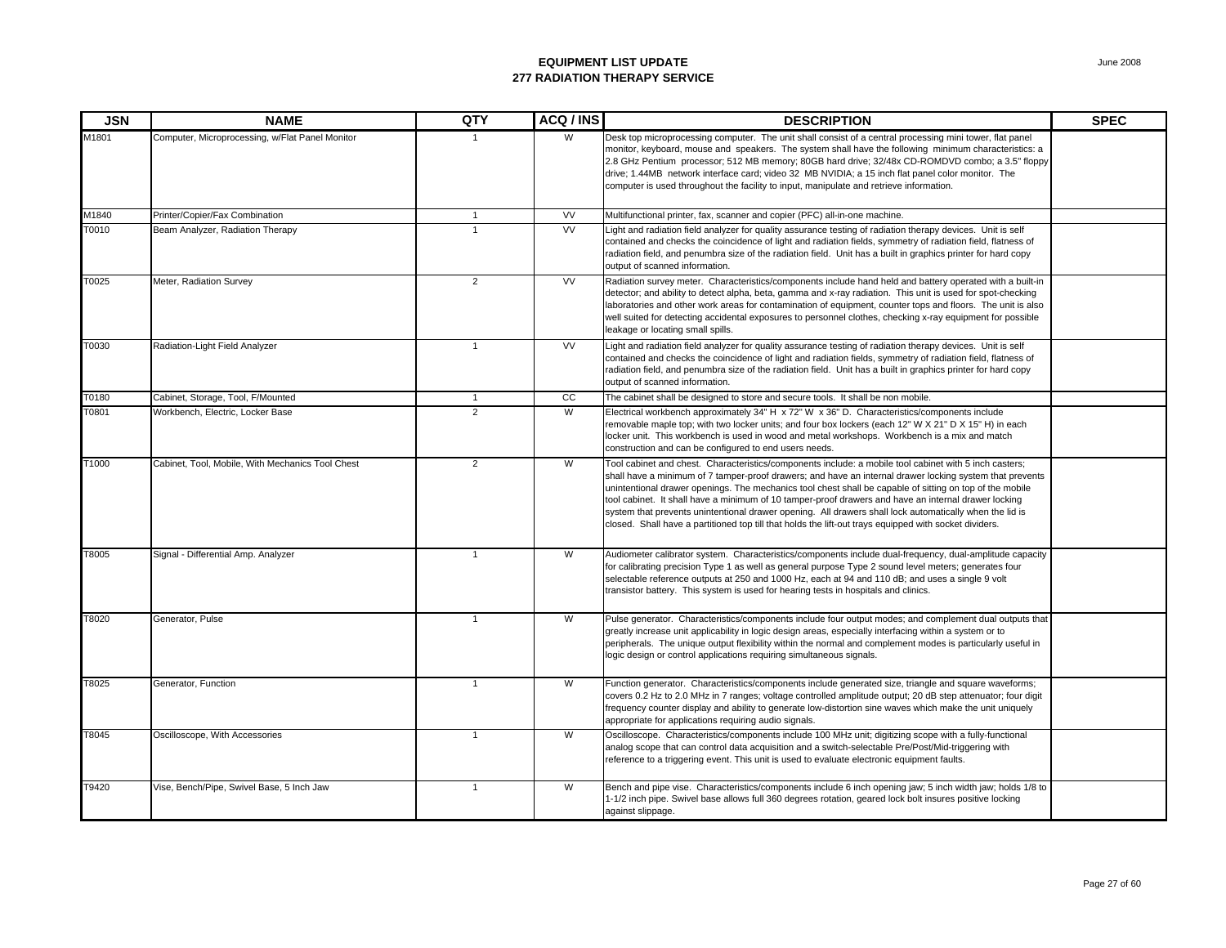| <b>JSN</b> | <b>NAME</b>                                      | QTY            | ACQ / INS | <b>DESCRIPTION</b>                                                                                                                                                                                                                                                                                                                                                                                                                                                                                                                                                                                                                                          | <b>SPEC</b> |
|------------|--------------------------------------------------|----------------|-----------|-------------------------------------------------------------------------------------------------------------------------------------------------------------------------------------------------------------------------------------------------------------------------------------------------------------------------------------------------------------------------------------------------------------------------------------------------------------------------------------------------------------------------------------------------------------------------------------------------------------------------------------------------------------|-------------|
| M1801      | Computer, Microprocessing, w/Flat Panel Monitor  |                | W         | Desk top microprocessing computer. The unit shall consist of a central processing mini tower, flat panel<br>monitor, keyboard, mouse and speakers. The system shall have the following minimum characteristics: a<br>2.8 GHz Pentium processor; 512 MB memory; 80GB hard drive; 32/48x CD-ROMDVD combo; a 3.5" floppy<br>drive; 1.44MB network interface card; video 32 MB NVIDIA; a 15 inch flat panel color monitor. The<br>computer is used throughout the facility to input, manipulate and retrieve information.                                                                                                                                       |             |
| M1840      | Printer/Copier/Fax Combination                   | $\mathbf{1}$   | <b>VV</b> | Multifunctional printer, fax, scanner and copier (PFC) all-in-one machine.                                                                                                                                                                                                                                                                                                                                                                                                                                                                                                                                                                                  |             |
| T0010      | Beam Analyzer, Radiation Therapy                 | $\overline{1}$ | <b>VV</b> | Light and radiation field analyzer for quality assurance testing of radiation therapy devices. Unit is self<br>contained and checks the coincidence of light and radiation fields, symmetry of radiation field, flatness of<br>radiation field, and penumbra size of the radiation field. Unit has a built in graphics printer for hard copy<br>output of scanned information.                                                                                                                                                                                                                                                                              |             |
| T0025      | Meter, Radiation Survey                          | $\overline{2}$ | <b>VV</b> | Radiation survey meter. Characteristics/components include hand held and battery operated with a built-in<br>detector; and ability to detect alpha, beta, gamma and x-ray radiation. This unit is used for spot-checking<br>laboratories and other work areas for contamination of equipment, counter tops and floors. The unit is also<br>well suited for detecting accidental exposures to personnel clothes, checking x-ray equipment for possible<br>leakage or locating small spills.                                                                                                                                                                  |             |
| T0030      | Radiation-Light Field Analyzer                   | $\mathbf{1}$   | <b>VV</b> | Light and radiation field analyzer for quality assurance testing of radiation therapy devices. Unit is self<br>contained and checks the coincidence of light and radiation fields, symmetry of radiation field, flatness of<br>radiation field, and penumbra size of the radiation field. Unit has a built in graphics printer for hard copy<br>output of scanned information.                                                                                                                                                                                                                                                                              |             |
| T0180      | Cabinet, Storage, Tool, F/Mounted                | $\mathbf{1}$   | cc        | The cabinet shall be designed to store and secure tools. It shall be non mobile.                                                                                                                                                                                                                                                                                                                                                                                                                                                                                                                                                                            |             |
| T0801      | Workbench, Electric, Locker Base                 | $\overline{2}$ | W         | Electrical workbench approximately 34" H x 72" W x 36" D. Characteristics/components include<br>removable maple top; with two locker units; and four box lockers (each 12" W X 21" D X 15" H) in each<br>locker unit. This workbench is used in wood and metal workshops. Workbench is a mix and match<br>construction and can be configured to end users needs.                                                                                                                                                                                                                                                                                            |             |
| T1000      | Cabinet, Tool, Mobile, With Mechanics Tool Chest | $\overline{2}$ | W         | Tool cabinet and chest. Characteristics/components include: a mobile tool cabinet with 5 inch casters;<br>shall have a minimum of 7 tamper-proof drawers; and have an internal drawer locking system that prevents<br>unintentional drawer openings. The mechanics tool chest shall be capable of sitting on top of the mobile<br>tool cabinet. It shall have a minimum of 10 tamper-proof drawers and have an internal drawer locking<br>system that prevents unintentional drawer opening. All drawers shall lock automatically when the lid is<br>closed. Shall have a partitioned top till that holds the lift-out trays equipped with socket dividers. |             |
| T8005      | Signal - Differential Amp. Analyzer              | $\mathbf{1}$   | W         | Audiometer calibrator system. Characteristics/components include dual-frequency, dual-amplitude capacity<br>for calibrating precision Type 1 as well as general purpose Type 2 sound level meters; generates four<br>selectable reference outputs at 250 and 1000 Hz, each at 94 and 110 dB; and uses a single 9 volt<br>transistor battery. This system is used for hearing tests in hospitals and clinics.                                                                                                                                                                                                                                                |             |
| T8020      | Generator, Pulse                                 | $\mathbf{1}$   | W         | Pulse generator. Characteristics/components include four output modes; and complement dual outputs that<br>greatly increase unit applicability in logic design areas, especially interfacing within a system or to<br>peripherals. The unique output flexibility within the normal and complement modes is particularly useful in<br>logic design or control applications requiring simultaneous signals.                                                                                                                                                                                                                                                   |             |
| T8025      | Generator, Function                              | $\mathbf{1}$   | W         | Function generator. Characteristics/components include generated size, triangle and square waveforms;<br>covers 0.2 Hz to 2.0 MHz in 7 ranges; voltage controlled amplitude output; 20 dB step attenuator; four digit<br>frequency counter display and ability to generate low-distortion sine waves which make the unit uniquely<br>appropriate for applications requiring audio signals.                                                                                                                                                                                                                                                                  |             |
| T8045      | Oscilloscope, With Accessories                   | $\mathbf{1}$   | W         | Oscilloscope. Characteristics/components include 100 MHz unit; digitizing scope with a fully-functional<br>analog scope that can control data acquisition and a switch-selectable Pre/Post/Mid-triggering with<br>reference to a triggering event. This unit is used to evaluate electronic equipment faults.                                                                                                                                                                                                                                                                                                                                               |             |
| T9420      | Vise, Bench/Pipe, Swivel Base, 5 Inch Jaw        | $\mathbf{1}$   | W         | Bench and pipe vise. Characteristics/components include 6 inch opening jaw; 5 inch width jaw; holds 1/8 to<br>1-1/2 inch pipe. Swivel base allows full 360 degrees rotation, geared lock bolt insures positive locking<br>against slippage.                                                                                                                                                                                                                                                                                                                                                                                                                 |             |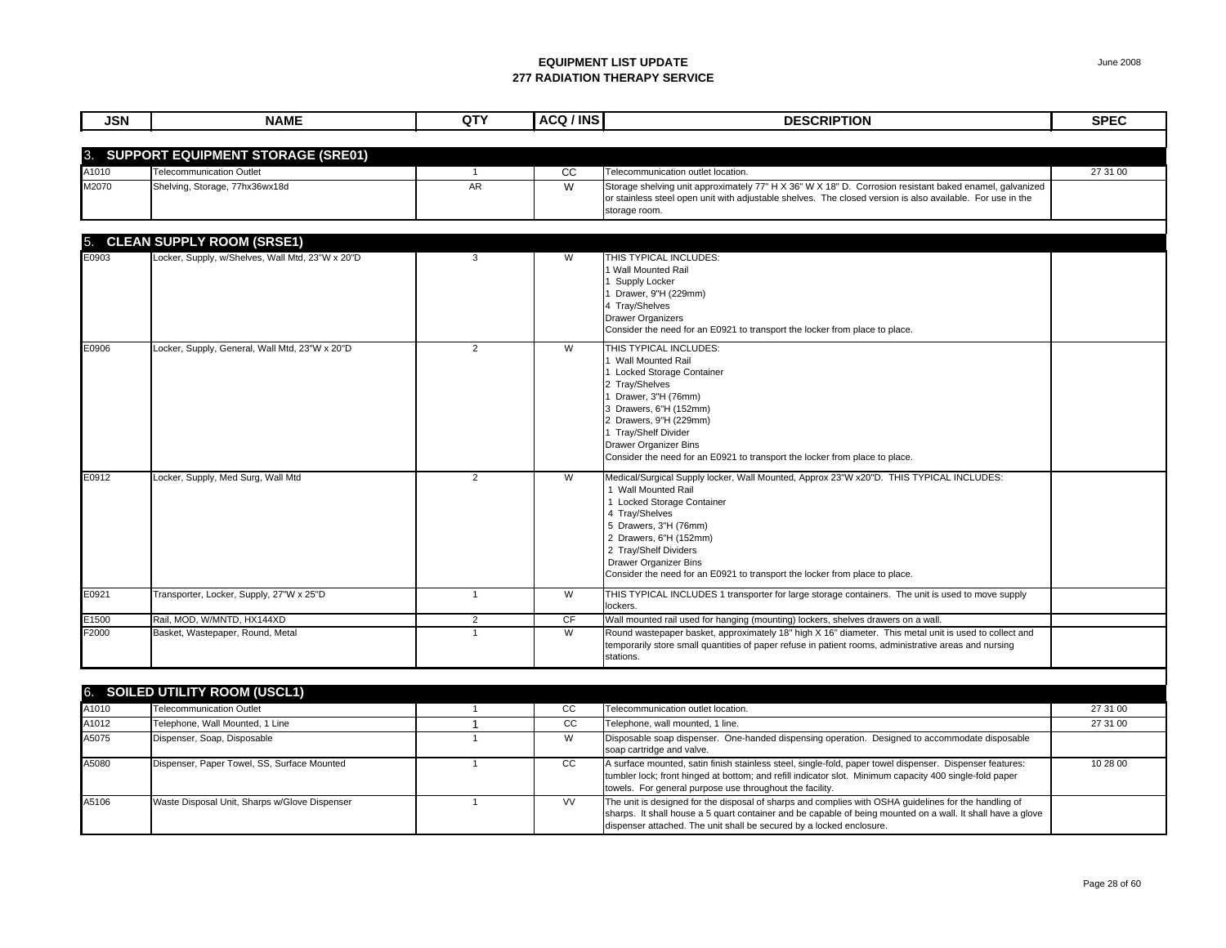| <b>JSN</b> | <b>NAME</b>                                      | QTY            | ACQ / INS | <b>DESCRIPTION</b>                                                                                                                                                                                                                                                                                                                                        | <b>SPEC</b> |
|------------|--------------------------------------------------|----------------|-----------|-----------------------------------------------------------------------------------------------------------------------------------------------------------------------------------------------------------------------------------------------------------------------------------------------------------------------------------------------------------|-------------|
|            |                                                  |                |           |                                                                                                                                                                                                                                                                                                                                                           |             |
| 3.         | <b>SUPPORT EQUIPMENT STORAGE (SRE01)</b>         |                |           |                                                                                                                                                                                                                                                                                                                                                           |             |
| A1010      | Telecommunication Outlet                         | $\mathbf{1}$   | <b>CC</b> | Telecommunication outlet location.                                                                                                                                                                                                                                                                                                                        | 27 31 00    |
| M2070      | Shelving, Storage, 77hx36wx18d                   | <b>AR</b>      | W         | Storage shelving unit approximately 77" H X 36" W X 18" D. Corrosion resistant baked enamel, galvanized<br>or stainless steel open unit with adjustable shelves. The closed version is also available. For use in the<br>storage room.                                                                                                                    |             |
| 5.         | <b>CLEAN SUPPLY ROOM (SRSE1)</b>                 |                |           |                                                                                                                                                                                                                                                                                                                                                           |             |
| E0903      | Locker, Supply, w/Shelves, Wall Mtd, 23"W x 20"D | 3              | W         | THIS TYPICAL INCLUDES:<br>Wall Mounted Rail<br>Supply Locker<br>Drawer, 9"H (229mm)<br>4 Tray/Shelves<br><b>Drawer Organizers</b><br>Consider the need for an E0921 to transport the locker from place to place.                                                                                                                                          |             |
| E0906      | Locker, Supply, General, Wall Mtd, 23"W x 20"D   | 2              | W         | THIS TYPICAL INCLUDES:<br>Wall Mounted Rail<br>Locked Storage Container<br>2 Tray/Shelves<br>Drawer, 3"H (76mm)<br>Drawers, 6"H (152mm)<br>2 Drawers, 9"H (229mm)<br>1 Tray/Shelf Divider<br><b>Drawer Organizer Bins</b><br>Consider the need for an E0921 to transport the locker from place to place.                                                  |             |
| E0912      | Locker, Supply, Med Surg, Wall Mtd               | 2              | W         | Medical/Surgical Supply locker, Wall Mounted, Approx 23"W x20"D. THIS TYPICAL INCLUDES:<br>1 Wall Mounted Rail<br>1 Locked Storage Container<br>4 Tray/Shelves<br>5 Drawers, 3"H (76mm)<br>2 Drawers, 6"H (152mm)<br>2 Tray/Shelf Dividers<br><b>Drawer Organizer Bins</b><br>Consider the need for an E0921 to transport the locker from place to place. |             |
| E0921      | Transporter, Locker, Supply, 27"W x 25"D         | $\mathbf{1}$   | W         | THIS TYPICAL INCLUDES 1 transporter for large storage containers. The unit is used to move supply<br>lockers.                                                                                                                                                                                                                                             |             |
| E1500      | Rail, MOD, W/MNTD, HX144XD                       | 2              | CF        | Wall mounted rail used for hanging (mounting) lockers, shelves drawers on a wall.                                                                                                                                                                                                                                                                         |             |
| F2000      | Basket, Wastepaper, Round, Metal                 | $\overline{1}$ | W         | Round wastepaper basket, approximately 18" high X 16" diameter. This metal unit is used to collect and<br>temporarily store small quantities of paper refuse in patient rooms, administrative areas and nursing<br>stations.                                                                                                                              |             |
|            |                                                  |                |           |                                                                                                                                                                                                                                                                                                                                                           |             |

| 6. SOILED UTILITY ROOM (USCL1) |                                               |  |           |                                                                                                                                                                                                                                                                                              |          |  |  |
|--------------------------------|-----------------------------------------------|--|-----------|----------------------------------------------------------------------------------------------------------------------------------------------------------------------------------------------------------------------------------------------------------------------------------------------|----------|--|--|
| A1010                          | <b>Telecommunication Outlet</b>               |  | CC        | Telecommunication outlet location.                                                                                                                                                                                                                                                           | 27 31 00 |  |  |
| A1012                          | Telephone, Wall Mounted, 1 Line               |  | CС        | Telephone, wall mounted, 1 line.                                                                                                                                                                                                                                                             | 27 31 00 |  |  |
| A5075                          | Dispenser, Soap, Disposable                   |  | W         | Disposable soap dispenser. One-handed dispensing operation. Designed to accommodate disposable<br>soap cartridge and valve.                                                                                                                                                                  |          |  |  |
| A5080                          | Dispenser, Paper Towel, SS, Surface Mounted   |  | CC.       | A surface mounted, satin finish stainless steel, single-fold, paper towel dispenser. Dispenser features:<br>tumbler lock; front hinged at bottom; and refill indicator slot. Minimum capacity 400 single-fold paper<br>towels. For general purpose use throughout the facility.              | 10 28 00 |  |  |
| A5106                          | Waste Disposal Unit, Sharps w/Glove Dispenser |  | <b>VV</b> | The unit is designed for the disposal of sharps and complies with OSHA guidelines for the handling of<br>sharps. It shall house a 5 quart container and be capable of being mounted on a wall. It shall have a glove<br>dispenser attached. The unit shall be secured by a locked enclosure. |          |  |  |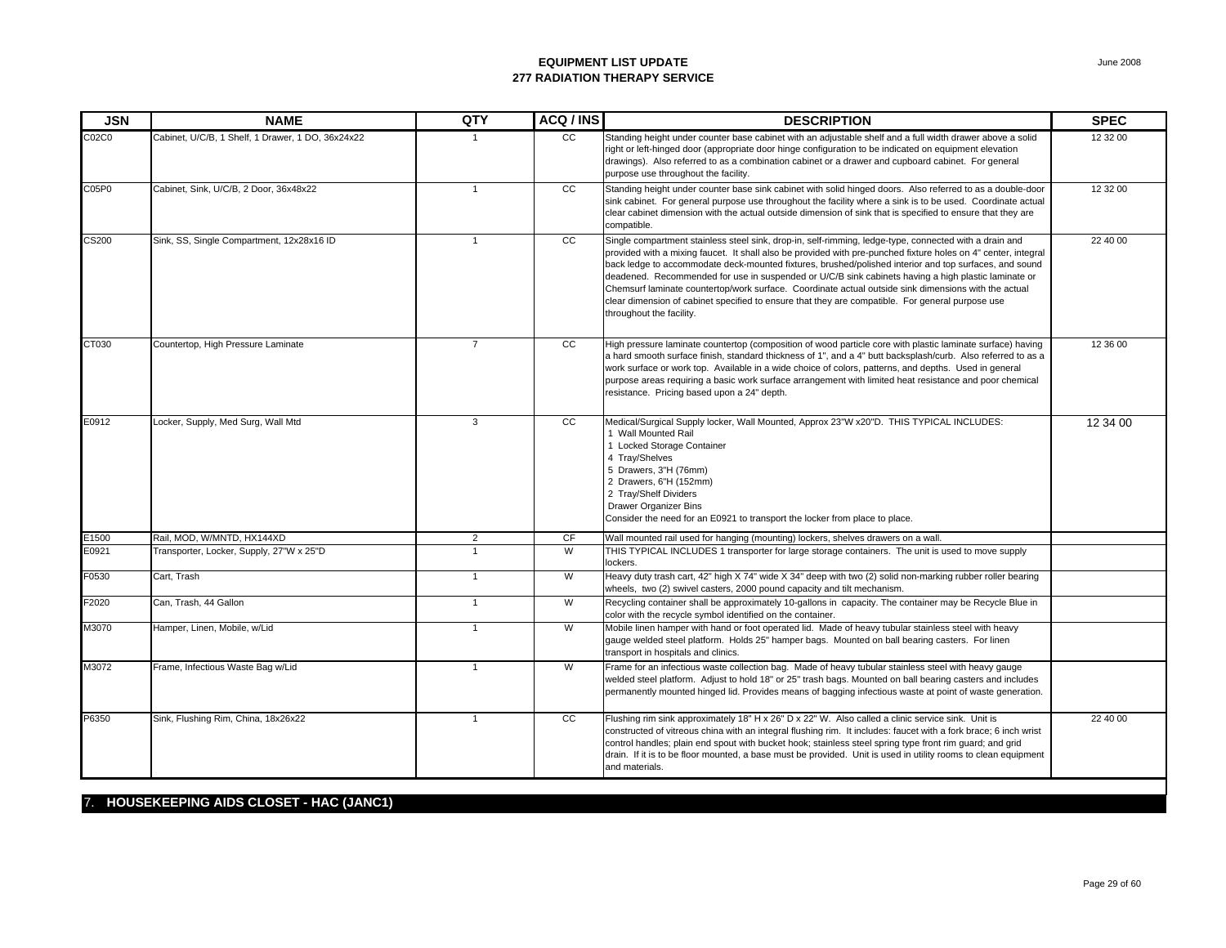| <b>JSN</b>   | <b>NAME</b>                                       | QTY            | ACQ / INS     | <b>DESCRIPTION</b>                                                                                                                                                                                                                                                                                                                                                                                                                                                                                                                                                                                                                                                                | <b>SPEC</b> |
|--------------|---------------------------------------------------|----------------|---------------|-----------------------------------------------------------------------------------------------------------------------------------------------------------------------------------------------------------------------------------------------------------------------------------------------------------------------------------------------------------------------------------------------------------------------------------------------------------------------------------------------------------------------------------------------------------------------------------------------------------------------------------------------------------------------------------|-------------|
| C02C0        | Cabinet, U/C/B, 1 Shelf, 1 Drawer, 1 DO, 36x24x22 | -1             | <sub>CC</sub> | Standing height under counter base cabinet with an adjustable shelf and a full width drawer above a solid<br>right or left-hinged door (appropriate door hinge configuration to be indicated on equipment elevation<br>drawings). Also referred to as a combination cabinet or a drawer and cupboard cabinet. For general<br>purpose use throughout the facility.                                                                                                                                                                                                                                                                                                                 | 12 32 00    |
| C05P0        | Cabinet, Sink, U/C/B, 2 Door, 36x48x22            | $\overline{1}$ | cc            | Standing height under counter base sink cabinet with solid hinged doors. Also referred to as a double-door<br>sink cabinet. For general purpose use throughout the facility where a sink is to be used. Coordinate actual<br>clear cabinet dimension with the actual outside dimension of sink that is specified to ensure that they are<br>compatible.                                                                                                                                                                                                                                                                                                                           | 12 32 00    |
| <b>CS200</b> | Sink, SS, Single Compartment, 12x28x16 ID         | $\mathbf{1}$   | cc            | Single compartment stainless steel sink, drop-in, self-rimming, ledge-type, connected with a drain and<br>provided with a mixing faucet. It shall also be provided with pre-punched fixture holes on 4" center, integral<br>back ledge to accommodate deck-mounted fixtures, brushed/polished interior and top surfaces, and sound<br>deadened. Recommended for use in suspended or U/C/B sink cabinets having a high plastic laminate or<br>Chemsurf laminate countertop/work surface. Coordinate actual outside sink dimensions with the actual<br>clear dimension of cabinet specified to ensure that they are compatible. For general purpose use<br>throughout the facility. | 22 40 00    |
| CT030        | Countertop, High Pressure Laminate                | $\overline{7}$ | cc            | High pressure laminate countertop (composition of wood particle core with plastic laminate surface) having<br>a hard smooth surface finish, standard thickness of 1", and a 4" butt backsplash/curb. Also referred to as a<br>work surface or work top. Available in a wide choice of colors, patterns, and depths. Used in general<br>purpose areas requiring a basic work surface arrangement with limited heat resistance and poor chemical<br>resistance. Pricing based upon a 24" depth.                                                                                                                                                                                     | 12 36 00    |
| E0912        | Locker, Supply, Med Surg, Wall Mtd                | 3              | <b>CC</b>     | Medical/Surgical Supply locker, Wall Mounted, Approx 23"W x20"D. THIS TYPICAL INCLUDES:<br>1 Wall Mounted Rail<br>1 Locked Storage Container<br>4 Tray/Shelves<br>5 Drawers, 3"H (76mm)<br>2 Drawers, 6"H (152mm)<br>2 Tray/Shelf Dividers<br><b>Drawer Organizer Bins</b><br>Consider the need for an E0921 to transport the locker from place to place.                                                                                                                                                                                                                                                                                                                         | 12 34 00    |
| E1500        | Rail, MOD, W/MNTD, HX144XD                        | 2              | CF            | Wall mounted rail used for hanging (mounting) lockers, shelves drawers on a wall.                                                                                                                                                                                                                                                                                                                                                                                                                                                                                                                                                                                                 |             |
| E0921        | Transporter, Locker, Supply, 27"W x 25"D          | $\overline{1}$ | W             | THIS TYPICAL INCLUDES 1 transporter for large storage containers. The unit is used to move supply<br>lockers.                                                                                                                                                                                                                                                                                                                                                                                                                                                                                                                                                                     |             |
| F0530        | Cart, Trash                                       | $\mathbf{1}$   | W             | Heavy duty trash cart, 42" high X 74" wide X 34" deep with two (2) solid non-marking rubber roller bearing<br>wheels, two (2) swivel casters, 2000 pound capacity and tilt mechanism.                                                                                                                                                                                                                                                                                                                                                                                                                                                                                             |             |
| F2020        | Can, Trash, 44 Gallon                             | $\overline{1}$ | W             | Recycling container shall be approximately 10-gallons in capacity. The container may be Recycle Blue in<br>color with the recycle symbol identified on the container.                                                                                                                                                                                                                                                                                                                                                                                                                                                                                                             |             |
| M3070        | Hamper, Linen, Mobile, w/Lid                      | $\overline{1}$ | W             | Mobile linen hamper with hand or foot operated lid. Made of heavy tubular stainless steel with heavy<br>gauge welded steel platform. Holds 25" hamper bags. Mounted on ball bearing casters. For linen<br>transport in hospitals and clinics.                                                                                                                                                                                                                                                                                                                                                                                                                                     |             |
| M3072        | Frame, Infectious Waste Bag w/Lid                 | $\overline{1}$ | W             | Frame for an infectious waste collection bag. Made of heavy tubular stainless steel with heavy gauge<br>welded steel platform. Adjust to hold 18" or 25" trash bags. Mounted on ball bearing casters and includes<br>permanently mounted hinged lid. Provides means of bagging infectious waste at point of waste generation.                                                                                                                                                                                                                                                                                                                                                     |             |
| P6350        | Sink, Flushing Rim, China, 18x26x22               | $\overline{1}$ | cc            | Flushing rim sink approximately 18" H x 26" D x 22" W. Also called a clinic service sink. Unit is<br>constructed of vitreous china with an integral flushing rim. It includes: faucet with a fork brace; 6 inch wrist<br>control handles; plain end spout with bucket hook; stainless steel spring type front rim guard; and grid<br>drain. If it is to be floor mounted, a base must be provided. Unit is used in utility rooms to clean equipment<br>and materials.                                                                                                                                                                                                             | 22 40 00    |

#### 7. **HOUSEKEEPING AIDS CLOSET - HAC (JANC1)**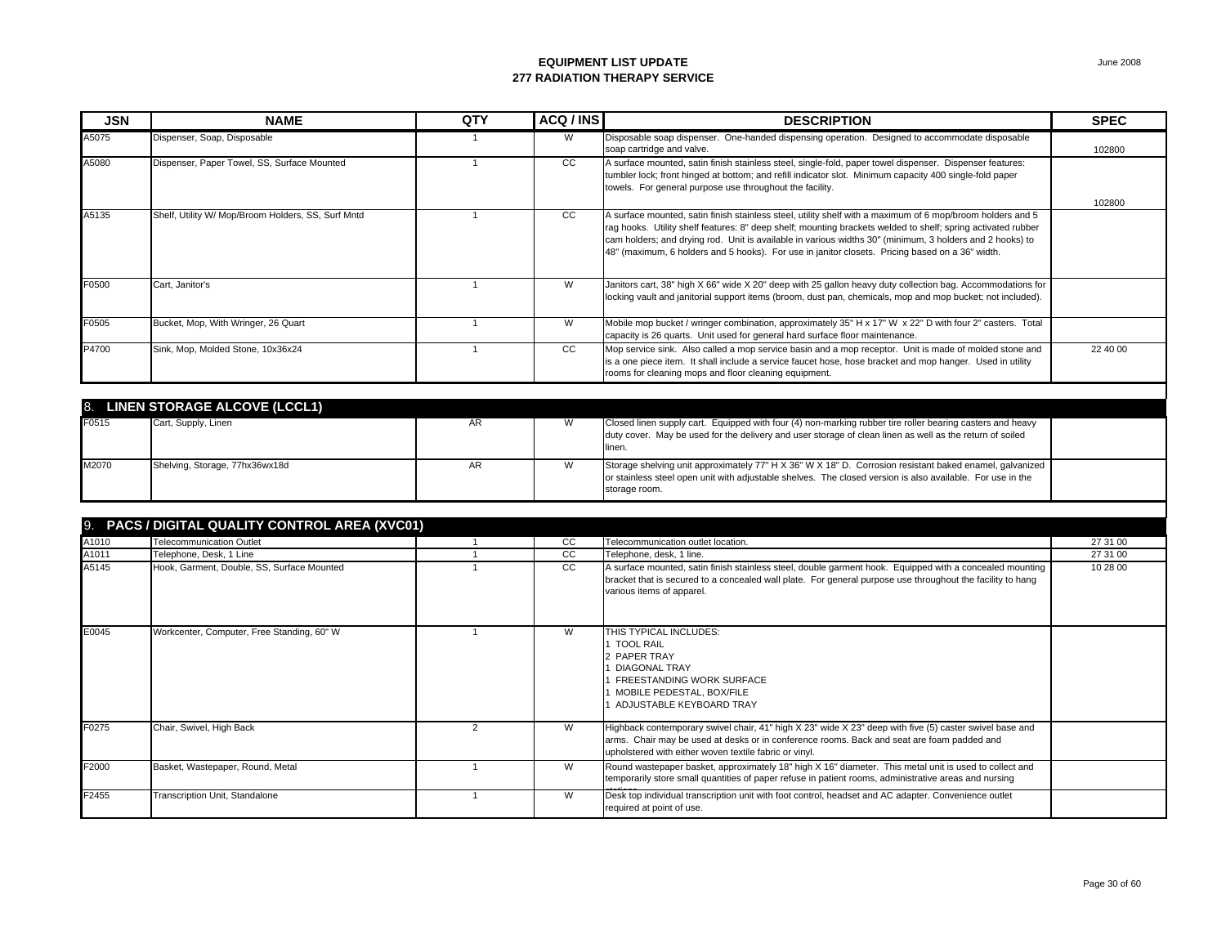| <b>JSN</b> | <b>NAME</b>                                        | QTY | ACQ / INS | <b>DESCRIPTION</b>                                                                                                                                                                                                                                                                                                                                                                                                                        | <b>SPEC</b> |
|------------|----------------------------------------------------|-----|-----------|-------------------------------------------------------------------------------------------------------------------------------------------------------------------------------------------------------------------------------------------------------------------------------------------------------------------------------------------------------------------------------------------------------------------------------------------|-------------|
| A5075      | Dispenser, Soap, Disposable                        |     | W         | Disposable soap dispenser. One-handed dispensing operation. Designed to accommodate disposable<br>soap cartridge and valve.                                                                                                                                                                                                                                                                                                               | 102800      |
| A5080      | Dispenser, Paper Towel, SS, Surface Mounted        |     | CC        | A surface mounted, satin finish stainless steel, single-fold, paper towel dispenser. Dispenser features:<br>tumbler lock; front hinged at bottom; and refill indicator slot. Minimum capacity 400 single-fold paper<br>towels. For general purpose use throughout the facility.                                                                                                                                                           | 102800      |
| A5135      | Shelf, Utility W/ Mop/Broom Holders, SS, Surf Mntd |     | CC        | A surface mounted, satin finish stainless steel, utility shelf with a maximum of 6 mop/broom holders and 5<br>rag hooks. Utility shelf features: 8" deep shelf; mounting brackets welded to shelf; spring activated rubber<br>cam holders; and drying rod. Unit is available in various widths 30" (minimum, 3 holders and 2 hooks) to<br>48" (maximum, 6 holders and 5 hooks). For use in janitor closets. Pricing based on a 36" width. |             |
| F0500      | Cart, Janitor's                                    |     | W         | Janitors cart, 38" high X 66" wide X 20" deep with 25 gallon heavy duty collection bag. Accommodations for<br>locking vault and janitorial support items (broom, dust pan, chemicals, mop and mop bucket; not included).                                                                                                                                                                                                                  |             |
| F0505      | Bucket, Mop, With Wringer, 26 Quart                |     | W         | Mobile mop bucket / wringer combination, approximately 35" H x 17" W x 22" D with four 2" casters. Total<br>capacity is 26 quarts. Unit used for general hard surface floor maintenance.                                                                                                                                                                                                                                                  |             |
| P4700      | Sink, Mop, Molded Stone, 10x36x24                  |     | CC.       | Mop service sink. Also called a mop service basin and a mop receptor. Unit is made of molded stone and<br>is a one piece item. It shall include a service faucet hose, hose bracket and mop hanger. Used in utility<br>rooms for cleaning mops and floor cleaning equipment.                                                                                                                                                              | 22 40 00    |

|       | 8. LINEN STORAGE ALCOVE (LCCL1) |    |                                                                                                                                                                                                                                        |  |
|-------|---------------------------------|----|----------------------------------------------------------------------------------------------------------------------------------------------------------------------------------------------------------------------------------------|--|
| F0515 | Cart, Supply, Linen             | AR | Closed linen supply cart. Equipped with four (4) non-marking rubber tire roller bearing casters and heavy                                                                                                                              |  |
|       |                                 |    | duty cover. May be used for the delivery and user storage of clean linen as well as the return of soiled                                                                                                                               |  |
|       |                                 |    | linen.                                                                                                                                                                                                                                 |  |
| M2070 | Shelving, Storage, 77hx36wx18d  | AR | Storage shelving unit approximately 77" H X 36" W X 18" D. Corrosion resistant baked enamel, galvanized<br>or stainless steel open unit with adjustable shelves. The closed version is also available. For use in the<br>storage room. |  |

| <b>9.</b> | <b>PACS / DIGITAL QUALITY CONTROL AREA (XVC01)</b> |  |               |                                                                                                                                                                                                                                                                 |          |  |  |  |
|-----------|----------------------------------------------------|--|---------------|-----------------------------------------------------------------------------------------------------------------------------------------------------------------------------------------------------------------------------------------------------------------|----------|--|--|--|
| A1010     | <b>Telecommunication Outlet</b>                    |  | CC            | Telecommunication outlet location.                                                                                                                                                                                                                              | 27 31 00 |  |  |  |
| A1011     | Telephone, Desk, 1 Line                            |  | CC            | Telephone, desk, 1 line.                                                                                                                                                                                                                                        | 27 31 00 |  |  |  |
| A5145     | Hook, Garment, Double, SS, Surface Mounted         |  | <sub>CC</sub> | A surface mounted, satin finish stainless steel, double garment hook. Equipped with a concealed mounting<br>bracket that is secured to a concealed wall plate. For general purpose use throughout the facility to hang<br>various items of apparel.             | 10 28 00 |  |  |  |
| E0045     | Workcenter, Computer, Free Standing, 60" W         |  | W             | THIS TYPICAL INCLUDES:<br>1 TOOL RAIL<br>2 PAPER TRAY<br><b>DIAGONAL TRAY</b><br><b>FREESTANDING WORK SURFACE</b><br>MOBILE PEDESTAL, BOX/FILE<br>ADJUSTABLE KEYBOARD TRAY                                                                                      |          |  |  |  |
| F0275     | Chair, Swivel, High Back                           |  | W             | Highback contemporary swivel chair, 41" high X 23" wide X 23" deep with five (5) caster swivel base and<br>arms. Chair may be used at desks or in conference rooms. Back and seat are foam padded and<br>upholstered with either woven textile fabric or vinyl. |          |  |  |  |
| F2000     | Basket, Wastepaper, Round, Metal                   |  | W             | Round wastepaper basket, approximately 18" high X 16" diameter. This metal unit is used to collect and<br>temporarily store small quantities of paper refuse in patient rooms, administrative areas and nursing                                                 |          |  |  |  |
| F2455     | Transcription Unit, Standalone                     |  | W             | Desk top individual transcription unit with foot control, headset and AC adapter. Convenience outlet<br>required at point of use.                                                                                                                               |          |  |  |  |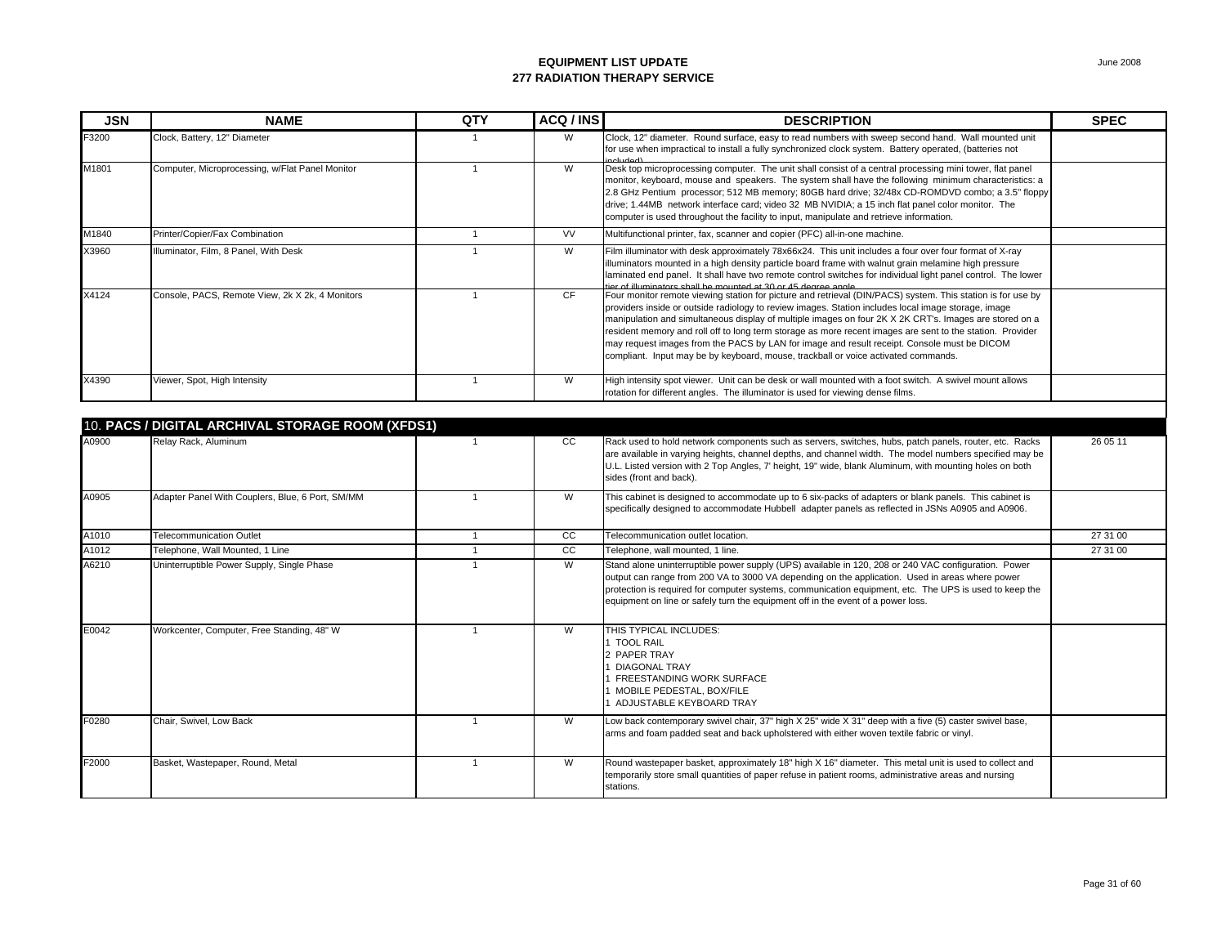| <b>JSN</b> | <b>NAME</b>                                      | QTY            | ACQ / INS | <b>DESCRIPTION</b>                                                                                                                                                                                                                                                                                                                                                                                                                                                                                                                                                                                                             | <b>SPEC</b> |
|------------|--------------------------------------------------|----------------|-----------|--------------------------------------------------------------------------------------------------------------------------------------------------------------------------------------------------------------------------------------------------------------------------------------------------------------------------------------------------------------------------------------------------------------------------------------------------------------------------------------------------------------------------------------------------------------------------------------------------------------------------------|-------------|
| F3200      | Clock, Battery, 12" Diameter                     |                | W         | Clock, 12" diameter. Round surface, easy to read numbers with sweep second hand. Wall mounted unit<br>for use when impractical to install a fully synchronized clock system. Battery operated, (batteries not                                                                                                                                                                                                                                                                                                                                                                                                                  |             |
| M1801      | Computer, Microprocessing, w/Flat Panel Monitor  |                | W         | Desk top microprocessing computer. The unit shall consist of a central processing mini tower, flat panel<br>monitor, keyboard, mouse and speakers. The system shall have the following minimum characteristics: a<br>2.8 GHz Pentium processor; 512 MB memory; 80GB hard drive; 32/48x CD-ROMDVD combo; a 3.5" floppy<br>drive; 1.44MB network interface card; video 32 MB NVIDIA; a 15 inch flat panel color monitor. The<br>computer is used throughout the facility to input, manipulate and retrieve information.                                                                                                          |             |
| M1840      | Printer/Copier/Fax Combination                   | $\mathbf{1}$   | <b>VV</b> | Multifunctional printer, fax, scanner and copier (PFC) all-in-one machine.                                                                                                                                                                                                                                                                                                                                                                                                                                                                                                                                                     |             |
| X3960      | Illuminator, Film, 8 Panel, With Desk            |                | W         | Film illuminator with desk approximately 78x66x24. This unit includes a four over four format of X-ray<br>illuminators mounted in a high density particle board frame with walnut grain melamine high pressure<br>laminated end panel. It shall have two remote control switches for individual light panel control. The lower<br>tior of illuminators shall be mounted at 30 or 45 degree angle                                                                                                                                                                                                                               |             |
| X4124      | Console, PACS, Remote View, 2k X 2k, 4 Monitors  |                | <b>CF</b> | Four monitor remote viewing station for picture and retrieval (DIN/PACS) system. This station is for use by<br>providers inside or outside radiology to review images. Station includes local image storage, image<br>manipulation and simultaneous display of multiple images on four 2K X 2K CRT's. Images are stored on a<br>resident memory and roll off to long term storage as more recent images are sent to the station. Provider<br>may request images from the PACS by LAN for image and result receipt. Console must be DICOM<br>compliant. Input may be by keyboard, mouse, trackball or voice activated commands. |             |
| X4390      | Viewer, Spot, High Intensity                     | $\mathbf{1}$   | W         | High intensity spot viewer. Unit can be desk or wall mounted with a foot switch. A swivel mount allows<br>rotation for different angles. The illuminator is used for viewing dense films.                                                                                                                                                                                                                                                                                                                                                                                                                                      |             |
|            | 10. PACS / DIGITAL ARCHIVAL STORAGE ROOM (XFDS1) |                |           |                                                                                                                                                                                                                                                                                                                                                                                                                                                                                                                                                                                                                                |             |
| A0900      | Relay Rack, Aluminum                             | $\overline{1}$ | CC        | Rack used to hold network components such as servers, switches, hubs, patch panels, router, etc. Racks<br>are available in varying heights, channel depths, and channel width. The model numbers specified may be<br>U.L. Listed version with 2 Top Angles, 7' height, 19" wide, blank Aluminum, with mounting holes on both<br>sides (front and back).                                                                                                                                                                                                                                                                        | 26 05 11    |
| A0905      | Adapter Panel With Couplers, Blue, 6 Port, SM/MM |                | W         | This cabinet is designed to accommodate up to 6 six-packs of adapters or blank panels. This cabinet is<br>specifically designed to accommodate Hubbell adapter panels as reflected in JSNs A0905 and A0906.                                                                                                                                                                                                                                                                                                                                                                                                                    |             |
| A1010      | Telecommunication Outlet                         | $\overline{1}$ | cc        | Telecommunication outlet location.                                                                                                                                                                                                                                                                                                                                                                                                                                                                                                                                                                                             | 27 31 00    |
| A1012      | Telephone, Wall Mounted, 1 Line                  | $\mathbf{1}$   | CC        | Telephone, wall mounted, 1 line.                                                                                                                                                                                                                                                                                                                                                                                                                                                                                                                                                                                               | 27 31 00    |
| A6210      | Uninterruptible Power Supply, Single Phase       |                | W         | Stand alone uninterruptible power supply (UPS) available in 120, 208 or 240 VAC configuration. Power                                                                                                                                                                                                                                                                                                                                                                                                                                                                                                                           |             |

| A1010 | <b>Telecommunication Outlet</b>            | CC. | Telecommunication outlet location.                                                                                                                                                                                                                                                                                                                                                                    | 27 31 00 |
|-------|--------------------------------------------|-----|-------------------------------------------------------------------------------------------------------------------------------------------------------------------------------------------------------------------------------------------------------------------------------------------------------------------------------------------------------------------------------------------------------|----------|
| A1012 | Telephone, Wall Mounted, 1 Line            | CC. | Telephone, wall mounted, 1 line.                                                                                                                                                                                                                                                                                                                                                                      | 27 31 00 |
| A6210 | Uninterruptible Power Supply, Single Phase | W   | Stand alone uninterruptible power supply (UPS) available in 120, 208 or 240 VAC configuration. Power<br>output can range from 200 VA to 3000 VA depending on the application. Used in areas where power<br>protection is required for computer systems, communication equipment, etc. The UPS is used to keep the<br>equipment on line or safely turn the equipment off in the event of a power loss. |          |
| E0042 | Workcenter, Computer, Free Standing, 48" W | W   | THIS TYPICAL INCLUDES:<br><b>TOOL RAIL</b><br>2 PAPER TRAY<br>DIAGONAL TRAY<br><b>FREESTANDING WORK SURFACE</b><br>MOBILE PEDESTAL. BOX/FILE<br>ADJUSTABLE KEYBOARD TRAY                                                                                                                                                                                                                              |          |
| F0280 | Chair, Swivel, Low Back                    | W   | Low back contemporary swivel chair, 37" high X 25" wide X 31" deep with a five (5) caster swivel base,<br>arms and foam padded seat and back upholstered with either woven textile fabric or vinyl.                                                                                                                                                                                                   |          |
| F2000 | Basket, Wastepaper, Round, Metal           | W   | Round wastepaper basket, approximately 18" high X 16" diameter. This metal unit is used to collect and<br>temporarily store small quantities of paper refuse in patient rooms, administrative areas and nursing<br>stations.                                                                                                                                                                          |          |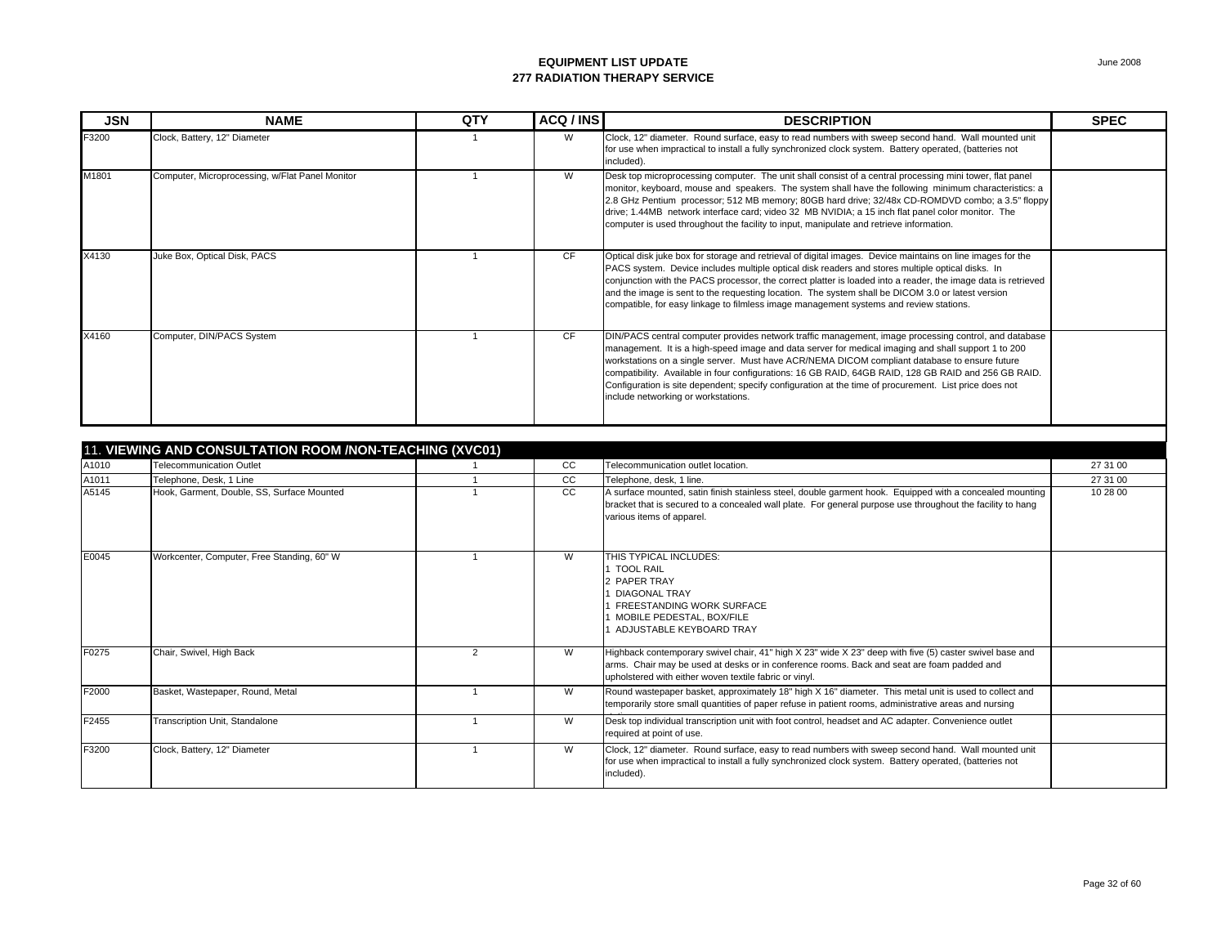| <b>JSN</b> | <b>NAME</b>                                     | <b>QTY</b> | ACQ / INS | <b>DESCRIPTION</b>                                                                                                                                                                                                                                                                                                                                                                                                                                                                                                                                                     | <b>SPEC</b> |
|------------|-------------------------------------------------|------------|-----------|------------------------------------------------------------------------------------------------------------------------------------------------------------------------------------------------------------------------------------------------------------------------------------------------------------------------------------------------------------------------------------------------------------------------------------------------------------------------------------------------------------------------------------------------------------------------|-------------|
| F3200      | Clock, Battery, 12" Diameter                    |            | W         | Clock, 12" diameter. Round surface, easy to read numbers with sweep second hand. Wall mounted unit<br>for use when impractical to install a fully synchronized clock system. Battery operated, (batteries not<br>included).                                                                                                                                                                                                                                                                                                                                            |             |
| M1801      | Computer, Microprocessing, w/Flat Panel Monitor |            | W         | Desk top microprocessing computer. The unit shall consist of a central processing mini tower, flat panel<br>monitor, keyboard, mouse and speakers. The system shall have the following minimum characteristics: a<br>2.8 GHz Pentium processor; 512 MB memory; 80GB hard drive; 32/48x CD-ROMDVD combo; a 3.5" floppy<br>drive; 1.44MB network interface card; video 32 MB NVIDIA; a 15 inch flat panel color monitor. The<br>computer is used throughout the facility to input, manipulate and retrieve information.                                                  |             |
| X4130      | Juke Box, Optical Disk, PACS                    |            | CF        | Optical disk juke box for storage and retrieval of digital images. Device maintains on line images for the<br>PACS system. Device includes multiple optical disk readers and stores multiple optical disks. In<br>conjunction with the PACS processor, the correct platter is loaded into a reader, the image data is retrieved<br>and the image is sent to the requesting location. The system shall be DICOM 3.0 or latest version<br>compatible, for easy linkage to filmless image management systems and review stations.                                         |             |
| X4160      | Computer, DIN/PACS System                       |            | CF.       | DIN/PACS central computer provides network traffic management, image processing control, and database<br>management. It is a high-speed image and data server for medical imaging and shall support 1 to 200<br>workstations on a single server. Must have ACR/NEMA DICOM compliant database to ensure future<br>compatibility. Available in four configurations: 16 GB RAID, 64GB RAID, 128 GB RAID and 256 GB RAID.<br>Configuration is site dependent; specify configuration at the time of procurement. List price does not<br>include networking or workstations. |             |

|       | 11. VIEWING AND CONSULTATION ROOM / NON-TEACHING (XVC01) |                |               |                                                                                                                                                                                                                                                                 |          |  |  |  |
|-------|----------------------------------------------------------|----------------|---------------|-----------------------------------------------------------------------------------------------------------------------------------------------------------------------------------------------------------------------------------------------------------------|----------|--|--|--|
| A1010 | <b>Telecommunication Outlet</b>                          |                | cc            | Telecommunication outlet location.                                                                                                                                                                                                                              | 27 31 00 |  |  |  |
| A1011 | Telephone, Desk, 1 Line                                  |                | CC            | Telephone, desk, 1 line.                                                                                                                                                                                                                                        | 27 31 00 |  |  |  |
| A5145 | Hook, Garment, Double, SS, Surface Mounted               |                | <sub>CC</sub> | A surface mounted, satin finish stainless steel, double garment hook. Equipped with a concealed mounting<br>bracket that is secured to a concealed wall plate. For general purpose use throughout the facility to hang<br>various items of apparel.             | 10 28 00 |  |  |  |
| E0045 | Workcenter, Computer, Free Standing, 60" W               |                | W             | THIS TYPICAL INCLUDES:<br><b>TOOL RAIL</b><br>2 PAPER TRAY<br>DIAGONAL TRAY<br><b>FREESTANDING WORK SURFACE</b><br>MOBILE PEDESTAL, BOX/FILE<br>ADJUSTABLE KEYBOARD TRAY                                                                                        |          |  |  |  |
| F0275 | Chair, Swivel, High Back                                 | $\overline{2}$ | W             | Highback contemporary swivel chair, 41" high X 23" wide X 23" deep with five (5) caster swivel base and<br>arms. Chair may be used at desks or in conference rooms. Back and seat are foam padded and<br>upholstered with either woven textile fabric or vinyl. |          |  |  |  |
| F2000 | Basket, Wastepaper, Round, Metal                         |                | W             | Round wastepaper basket, approximately 18" high X 16" diameter. This metal unit is used to collect and<br>temporarily store small quantities of paper refuse in patient rooms, administrative areas and nursing                                                 |          |  |  |  |
| F2455 | Transcription Unit, Standalone                           |                | W             | Desk top individual transcription unit with foot control, headset and AC adapter. Convenience outlet<br>required at point of use.                                                                                                                               |          |  |  |  |
| F3200 | Clock, Battery, 12" Diameter                             |                | W             | Clock, 12" diameter. Round surface, easy to read numbers with sweep second hand. Wall mounted unit<br>for use when impractical to install a fully synchronized clock system. Battery operated, (batteries not<br>included).                                     |          |  |  |  |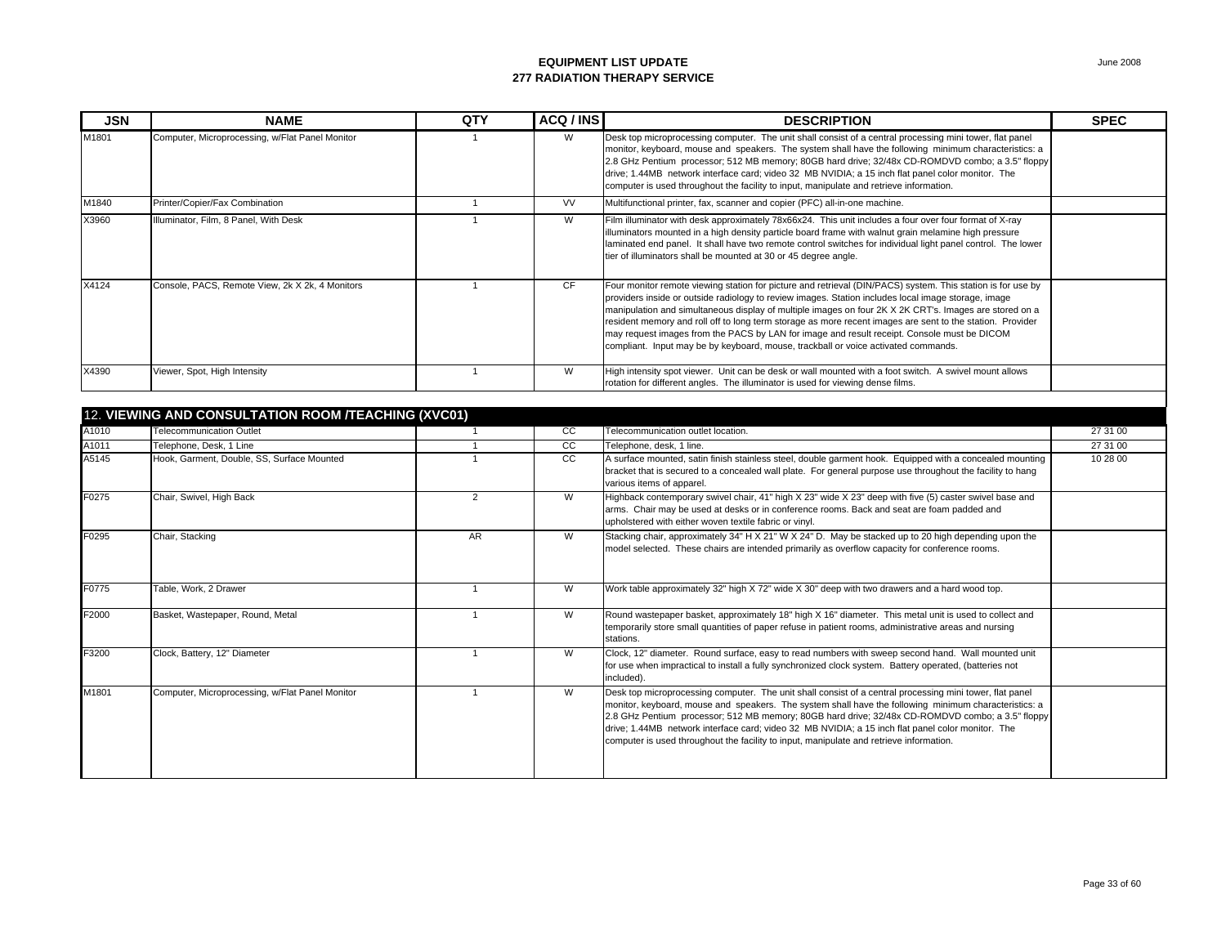| <b>JSN</b> | <b>NAME</b>                                         | QTY | ACQ / INS     | <b>DESCRIPTION</b>                                                                                                                                                                                                                                                                                                                                                                                                                                                                                                                                                                                                             | <b>SPEC</b> |
|------------|-----------------------------------------------------|-----|---------------|--------------------------------------------------------------------------------------------------------------------------------------------------------------------------------------------------------------------------------------------------------------------------------------------------------------------------------------------------------------------------------------------------------------------------------------------------------------------------------------------------------------------------------------------------------------------------------------------------------------------------------|-------------|
| M1801      | Computer, Microprocessing, w/Flat Panel Monitor     |     | W             | Desk top microprocessing computer. The unit shall consist of a central processing mini tower, flat panel<br>monitor, keyboard, mouse and speakers. The system shall have the following minimum characteristics: a<br>2.8 GHz Pentium processor; 512 MB memory; 80GB hard drive; 32/48x CD-ROMDVD combo; a 3.5" floppy<br>drive; 1.44MB network interface card; video 32 MB NVIDIA; a 15 inch flat panel color monitor. The<br>computer is used throughout the facility to input, manipulate and retrieve information.                                                                                                          |             |
| M1840      | Printer/Copier/Fax Combination                      |     | <b>VV</b>     | Multifunctional printer, fax, scanner and copier (PFC) all-in-one machine.                                                                                                                                                                                                                                                                                                                                                                                                                                                                                                                                                     |             |
| X3960      | Illuminator, Film, 8 Panel, With Desk               |     | W             | Film illuminator with desk approximately 78x66x24. This unit includes a four over four format of X-ray<br>illuminators mounted in a high density particle board frame with walnut grain melamine high pressure<br>laminated end panel. It shall have two remote control switches for individual light panel control. The lower<br>tier of illuminators shall be mounted at 30 or 45 degree angle.                                                                                                                                                                                                                              |             |
| X4124      | Console, PACS, Remote View, 2k X 2k, 4 Monitors     |     | <b>CF</b>     | Four monitor remote viewing station for picture and retrieval (DIN/PACS) system. This station is for use by<br>providers inside or outside radiology to review images. Station includes local image storage, image<br>manipulation and simultaneous display of multiple images on four 2K X 2K CRT's. Images are stored on a<br>resident memory and roll off to long term storage as more recent images are sent to the station. Provider<br>may request images from the PACS by LAN for image and result receipt. Console must be DICOM<br>compliant. Input may be by keyboard, mouse, trackball or voice activated commands. |             |
| X4390      | Viewer, Spot, High Intensity                        |     | W             | High intensity spot viewer. Unit can be desk or wall mounted with a foot switch. A swivel mount allows<br>rotation for different angles. The illuminator is used for viewing dense films.                                                                                                                                                                                                                                                                                                                                                                                                                                      |             |
|            |                                                     |     |               |                                                                                                                                                                                                                                                                                                                                                                                                                                                                                                                                                                                                                                |             |
|            | 12. VIEWING AND CONSULTATION ROOM /TEACHING (XVC01) |     |               |                                                                                                                                                                                                                                                                                                                                                                                                                                                                                                                                                                                                                                |             |
| A1010      | <b>Telecommunication Outlet</b>                     |     | <sub>CC</sub> | Telecommunication outlet location                                                                                                                                                                                                                                                                                                                                                                                                                                                                                                                                                                                              | 27 31 00    |

| A1010 | <b>Telecommunication Outlet</b>                 |                | CC | Telecommunication outlet location.                                                                                                                                                                                                                                                                                                                                                                                                                                                                                    | 27 31 00 |
|-------|-------------------------------------------------|----------------|----|-----------------------------------------------------------------------------------------------------------------------------------------------------------------------------------------------------------------------------------------------------------------------------------------------------------------------------------------------------------------------------------------------------------------------------------------------------------------------------------------------------------------------|----------|
| A1011 | Telephone, Desk, 1 Line                         |                | CC | Telephone, desk, 1 line.                                                                                                                                                                                                                                                                                                                                                                                                                                                                                              | 27 31 00 |
| A5145 | Hook, Garment, Double, SS, Surface Mounted      |                | CC | A surface mounted, satin finish stainless steel, double garment hook. Equipped with a concealed mounting<br>bracket that is secured to a concealed wall plate. For general purpose use throughout the facility to hang<br>various items of apparel.                                                                                                                                                                                                                                                                   | 10 28 00 |
| F0275 | Chair, Swivel, High Back                        | $\overline{2}$ | W  | Highback contemporary swivel chair, 41" high X 23" wide X 23" deep with five (5) caster swivel base and<br>arms. Chair may be used at desks or in conference rooms. Back and seat are foam padded and<br>upholstered with either woven textile fabric or vinyl.                                                                                                                                                                                                                                                       |          |
| F0295 | Chair, Stacking                                 | AR             | W  | Stacking chair, approximately 34" H X 21" W X 24" D. May be stacked up to 20 high depending upon the<br>model selected. These chairs are intended primarily as overflow capacity for conference rooms.                                                                                                                                                                                                                                                                                                                |          |
| F0775 | Table, Work, 2 Drawer                           |                | W  | Work table approximately 32" high X 72" wide X 30" deep with two drawers and a hard wood top.                                                                                                                                                                                                                                                                                                                                                                                                                         |          |
| F2000 | Basket, Wastepaper, Round, Metal                |                | W  | Round wastepaper basket, approximately 18" high X 16" diameter. This metal unit is used to collect and<br>temporarily store small quantities of paper refuse in patient rooms, administrative areas and nursing<br>stations.                                                                                                                                                                                                                                                                                          |          |
| F3200 | Clock, Battery, 12" Diameter                    |                | W  | Clock, 12" diameter. Round surface, easy to read numbers with sweep second hand. Wall mounted unit<br>for use when impractical to install a fully synchronized clock system. Battery operated, (batteries not<br>included).                                                                                                                                                                                                                                                                                           |          |
| M1801 | Computer, Microprocessing, w/Flat Panel Monitor |                | W  | Desk top microprocessing computer. The unit shall consist of a central processing mini tower, flat panel<br>monitor, keyboard, mouse and speakers. The system shall have the following minimum characteristics: a<br>2.8 GHz Pentium processor; 512 MB memory; 80GB hard drive; 32/48x CD-ROMDVD combo; a 3.5" floppy<br>drive; 1.44MB network interface card; video 32 MB NVIDIA; a 15 inch flat panel color monitor. The<br>computer is used throughout the facility to input, manipulate and retrieve information. |          |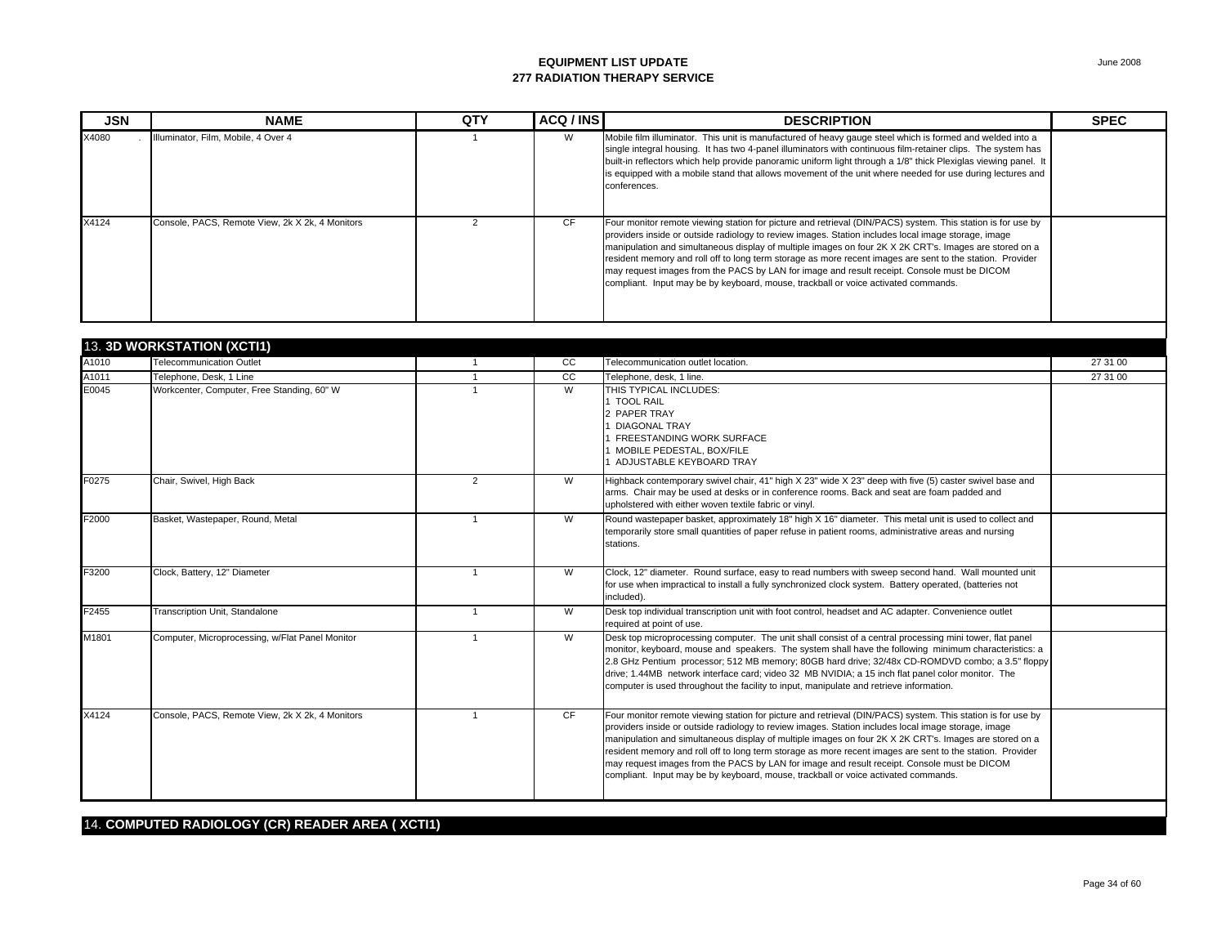| <b>JSN</b> | <b>NAME</b>                                     | QTY | ACQ / INS | <b>DESCRIPTION</b>                                                                                                                                                                                                                                                                                                                                                                                                                                                                                                                                                                                                             | <b>SPEC</b> |
|------------|-------------------------------------------------|-----|-----------|--------------------------------------------------------------------------------------------------------------------------------------------------------------------------------------------------------------------------------------------------------------------------------------------------------------------------------------------------------------------------------------------------------------------------------------------------------------------------------------------------------------------------------------------------------------------------------------------------------------------------------|-------------|
| X4080      | Illuminator, Film, Mobile, 4 Over 4             |     | W         | Mobile film illuminator. This unit is manufactured of heavy gauge steel which is formed and welded into a<br>single integral housing. It has two 4-panel illuminators with continuous film-retainer clips. The system has<br>built-in reflectors which help provide panoramic uniform light through a 1/8" thick Plexiglas viewing panel. It<br>is equipped with a mobile stand that allows movement of the unit where needed for use during lectures and<br>conferences.                                                                                                                                                      |             |
| X4124      | Console, PACS, Remote View, 2k X 2k, 4 Monitors |     | CF.       | Four monitor remote viewing station for picture and retrieval (DIN/PACS) system. This station is for use by<br>providers inside or outside radiology to review images. Station includes local image storage, image<br>manipulation and simultaneous display of multiple images on four 2K X 2K CRT's. Images are stored on a<br>resident memory and roll off to long term storage as more recent images are sent to the station. Provider<br>may request images from the PACS by LAN for image and result receipt. Console must be DICOM<br>compliant. Input may be by keyboard, mouse, trackball or voice activated commands. |             |

|       | 13. 3D WORKSTATION (XCTI1)                      |                |                |                                                                                                                                                                                                                                                                                                                                                                                                                                                                                                                                                                                                                                |          |
|-------|-------------------------------------------------|----------------|----------------|--------------------------------------------------------------------------------------------------------------------------------------------------------------------------------------------------------------------------------------------------------------------------------------------------------------------------------------------------------------------------------------------------------------------------------------------------------------------------------------------------------------------------------------------------------------------------------------------------------------------------------|----------|
| A1010 | <b>Telecommunication Outlet</b>                 | $\mathbf{1}$   | CC             | Telecommunication outlet location.                                                                                                                                                                                                                                                                                                                                                                                                                                                                                                                                                                                             | 27 31 00 |
| A1011 | Telephone, Desk. 1 Line                         |                | cc             | Telephone, desk, 1 line.                                                                                                                                                                                                                                                                                                                                                                                                                                                                                                                                                                                                       | 27 31 00 |
| E0045 | Workcenter, Computer, Free Standing, 60" W      |                | $\overline{W}$ | THIS TYPICAL INCLUDES:<br>1 TOOL RAIL<br>2 PAPER TRAY<br><b>DIAGONAL TRAY</b><br>FREESTANDING WORK SURFACE                                                                                                                                                                                                                                                                                                                                                                                                                                                                                                                     |          |
|       |                                                 |                |                | MOBILE PEDESTAL, BOX/FILE<br>ADJUSTABLE KEYBOARD TRAY                                                                                                                                                                                                                                                                                                                                                                                                                                                                                                                                                                          |          |
| F0275 | Chair, Swivel, High Back                        | 2              | W              | Highback contemporary swivel chair, 41" high X 23" wide X 23" deep with five (5) caster swivel base and<br>arms. Chair may be used at desks or in conference rooms. Back and seat are foam padded and<br>upholstered with either woven textile fabric or vinyl.                                                                                                                                                                                                                                                                                                                                                                |          |
| F2000 | Basket, Wastepaper, Round, Metal                |                | W              | Round wastepaper basket, approximately 18" high X 16" diameter. This metal unit is used to collect and<br>temporarily store small quantities of paper refuse in patient rooms, administrative areas and nursing<br>stations.                                                                                                                                                                                                                                                                                                                                                                                                   |          |
| F3200 | Clock, Battery, 12" Diameter                    |                | W              | Clock, 12" diameter. Round surface, easy to read numbers with sweep second hand. Wall mounted unit<br>for use when impractical to install a fully synchronized clock system. Battery operated, (batteries not<br>included).                                                                                                                                                                                                                                                                                                                                                                                                    |          |
| F2455 | Transcription Unit, Standalone                  | $\overline{1}$ | W              | Desk top individual transcription unit with foot control, headset and AC adapter. Convenience outlet<br>required at point of use.                                                                                                                                                                                                                                                                                                                                                                                                                                                                                              |          |
| M1801 | Computer, Microprocessing, w/Flat Panel Monitor |                | W              | Desk top microprocessing computer. The unit shall consist of a central processing mini tower, flat panel<br>monitor, keyboard, mouse and speakers. The system shall have the following minimum characteristics: a<br>2.8 GHz Pentium processor; 512 MB memory; 80GB hard drive; 32/48x CD-ROMDVD combo; a 3.5" floppy<br>drive; 1.44MB network interface card; video 32 MB NVIDIA; a 15 inch flat panel color monitor. The<br>computer is used throughout the facility to input, manipulate and retrieve information.                                                                                                          |          |
| X4124 | Console, PACS, Remote View, 2k X 2k, 4 Monitors |                | <b>CF</b>      | Four monitor remote viewing station for picture and retrieval (DIN/PACS) system. This station is for use by<br>providers inside or outside radiology to review images. Station includes local image storage, image<br>manipulation and simultaneous display of multiple images on four 2K X 2K CRT's. Images are stored on a<br>resident memory and roll off to long term storage as more recent images are sent to the station. Provider<br>may request images from the PACS by LAN for image and result receipt. Console must be DICOM<br>compliant. Input may be by keyboard, mouse, trackball or voice activated commands. |          |

#### 14. **COMPUTED RADIOLOGY (CR) READER AREA ( XCTI1)**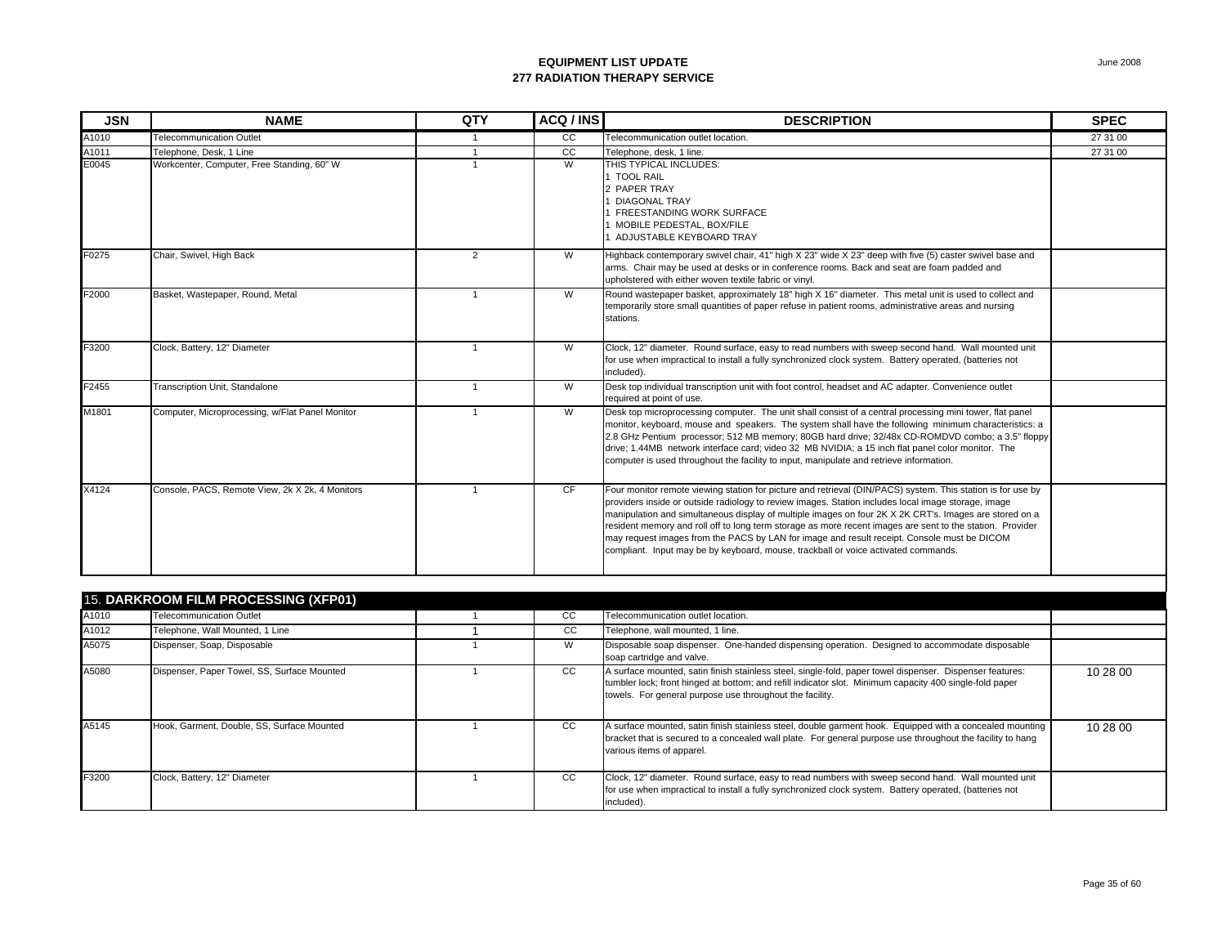| <b>JSN</b> | <b>NAME</b>                                     | QTY            | ACQ / INS | <b>DESCRIPTION</b>                                                                                                                                                                                                                                                                                                                                                                                                                                                                                                                                                                                                             | <b>SPEC</b> |
|------------|-------------------------------------------------|----------------|-----------|--------------------------------------------------------------------------------------------------------------------------------------------------------------------------------------------------------------------------------------------------------------------------------------------------------------------------------------------------------------------------------------------------------------------------------------------------------------------------------------------------------------------------------------------------------------------------------------------------------------------------------|-------------|
| A1010      | <b>Telecommunication Outlet</b>                 |                | cc        | Telecommunication outlet location.                                                                                                                                                                                                                                                                                                                                                                                                                                                                                                                                                                                             | 27 31 00    |
| A1011      | Telephone, Desk, 1 Line                         |                | cc        | Telephone, desk, 1 line.                                                                                                                                                                                                                                                                                                                                                                                                                                                                                                                                                                                                       | 27 31 00    |
| E0045      | Workcenter, Computer, Free Standing, 60" W      |                | W         | THIS TYPICAL INCLUDES:<br>1 TOOL RAIL<br>2 PAPER TRAY<br><b>DIAGONAL TRAY</b><br>1 FREESTANDING WORK SURFACE<br>1 MOBILE PEDESTAL, BOX/FILE<br><b>ADJUSTABLE KEYBOARD TRAY</b>                                                                                                                                                                                                                                                                                                                                                                                                                                                 |             |
| F0275      | Chair, Swivel, High Back                        | 2              | W         | Highback contemporary swivel chair, 41" high X 23" wide X 23" deep with five (5) caster swivel base and<br>arms. Chair may be used at desks or in conference rooms. Back and seat are foam padded and<br>upholstered with either woven textile fabric or vinyl.                                                                                                                                                                                                                                                                                                                                                                |             |
| F2000      | Basket, Wastepaper, Round, Metal                | $\overline{1}$ | W         | Round wastepaper basket, approximately 18" high X 16" diameter. This metal unit is used to collect and<br>temporarily store small quantities of paper refuse in patient rooms, administrative areas and nursing<br>stations.                                                                                                                                                                                                                                                                                                                                                                                                   |             |
| F3200      | Clock, Battery, 12" Diameter                    | $\overline{1}$ | W         | Clock, 12" diameter. Round surface, easy to read numbers with sweep second hand. Wall mounted unit<br>for use when impractical to install a fully synchronized clock system. Battery operated, (batteries not<br>included).                                                                                                                                                                                                                                                                                                                                                                                                    |             |
| F2455      | Transcription Unit, Standalone                  | $\overline{1}$ | W         | Desk top individual transcription unit with foot control, headset and AC adapter. Convenience outlet<br>required at point of use.                                                                                                                                                                                                                                                                                                                                                                                                                                                                                              |             |
| M1801      | Computer, Microprocessing, w/Flat Panel Monitor |                | W         | Desk top microprocessing computer. The unit shall consist of a central processing mini tower, flat panel<br>monitor, keyboard, mouse and speakers. The system shall have the following minimum characteristics: a<br>2.8 GHz Pentium processor; 512 MB memory; 80GB hard drive; 32/48x CD-ROMDVD combo; a 3.5" floppy<br>drive; 1.44MB network interface card; video 32 MB NVIDIA; a 15 inch flat panel color monitor. The<br>computer is used throughout the facility to input, manipulate and retrieve information.                                                                                                          |             |
| X4124      | Console, PACS, Remote View, 2k X 2k, 4 Monitors |                | <b>CF</b> | Four monitor remote viewing station for picture and retrieval (DIN/PACS) system. This station is for use by<br>providers inside or outside radiology to review images. Station includes local image storage, image<br>manipulation and simultaneous display of multiple images on four 2K X 2K CRT's. Images are stored on a<br>resident memory and roll off to long term storage as more recent images are sent to the station. Provider<br>may request images from the PACS by LAN for image and result receipt. Console must be DICOM<br>compliant. Input may be by keyboard, mouse, trackball or voice activated commands. |             |
|            | <b>15. DARKROOM FILM PROCESSING (XFP01)</b>     |                |           |                                                                                                                                                                                                                                                                                                                                                                                                                                                                                                                                                                                                                                |             |

|       | 15. DARKROOM FILM PROCESSING (XFP01)        |  |     |                                                                                                                                                                                                                                                                                 |          |  |  |  |
|-------|---------------------------------------------|--|-----|---------------------------------------------------------------------------------------------------------------------------------------------------------------------------------------------------------------------------------------------------------------------------------|----------|--|--|--|
| A1010 | <b>Telecommunication Outlet</b>             |  | CC  | Telecommunication outlet location.                                                                                                                                                                                                                                              |          |  |  |  |
| A1012 | Telephone, Wall Mounted, 1 Line             |  | CC. | Telephone, wall mounted, 1 line.                                                                                                                                                                                                                                                |          |  |  |  |
| A5075 | Dispenser, Soap, Disposable                 |  | W   | Disposable soap dispenser. One-handed dispensing operation. Designed to accommodate disposable<br>soap cartridge and valve.                                                                                                                                                     |          |  |  |  |
| A5080 | Dispenser, Paper Towel, SS, Surface Mounted |  | CC. | A surface mounted, satin finish stainless steel, single-fold, paper towel dispenser. Dispenser features:<br>tumbler lock; front hinged at bottom; and refill indicator slot. Minimum capacity 400 single-fold paper<br>towels. For general purpose use throughout the facility. | 10 28 00 |  |  |  |
| A5145 | Hook, Garment, Double, SS, Surface Mounted  |  | CC. | A surface mounted, satin finish stainless steel, double garment hook. Equipped with a concealed mounting<br>bracket that is secured to a concealed wall plate. For general purpose use throughout the facility to hang<br>various items of apparel.                             | 10 28 00 |  |  |  |
| F3200 | Clock, Battery, 12" Diameter                |  | cc  | Clock, 12" diameter. Round surface, easy to read numbers with sweep second hand. Wall mounted unit<br>for use when impractical to install a fully synchronized clock system. Battery operated, (batteries not<br>included).                                                     |          |  |  |  |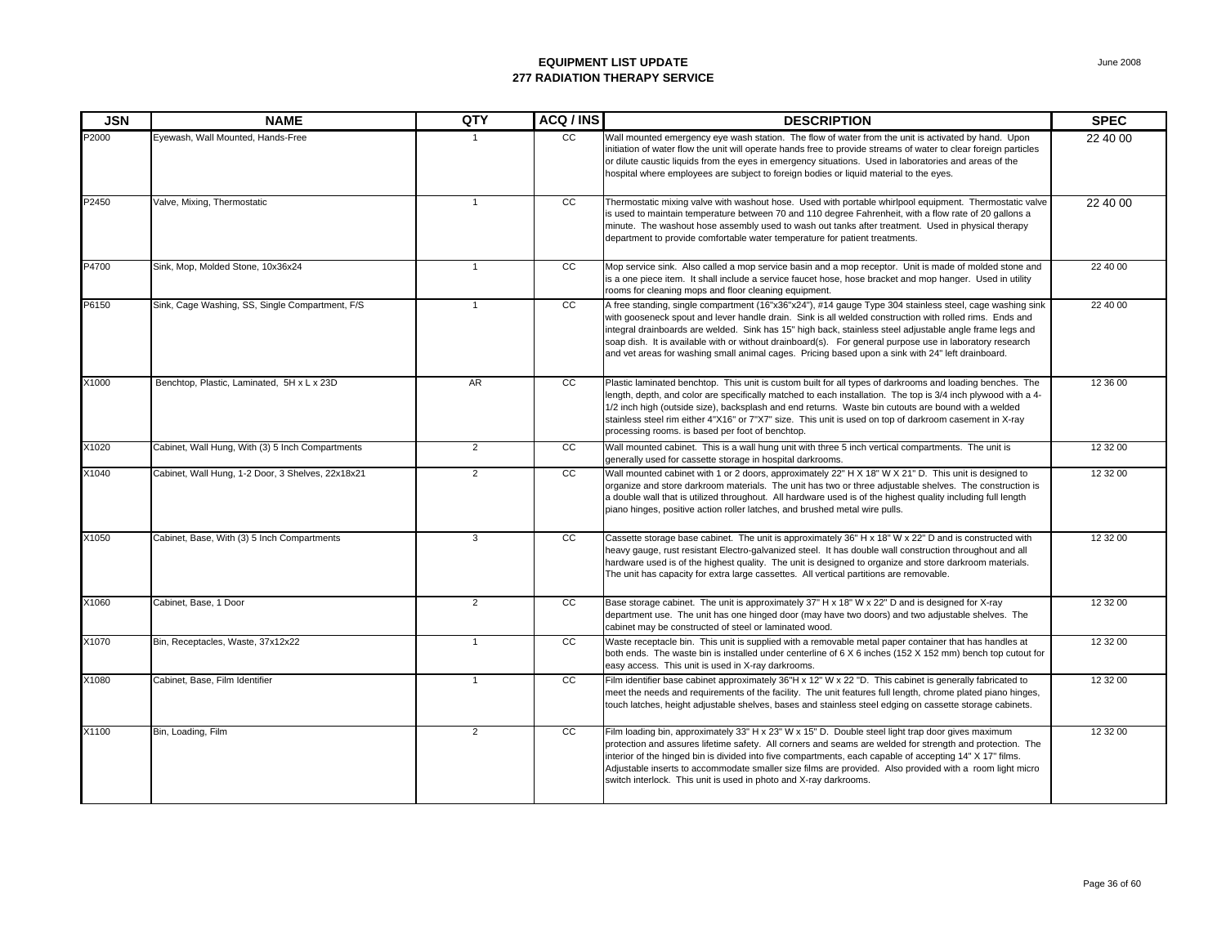| <b>JSN</b> | <b>NAME</b>                                       | QTY            | ACQ/INS         | <b>DESCRIPTION</b>                                                                                                                                                                                                                                                                                                                                                                                                                                                                                                                               | <b>SPEC</b> |
|------------|---------------------------------------------------|----------------|-----------------|--------------------------------------------------------------------------------------------------------------------------------------------------------------------------------------------------------------------------------------------------------------------------------------------------------------------------------------------------------------------------------------------------------------------------------------------------------------------------------------------------------------------------------------------------|-------------|
| P2000      | Eyewash, Wall Mounted, Hands-Free                 |                | CC              | Wall mounted emergency eye wash station. The flow of water from the unit is activated by hand. Upon<br>initiation of water flow the unit will operate hands free to provide streams of water to clear foreign particles<br>or dilute caustic liquids from the eyes in emergency situations. Used in laboratories and areas of the<br>hospital where employees are subject to foreign bodies or liquid material to the eyes.                                                                                                                      | 22 40 00    |
| P2450      | Valve, Mixing, Thermostatic                       | $\mathbf{1}$   | CC              | Thermostatic mixing valve with washout hose. Used with portable whirlpool equipment. Thermostatic valve<br>is used to maintain temperature between 70 and 110 degree Fahrenheit, with a flow rate of 20 gallons a<br>minute. The washout hose assembly used to wash out tanks after treatment. Used in physical therapy<br>department to provide comfortable water temperature for patient treatments.                                                                                                                                           | 22 40 00    |
| P4700      | Sink, Mop, Molded Stone, 10x36x24                 | $\overline{1}$ | $\overline{cc}$ | Mop service sink. Also called a mop service basin and a mop receptor. Unit is made of molded stone and<br>is a one piece item. It shall include a service faucet hose, hose bracket and mop hanger. Used in utility<br>rooms for cleaning mops and floor cleaning equipment.                                                                                                                                                                                                                                                                     | 22 40 00    |
| P6150      | Sink, Cage Washing, SS, Single Compartment, F/S   | $\mathbf{1}$   | cc              | A free standing, single compartment (16"x36"x24"), #14 gauge Type 304 stainless steel, cage washing sink<br>with gooseneck spout and lever handle drain. Sink is all welded construction with rolled rims. Ends and<br>integral drainboards are welded. Sink has 15" high back, stainless steel adjustable angle frame legs and<br>soap dish. It is available with or without drainboard(s). For general purpose use in laboratory research<br>and vet areas for washing small animal cages. Pricing based upon a sink with 24" left drainboard. | 22 40 00    |
| X1000      | Benchtop, Plastic, Laminated, 5H x L x 23D        | <b>AR</b>      | cc              | Plastic laminated benchtop. This unit is custom built for all types of darkrooms and loading benches. The<br>length, depth, and color are specifically matched to each installation. The top is 3/4 inch plywood with a 4-<br>1/2 inch high (outside size), backsplash and end returns. Waste bin cutouts are bound with a welded<br>stainless steel rim either 4"X16" or 7"X7" size. This unit is used on top of darkroom casement in X-ray<br>processing rooms. is based per foot of benchtop.                                                 | 12 36 00    |
| X1020      | Cabinet, Wall Hung, With (3) 5 Inch Compartments  | $\overline{2}$ | cc              | Wall mounted cabinet. This is a wall hung unit with three 5 inch vertical compartments. The unit is<br>generally used for cassette storage in hospital darkrooms.                                                                                                                                                                                                                                                                                                                                                                                | 12 32 00    |
| X1040      | Cabinet, Wall Hung, 1-2 Door, 3 Shelves, 22x18x21 | $\overline{2}$ | cc              | Wall mounted cabinet with 1 or 2 doors, approximately 22" H X 18" W X 21" D. This unit is designed to<br>organize and store darkroom materials. The unit has two or three adjustable shelves. The construction is<br>a double wall that is utilized throughout. All hardware used is of the highest quality including full length<br>piano hinges, positive action roller latches, and brushed metal wire pulls.                                                                                                                                 | 12 32 00    |
| X1050      | Cabinet, Base, With (3) 5 Inch Compartments       | 3              | cc              | Cassette storage base cabinet. The unit is approximately 36" H x 18" W x 22" D and is constructed with<br>heavy gauge, rust resistant Electro-galvanized steel. It has double wall construction throughout and all<br>hardware used is of the highest quality. The unit is designed to organize and store darkroom materials.<br>The unit has capacity for extra large cassettes. All vertical partitions are removable.                                                                                                                         | 12 32 00    |
| X1060      | Cabinet, Base, 1 Door                             | $\overline{2}$ | cc              | Base storage cabinet. The unit is approximately 37" H x 18" W x 22" D and is designed for X-ray<br>department use. The unit has one hinged door (may have two doors) and two adjustable shelves. The<br>cabinet may be constructed of steel or laminated wood.                                                                                                                                                                                                                                                                                   | 12 32 00    |
| X1070      | Bin, Receptacles, Waste, 37x12x22                 | $\mathbf{1}$   | cc              | Waste receptacle bin. This unit is supplied with a removable metal paper container that has handles at<br>both ends. The waste bin is installed under centerline of 6 X 6 inches (152 X 152 mm) bench top cutout for<br>easy access. This unit is used in X-ray darkrooms.                                                                                                                                                                                                                                                                       | 12 32 00    |
| X1080      | Cabinet, Base, Film Identifier                    | $\mathbf{1}$   | cc              | Film identifier base cabinet approximately 36"H x 12" W x 22 "D. This cabinet is generally fabricated to<br>meet the needs and requirements of the facility. The unit features full length, chrome plated piano hinges,<br>touch latches, height adjustable shelves, bases and stainless steel edging on cassette storage cabinets.                                                                                                                                                                                                              | 12 32 00    |
| X1100      | Bin, Loading, Film                                | $\overline{2}$ | cc              | Film loading bin, approximately 33" H x 23" W x 15" D. Double steel light trap door gives maximum<br>protection and assures lifetime safety. All corners and seams are welded for strength and protection. The<br>interior of the hinged bin is divided into five compartments, each capable of accepting 14" X 17" films.<br>Adjustable inserts to accommodate smaller size films are provided. Also provided with a room light micro<br>switch interlock. This unit is used in photo and X-ray darkrooms.                                      | 12 32 00    |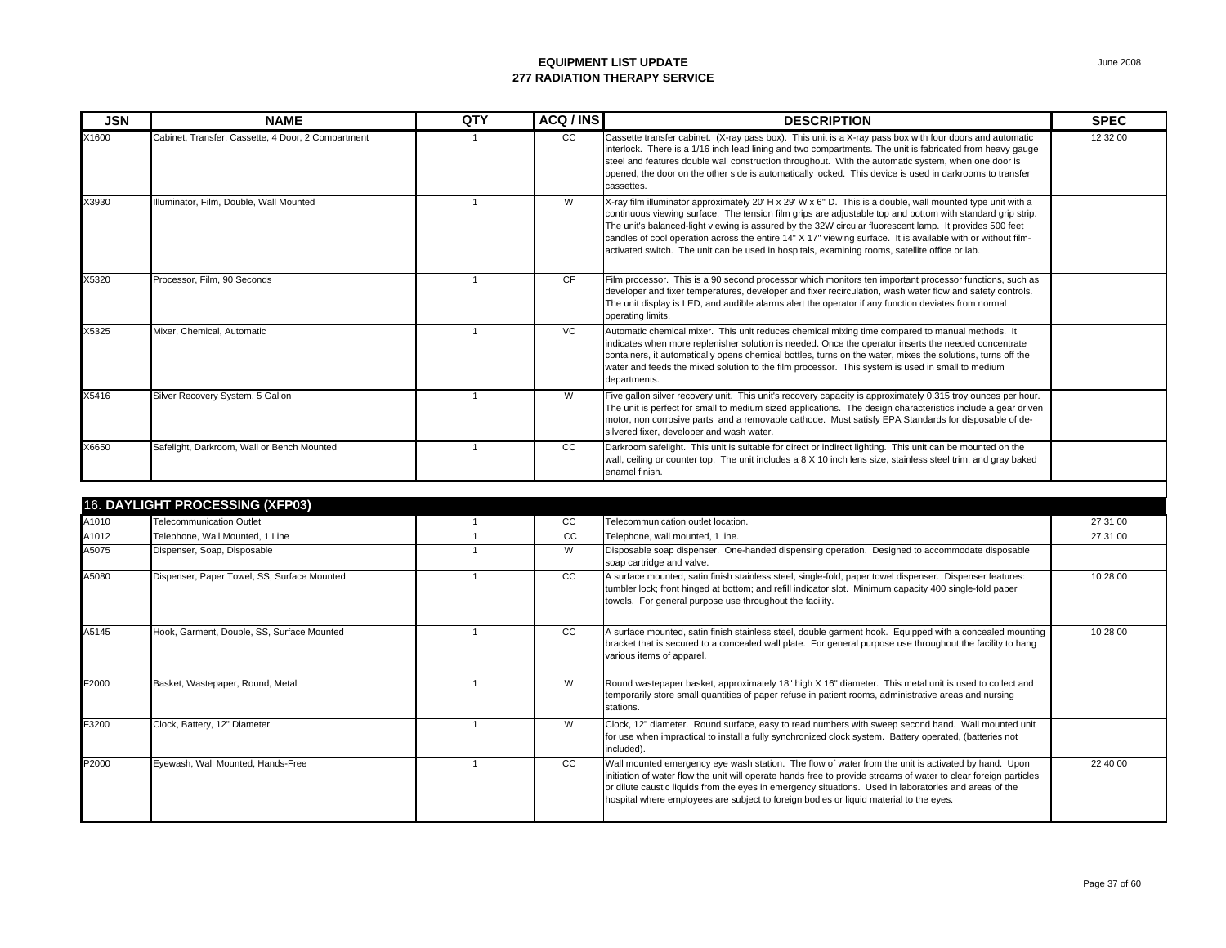| <b>JSN</b> | <b>NAME</b>                                        | QTY | ACQ / INS | <b>DESCRIPTION</b>                                                                                                                                                                                                                                                                                                                                                                                                                                                                                                                                    | <b>SPEC</b> |
|------------|----------------------------------------------------|-----|-----------|-------------------------------------------------------------------------------------------------------------------------------------------------------------------------------------------------------------------------------------------------------------------------------------------------------------------------------------------------------------------------------------------------------------------------------------------------------------------------------------------------------------------------------------------------------|-------------|
| X1600      | Cabinet, Transfer, Cassette, 4 Door, 2 Compartment |     | CC        | Cassette transfer cabinet. (X-ray pass box). This unit is a X-ray pass box with four doors and automatic<br>interlock. There is a 1/16 inch lead lining and two compartments. The unit is fabricated from heavy gauge<br>steel and features double wall construction throughout. With the automatic system, when one door is<br>opened, the door on the other side is automatically locked. This device is used in darkrooms to transfer<br>cassettes.                                                                                                | 12 32 00    |
| X3930      | Illuminator, Film, Double, Wall Mounted            |     | W         | X-ray film illuminator approximately 20' H x 29' W x 6" D. This is a double, wall mounted type unit with a<br>continuous viewing surface. The tension film grips are adjustable top and bottom with standard grip strip.<br>The unit's balanced-light viewing is assured by the 32W circular fluorescent lamp. It provides 500 feet<br>candles of cool operation across the entire 14" X 17" viewing surface. It is available with or without film-<br>activated switch. The unit can be used in hospitals, examining rooms, satellite office or lab. |             |
| X5320      | Processor, Film, 90 Seconds                        |     | CF        | Film processor. This is a 90 second processor which monitors ten important processor functions, such as<br>developer and fixer temperatures, developer and fixer recirculation, wash water flow and safety controls.<br>The unit display is LED, and audible alarms alert the operator if any function deviates from normal<br>operating limits.                                                                                                                                                                                                      |             |
| X5325      | Mixer, Chemical, Automatic                         |     | <b>VC</b> | Automatic chemical mixer. This unit reduces chemical mixing time compared to manual methods. It<br>indicates when more replenisher solution is needed. Once the operator inserts the needed concentrate<br>containers, it automatically opens chemical bottles, turns on the water, mixes the solutions, turns off the<br>water and feeds the mixed solution to the film processor. This system is used in small to medium<br>departments.                                                                                                            |             |
| X5416      | Silver Recovery System, 5 Gallon                   |     | W         | Five gallon silver recovery unit. This unit's recovery capacity is approximately 0.315 troy ounces per hour.<br>The unit is perfect for small to medium sized applications. The design characteristics include a gear driven<br>motor, non corrosive parts and a removable cathode. Must satisfy EPA Standards for disposable of de-<br>silvered fixer, developer and wash water.                                                                                                                                                                     |             |
| X6650      | Safelight, Darkroom, Wall or Bench Mounted         |     | CC        | Darkroom safelight. This unit is suitable for direct or indirect lighting. This unit can be mounted on the<br>wall, ceiling or counter top. The unit includes a 8 X 10 inch lens size, stainless steel trim, and gray baked<br>enamel finish.                                                                                                                                                                                                                                                                                                         |             |

|       | 16. DAYLIGHT PROCESSING (XFP03)             |               |                                                                                                                                                                                                                                                                                                                                                                                                                             |          |
|-------|---------------------------------------------|---------------|-----------------------------------------------------------------------------------------------------------------------------------------------------------------------------------------------------------------------------------------------------------------------------------------------------------------------------------------------------------------------------------------------------------------------------|----------|
| A1010 | Telecommunication Outlet                    | CC            | Telecommunication outlet location.                                                                                                                                                                                                                                                                                                                                                                                          | 27 31 00 |
| A1012 | Telephone, Wall Mounted, 1 Line             | <sub>CC</sub> | Telephone, wall mounted, 1 line.                                                                                                                                                                                                                                                                                                                                                                                            | 27 31 00 |
| A5075 | Dispenser, Soap, Disposable                 | W             | Disposable soap dispenser. One-handed dispensing operation. Designed to accommodate disposable<br>soap cartridge and valve.                                                                                                                                                                                                                                                                                                 |          |
| A5080 | Dispenser, Paper Towel, SS, Surface Mounted | CC            | A surface mounted, satin finish stainless steel, single-fold, paper towel dispenser. Dispenser features:<br>tumbler lock; front hinged at bottom; and refill indicator slot. Minimum capacity 400 single-fold paper<br>towels. For general purpose use throughout the facility.                                                                                                                                             | 10 28 00 |
| A5145 | Hook, Garment, Double, SS, Surface Mounted  | CC            | A surface mounted, satin finish stainless steel, double garment hook. Equipped with a concealed mounting<br>bracket that is secured to a concealed wall plate. For general purpose use throughout the facility to hang<br>various items of apparel.                                                                                                                                                                         | 10 28 00 |
| F2000 | Basket, Wastepaper, Round, Metal            | W             | Round wastepaper basket, approximately 18" high X 16" diameter. This metal unit is used to collect and<br>temporarily store small quantities of paper refuse in patient rooms, administrative areas and nursing<br>stations.                                                                                                                                                                                                |          |
| F3200 | Clock, Battery, 12" Diameter                | W             | Clock, 12" diameter. Round surface, easy to read numbers with sweep second hand. Wall mounted unit<br>for use when impractical to install a fully synchronized clock system. Battery operated, (batteries not<br>included).                                                                                                                                                                                                 |          |
| P2000 | Eyewash, Wall Mounted, Hands-Free           | CC.           | Wall mounted emergency eye wash station. The flow of water from the unit is activated by hand. Upon<br>initiation of water flow the unit will operate hands free to provide streams of water to clear foreign particles<br>or dilute caustic liquids from the eyes in emergency situations. Used in laboratories and areas of the<br>hospital where employees are subject to foreign bodies or liquid material to the eyes. | 22 40 00 |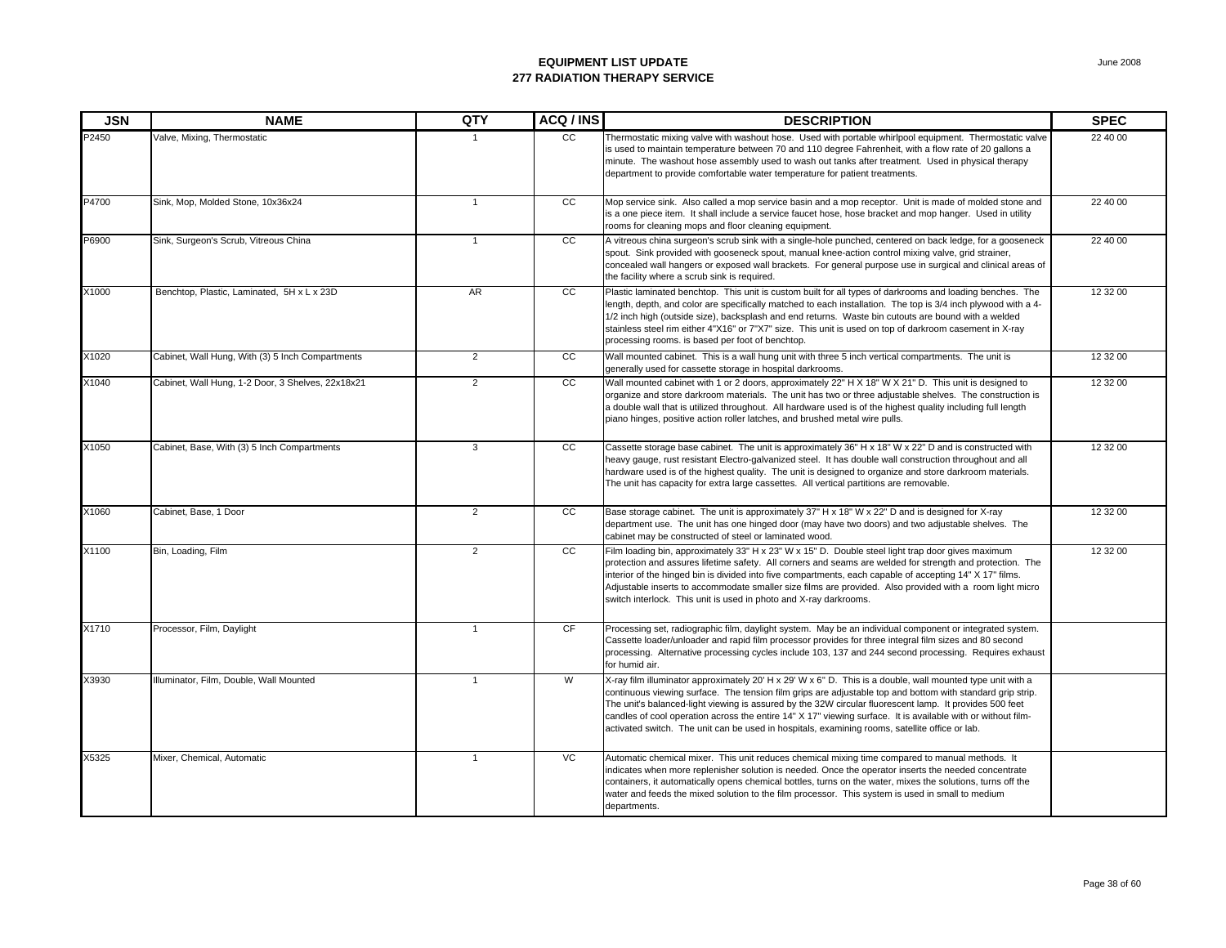| <b>JSN</b> | <b>NAME</b>                                       | QTY            | ACQ / INS       | <b>DESCRIPTION</b>                                                                                                                                                                                                                                                                                                                                                                                                                                                                                                                                    | <b>SPEC</b> |
|------------|---------------------------------------------------|----------------|-----------------|-------------------------------------------------------------------------------------------------------------------------------------------------------------------------------------------------------------------------------------------------------------------------------------------------------------------------------------------------------------------------------------------------------------------------------------------------------------------------------------------------------------------------------------------------------|-------------|
| P2450      | Valve, Mixing, Thermostatic                       |                | <sub>CC</sub>   | Thermostatic mixing valve with washout hose. Used with portable whirlpool equipment. Thermostatic valve<br>is used to maintain temperature between 70 and 110 degree Fahrenheit, with a flow rate of 20 gallons a<br>minute. The washout hose assembly used to wash out tanks after treatment. Used in physical therapy<br>department to provide comfortable water temperature for patient treatments.                                                                                                                                                | 22 40 00    |
| P4700      | Sink, Mop, Molded Stone, 10x36x24                 | $\mathbf{1}$   | CC              | Mop service sink. Also called a mop service basin and a mop receptor. Unit is made of molded stone and<br>is a one piece item. It shall include a service faucet hose, hose bracket and mop hanger. Used in utility<br>rooms for cleaning mops and floor cleaning equipment.                                                                                                                                                                                                                                                                          | 22 40 00    |
| P6900      | Sink, Surgeon's Scrub, Vitreous China             | $\mathbf{1}$   | cc              | A vitreous china surgeon's scrub sink with a single-hole punched, centered on back ledge, for a gooseneck<br>spout. Sink provided with gooseneck spout, manual knee-action control mixing valve, grid strainer,<br>concealed wall hangers or exposed wall brackets. For general purpose use in surgical and clinical areas of<br>the facility where a scrub sink is required.                                                                                                                                                                         | 22 40 00    |
| X1000      | Benchtop, Plastic, Laminated, 5H x L x 23D        | AR             | $\overline{cc}$ | Plastic laminated benchtop. This unit is custom built for all types of darkrooms and loading benches. The<br>length, depth, and color are specifically matched to each installation. The top is 3/4 inch plywood with a 4-<br>1/2 inch high (outside size), backsplash and end returns. Waste bin cutouts are bound with a welded<br>stainless steel rim either 4"X16" or 7"X7" size. This unit is used on top of darkroom casement in X-ray<br>processing rooms. is based per foot of benchtop.                                                      | 12 32 00    |
| X1020      | Cabinet, Wall Hung, With (3) 5 Inch Compartments  | $\overline{2}$ | cc              | Wall mounted cabinet. This is a wall hung unit with three 5 inch vertical compartments. The unit is<br>generally used for cassette storage in hospital darkrooms.                                                                                                                                                                                                                                                                                                                                                                                     | 12 32 00    |
| X1040      | Cabinet, Wall Hung, 1-2 Door, 3 Shelves, 22x18x21 | $\overline{2}$ | cc              | Wall mounted cabinet with 1 or 2 doors, approximately 22" H X 18" W X 21" D. This unit is designed to<br>organize and store darkroom materials. The unit has two or three adjustable shelves. The construction is<br>a double wall that is utilized throughout. All hardware used is of the highest quality including full length<br>piano hinges, positive action roller latches, and brushed metal wire pulls.                                                                                                                                      | 12 32 00    |
| X1050      | Cabinet, Base, With (3) 5 Inch Compartments       | $\mathbf{3}$   | cc              | Cassette storage base cabinet. The unit is approximately 36" H x 18" W x 22" D and is constructed with<br>heavy gauge, rust resistant Electro-galvanized steel. It has double wall construction throughout and all<br>hardware used is of the highest quality. The unit is designed to organize and store darkroom materials.<br>The unit has capacity for extra large cassettes. All vertical partitions are removable.                                                                                                                              | 12 32 00    |
| X1060      | Cabinet, Base, 1 Door                             | $\overline{2}$ | cc              | Base storage cabinet. The unit is approximately 37" H x 18" W x 22" D and is designed for X-ray<br>department use. The unit has one hinged door (may have two doors) and two adjustable shelves. The<br>cabinet may be constructed of steel or laminated wood.                                                                                                                                                                                                                                                                                        | 12 32 00    |
| X1100      | Bin, Loading, Film                                | $\overline{2}$ | cc              | Film loading bin, approximately 33" H x 23" W x 15" D. Double steel light trap door gives maximum<br>protection and assures lifetime safety. All corners and seams are welded for strength and protection. The<br>interior of the hinged bin is divided into five compartments, each capable of accepting 14" X 17" films.<br>Adjustable inserts to accommodate smaller size films are provided. Also provided with a room light micro<br>switch interlock. This unit is used in photo and X-ray darkrooms.                                           | 12 32 00    |
| X1710      | Processor, Film, Daylight                         | $\mathbf{1}$   | CF              | Processing set, radiographic film, daylight system. May be an individual component or integrated system.<br>Cassette loader/unloader and rapid film processor provides for three integral film sizes and 80 second<br>processing. Alternative processing cycles include 103, 137 and 244 second processing. Requires exhaust<br>for humid air.                                                                                                                                                                                                        |             |
| X3930      | Illuminator, Film, Double, Wall Mounted           | $\mathbf{1}$   | W               | X-ray film illuminator approximately 20' H x 29' W x 6" D. This is a double, wall mounted type unit with a<br>continuous viewing surface. The tension film grips are adjustable top and bottom with standard grip strip.<br>The unit's balanced-light viewing is assured by the 32W circular fluorescent lamp. It provides 500 feet<br>candles of cool operation across the entire 14" X 17" viewing surface. It is available with or without film-<br>activated switch. The unit can be used in hospitals, examining rooms, satellite office or lab. |             |
| X5325      | Mixer, Chemical, Automatic                        | $\overline{1}$ | VC              | Automatic chemical mixer. This unit reduces chemical mixing time compared to manual methods. It<br>indicates when more replenisher solution is needed. Once the operator inserts the needed concentrate<br>containers, it automatically opens chemical bottles, turns on the water, mixes the solutions, turns off the<br>water and feeds the mixed solution to the film processor. This system is used in small to medium<br>departments.                                                                                                            |             |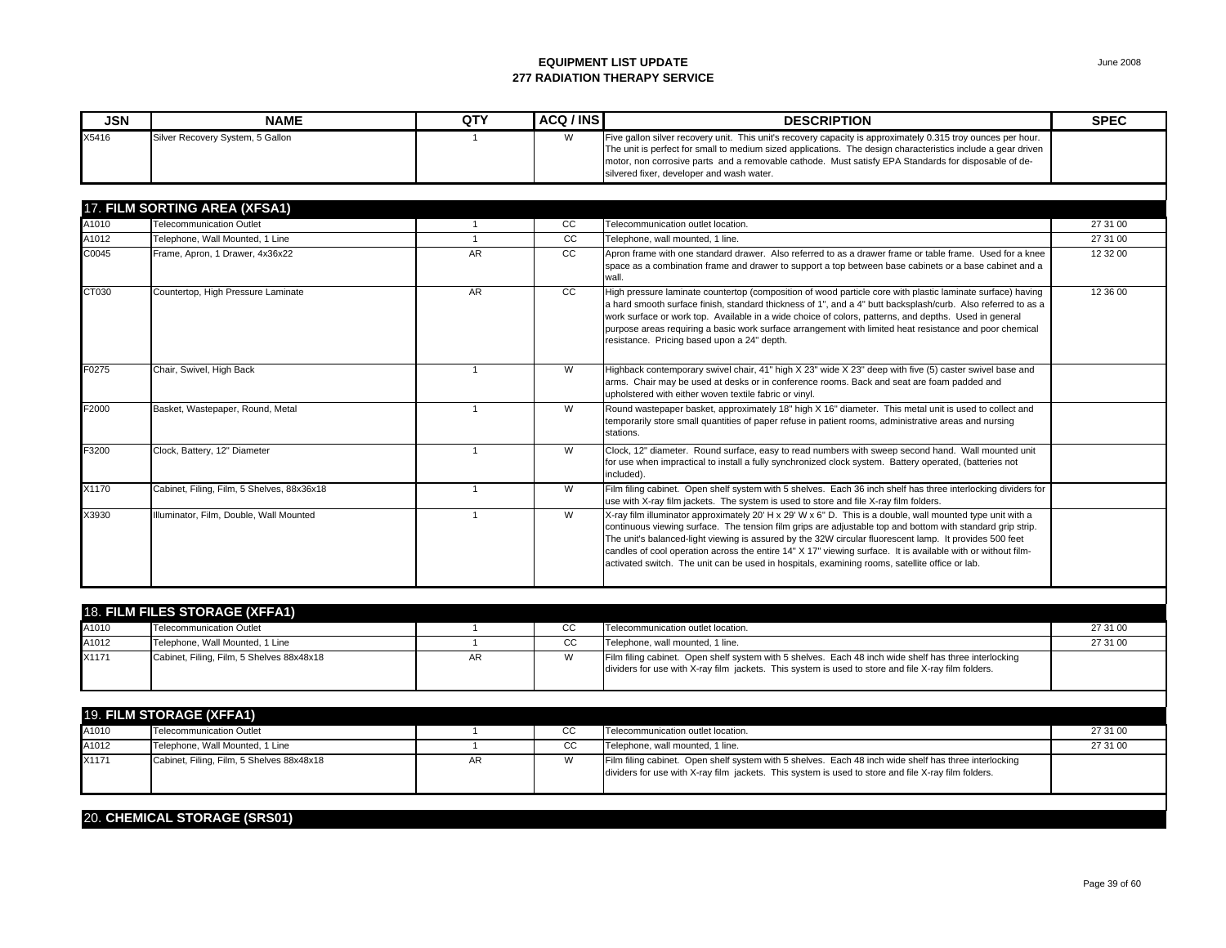| <b>JSN</b> | <b>NAME</b>                      | QTY | ACQ / INS | <b>DESCRIPTION</b>                                                                                                                                                                                                                                                                                                                                                                 | <b>SPEC</b> |
|------------|----------------------------------|-----|-----------|------------------------------------------------------------------------------------------------------------------------------------------------------------------------------------------------------------------------------------------------------------------------------------------------------------------------------------------------------------------------------------|-------------|
| X5416      | Silver Recovery System, 5 Gallon |     | M         | Five gallon silver recovery unit. This unit's recovery capacity is approximately 0.315 troy ounces per hour.<br>The unit is perfect for small to medium sized applications. The design characteristics include a gear driven<br>Imotor, non corrosive parts and a removable cathode. Must satisfy EPA Standards for disposable of de-<br>silvered fixer, developer and wash water. |             |

|       | 17. FILM SORTING AREA (XFSA1)              |           |               |                                                                                                                                                                                                                                                                                                                                                                                                                                                                                                                                                       |          |
|-------|--------------------------------------------|-----------|---------------|-------------------------------------------------------------------------------------------------------------------------------------------------------------------------------------------------------------------------------------------------------------------------------------------------------------------------------------------------------------------------------------------------------------------------------------------------------------------------------------------------------------------------------------------------------|----------|
| A1010 | <b>Telecommunication Outlet</b>            |           | CC            | Telecommunication outlet location.                                                                                                                                                                                                                                                                                                                                                                                                                                                                                                                    | 27 31 00 |
| A1012 | Telephone, Wall Mounted, 1 Line            |           | CC.           | Telephone, wall mounted, 1 line.                                                                                                                                                                                                                                                                                                                                                                                                                                                                                                                      | 27 31 00 |
| C0045 | Frame, Apron, 1 Drawer, 4x36x22            | <b>AR</b> | <sub>CC</sub> | Apron frame with one standard drawer. Also referred to as a drawer frame or table frame. Used for a knee<br>space as a combination frame and drawer to support a top between base cabinets or a base cabinet and a<br>wall.                                                                                                                                                                                                                                                                                                                           | 12 32 00 |
| CT030 | Countertop, High Pressure Laminate         | AR        | <sub>CC</sub> | High pressure laminate countertop (composition of wood particle core with plastic laminate surface) having<br>a hard smooth surface finish, standard thickness of 1", and a 4" butt backsplash/curb. Also referred to as a<br>work surface or work top. Available in a wide choice of colors, patterns, and depths. Used in general<br>purpose areas requiring a basic work surface arrangement with limited heat resistance and poor chemical<br>resistance. Pricing based upon a 24" depth.                                                         | 12 36 00 |
| F0275 | Chair, Swivel, High Back                   |           | W             | Highback contemporary swivel chair, 41" high X 23" wide X 23" deep with five (5) caster swivel base and<br>arms. Chair may be used at desks or in conference rooms. Back and seat are foam padded and<br>upholstered with either woven textile fabric or vinyl.                                                                                                                                                                                                                                                                                       |          |
| F2000 | Basket, Wastepaper, Round, Metal           |           | W             | Round wastepaper basket, approximately 18" high X 16" diameter. This metal unit is used to collect and<br>temporarily store small quantities of paper refuse in patient rooms, administrative areas and nursing<br>stations.                                                                                                                                                                                                                                                                                                                          |          |
| F3200 | Clock, Battery, 12" Diameter               |           | W             | Clock, 12" diameter. Round surface, easy to read numbers with sweep second hand. Wall mounted unit<br>for use when impractical to install a fully synchronized clock system. Battery operated, (batteries not<br>included).                                                                                                                                                                                                                                                                                                                           |          |
| X1170 | Cabinet, Filing, Film, 5 Shelves, 88x36x18 |           | W             | Film filing cabinet. Open shelf system with 5 shelves. Each 36 inch shelf has three interlocking dividers for<br>use with X-ray film jackets. The system is used to store and file X-ray film folders.                                                                                                                                                                                                                                                                                                                                                |          |
| X3930 | Illuminator, Film, Double, Wall Mounted    |           | W             | X-ray film illuminator approximately 20' H x 29' W x 6" D. This is a double, wall mounted type unit with a<br>continuous viewing surface. The tension film grips are adjustable top and bottom with standard grip strip.<br>The unit's balanced-light viewing is assured by the 32W circular fluorescent lamp. It provides 500 feet<br>candles of cool operation across the entire 14" X 17" viewing surface. It is available with or without film-<br>activated switch. The unit can be used in hospitals, examining rooms, satellite office or lab. |          |

| <b>18. FILM FILES STORAGE (XFFA1)</b> |                                           |    |    |                                                                                                                                                                                                              |          |  |
|---------------------------------------|-------------------------------------------|----|----|--------------------------------------------------------------------------------------------------------------------------------------------------------------------------------------------------------------|----------|--|
| A1010                                 | Telecommunication Outlet                  |    | CС | Telecommunication outlet location.                                                                                                                                                                           | 27 31 00 |  |
| A1012                                 | Telephone, Wall Mounted, 1 Line           |    | CС | Telephone, wall mounted, 1 line.                                                                                                                                                                             | 27 31 00 |  |
| X1171                                 | Cabinet, Filing, Film, 5 Shelves 88x48x18 | AΚ |    | Film filing cabinet. Open shelf system with 5 shelves. Each 48 inch wide shelf has three interlocking<br>dividers for use with X-ray film jackets. This system is used to store and file X-ray film folders. |          |  |

| 19. FILM STORAGE (XFFA1) |                                           |    |    |                                                                                                                                                                                                              |          |  |
|--------------------------|-------------------------------------------|----|----|--------------------------------------------------------------------------------------------------------------------------------------------------------------------------------------------------------------|----------|--|
| A1010                    | Telecommunication Outlet                  |    | CС | Telecommunication outlet location.                                                                                                                                                                           | 27 31 00 |  |
| A1012                    | Telephone, Wall Mounted, 1 Line           |    | CС | Telephone, wall mounted, 1 line.                                                                                                                                                                             | 27 31 00 |  |
| X1171                    | Cabinet, Filing, Film, 5 Shelves 88x48x18 | AR |    | Film filing cabinet. Open shelf system with 5 shelves. Each 48 inch wide shelf has three interlocking<br>dividers for use with X-ray film jackets. This system is used to store and file X-ray film folders. |          |  |

#### 20. **CHEMICAL STORAGE (SRS01)**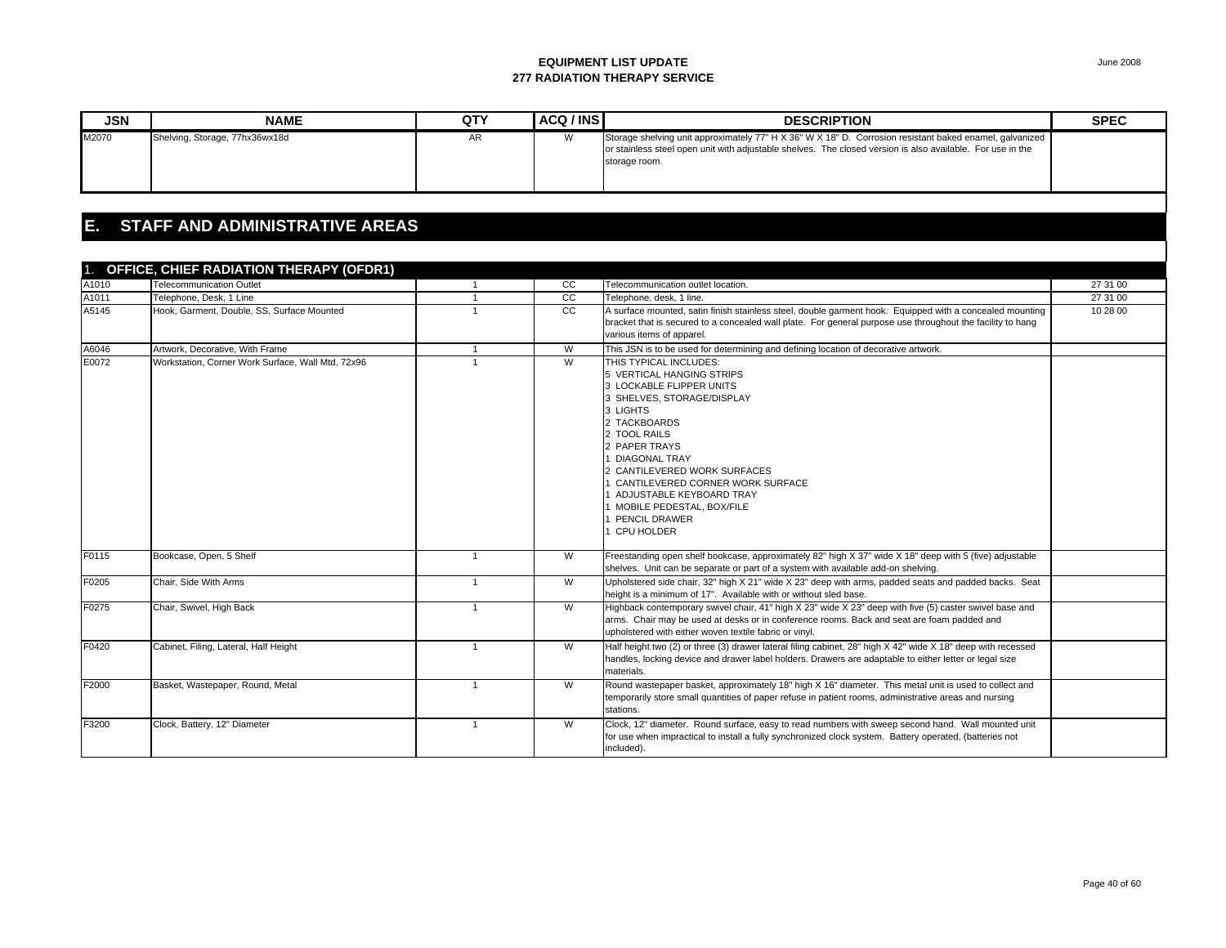| <b>JSN</b> | <b>NAME</b>                    | QTY | ACQ / INS           | <b>DESCRIPTION</b>                                                                                                                                                                                                                     | <b>SPEC</b> |
|------------|--------------------------------|-----|---------------------|----------------------------------------------------------------------------------------------------------------------------------------------------------------------------------------------------------------------------------------|-------------|
| M2070      | Shelving, Storage, 77hx36wx18d | mπ  | $\mathbf{M}$<br>v v | Storage shelving unit approximately 77" H X 36" W X 18" D. Corrosion resistant baked enamel, galvanized<br>or stainless steel open unit with adjustable shelves. The closed version is also available. For use in the<br>storage room. |             |

### **E. STAFF AND ADMINISTRATIVE AREAS**

|       | 1. OFFICE, CHIEF RADIATION THERAPY (OFDR1)        |                |    |                                                                                                                                                                                                                                                                                                                                                              |          |
|-------|---------------------------------------------------|----------------|----|--------------------------------------------------------------------------------------------------------------------------------------------------------------------------------------------------------------------------------------------------------------------------------------------------------------------------------------------------------------|----------|
| A1010 | <b>Telecommunication Outlet</b>                   |                | cc | Telecommunication outlet location.                                                                                                                                                                                                                                                                                                                           | 27 31 00 |
| A1011 | Telephone, Desk, 1 Line                           |                | cc | Telephone, desk, 1 line.                                                                                                                                                                                                                                                                                                                                     | 27 31 00 |
| A5145 | Hook, Garment, Double, SS, Surface Mounted        |                | cc | A surface mounted, satin finish stainless steel, double garment hook. Equipped with a concealed mounting<br>bracket that is secured to a concealed wall plate. For general purpose use throughout the facility to hang<br>various items of apparel.                                                                                                          | 10 28 00 |
| A6046 | Artwork, Decorative, With Frame                   | $\mathbf{1}$   | W  | This JSN is to be used for determining and defining location of decorative artwork.                                                                                                                                                                                                                                                                          |          |
| E0072 | Workstation, Corner Work Surface, Wall Mtd, 72x96 |                | W  | THIS TYPICAL INCLUDES:<br>5 VERTICAL HANGING STRIPS<br>3 LOCKABLE FLIPPER UNITS<br>3 SHELVES, STORAGE/DISPLAY<br>3 LIGHTS<br>2 TACKBOARDS<br>2 TOOL RAILS<br>2 PAPER TRAYS<br><b>DIAGONAL TRAY</b><br>CANTILEVERED WORK SURFACES<br>CANTILEVERED CORNER WORK SURFACE<br>ADJUSTABLE KEYBOARD TRAY<br>MOBILE PEDESTAL, BOX/FILE<br>PENCIL DRAWER<br>CPU HOLDER |          |
| F0115 | Bookcase, Open, 5 Shelf                           | $\mathbf{1}$   | W  | Freestanding open shelf bookcase, approximately 82" high X 37" wide X 18" deep with 5 (five) adjustable<br>shelves. Unit can be separate or part of a system with available add-on shelving.                                                                                                                                                                 |          |
| F0205 | Chair, Side With Arms                             | $\mathbf{1}$   | W  | Upholstered side chair, 32" high X 21" wide X 23" deep with arms, padded seats and padded backs. Seat<br>height is a minimum of 17". Available with or without sled base.                                                                                                                                                                                    |          |
| F0275 | Chair, Swivel, High Back                          | $\mathbf{1}$   | W  | Highback contemporary swivel chair, 41" high X 23" wide X 23" deep with five (5) caster swivel base and<br>arms. Chair may be used at desks or in conference rooms. Back and seat are foam padded and<br>upholstered with either woven textile fabric or vinyl.                                                                                              |          |
| F0420 | Cabinet, Filing, Lateral, Half Height             | -1             | W  | Half height two (2) or three (3) drawer lateral filing cabinet, 28" high X 42" wide X 18" deep with recessed<br>handles, locking device and drawer label holders. Drawers are adaptable to either letter or legal size<br>materials.                                                                                                                         |          |
| F2000 | Basket, Wastepaper, Round, Metal                  | $\overline{1}$ | W  | Round wastepaper basket, approximately 18" high X 16" diameter. This metal unit is used to collect and<br>temporarily store small quantities of paper refuse in patient rooms, administrative areas and nursing<br>stations.                                                                                                                                 |          |
| F3200 | Clock, Battery, 12" Diameter                      | $\mathbf{1}$   | W  | Clock, 12" diameter. Round surface, easy to read numbers with sweep second hand. Wall mounted unit<br>for use when impractical to install a fully synchronized clock system. Battery operated, (batteries not<br>included).                                                                                                                                  |          |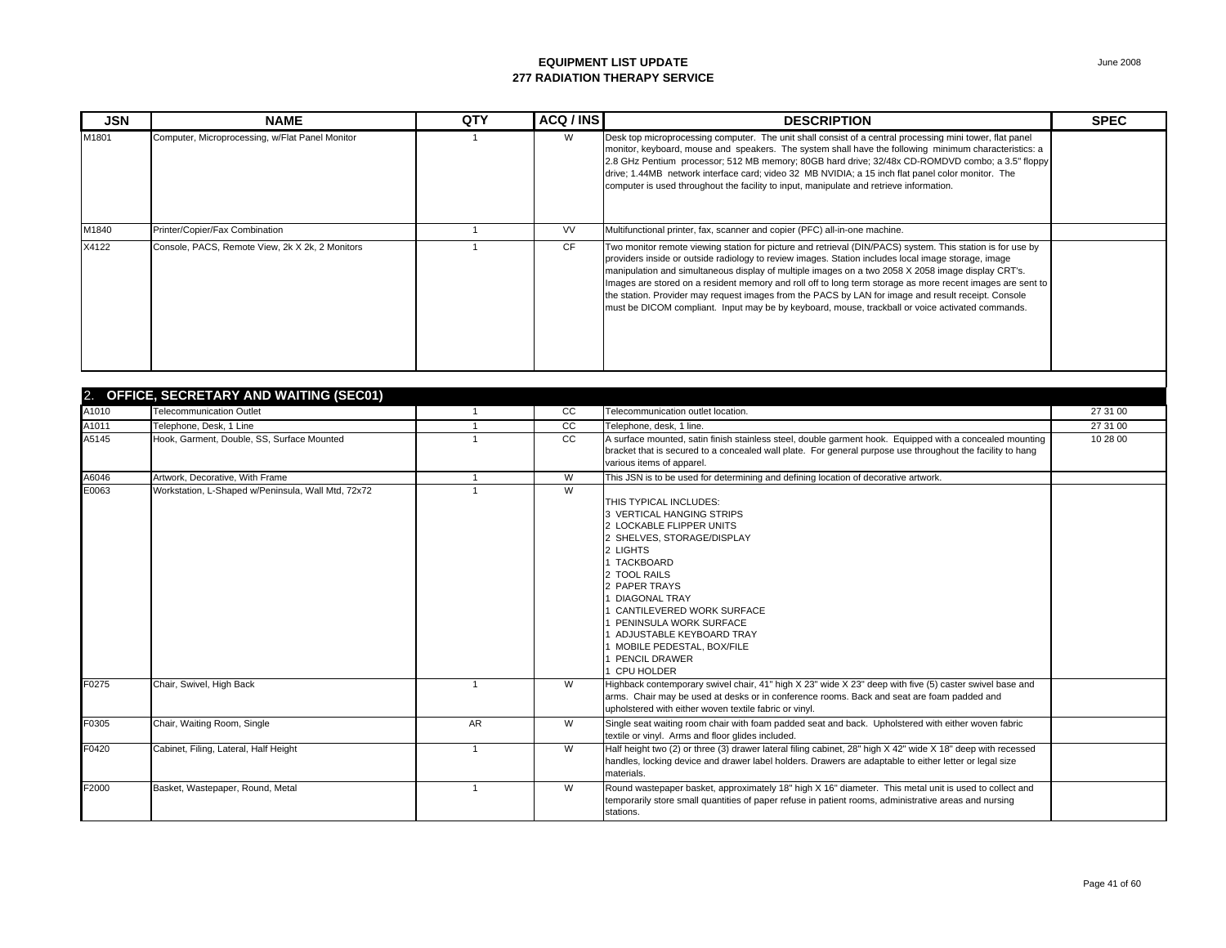| <b>JSN</b> | <b>NAME</b>                                     | QTY | ACQ / INS | <b>DESCRIPTION</b>                                                                                                                                                                                                                                                                                                                                                                                                                                                                                                                                                                                                                               | <b>SPEC</b> |
|------------|-------------------------------------------------|-----|-----------|--------------------------------------------------------------------------------------------------------------------------------------------------------------------------------------------------------------------------------------------------------------------------------------------------------------------------------------------------------------------------------------------------------------------------------------------------------------------------------------------------------------------------------------------------------------------------------------------------------------------------------------------------|-------------|
| M1801      | Computer, Microprocessing, w/Flat Panel Monitor |     | W         | Desk top microprocessing computer. The unit shall consist of a central processing mini tower, flat panel<br>monitor, keyboard, mouse and speakers. The system shall have the following minimum characteristics: a<br>2.8 GHz Pentium processor; 512 MB memory; 80GB hard drive; 32/48x CD-ROMDVD combo; a 3.5" floppy<br>drive; 1.44MB network interface card; video 32 MB NVIDIA; a 15 inch flat panel color monitor. The<br>computer is used throughout the facility to input, manipulate and retrieve information.                                                                                                                            |             |
| M1840      | Printer/Copier/Fax Combination                  |     | <b>VV</b> | Multifunctional printer, fax, scanner and copier (PFC) all-in-one machine.                                                                                                                                                                                                                                                                                                                                                                                                                                                                                                                                                                       |             |
| X4122      | Console, PACS, Remote View, 2k X 2k, 2 Monitors |     | <b>CF</b> | Two monitor remote viewing station for picture and retrieval (DIN/PACS) system. This station is for use by<br>providers inside or outside radiology to review images. Station includes local image storage, image<br>manipulation and simultaneous display of multiple images on a two 2058 X 2058 image display CRT's.<br>Images are stored on a resident memory and roll off to long term storage as more recent images are sent to<br>the station. Provider may request images from the PACS by LAN for image and result receipt. Console<br>must be DICOM compliant. Input may be by keyboard, mouse, trackball or voice activated commands. |             |

| 2. OFFICE, SECRETARY AND WAITING (SEC01) |                                                    |           |    |                                                                                                                                                                                                                                                                                                                                                       |          |  |
|------------------------------------------|----------------------------------------------------|-----------|----|-------------------------------------------------------------------------------------------------------------------------------------------------------------------------------------------------------------------------------------------------------------------------------------------------------------------------------------------------------|----------|--|
| A1010                                    | <b>Telecommunication Outlet</b>                    |           | CC | Telecommunication outlet location.                                                                                                                                                                                                                                                                                                                    | 27 31 00 |  |
| A1011                                    | Telephone, Desk, 1 Line                            |           | cc | Telephone, desk, 1 line.                                                                                                                                                                                                                                                                                                                              | 27 31 00 |  |
| A5145                                    | Hook, Garment, Double, SS, Surface Mounted         |           | cc | A surface mounted, satin finish stainless steel, double garment hook. Equipped with a concealed mounting<br>bracket that is secured to a concealed wall plate. For general purpose use throughout the facility to hang<br>various items of apparel.                                                                                                   | 10 28 00 |  |
| A6046                                    | Artwork, Decorative, With Frame                    |           | W  | This JSN is to be used for determining and defining location of decorative artwork.                                                                                                                                                                                                                                                                   |          |  |
| E0063                                    | Workstation, L-Shaped w/Peninsula, Wall Mtd, 72x72 |           | W  | THIS TYPICAL INCLUDES:<br>3 VERTICAL HANGING STRIPS<br>2 LOCKABLE FLIPPER UNITS<br>2 SHELVES, STORAGE/DISPLAY<br>2 LIGHTS<br><b>TACKBOARD</b><br>2 TOOL RAILS<br>2 PAPER TRAYS<br><b>DIAGONAL TRAY</b><br>CANTILEVERED WORK SURFACE<br>PENINSULA WORK SURFACE<br>ADJUSTABLE KEYBOARD TRAY<br>MOBILE PEDESTAL, BOX/FILE<br>PENCIL DRAWER<br>CPU HOLDER |          |  |
| F0275                                    | Chair, Swivel, High Back                           |           | W  | Highback contemporary swivel chair, 41" high X 23" wide X 23" deep with five (5) caster swivel base and<br>arms. Chair may be used at desks or in conference rooms. Back and seat are foam padded and<br>upholstered with either woven textile fabric or vinvl.                                                                                       |          |  |
| F0305                                    | Chair, Waiting Room, Single                        | <b>AR</b> | W  | Single seat waiting room chair with foam padded seat and back. Upholstered with either woven fabric<br>textile or vinyl. Arms and floor glides included.                                                                                                                                                                                              |          |  |
| F0420                                    | Cabinet, Filing, Lateral, Half Height              |           | W  | Half height two (2) or three (3) drawer lateral filing cabinet, 28" high X 42" wide X 18" deep with recessed<br>handles, locking device and drawer label holders. Drawers are adaptable to either letter or legal size<br>materials.                                                                                                                  |          |  |
| F2000                                    | Basket, Wastepaper, Round, Metal                   |           | W  | Round wastepaper basket, approximately 18" high X 16" diameter. This metal unit is used to collect and<br>temporarily store small quantities of paper refuse in patient rooms, administrative areas and nursing<br>stations.                                                                                                                          |          |  |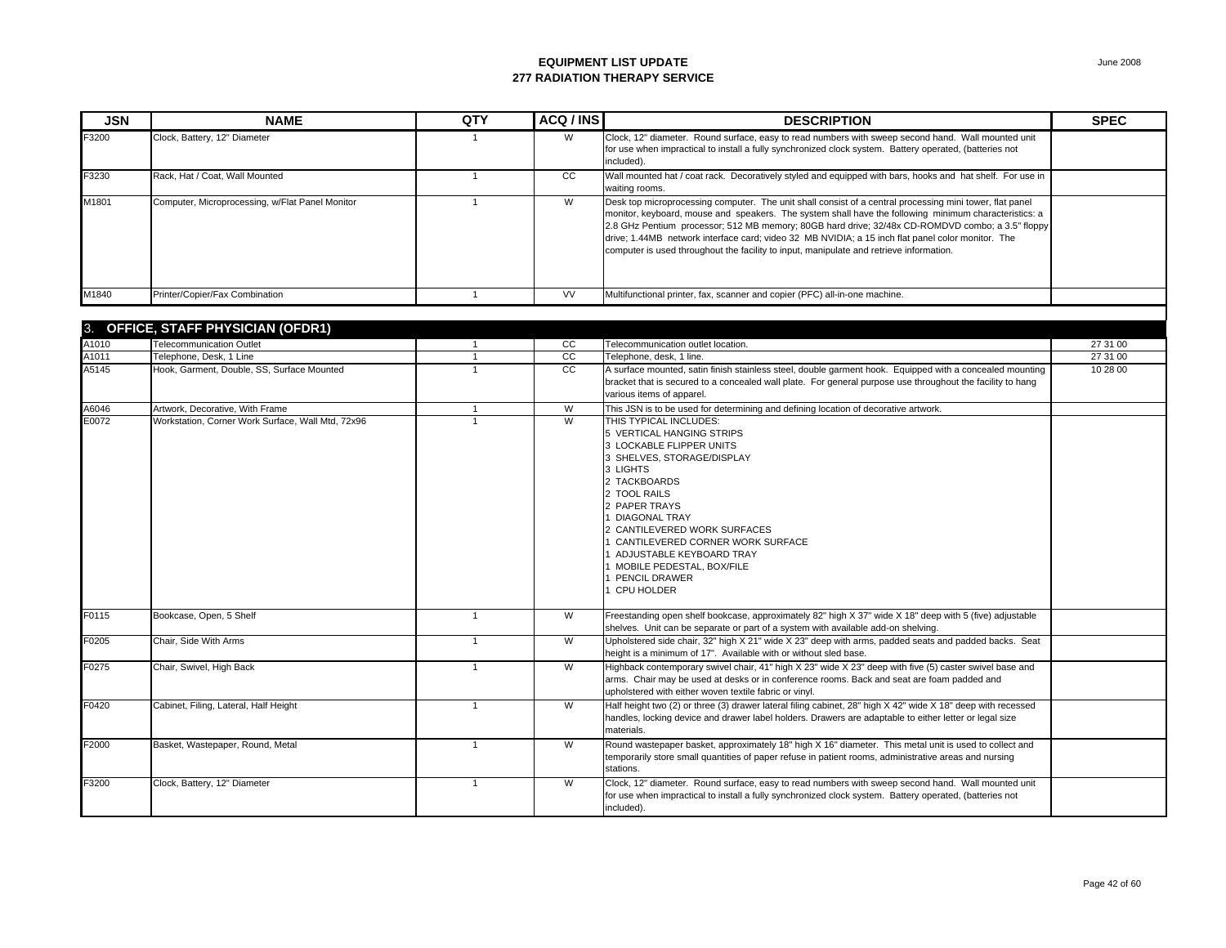| <b>JSN</b> | <b>NAME</b>                                     | QTY | ACQ / INS | <b>DESCRIPTION</b>                                                                                                                                                                                                                                                                                                                                                                                                                                                                                                     | <b>SPEC</b> |
|------------|-------------------------------------------------|-----|-----------|------------------------------------------------------------------------------------------------------------------------------------------------------------------------------------------------------------------------------------------------------------------------------------------------------------------------------------------------------------------------------------------------------------------------------------------------------------------------------------------------------------------------|-------------|
| F3200      | Clock, Battery, 12" Diameter                    |     | W         | Clock, 12" diameter. Round surface, easy to read numbers with sweep second hand. Wall mounted unit<br>for use when impractical to install a fully synchronized clock system. Battery operated, (batteries not<br>included).                                                                                                                                                                                                                                                                                            |             |
| F3230      | Rack, Hat / Coat, Wall Mounted                  |     | CC.       | Wall mounted hat / coat rack. Decoratively styled and equipped with bars, hooks and hat shelf. For use in<br>waiting rooms.                                                                                                                                                                                                                                                                                                                                                                                            |             |
| M1801      | Computer, Microprocessing, w/Flat Panel Monitor |     | W         | Desk top microprocessing computer. The unit shall consist of a central processing mini tower, flat panel<br>monitor, keyboard, mouse and speakers. The system shall have the following minimum characteristics: a<br>[2.8 GHz Pentium processor; 512 MB memory; 80GB hard drive; 32/48x CD-ROMDVD combo; a 3.5" floppy<br>drive; 1.44MB network interface card; video 32 MB NVIDIA; a 15 inch flat panel color monitor. The<br>computer is used throughout the facility to input, manipulate and retrieve information. |             |
| M1840      | Printer/Copier/Fax Combination                  |     | <b>VV</b> | Multifunctional printer, fax, scanner and copier (PFC) all-in-one machine.                                                                                                                                                                                                                                                                                                                                                                                                                                             |             |

| 3.    | OFFICE, STAFF PHYSICIAN (OFDR1)                   |                |                 |                                                                                                                                                                                                                                                                                                                                                                       |          |
|-------|---------------------------------------------------|----------------|-----------------|-----------------------------------------------------------------------------------------------------------------------------------------------------------------------------------------------------------------------------------------------------------------------------------------------------------------------------------------------------------------------|----------|
| A1010 | <b>Telecommunication Outlet</b>                   |                | cc              | Telecommunication outlet location.                                                                                                                                                                                                                                                                                                                                    | 27 31 00 |
| A1011 | Telephone, Desk, 1 Line                           |                | cc              | Telephone, desk, 1 line.                                                                                                                                                                                                                                                                                                                                              | 27 31 00 |
| A5145 | Hook, Garment, Double, SS, Surface Mounted        |                | $\overline{cc}$ | A surface mounted, satin finish stainless steel, double garment hook. Equipped with a concealed mounting<br>bracket that is secured to a concealed wall plate. For general purpose use throughout the facility to hang<br>various items of apparel.                                                                                                                   | 10 28 00 |
| A6046 | Artwork, Decorative, With Frame                   |                | W               | This JSN is to be used for determining and defining location of decorative artwork.                                                                                                                                                                                                                                                                                   |          |
| E0072 | Workstation, Corner Work Surface, Wall Mtd, 72x96 |                | W               | THIS TYPICAL INCLUDES:<br>5 VERTICAL HANGING STRIPS<br>3 LOCKABLE FLIPPER UNITS<br>3 SHELVES, STORAGE/DISPLAY<br>3 LIGHTS<br>2 TACKBOARDS<br>2 TOOL RAILS<br>2 PAPER TRAYS<br><b>DIAGONAL TRAY</b><br>2 CANTILEVERED WORK SURFACES<br>CANTILEVERED CORNER WORK SURFACE<br>ADJUSTABLE KEYBOARD TRAY<br>MOBILE PEDESTAL, BOX/FILE<br>PENCIL DRAWER<br><b>CPU HOLDER</b> |          |
| F0115 | Bookcase, Open, 5 Shelf                           | $\mathbf{1}$   | W               | Freestanding open shelf bookcase, approximately 82" high X 37" wide X 18" deep with 5 (five) adjustable<br>shelves. Unit can be separate or part of a system with available add-on shelving.                                                                                                                                                                          |          |
| F0205 | Chair, Side With Arms                             | $\mathbf{1}$   | W               | Upholstered side chair, 32" high X 21" wide X 23" deep with arms, padded seats and padded backs. Seat<br>height is a minimum of 17". Available with or without sled base.                                                                                                                                                                                             |          |
| F0275 | Chair, Swivel, High Back                          | $\mathbf{1}$   | W               | Highback contemporary swivel chair, 41" high X 23" wide X 23" deep with five (5) caster swivel base and<br>arms. Chair may be used at desks or in conference rooms. Back and seat are foam padded and<br>upholstered with either woven textile fabric or vinyl.                                                                                                       |          |
| F0420 | Cabinet, Filing, Lateral, Half Height             | $\overline{1}$ | W               | Half height two (2) or three (3) drawer lateral filing cabinet, 28" high X 42" wide X 18" deep with recessed<br>handles, locking device and drawer label holders. Drawers are adaptable to either letter or legal size<br>materials.                                                                                                                                  |          |
| F2000 | Basket, Wastepaper, Round, Metal                  | $\overline{1}$ | W               | Round wastepaper basket, approximately 18" high X 16" diameter. This metal unit is used to collect and<br>temporarily store small quantities of paper refuse in patient rooms, administrative areas and nursing<br>stations.                                                                                                                                          |          |
| F3200 | Clock, Battery, 12" Diameter                      | $\overline{1}$ | W               | Clock, 12" diameter. Round surface, easy to read numbers with sweep second hand. Wall mounted unit<br>for use when impractical to install a fully synchronized clock system. Battery operated, (batteries not<br>included).                                                                                                                                           |          |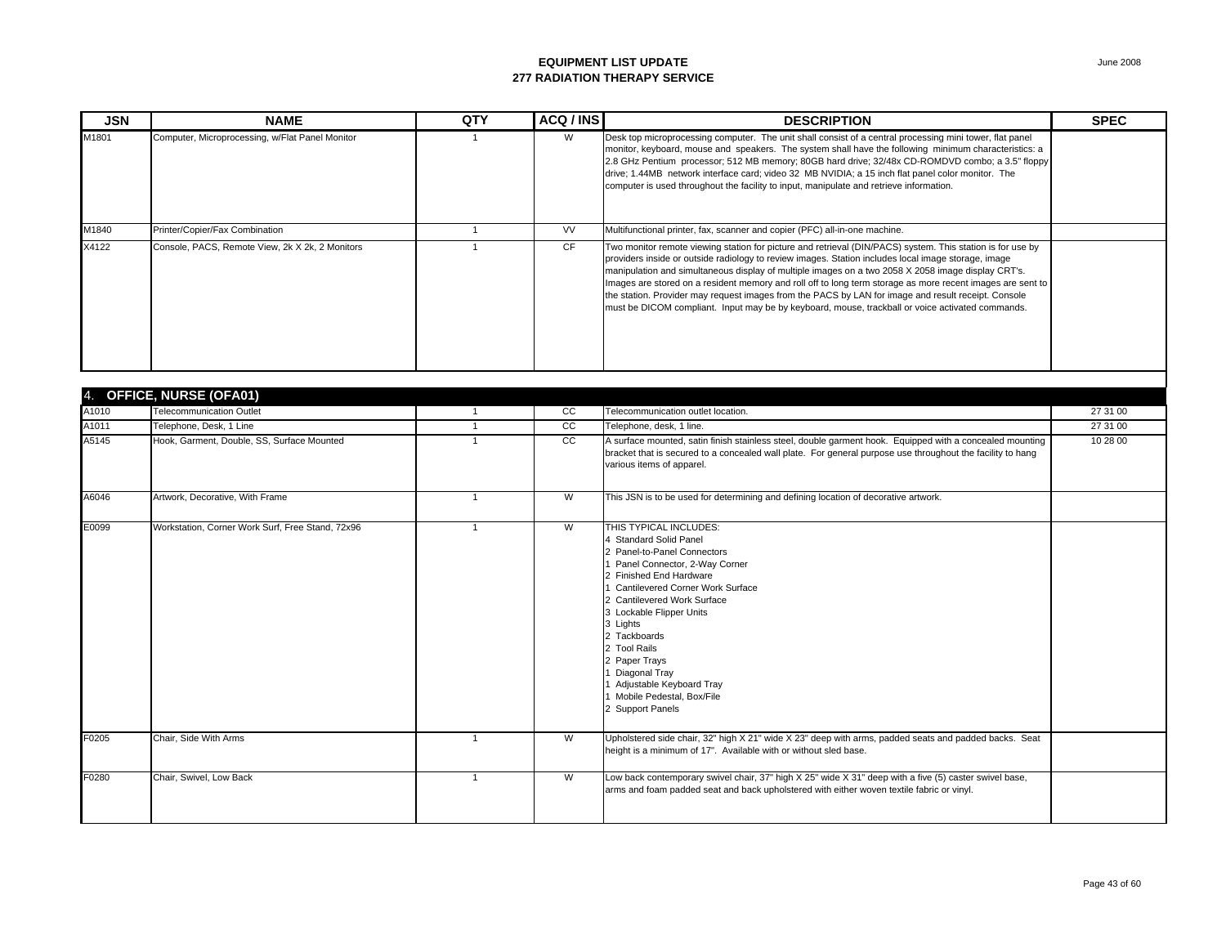| <b>JSN</b> | <b>NAME</b>                                     | QTY | ACQ / INS | <b>DESCRIPTION</b>                                                                                                                                                                                                                                                                                                                                                                                                                                                                                                                                                                                                                               | <b>SPEC</b> |
|------------|-------------------------------------------------|-----|-----------|--------------------------------------------------------------------------------------------------------------------------------------------------------------------------------------------------------------------------------------------------------------------------------------------------------------------------------------------------------------------------------------------------------------------------------------------------------------------------------------------------------------------------------------------------------------------------------------------------------------------------------------------------|-------------|
| M1801      | Computer, Microprocessing, w/Flat Panel Monitor |     | W         | Desk top microprocessing computer. The unit shall consist of a central processing mini tower, flat panel<br>monitor, keyboard, mouse and speakers. The system shall have the following minimum characteristics: a<br>2.8 GHz Pentium processor; 512 MB memory; 80GB hard drive; 32/48x CD-ROMDVD combo; a 3.5" floppy<br>drive; 1.44MB network interface card; video 32 MB NVIDIA; a 15 inch flat panel color monitor. The<br>computer is used throughout the facility to input, manipulate and retrieve information.                                                                                                                            |             |
| M1840      | Printer/Copier/Fax Combination                  |     | <b>VV</b> | Multifunctional printer, fax, scanner and copier (PFC) all-in-one machine.                                                                                                                                                                                                                                                                                                                                                                                                                                                                                                                                                                       |             |
| X4122      | Console, PACS, Remote View, 2k X 2k, 2 Monitors |     | <b>CF</b> | Two monitor remote viewing station for picture and retrieval (DIN/PACS) system. This station is for use by<br>providers inside or outside radiology to review images. Station includes local image storage, image<br>manipulation and simultaneous display of multiple images on a two 2058 X 2058 image display CRT's.<br>Images are stored on a resident memory and roll off to long term storage as more recent images are sent to<br>the station. Provider may request images from the PACS by LAN for image and result receipt. Console<br>must be DICOM compliant. Input may be by keyboard, mouse, trackball or voice activated commands. |             |

|       | 4. OFFICE, NURSE (OFA01)                         |                |    |                                                                                                                                                                                                                                                                                                                                                                                                               |          |
|-------|--------------------------------------------------|----------------|----|---------------------------------------------------------------------------------------------------------------------------------------------------------------------------------------------------------------------------------------------------------------------------------------------------------------------------------------------------------------------------------------------------------------|----------|
| A1010 | <b>Telecommunication Outlet</b>                  |                | cc | Telecommunication outlet location.                                                                                                                                                                                                                                                                                                                                                                            | 27 31 00 |
| A1011 | Telephone, Desk, 1 Line                          |                | cc | Telephone, desk, 1 line.                                                                                                                                                                                                                                                                                                                                                                                      | 27 31 00 |
| A5145 | Hook, Garment, Double, SS, Surface Mounted       |                | cc | A surface mounted, satin finish stainless steel, double garment hook. Equipped with a concealed mounting<br>bracket that is secured to a concealed wall plate. For general purpose use throughout the facility to hang<br>various items of apparel.                                                                                                                                                           | 10 28 00 |
| A6046 | Artwork, Decorative, With Frame                  |                | W  | This JSN is to be used for determining and defining location of decorative artwork.                                                                                                                                                                                                                                                                                                                           |          |
| E0099 | Workstation, Corner Work Surf, Free Stand, 72x96 |                | W  | THIS TYPICAL INCLUDES:<br><b>Standard Solid Panel</b><br>2 Panel-to-Panel Connectors<br>Panel Connector, 2-Way Corner<br>2 Finished End Hardware<br>Cantilevered Corner Work Surface<br><b>Cantilevered Work Surface</b><br>Lockable Flipper Units<br>3 Lights<br>2 Tackboards<br>2 Tool Rails<br>2 Paper Trays<br>Diagonal Tray<br>Adjustable Keyboard Tray<br>Mobile Pedestal, Box/File<br>2 Support Panels |          |
| F0205 | Chair, Side With Arms                            | $\overline{1}$ | W  | Upholstered side chair, 32" high X 21" wide X 23" deep with arms, padded seats and padded backs. Seat<br>height is a minimum of 17". Available with or without sled base.                                                                                                                                                                                                                                     |          |
| F0280 | Chair, Swivel, Low Back                          |                | W  | Low back contemporary swivel chair, 37" high X 25" wide X 31" deep with a five (5) caster swivel base,<br>arms and foam padded seat and back upholstered with either woven textile fabric or vinyl.                                                                                                                                                                                                           |          |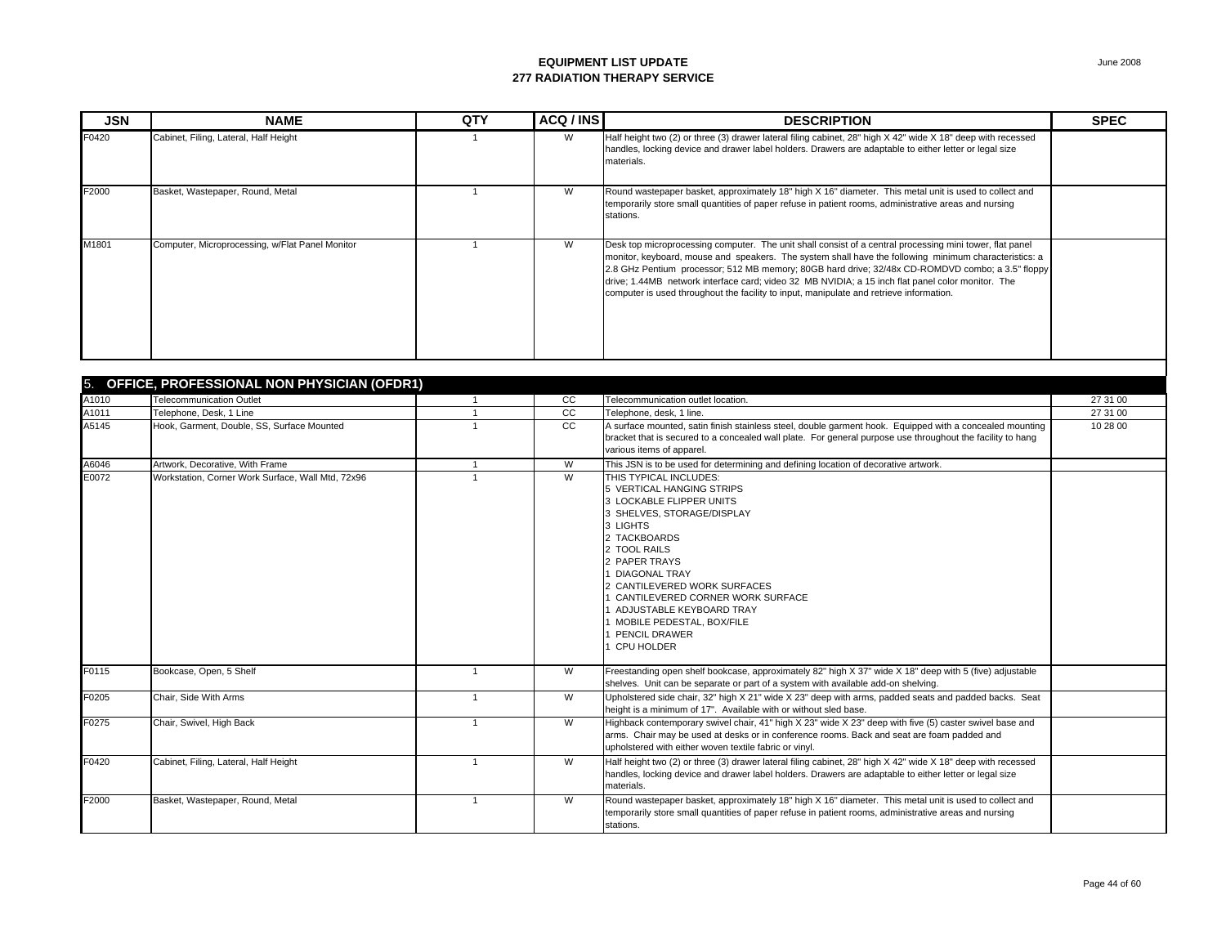| <b>JSN</b> | <b>NAME</b>                                     | QTY | ACQ / INS | <b>DESCRIPTION</b>                                                                                                                                                                                                                                                                                                                                                                                                                                                                                                    | <b>SPEC</b> |
|------------|-------------------------------------------------|-----|-----------|-----------------------------------------------------------------------------------------------------------------------------------------------------------------------------------------------------------------------------------------------------------------------------------------------------------------------------------------------------------------------------------------------------------------------------------------------------------------------------------------------------------------------|-------------|
| F0420      | Cabinet, Filing, Lateral, Half Height           |     | W         | Half height two (2) or three (3) drawer lateral filing cabinet, 28" high X 42" wide X 18" deep with recessed<br>handles, locking device and drawer label holders. Drawers are adaptable to either letter or legal size<br>materials.                                                                                                                                                                                                                                                                                  |             |
| F2000      | Basket, Wastepaper, Round, Metal                |     | W         | Round wastepaper basket, approximately 18" high X 16" diameter. This metal unit is used to collect and<br>temporarily store small quantities of paper refuse in patient rooms, administrative areas and nursing<br>stations.                                                                                                                                                                                                                                                                                          |             |
| M1801      | Computer, Microprocessing, w/Flat Panel Monitor |     | W         | Desk top microprocessing computer. The unit shall consist of a central processing mini tower, flat panel<br>monitor, keyboard, mouse and speakers. The system shall have the following minimum characteristics: a<br>2.8 GHz Pentium processor; 512 MB memory; 80GB hard drive; 32/48x CD-ROMDVD combo; a 3.5" floppy<br>drive; 1.44MB network interface card; video 32 MB NVIDIA; a 15 inch flat panel color monitor. The<br>computer is used throughout the facility to input, manipulate and retrieve information. |             |

| 5.    | OFFICE, PROFESSIONAL NON PHYSICIAN (OFDR1)        |                |                 |                                                                                                                                                                                                                                                                                                                                                                     |          |  |  |  |
|-------|---------------------------------------------------|----------------|-----------------|---------------------------------------------------------------------------------------------------------------------------------------------------------------------------------------------------------------------------------------------------------------------------------------------------------------------------------------------------------------------|----------|--|--|--|
| A1010 | <b>Telecommunication Outlet</b>                   |                | $\overline{cc}$ | Telecommunication outlet location.                                                                                                                                                                                                                                                                                                                                  | 27 31 00 |  |  |  |
| A1011 | Telephone, Desk, 1 Line                           |                | cc              | Telephone, desk, 1 line.                                                                                                                                                                                                                                                                                                                                            | 27 31 00 |  |  |  |
| A5145 | Hook, Garment, Double, SS, Surface Mounted        |                | <sub>CC</sub>   | A surface mounted, satin finish stainless steel, double garment hook. Equipped with a concealed mounting<br>bracket that is secured to a concealed wall plate. For general purpose use throughout the facility to hang<br>various items of apparel.                                                                                                                 | 10 28 00 |  |  |  |
| A6046 | Artwork, Decorative, With Frame                   |                | W               | This JSN is to be used for determining and defining location of decorative artwork.                                                                                                                                                                                                                                                                                 |          |  |  |  |
| E0072 | Workstation, Corner Work Surface, Wall Mtd. 72x96 |                | W               | THIS TYPICAL INCLUDES:<br>5 VERTICAL HANGING STRIPS<br>3 LOCKABLE FLIPPER UNITS<br>3 SHELVES, STORAGE/DISPLAY<br>3 LIGHTS<br>2 TACKBOARDS<br>2 TOOL RAILS<br>2 PAPER TRAYS<br><b>DIAGONAL TRAY</b><br>CANTILEVERED WORK SURFACES<br>CANTILEVERED CORNER WORK SURFACE<br>ADJUSTABLE KEYBOARD TRAY<br>MOBILE PEDESTAL. BOX/FILE<br>PENCIL DRAWER<br><b>CPU HOLDER</b> |          |  |  |  |
| F0115 | Bookcase, Open, 5 Shelf                           |                | W               | Freestanding open shelf bookcase, approximately 82" high X 37" wide X 18" deep with 5 (five) adjustable<br>shelves. Unit can be separate or part of a system with available add-on shelving.                                                                                                                                                                        |          |  |  |  |
| F0205 | Chair. Side With Arms                             | $\overline{1}$ | W               | Upholstered side chair, 32" high X 21" wide X 23" deep with arms, padded seats and padded backs. Seat<br>height is a minimum of 17". Available with or without sled base.                                                                                                                                                                                           |          |  |  |  |
| F0275 | Chair, Swivel, High Back                          | $\overline{1}$ | W               | Highback contemporary swivel chair, 41" high X 23" wide X 23" deep with five (5) caster swivel base and<br>arms. Chair may be used at desks or in conference rooms. Back and seat are foam padded and<br>upholstered with either woven textile fabric or vinyl.                                                                                                     |          |  |  |  |
| F0420 | Cabinet, Filing, Lateral, Half Height             |                | W               | Half height two (2) or three (3) drawer lateral filing cabinet, 28" high X 42" wide X 18" deep with recessed<br>handles, locking device and drawer label holders. Drawers are adaptable to either letter or legal size<br>materials.                                                                                                                                |          |  |  |  |
| F2000 | Basket, Wastepaper, Round, Metal                  |                | W               | Round wastepaper basket, approximately 18" high X 16" diameter. This metal unit is used to collect and<br>temporarily store small quantities of paper refuse in patient rooms, administrative areas and nursing<br>stations.                                                                                                                                        |          |  |  |  |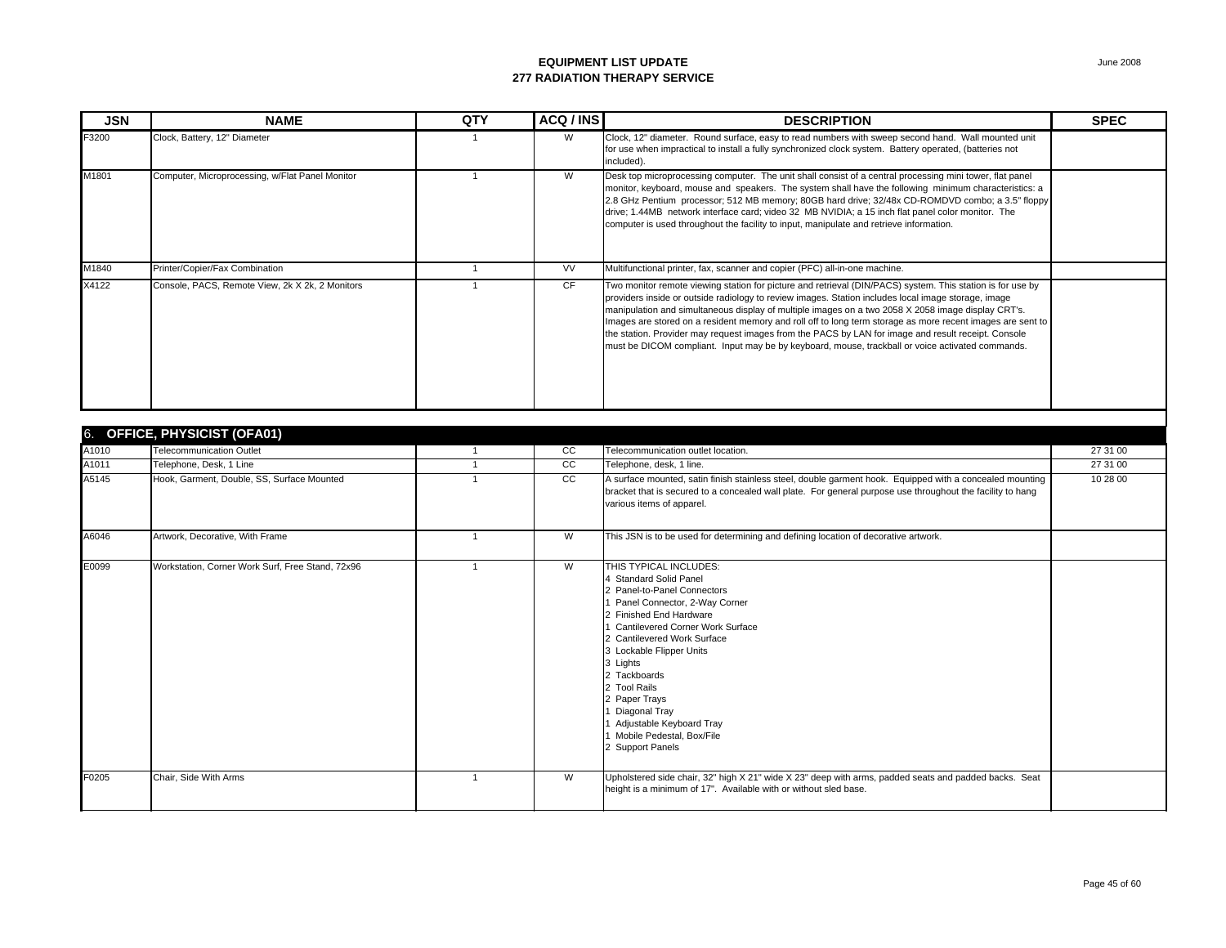| <b>JSN</b> | <b>NAME</b>                                     | <b>QTY</b> | ACQ / INS | <b>DESCRIPTION</b>                                                                                                                                                                                                                                                                                                                                                                                                                                                                                                                                                                                                                               | <b>SPEC</b> |
|------------|-------------------------------------------------|------------|-----------|--------------------------------------------------------------------------------------------------------------------------------------------------------------------------------------------------------------------------------------------------------------------------------------------------------------------------------------------------------------------------------------------------------------------------------------------------------------------------------------------------------------------------------------------------------------------------------------------------------------------------------------------------|-------------|
| F3200      | Clock, Battery, 12" Diameter                    |            | W         | Clock, 12" diameter. Round surface, easy to read numbers with sweep second hand. Wall mounted unit<br>for use when impractical to install a fully synchronized clock system. Battery operated, (batteries not<br>included).                                                                                                                                                                                                                                                                                                                                                                                                                      |             |
| M1801      | Computer, Microprocessing, w/Flat Panel Monitor |            | W         | Desk top microprocessing computer. The unit shall consist of a central processing mini tower, flat panel<br>monitor, keyboard, mouse and speakers. The system shall have the following minimum characteristics: a<br>2.8 GHz Pentium processor; 512 MB memory; 80GB hard drive; 32/48x CD-ROMDVD combo; a 3.5" floppy<br>drive; 1.44MB network interface card; video 32 MB NVIDIA; a 15 inch flat panel color monitor. The<br>computer is used throughout the facility to input, manipulate and retrieve information.                                                                                                                            |             |
| M1840      | Printer/Copier/Fax Combination                  |            | <b>VV</b> | Multifunctional printer, fax, scanner and copier (PFC) all-in-one machine.                                                                                                                                                                                                                                                                                                                                                                                                                                                                                                                                                                       |             |
| X4122      | Console, PACS, Remote View, 2k X 2k, 2 Monitors |            | <b>CF</b> | Two monitor remote viewing station for picture and retrieval (DIN/PACS) system. This station is for use by<br>providers inside or outside radiology to review images. Station includes local image storage, image<br>manipulation and simultaneous display of multiple images on a two 2058 X 2058 image display CRT's.<br>Images are stored on a resident memory and roll off to long term storage as more recent images are sent to<br>the station. Provider may request images from the PACS by LAN for image and result receipt. Console<br>must be DICOM compliant. Input may be by keyboard, mouse, trackball or voice activated commands. |             |
|            | $\frac{1}{2}$                                   |            |           |                                                                                                                                                                                                                                                                                                                                                                                                                                                                                                                                                                                                                                                  |             |

|       | 6. OFFICE, PHYSICIST (OFA01)                     |  |    |                                                                                                                                                                                                                                                                                                                                                                                                       |          |  |  |
|-------|--------------------------------------------------|--|----|-------------------------------------------------------------------------------------------------------------------------------------------------------------------------------------------------------------------------------------------------------------------------------------------------------------------------------------------------------------------------------------------------------|----------|--|--|
| A1010 | <b>Telecommunication Outlet</b>                  |  | CC | Telecommunication outlet location.                                                                                                                                                                                                                                                                                                                                                                    | 27 31 00 |  |  |
| A1011 | Telephone, Desk, 1 Line                          |  | cc | Telephone, desk, 1 line.                                                                                                                                                                                                                                                                                                                                                                              | 27 31 00 |  |  |
| A5145 | Hook, Garment, Double, SS, Surface Mounted       |  | cc | A surface mounted, satin finish stainless steel, double garment hook. Equipped with a concealed mounting<br>bracket that is secured to a concealed wall plate. For general purpose use throughout the facility to hang<br>various items of apparel.                                                                                                                                                   | 10 28 00 |  |  |
| A6046 | Artwork, Decorative, With Frame                  |  | W  | This JSN is to be used for determining and defining location of decorative artwork.                                                                                                                                                                                                                                                                                                                   |          |  |  |
| E0099 | Workstation, Corner Work Surf, Free Stand, 72x96 |  | W  | THIS TYPICAL INCLUDES:<br>4 Standard Solid Panel<br>2 Panel-to-Panel Connectors<br>Panel Connector, 2-Way Corner<br>2 Finished End Hardware<br>Cantilevered Corner Work Surface<br>2 Cantilevered Work Surface<br>3 Lockable Flipper Units<br>3 Lights<br>2 Tackboards<br>2 Tool Rails<br>2 Paper Trays<br>Diagonal Tray<br>Adjustable Keyboard Tray<br>Mobile Pedestal, Box/File<br>2 Support Panels |          |  |  |
| F0205 | Chair, Side With Arms                            |  | W  | Upholstered side chair, 32" high X 21" wide X 23" deep with arms, padded seats and padded backs. Seat<br>height is a minimum of 17". Available with or without sled base.                                                                                                                                                                                                                             |          |  |  |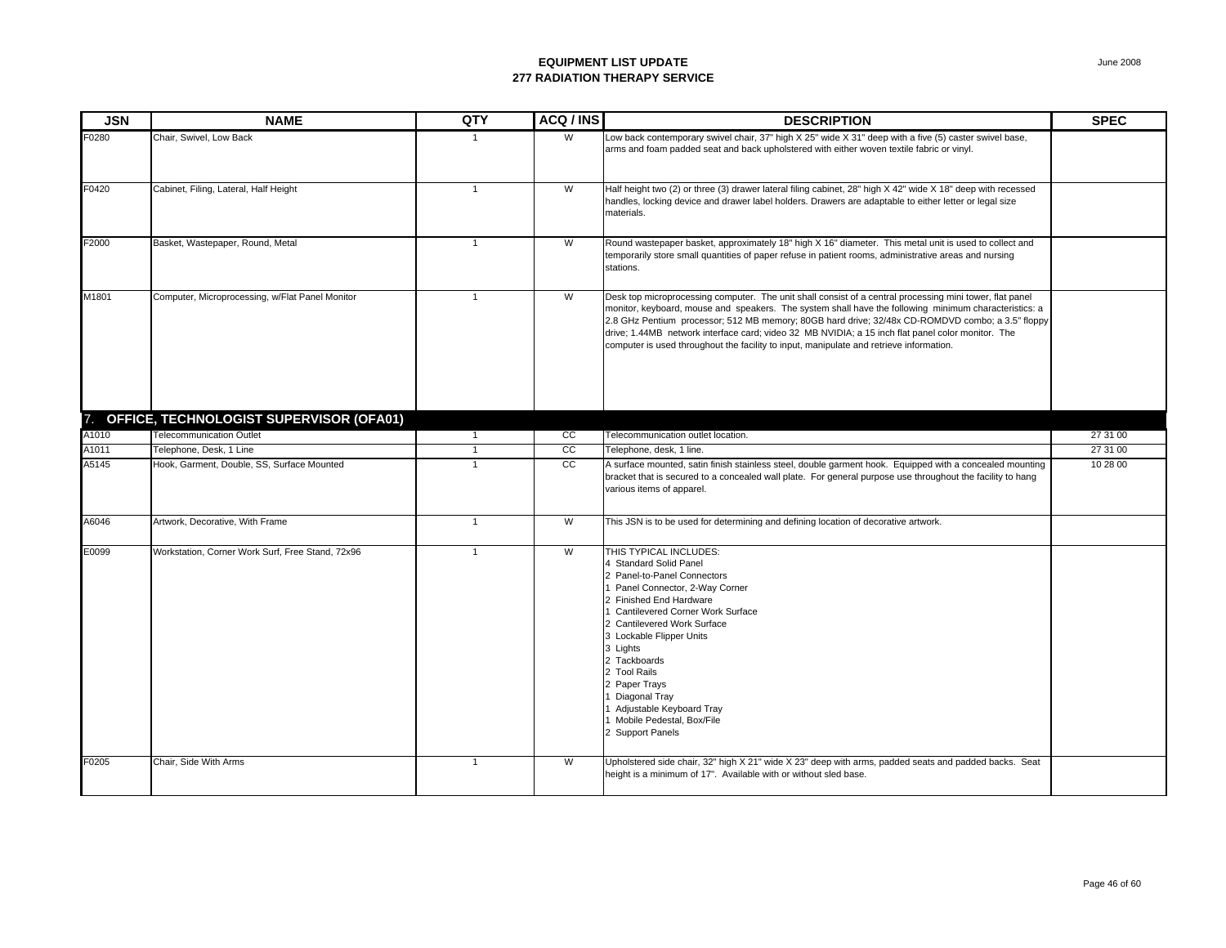| <b>JSN</b> | <b>NAME</b>                                      | QTY            | ACQ / INS       | <b>DESCRIPTION</b>                                                                                                                                                                                                                                                                                                                                                                                                                                                                                                    | <b>SPEC</b> |
|------------|--------------------------------------------------|----------------|-----------------|-----------------------------------------------------------------------------------------------------------------------------------------------------------------------------------------------------------------------------------------------------------------------------------------------------------------------------------------------------------------------------------------------------------------------------------------------------------------------------------------------------------------------|-------------|
| F0280      | Chair, Swivel, Low Back                          |                | W               | Low back contemporary swivel chair, 37" high X 25" wide X 31" deep with a five (5) caster swivel base,<br>arms and foam padded seat and back upholstered with either woven textile fabric or vinyl.                                                                                                                                                                                                                                                                                                                   |             |
| F0420      | Cabinet, Filing, Lateral, Half Height            | $\mathbf{1}$   | W               | Half height two (2) or three (3) drawer lateral filing cabinet, 28" high X 42" wide X 18" deep with recessed<br>handles, locking device and drawer label holders. Drawers are adaptable to either letter or legal size<br>materials.                                                                                                                                                                                                                                                                                  |             |
| F2000      | Basket, Wastepaper, Round, Metal                 | $\overline{1}$ | W               | Round wastepaper basket, approximately 18" high X 16" diameter. This metal unit is used to collect and<br>temporarily store small quantities of paper refuse in patient rooms, administrative areas and nursing<br>stations.                                                                                                                                                                                                                                                                                          |             |
| M1801      | Computer, Microprocessing, w/Flat Panel Monitor  | $\overline{1}$ | W               | Desk top microprocessing computer. The unit shall consist of a central processing mini tower, flat panel<br>monitor, keyboard, mouse and speakers. The system shall have the following minimum characteristics: a<br>2.8 GHz Pentium processor; 512 MB memory; 80GB hard drive; 32/48x CD-ROMDVD combo; a 3.5" floppy<br>drive; 1.44MB network interface card; video 32 MB NVIDIA; a 15 inch flat panel color monitor. The<br>computer is used throughout the facility to input, manipulate and retrieve information. |             |
| 7.         | OFFICE, TECHNOLOGIST SUPERVISOR (OFA01)          |                |                 |                                                                                                                                                                                                                                                                                                                                                                                                                                                                                                                       |             |
| A1010      | <b>Telecommunication Outlet</b>                  | $\mathbf{1}$   | $\overline{cc}$ | Telecommunication outlet location.                                                                                                                                                                                                                                                                                                                                                                                                                                                                                    | 27 31 00    |
| A1011      | Telephone, Desk, 1 Line                          | $\overline{1}$ | $\overline{cc}$ | Telephone, desk, 1 line.                                                                                                                                                                                                                                                                                                                                                                                                                                                                                              | 27 31 00    |
| A5145      | Hook, Garment, Double, SS, Surface Mounted       | $\overline{1}$ | cc              | A surface mounted, satin finish stainless steel, double garment hook. Equipped with a concealed mounting<br>bracket that is secured to a concealed wall plate. For general purpose use throughout the facility to hang<br>various items of apparel.                                                                                                                                                                                                                                                                   | 10 28 00    |
| A6046      | Artwork, Decorative, With Frame                  | $\overline{1}$ | W               | This JSN is to be used for determining and defining location of decorative artwork.                                                                                                                                                                                                                                                                                                                                                                                                                                   |             |
| E0099      | Workstation, Corner Work Surf, Free Stand, 72x96 | $\overline{1}$ | W               | THIS TYPICAL INCLUDES:<br>4 Standard Solid Panel<br>2 Panel-to-Panel Connectors<br>1 Panel Connector, 2-Way Corner<br>2 Finished End Hardware<br>1 Cantilevered Corner Work Surface<br>2 Cantilevered Work Surface<br>3 Lockable Flipper Units<br>3 Lights<br>2 Tackboards<br>2 Tool Rails<br>2 Paper Trays<br>1 Diagonal Tray<br>1 Adjustable Keyboard Tray<br>1 Mobile Pedestal, Box/File<br>2 Support Panels                                                                                                       |             |
| F0205      | Chair, Side With Arms                            | $\overline{1}$ | W               | Upholstered side chair, 32" high X 21" wide X 23" deep with arms, padded seats and padded backs. Seat<br>height is a minimum of 17". Available with or without sled base.                                                                                                                                                                                                                                                                                                                                             |             |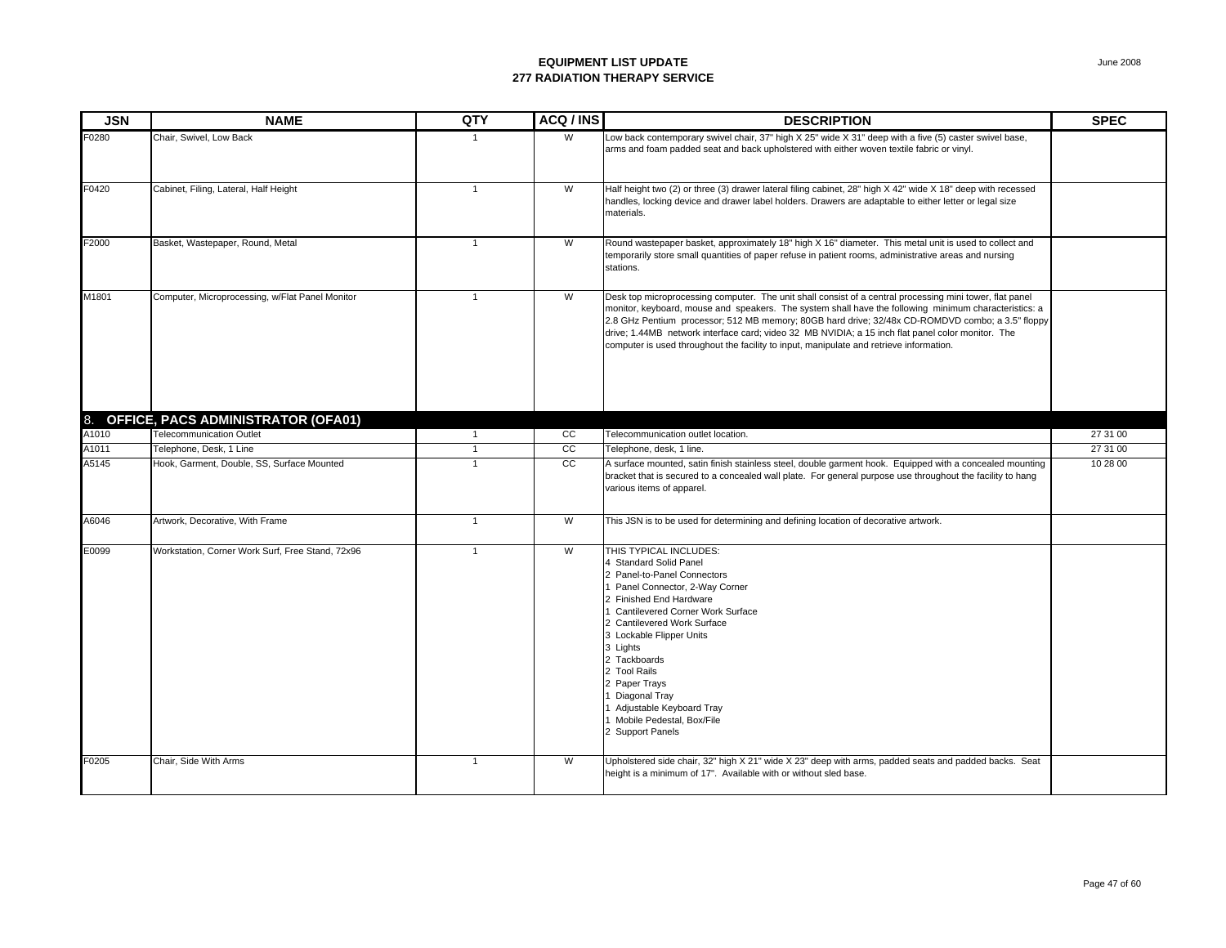| <b>JSN</b> | <b>NAME</b>                                      | QTY            | ACQ / INS       | <b>DESCRIPTION</b>                                                                                                                                                                                                                                                                                                                                                                                                                                                                                                    | <b>SPEC</b> |
|------------|--------------------------------------------------|----------------|-----------------|-----------------------------------------------------------------------------------------------------------------------------------------------------------------------------------------------------------------------------------------------------------------------------------------------------------------------------------------------------------------------------------------------------------------------------------------------------------------------------------------------------------------------|-------------|
| F0280      | Chair, Swivel, Low Back                          |                | W               | Low back contemporary swivel chair, 37" high X 25" wide X 31" deep with a five (5) caster swivel base,<br>arms and foam padded seat and back upholstered with either woven textile fabric or vinyl.                                                                                                                                                                                                                                                                                                                   |             |
| F0420      | Cabinet, Filing, Lateral, Half Height            | $\overline{1}$ | W               | Half height two (2) or three (3) drawer lateral filing cabinet, 28" high X 42" wide X 18" deep with recessed<br>handles, locking device and drawer label holders. Drawers are adaptable to either letter or legal size<br>materials.                                                                                                                                                                                                                                                                                  |             |
| F2000      | Basket, Wastepaper, Round, Metal                 | $\overline{1}$ | W               | Round wastepaper basket, approximately 18" high X 16" diameter. This metal unit is used to collect and<br>temporarily store small quantities of paper refuse in patient rooms, administrative areas and nursing<br>stations.                                                                                                                                                                                                                                                                                          |             |
| M1801      | Computer, Microprocessing, w/Flat Panel Monitor  | $\overline{1}$ | W               | Desk top microprocessing computer. The unit shall consist of a central processing mini tower, flat panel<br>monitor, keyboard, mouse and speakers. The system shall have the following minimum characteristics: a<br>2.8 GHz Pentium processor; 512 MB memory; 80GB hard drive; 32/48x CD-ROMDVD combo; a 3.5" floppy<br>drive; 1.44MB network interface card; video 32 MB NVIDIA; a 15 inch flat panel color monitor. The<br>computer is used throughout the facility to input, manipulate and retrieve information. |             |
|            | 8. OFFICE, PACS ADMINISTRATOR (OFA01)            |                |                 |                                                                                                                                                                                                                                                                                                                                                                                                                                                                                                                       |             |
| A1010      | <b>Telecommunication Outlet</b>                  | $\mathbf{1}$   | cc              | Telecommunication outlet location.                                                                                                                                                                                                                                                                                                                                                                                                                                                                                    | 27 31 00    |
| A1011      | Telephone, Desk, 1 Line                          |                | $\overline{cc}$ | Telephone, desk, 1 line.                                                                                                                                                                                                                                                                                                                                                                                                                                                                                              | 27 31 00    |
| A5145      | Hook, Garment, Double, SS, Surface Mounted       | $\mathbf{1}$   | cc              | A surface mounted, satin finish stainless steel, double garment hook. Equipped with a concealed mounting<br>bracket that is secured to a concealed wall plate. For general purpose use throughout the facility to hang<br>various items of apparel.                                                                                                                                                                                                                                                                   | 10 28 00    |
| A6046      | Artwork, Decorative, With Frame                  | $\overline{1}$ | W               | This JSN is to be used for determining and defining location of decorative artwork.                                                                                                                                                                                                                                                                                                                                                                                                                                   |             |
| E0099      | Workstation, Corner Work Surf, Free Stand, 72x96 | $\overline{1}$ | W               | THIS TYPICAL INCLUDES:<br>4 Standard Solid Panel<br>2 Panel-to-Panel Connectors<br>Panel Connector, 2-Way Corner<br>2 Finished End Hardware<br><b>Cantilevered Corner Work Surface</b><br>2 Cantilevered Work Surface<br>3 Lockable Flipper Units<br>3 Lights<br>2 Tackboards<br>2 Tool Rails<br>2 Paper Trays<br>Diagonal Tray<br>Adjustable Keyboard Tray<br>1 Mobile Pedestal, Box/File<br>2 Support Panels                                                                                                        |             |
| F0205      | Chair, Side With Arms                            | $\overline{1}$ | W               | Upholstered side chair, 32" high X 21" wide X 23" deep with arms, padded seats and padded backs. Seat<br>height is a minimum of 17". Available with or without sled base.                                                                                                                                                                                                                                                                                                                                             |             |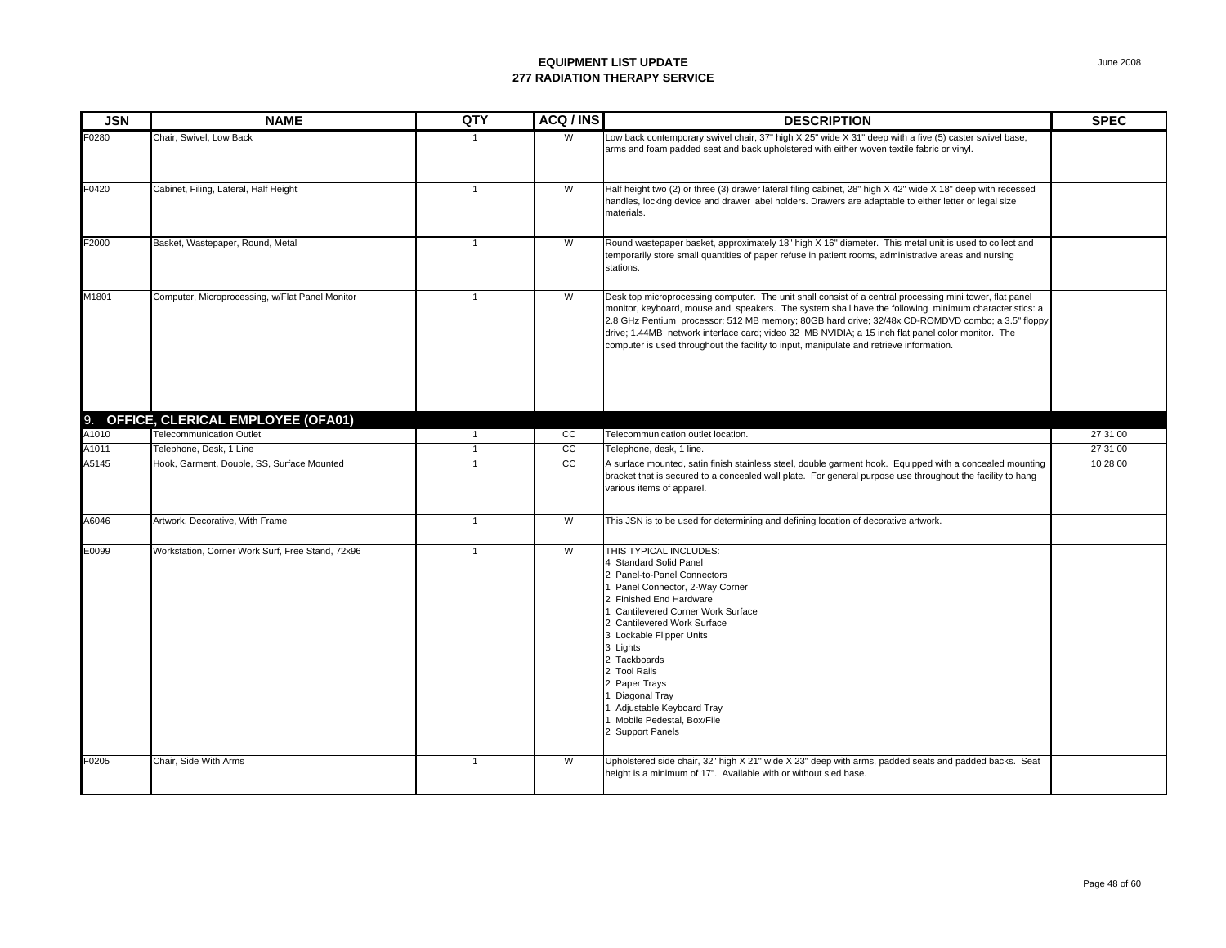| <b>JSN</b> | <b>NAME</b>                                      | QTY            | ACQ / INS       | <b>DESCRIPTION</b>                                                                                                                                                                                                                                                                                                                                                                                                                                                                                                    | <b>SPEC</b> |
|------------|--------------------------------------------------|----------------|-----------------|-----------------------------------------------------------------------------------------------------------------------------------------------------------------------------------------------------------------------------------------------------------------------------------------------------------------------------------------------------------------------------------------------------------------------------------------------------------------------------------------------------------------------|-------------|
| F0280      | Chair, Swivel, Low Back                          |                | W               | Low back contemporary swivel chair, 37" high X 25" wide X 31" deep with a five (5) caster swivel base,<br>arms and foam padded seat and back upholstered with either woven textile fabric or vinyl.                                                                                                                                                                                                                                                                                                                   |             |
| F0420      | Cabinet, Filing, Lateral, Half Height            | $\overline{1}$ | W               | Half height two (2) or three (3) drawer lateral filing cabinet, 28" high X 42" wide X 18" deep with recessed<br>handles, locking device and drawer label holders. Drawers are adaptable to either letter or legal size<br>materials.                                                                                                                                                                                                                                                                                  |             |
| F2000      | Basket, Wastepaper, Round, Metal                 | $\overline{1}$ | W               | Round wastepaper basket, approximately 18" high X 16" diameter. This metal unit is used to collect and<br>temporarily store small quantities of paper refuse in patient rooms, administrative areas and nursing<br>stations.                                                                                                                                                                                                                                                                                          |             |
| M1801      | Computer, Microprocessing, w/Flat Panel Monitor  | $\overline{1}$ | W               | Desk top microprocessing computer. The unit shall consist of a central processing mini tower, flat panel<br>monitor, keyboard, mouse and speakers. The system shall have the following minimum characteristics: a<br>2.8 GHz Pentium processor; 512 MB memory; 80GB hard drive; 32/48x CD-ROMDVD combo; a 3.5" floppy<br>drive; 1.44MB network interface card; video 32 MB NVIDIA; a 15 inch flat panel color monitor. The<br>computer is used throughout the facility to input, manipulate and retrieve information. |             |
|            | 9. OFFICE, CLERICAL EMPLOYEE (OFA01)             |                |                 |                                                                                                                                                                                                                                                                                                                                                                                                                                                                                                                       |             |
| A1010      | <b>Telecommunication Outlet</b>                  | $\mathbf{1}$   | cc              | Telecommunication outlet location.                                                                                                                                                                                                                                                                                                                                                                                                                                                                                    | 27 31 00    |
| A1011      | Telephone, Desk, 1 Line                          |                | $\overline{cc}$ | Telephone, desk, 1 line.                                                                                                                                                                                                                                                                                                                                                                                                                                                                                              | 27 31 00    |
| A5145      | Hook, Garment, Double, SS, Surface Mounted       | $\mathbf{1}$   | cc              | A surface mounted, satin finish stainless steel, double garment hook. Equipped with a concealed mounting<br>bracket that is secured to a concealed wall plate. For general purpose use throughout the facility to hang<br>various items of apparel.                                                                                                                                                                                                                                                                   | 10 28 00    |
| A6046      | Artwork, Decorative, With Frame                  | $\overline{1}$ | W               | This JSN is to be used for determining and defining location of decorative artwork.                                                                                                                                                                                                                                                                                                                                                                                                                                   |             |
| E0099      | Workstation, Corner Work Surf, Free Stand, 72x96 | $\overline{1}$ | W               | THIS TYPICAL INCLUDES:<br>4 Standard Solid Panel<br>2 Panel-to-Panel Connectors<br>Panel Connector, 2-Way Corner<br>2 Finished End Hardware<br><b>Cantilevered Corner Work Surface</b><br>2 Cantilevered Work Surface<br>3 Lockable Flipper Units<br>3 Lights<br>2 Tackboards<br>2 Tool Rails<br>2 Paper Trays<br>Diagonal Tray<br>Adjustable Keyboard Tray<br>1 Mobile Pedestal, Box/File<br>2 Support Panels                                                                                                        |             |
| F0205      | Chair, Side With Arms                            | $\overline{1}$ | W               | Upholstered side chair, 32" high X 21" wide X 23" deep with arms, padded seats and padded backs. Seat<br>height is a minimum of 17". Available with or without sled base.                                                                                                                                                                                                                                                                                                                                             |             |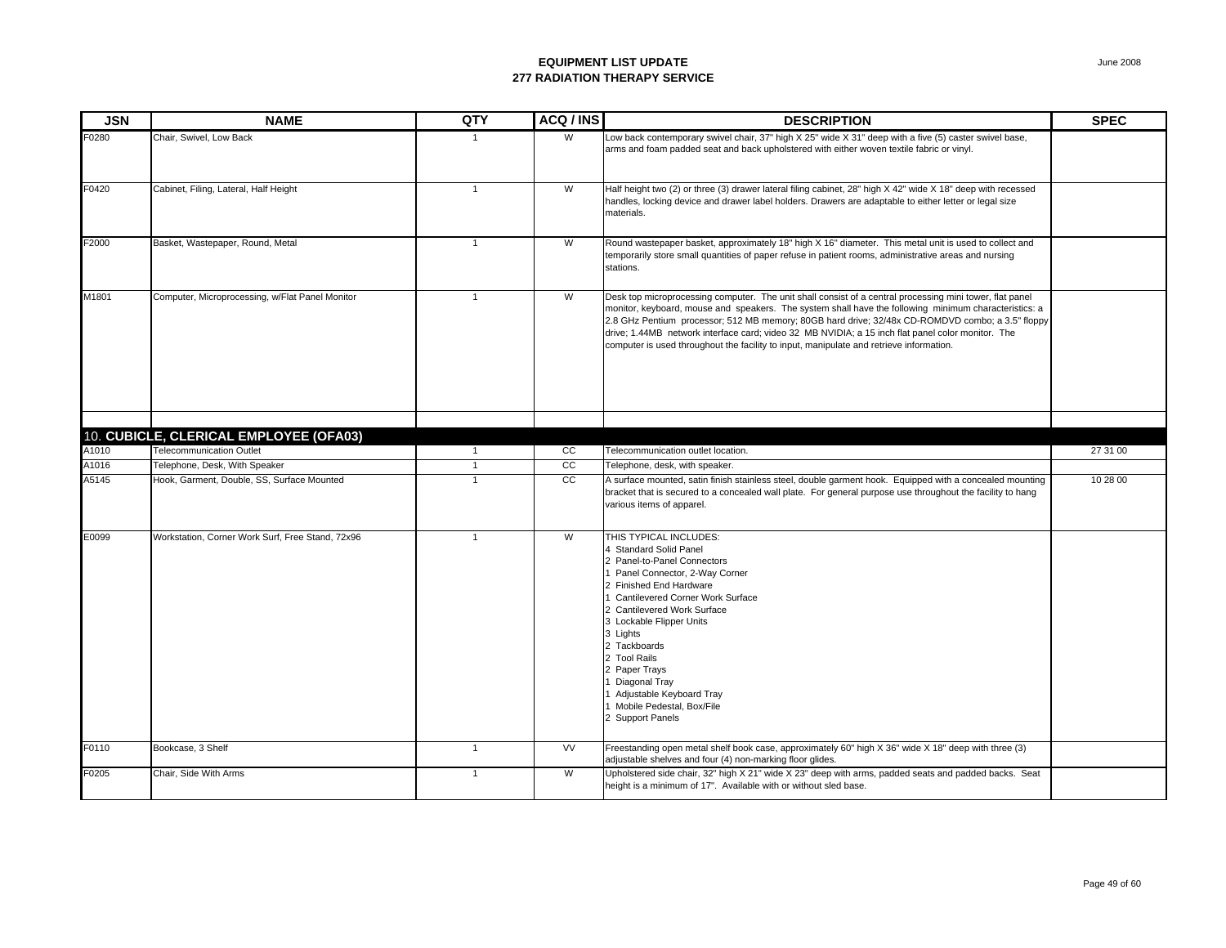| <b>JSN</b>     | <b>NAME</b>                                                               | QTY                              | ACQ / INS       | <b>DESCRIPTION</b>                                                                                                                                                                                                                                                                                                                                                                                                                                                                                                    | <b>SPEC</b> |
|----------------|---------------------------------------------------------------------------|----------------------------------|-----------------|-----------------------------------------------------------------------------------------------------------------------------------------------------------------------------------------------------------------------------------------------------------------------------------------------------------------------------------------------------------------------------------------------------------------------------------------------------------------------------------------------------------------------|-------------|
| F0280          | Chair, Swivel, Low Back                                                   |                                  | W               | Low back contemporary swivel chair, 37" high X 25" wide X 31" deep with a five (5) caster swivel base,<br>arms and foam padded seat and back upholstered with either woven textile fabric or vinyl.                                                                                                                                                                                                                                                                                                                   |             |
| F0420          | Cabinet, Filing, Lateral, Half Height                                     | $\mathbf{1}$                     | W               | Half height two (2) or three (3) drawer lateral filing cabinet, 28" high X 42" wide X 18" deep with recessed<br>handles, locking device and drawer label holders. Drawers are adaptable to either letter or legal size<br>materials.                                                                                                                                                                                                                                                                                  |             |
| F2000          | Basket, Wastepaper, Round, Metal                                          | $\overline{1}$                   | W               | Round wastepaper basket, approximately 18" high X 16" diameter. This metal unit is used to collect and<br>temporarily store small quantities of paper refuse in patient rooms, administrative areas and nursing<br>stations.                                                                                                                                                                                                                                                                                          |             |
| M1801          | Computer, Microprocessing, w/Flat Panel Monitor                           | $\overline{1}$                   | W               | Desk top microprocessing computer. The unit shall consist of a central processing mini tower, flat panel<br>monitor, keyboard, mouse and speakers. The system shall have the following minimum characteristics: a<br>2.8 GHz Pentium processor; 512 MB memory; 80GB hard drive; 32/48x CD-ROMDVD combo; a 3.5" floppy<br>drive; 1.44MB network interface card; video 32 MB NVIDIA; a 15 inch flat panel color monitor. The<br>computer is used throughout the facility to input, manipulate and retrieve information. |             |
|                |                                                                           |                                  |                 |                                                                                                                                                                                                                                                                                                                                                                                                                                                                                                                       |             |
|                | 10. CUBICLE, CLERICAL EMPLOYEE (OFA03)<br><b>Telecommunication Outlet</b> |                                  | CC              |                                                                                                                                                                                                                                                                                                                                                                                                                                                                                                                       | 27 31 00    |
| A1010<br>A1016 | Telephone, Desk, With Speaker                                             | $\overline{1}$<br>$\overline{1}$ | cc              | Telecommunication outlet location.<br>Telephone, desk, with speaker.                                                                                                                                                                                                                                                                                                                                                                                                                                                  |             |
| A5145          | Hook, Garment, Double, SS, Surface Mounted                                | $\mathbf{1}$                     | $\overline{cc}$ | A surface mounted, satin finish stainless steel, double garment hook. Equipped with a concealed mounting<br>bracket that is secured to a concealed wall plate. For general purpose use throughout the facility to hang<br>various items of apparel.                                                                                                                                                                                                                                                                   | 10 28 00    |
| E0099          | Workstation, Corner Work Surf, Free Stand, 72x96                          | $\mathbf{1}$                     | W               | THIS TYPICAL INCLUDES:<br>4 Standard Solid Panel<br>2 Panel-to-Panel Connectors<br>1 Panel Connector, 2-Way Corner<br>2 Finished End Hardware<br>1 Cantilevered Corner Work Surface<br>2 Cantilevered Work Surface<br>3 Lockable Flipper Units<br>3 Lights<br>2 Tackboards<br>2 Tool Rails<br>2 Paper Trays<br>1 Diagonal Tray<br>1 Adjustable Keyboard Tray<br>1 Mobile Pedestal, Box/File<br>2 Support Panels                                                                                                       |             |
| F0110          | Bookcase, 3 Shelf                                                         | $\mathbf{1}$                     | W               | Freestanding open metal shelf book case, approximately 60" high X 36" wide X 18" deep with three (3)<br>adjustable shelves and four (4) non-marking floor glides.                                                                                                                                                                                                                                                                                                                                                     |             |
| F0205          | Chair, Side With Arms                                                     | $\overline{1}$                   | W               | Upholstered side chair, 32" high X 21" wide X 23" deep with arms, padded seats and padded backs. Seat<br>height is a minimum of 17". Available with or without sled base.                                                                                                                                                                                                                                                                                                                                             |             |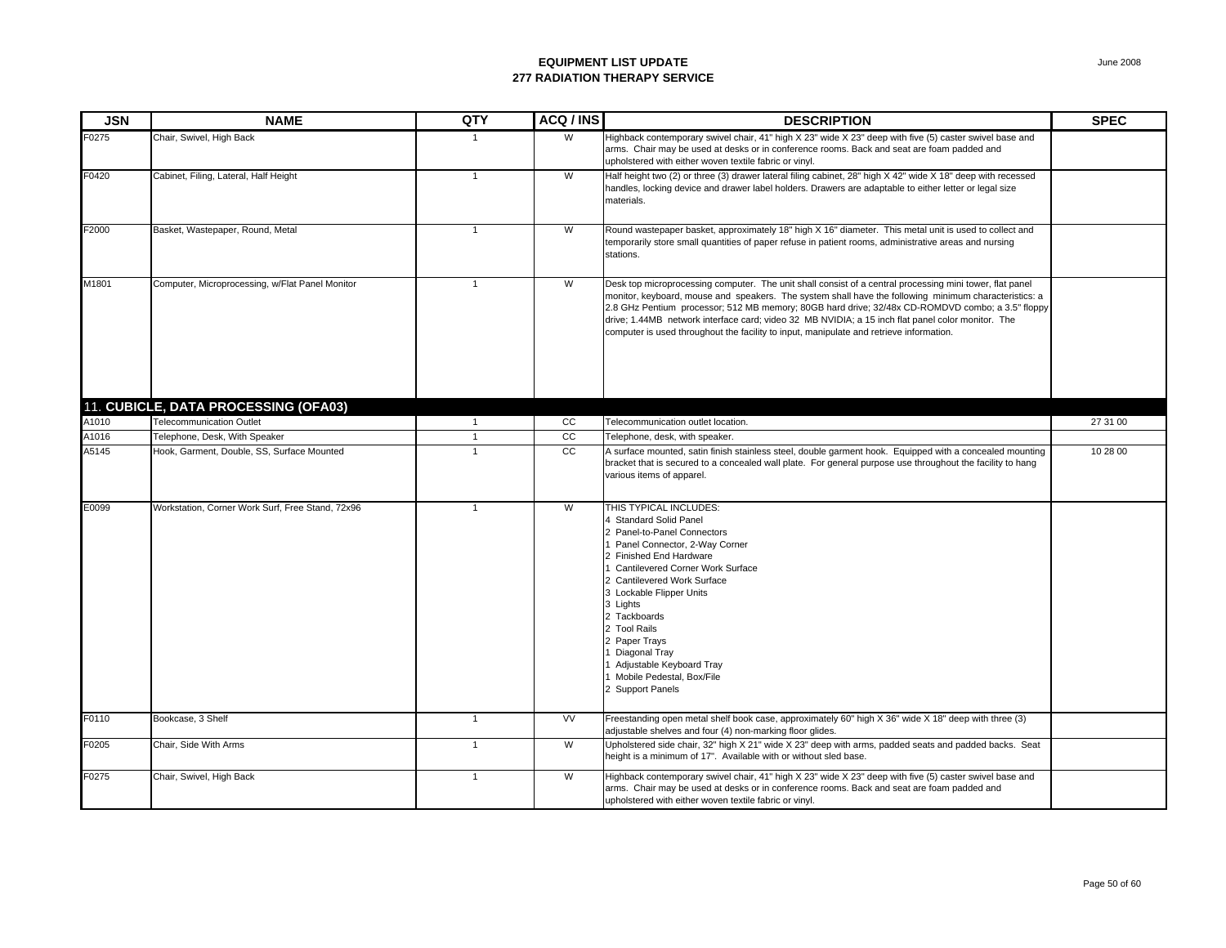| <b>JSN</b>        | <b>NAME</b>                                      | QTY          | ACQ/INS         | <b>DESCRIPTION</b>                                                                                                                                                                                                                                                                                                                                                                                                                                                                                                    | <b>SPEC</b> |
|-------------------|--------------------------------------------------|--------------|-----------------|-----------------------------------------------------------------------------------------------------------------------------------------------------------------------------------------------------------------------------------------------------------------------------------------------------------------------------------------------------------------------------------------------------------------------------------------------------------------------------------------------------------------------|-------------|
| F0275             | Chair, Swivel, High Back                         | $\mathbf 1$  | W               | Highback contemporary swivel chair, 41" high X 23" wide X 23" deep with five (5) caster swivel base and<br>arms. Chair may be used at desks or in conference rooms. Back and seat are foam padded and<br>upholstered with either woven textile fabric or vinyl.                                                                                                                                                                                                                                                       |             |
| F0420             | Cabinet, Filing, Lateral, Half Height            | $\mathbf{1}$ | W               | Half height two (2) or three (3) drawer lateral filing cabinet, 28" high X 42" wide X 18" deep with recessed<br>handles, locking device and drawer label holders. Drawers are adaptable to either letter or legal size<br>materials.                                                                                                                                                                                                                                                                                  |             |
| F2000             | Basket, Wastepaper, Round, Metal                 | $\mathbf{1}$ | W               | Round wastepaper basket, approximately 18" high X 16" diameter. This metal unit is used to collect and<br>temporarily store small quantities of paper refuse in patient rooms, administrative areas and nursing<br>stations.                                                                                                                                                                                                                                                                                          |             |
| M1801             | Computer, Microprocessing, w/Flat Panel Monitor  | $\mathbf{1}$ | W               | Desk top microprocessing computer. The unit shall consist of a central processing mini tower, flat panel<br>monitor, keyboard, mouse and speakers. The system shall have the following minimum characteristics: a<br>2.8 GHz Pentium processor; 512 MB memory; 80GB hard drive; 32/48x CD-ROMDVD combo; a 3.5" floppy<br>drive; 1.44MB network interface card; video 32 MB NVIDIA; a 15 inch flat panel color monitor. The<br>computer is used throughout the facility to input, manipulate and retrieve information. |             |
|                   | 11. CUBICLE, DATA PROCESSING (OFA03)             |              |                 |                                                                                                                                                                                                                                                                                                                                                                                                                                                                                                                       |             |
| A1010             | <b>Telecommunication Outlet</b>                  | $\mathbf{1}$ | cc              | Telecommunication outlet location.                                                                                                                                                                                                                                                                                                                                                                                                                                                                                    | 27 31 00    |
| A <sub>1016</sub> | Telephone, Desk, With Speaker                    | $\mathbf{1}$ | $\overline{cc}$ | Telephone, desk, with speaker.                                                                                                                                                                                                                                                                                                                                                                                                                                                                                        |             |
| A5145             | Hook, Garment, Double, SS, Surface Mounted       | $\mathbf{1}$ | cc              | A surface mounted, satin finish stainless steel, double garment hook. Equipped with a concealed mounting<br>bracket that is secured to a concealed wall plate. For general purpose use throughout the facility to hang<br>various items of apparel.                                                                                                                                                                                                                                                                   | 10 28 00    |
| E0099             | Workstation, Corner Work Surf, Free Stand, 72x96 | $\mathbf{1}$ | W               | THIS TYPICAL INCLUDES:<br><b>1 Standard Solid Panel</b><br>2 Panel-to-Panel Connectors<br>Panel Connector, 2-Way Corner<br>2 Finished End Hardware<br>Cantilevered Corner Work Surface<br>2 Cantilevered Work Surface<br>3 Lockable Flipper Units<br>3 Lights<br>2 Tackboards<br>2 Tool Rails<br>2 Paper Trays<br>Diagonal Tray<br>Adjustable Keyboard Tray<br>Mobile Pedestal, Box/File<br>Support Panels                                                                                                            |             |
| F0110             | Bookcase, 3 Shelf                                | $\mathbf{1}$ | <b>VV</b>       | Freestanding open metal shelf book case, approximately 60" high X 36" wide X 18" deep with three (3)<br>adjustable shelves and four (4) non-marking floor glides.                                                                                                                                                                                                                                                                                                                                                     |             |
| F0205             | Chair, Side With Arms                            | $\mathbf{1}$ | W               | Upholstered side chair, 32" high X 21" wide X 23" deep with arms, padded seats and padded backs. Seat<br>height is a minimum of 17". Available with or without sled base.                                                                                                                                                                                                                                                                                                                                             |             |
| F0275             | Chair, Swivel, High Back                         | $\mathbf{1}$ | W               | Highback contemporary swivel chair, 41" high X 23" wide X 23" deep with five (5) caster swivel base and<br>arms. Chair may be used at desks or in conference rooms. Back and seat are foam padded and<br>upholstered with either woven textile fabric or vinyl.                                                                                                                                                                                                                                                       |             |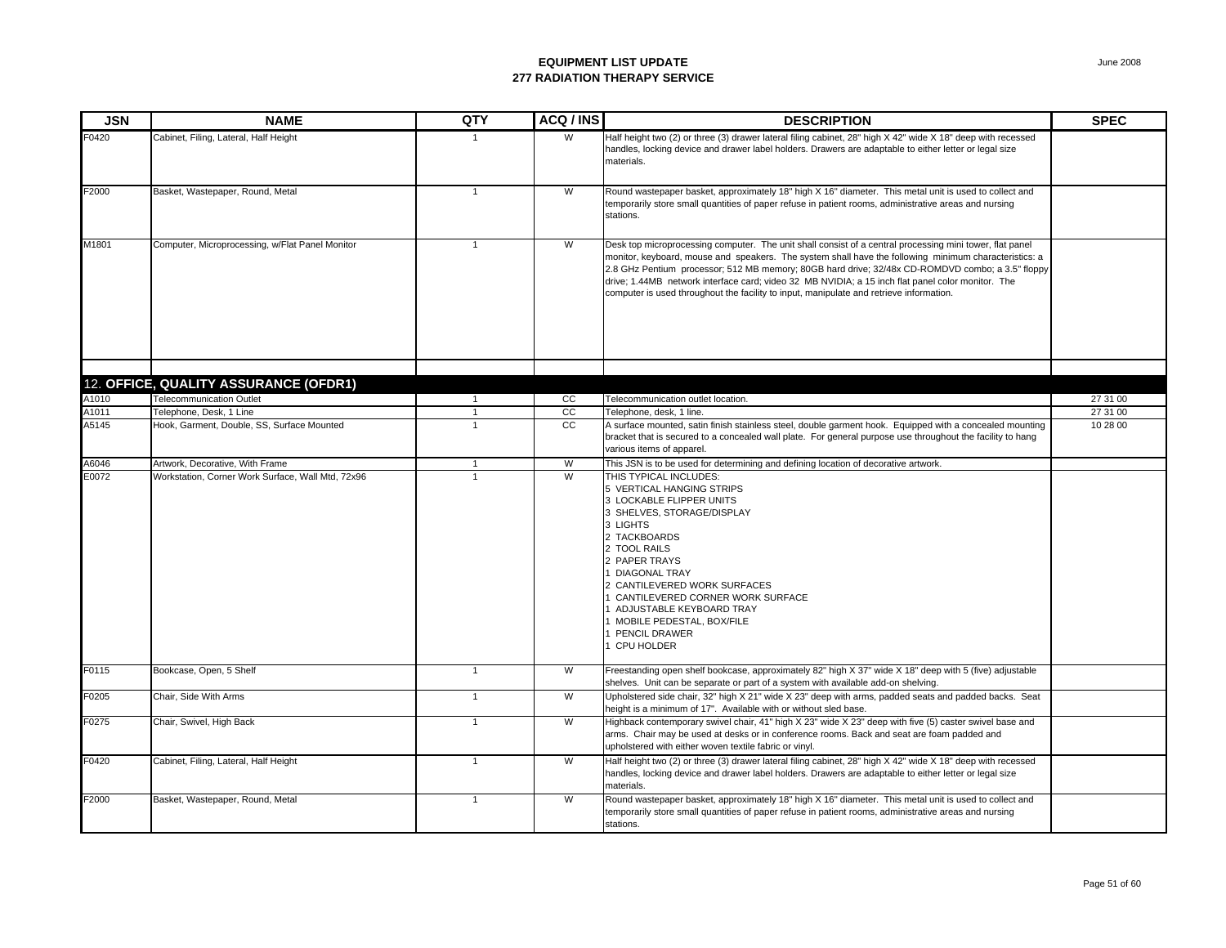| <b>JSN</b> | <b>NAME</b>                                       | QTY            | ACQ/INS       | <b>DESCRIPTION</b>                                                                                                                                                                                                                                                                                                                                                                                                                                                                                                    | <b>SPEC</b> |
|------------|---------------------------------------------------|----------------|---------------|-----------------------------------------------------------------------------------------------------------------------------------------------------------------------------------------------------------------------------------------------------------------------------------------------------------------------------------------------------------------------------------------------------------------------------------------------------------------------------------------------------------------------|-------------|
| F0420      | Cabinet, Filing, Lateral, Half Height             |                | W             | Half height two (2) or three (3) drawer lateral filing cabinet, 28" high X 42" wide X 18" deep with recessed<br>handles, locking device and drawer label holders. Drawers are adaptable to either letter or legal size<br>materials.                                                                                                                                                                                                                                                                                  |             |
| F2000      | Basket, Wastepaper, Round, Metal                  | $\overline{1}$ | W             | Round wastepaper basket, approximately 18" high X 16" diameter. This metal unit is used to collect and<br>temporarily store small quantities of paper refuse in patient rooms, administrative areas and nursing<br>stations.                                                                                                                                                                                                                                                                                          |             |
| M1801      | Computer, Microprocessing, w/Flat Panel Monitor   | 1              | W             | Desk top microprocessing computer. The unit shall consist of a central processing mini tower, flat panel<br>monitor, keyboard, mouse and speakers. The system shall have the following minimum characteristics: a<br>2.8 GHz Pentium processor; 512 MB memory; 80GB hard drive; 32/48x CD-ROMDVD combo; a 3.5" floppy<br>drive; 1.44MB network interface card; video 32 MB NVIDIA; a 15 inch flat panel color monitor. The<br>computer is used throughout the facility to input, manipulate and retrieve information. |             |
|            |                                                   |                |               |                                                                                                                                                                                                                                                                                                                                                                                                                                                                                                                       |             |
|            | 12. OFFICE, QUALITY ASSURANCE (OFDR1)             |                |               |                                                                                                                                                                                                                                                                                                                                                                                                                                                                                                                       |             |
| A1010      | <b>Telecommunication Outlet</b>                   | $\overline{1}$ | cc            | Telecommunication outlet location.                                                                                                                                                                                                                                                                                                                                                                                                                                                                                    | 27 31 00    |
| A1011      | Telephone, Desk, 1 Line                           | $\overline{1}$ | cc            | Telephone, desk, 1 line.                                                                                                                                                                                                                                                                                                                                                                                                                                                                                              | 27 31 00    |
| A5145      | Hook, Garment, Double, SS, Surface Mounted        | $\mathbf{1}$   | <sub>CC</sub> | A surface mounted, satin finish stainless steel, double garment hook. Equipped with a concealed mounting<br>bracket that is secured to a concealed wall plate. For general purpose use throughout the facility to hang<br>various items of apparel.                                                                                                                                                                                                                                                                   | 10 28 00    |
| A6046      | Artwork, Decorative, With Frame                   | $\overline{1}$ | W             | This JSN is to be used for determining and defining location of decorative artwork.                                                                                                                                                                                                                                                                                                                                                                                                                                   |             |
| E0072      | Workstation, Corner Work Surface, Wall Mtd, 72x96 |                | W             | THIS TYPICAL INCLUDES:<br>5 VERTICAL HANGING STRIPS<br>3 LOCKABLE FLIPPER UNITS<br>3 SHELVES, STORAGE/DISPLAY<br>3 LIGHTS<br>2 TACKBOARDS<br>2 TOOL RAILS<br>2 PAPER TRAYS<br>1 DIAGONAL TRAY<br>2 CANTILEVERED WORK SURFACES<br>1 CANTILEVERED CORNER WORK SURFACE<br>1 ADJUSTABLE KEYBOARD TRAY<br>1 MOBILE PEDESTAL, BOX/FILE<br>PENCIL DRAWER<br>1 CPU HOLDER                                                                                                                                                     |             |
| F0115      | Bookcase, Open, 5 Shelf                           | $\overline{1}$ | W             | Freestanding open shelf bookcase, approximately 82" high X 37" wide X 18" deep with 5 (five) adjustable<br>shelves. Unit can be separate or part of a system with available add-on shelving.                                                                                                                                                                                                                                                                                                                          |             |
| F0205      | Chair, Side With Arms                             | $\overline{1}$ | W             | Upholstered side chair, 32" high X 21" wide X 23" deep with arms, padded seats and padded backs. Seat<br>height is a minimum of 17". Available with or without sled base.                                                                                                                                                                                                                                                                                                                                             |             |
| F0275      | Chair, Swivel, High Back                          | $\overline{1}$ | W             | Highback contemporary swivel chair, 41" high X 23" wide X 23" deep with five (5) caster swivel base and<br>arms. Chair may be used at desks or in conference rooms. Back and seat are foam padded and<br>upholstered with either woven textile fabric or vinyl.                                                                                                                                                                                                                                                       |             |
| F0420      | Cabinet, Filing, Lateral, Half Height             | $\overline{1}$ | W             | Half height two (2) or three (3) drawer lateral filing cabinet, 28" high X 42" wide X 18" deep with recessed<br>handles, locking device and drawer label holders. Drawers are adaptable to either letter or legal size<br>materials.                                                                                                                                                                                                                                                                                  |             |
| F2000      | Basket, Wastepaper, Round, Metal                  | $\mathbf{1}$   | W             | Round wastepaper basket, approximately 18" high X 16" diameter. This metal unit is used to collect and<br>temporarily store small quantities of paper refuse in patient rooms, administrative areas and nursing<br>stations.                                                                                                                                                                                                                                                                                          |             |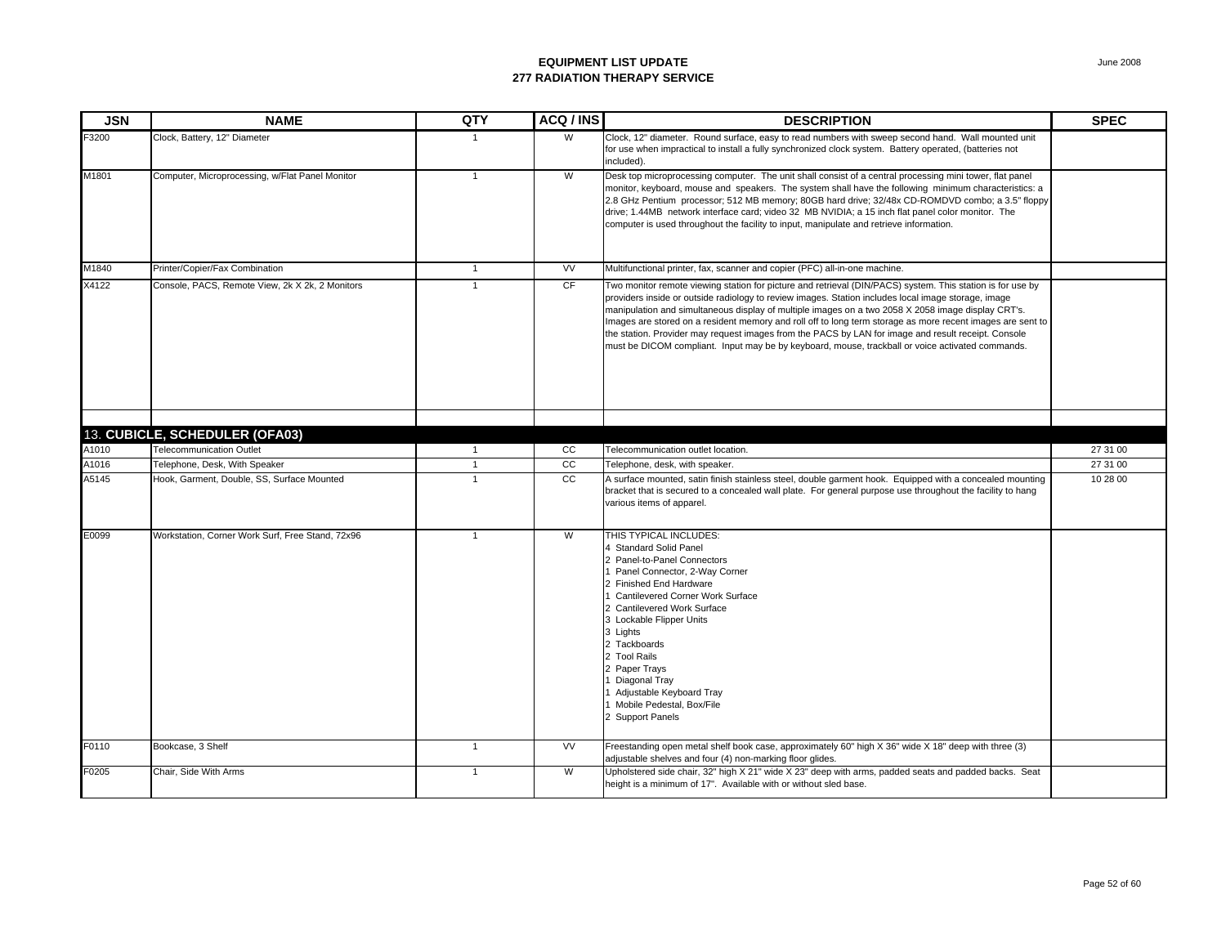| <b>JSN</b> | <b>NAME</b>                                      | QTY            | ACQ/INS         | <b>DESCRIPTION</b>                                                                                                                                                                                                                                                                                                                                                                                                                                                                                                                                                                                                                               | <b>SPEC</b> |
|------------|--------------------------------------------------|----------------|-----------------|--------------------------------------------------------------------------------------------------------------------------------------------------------------------------------------------------------------------------------------------------------------------------------------------------------------------------------------------------------------------------------------------------------------------------------------------------------------------------------------------------------------------------------------------------------------------------------------------------------------------------------------------------|-------------|
| F3200      | Clock, Battery, 12" Diameter                     | $\mathbf{1}$   | W               | Clock, 12" diameter. Round surface, easy to read numbers with sweep second hand. Wall mounted unit<br>for use when impractical to install a fully synchronized clock system. Battery operated, (batteries not<br>included).                                                                                                                                                                                                                                                                                                                                                                                                                      |             |
| M1801      | Computer, Microprocessing, w/Flat Panel Monitor  | $\overline{1}$ | W               | Desk top microprocessing computer. The unit shall consist of a central processing mini tower, flat panel<br>monitor, keyboard, mouse and speakers. The system shall have the following minimum characteristics: a<br>2.8 GHz Pentium processor; 512 MB memory; 80GB hard drive; 32/48x CD-ROMDVD combo; a 3.5" floppy<br>drive; 1.44MB network interface card; video 32 MB NVIDIA; a 15 inch flat panel color monitor. The<br>computer is used throughout the facility to input, manipulate and retrieve information.                                                                                                                            |             |
| M1840      | Printer/Copier/Fax Combination                   | $\overline{1}$ | <b>VV</b>       | Multifunctional printer, fax, scanner and copier (PFC) all-in-one machine.                                                                                                                                                                                                                                                                                                                                                                                                                                                                                                                                                                       |             |
| X4122      | Console, PACS, Remote View, 2k X 2k, 2 Monitors  | $\mathbf{1}$   | CF              | Two monitor remote viewing station for picture and retrieval (DIN/PACS) system. This station is for use by<br>providers inside or outside radiology to review images. Station includes local image storage, image<br>manipulation and simultaneous display of multiple images on a two 2058 X 2058 image display CRT's.<br>Images are stored on a resident memory and roll off to long term storage as more recent images are sent to<br>the station. Provider may request images from the PACS by LAN for image and result receipt. Console<br>must be DICOM compliant. Input may be by keyboard, mouse, trackball or voice activated commands. |             |
|            | 13. CUBICLE, SCHEDULER (OFA03)                   |                |                 |                                                                                                                                                                                                                                                                                                                                                                                                                                                                                                                                                                                                                                                  |             |
| A1010      | <b>Telecommunication Outlet</b>                  | $\overline{1}$ | cc              | Telecommunication outlet location.                                                                                                                                                                                                                                                                                                                                                                                                                                                                                                                                                                                                               | 27 31 00    |
| A1016      | Telephone, Desk, With Speaker                    | $\mathbf{1}$   | $\overline{cc}$ | Telephone, desk, with speaker.                                                                                                                                                                                                                                                                                                                                                                                                                                                                                                                                                                                                                   | 27 31 00    |
| A5145      | Hook, Garment, Double, SS, Surface Mounted       | $\overline{1}$ | cc              | A surface mounted, satin finish stainless steel, double garment hook. Equipped with a concealed mounting<br>bracket that is secured to a concealed wall plate. For general purpose use throughout the facility to hang<br>various items of apparel.                                                                                                                                                                                                                                                                                                                                                                                              | 10 28 00    |
| E0099      | Workstation, Corner Work Surf, Free Stand, 72x96 | $\overline{1}$ | W               | THIS TYPICAL INCLUDES:<br><b>Standard Solid Panel</b><br>2 Panel-to-Panel Connectors<br>Panel Connector, 2-Way Corner<br>Finished End Hardware<br>Cantilevered Corner Work Surface<br><b>Cantilevered Work Surface</b><br>3 Lockable Flipper Units<br>3 Lights<br>2 Tackboards<br>2 Tool Rails<br>2 Paper Trays<br>Diagonal Tray<br>Adjustable Keyboard Tray<br>Mobile Pedestal, Box/File<br>2 Support Panels                                                                                                                                                                                                                                    |             |
| F0110      | Bookcase, 3 Shelf                                | $\mathbf{1}$   | <b>VV</b>       | Freestanding open metal shelf book case, approximately 60" high X 36" wide X 18" deep with three (3)<br>adjustable shelves and four (4) non-marking floor glides.                                                                                                                                                                                                                                                                                                                                                                                                                                                                                |             |
| F0205      | Chair, Side With Arms                            | $\mathbf{1}$   | W               | Upholstered side chair, 32" high X 21" wide X 23" deep with arms, padded seats and padded backs. Seat<br>height is a minimum of 17". Available with or without sled base.                                                                                                                                                                                                                                                                                                                                                                                                                                                                        |             |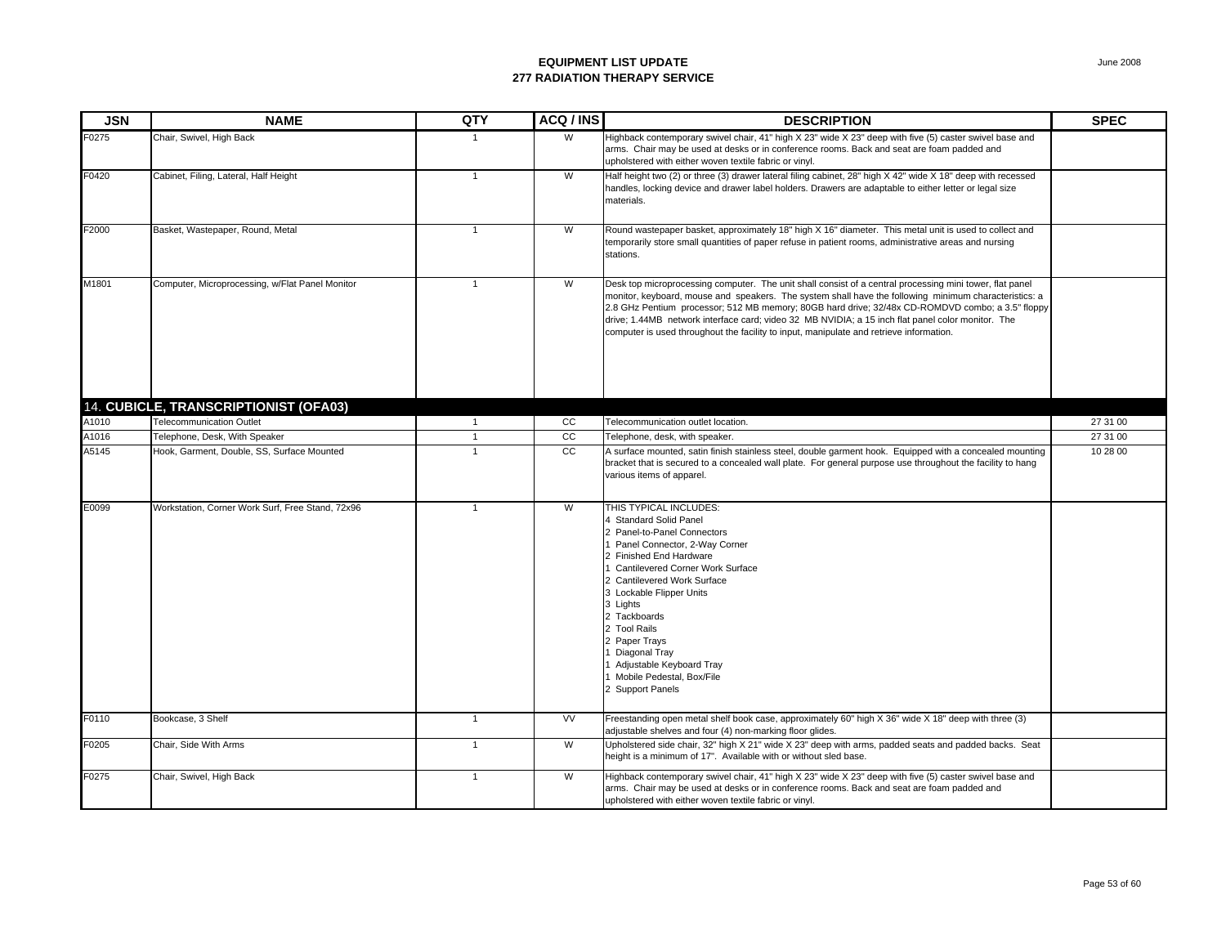| <b>JSN</b> | <b>NAME</b>                                      | QTY            | ACQ / INS       | <b>DESCRIPTION</b>                                                                                                                                                                                                                                                                                                                                                                                                                                                                                                    | <b>SPEC</b> |
|------------|--------------------------------------------------|----------------|-----------------|-----------------------------------------------------------------------------------------------------------------------------------------------------------------------------------------------------------------------------------------------------------------------------------------------------------------------------------------------------------------------------------------------------------------------------------------------------------------------------------------------------------------------|-------------|
| F0275      | Chair, Swivel, High Back                         | -1             | W               | Highback contemporary swivel chair, 41" high X 23" wide X 23" deep with five (5) caster swivel base and<br>arms. Chair may be used at desks or in conference rooms. Back and seat are foam padded and<br>upholstered with either woven textile fabric or vinyl.                                                                                                                                                                                                                                                       |             |
| F0420      | Cabinet, Filing, Lateral, Half Height            | $\mathbf{1}$   | W               | Half height two (2) or three (3) drawer lateral filing cabinet, 28" high X 42" wide X 18" deep with recessed<br>handles, locking device and drawer label holders. Drawers are adaptable to either letter or legal size<br>materials.                                                                                                                                                                                                                                                                                  |             |
| F2000      | Basket, Wastepaper, Round, Metal                 | $\overline{1}$ | W               | Round wastepaper basket, approximately 18" high X 16" diameter. This metal unit is used to collect and<br>temporarily store small quantities of paper refuse in patient rooms, administrative areas and nursing<br>stations.                                                                                                                                                                                                                                                                                          |             |
| M1801      | Computer, Microprocessing, w/Flat Panel Monitor  | $\mathbf{1}$   | W               | Desk top microprocessing computer. The unit shall consist of a central processing mini tower, flat panel<br>monitor, keyboard, mouse and speakers. The system shall have the following minimum characteristics: a<br>2.8 GHz Pentium processor; 512 MB memory; 80GB hard drive; 32/48x CD-ROMDVD combo; a 3.5" floppy<br>drive; 1.44MB network interface card; video 32 MB NVIDIA; a 15 inch flat panel color monitor. The<br>computer is used throughout the facility to input, manipulate and retrieve information. |             |
|            | 14. CUBICLE, TRANSCRIPTIONIST (OFA03)            |                |                 |                                                                                                                                                                                                                                                                                                                                                                                                                                                                                                                       |             |
| A1010      | Telecommunication Outlet                         | $\overline{1}$ | cc              | Telecommunication outlet location.                                                                                                                                                                                                                                                                                                                                                                                                                                                                                    | 27 31 00    |
| A1016      | Telephone, Desk, With Speaker                    | $\overline{1}$ | $\overline{cc}$ | Telephone, desk, with speaker.                                                                                                                                                                                                                                                                                                                                                                                                                                                                                        | 27 31 00    |
| A5145      | Hook, Garment, Double, SS, Surface Mounted       | $\mathbf{1}$   | cc              | A surface mounted, satin finish stainless steel, double garment hook. Equipped with a concealed mounting<br>bracket that is secured to a concealed wall plate. For general purpose use throughout the facility to hang<br>various items of apparel.                                                                                                                                                                                                                                                                   | 10 28 00    |
| E0099      | Workstation, Corner Work Surf, Free Stand, 72x96 | $\mathbf{1}$   | W               | THIS TYPICAL INCLUDES:<br>4 Standard Solid Panel<br>2 Panel-to-Panel Connectors<br>1 Panel Connector, 2-Way Corner<br>2 Finished End Hardware<br><b>Cantilevered Corner Work Surface</b><br>2 Cantilevered Work Surface<br>3 Lockable Flipper Units<br>3 Lights<br>2 Tackboards<br>2 Tool Rails<br>2 Paper Trays<br>Diagonal Tray<br>Adjustable Keyboard Tray<br>1 Mobile Pedestal, Box/File<br>2 Support Panels                                                                                                      |             |
| F0110      | Bookcase, 3 Shelf                                | $\overline{1}$ | <b>VV</b>       | Freestanding open metal shelf book case, approximately 60" high X 36" wide X 18" deep with three (3)<br>adjustable shelves and four (4) non-marking floor glides.                                                                                                                                                                                                                                                                                                                                                     |             |
| F0205      | Chair, Side With Arms                            | $\mathbf{1}$   | W               | Upholstered side chair, 32" high X 21" wide X 23" deep with arms, padded seats and padded backs. Seat<br>height is a minimum of 17". Available with or without sled base.                                                                                                                                                                                                                                                                                                                                             |             |
| F0275      | Chair, Swivel, High Back                         | $\overline{1}$ | W               | Highback contemporary swivel chair, 41" high X 23" wide X 23" deep with five (5) caster swivel base and<br>arms. Chair may be used at desks or in conference rooms. Back and seat are foam padded and<br>upholstered with either woven textile fabric or vinyl.                                                                                                                                                                                                                                                       |             |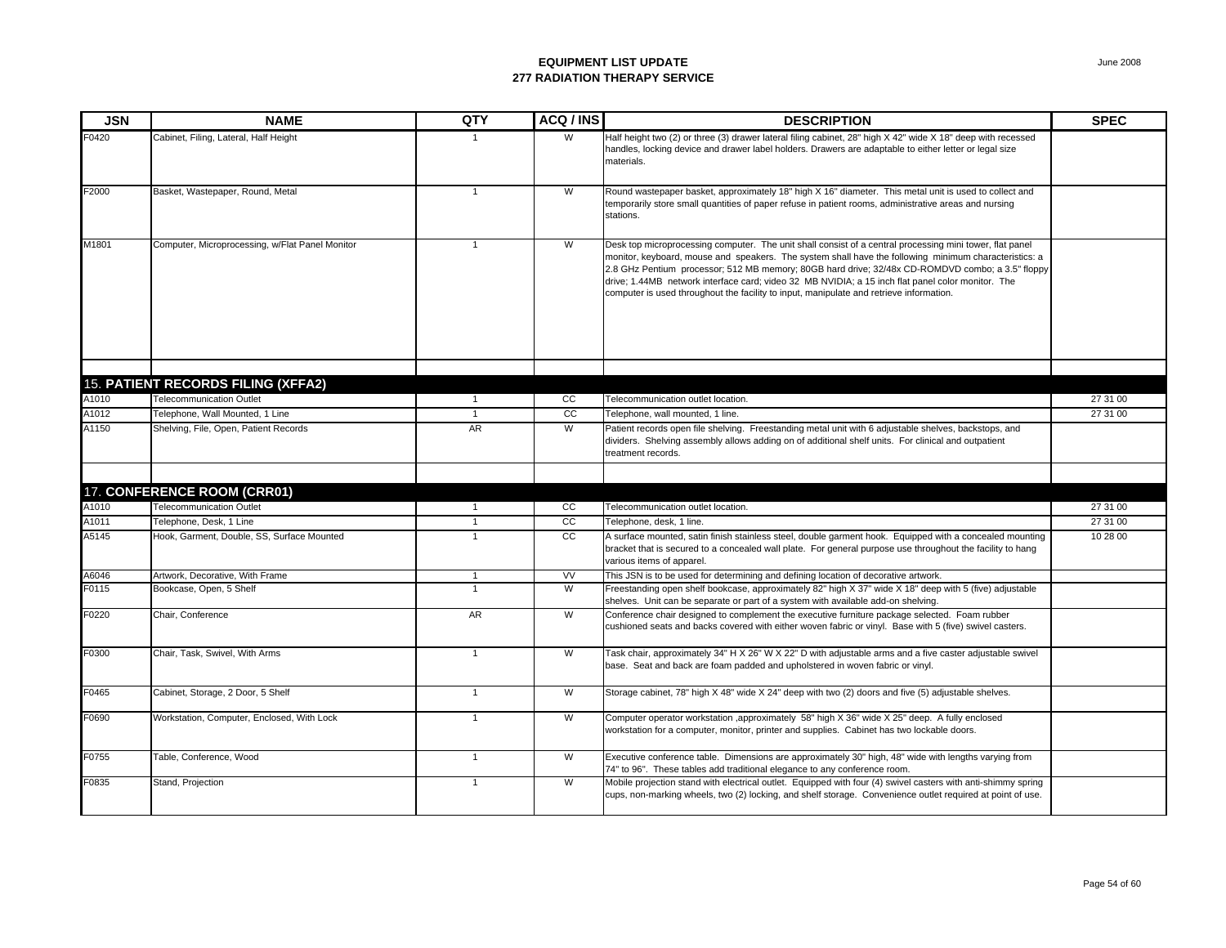| <b>JSN</b> | NAME                                            | QTY            | ACQ/INS        | <b>DESCRIPTION</b>                                                                                                                                                                                                                                                                                                                                                                                                                                                                                                    | <b>SPEC</b> |
|------------|-------------------------------------------------|----------------|----------------|-----------------------------------------------------------------------------------------------------------------------------------------------------------------------------------------------------------------------------------------------------------------------------------------------------------------------------------------------------------------------------------------------------------------------------------------------------------------------------------------------------------------------|-------------|
| F0420      | Cabinet, Filing, Lateral, Half Height           |                | W              | Half height two (2) or three (3) drawer lateral filing cabinet, 28" high X 42" wide X 18" deep with recessed<br>handles, locking device and drawer label holders. Drawers are adaptable to either letter or legal size<br>materials.                                                                                                                                                                                                                                                                                  |             |
| F2000      | Basket, Wastepaper, Round, Metal                | $\overline{1}$ | W              | Round wastepaper basket, approximately 18" high X 16" diameter. This metal unit is used to collect and<br>temporarily store small quantities of paper refuse in patient rooms, administrative areas and nursing<br>stations.                                                                                                                                                                                                                                                                                          |             |
| M1801      | Computer, Microprocessing, w/Flat Panel Monitor | $\overline{1}$ | W              | Desk top microprocessing computer. The unit shall consist of a central processing mini tower, flat panel<br>monitor, keyboard, mouse and speakers. The system shall have the following minimum characteristics: a<br>2.8 GHz Pentium processor; 512 MB memory; 80GB hard drive; 32/48x CD-ROMDVD combo; a 3.5" floppy<br>drive; 1.44MB network interface card; video 32 MB NVIDIA; a 15 inch flat panel color monitor. The<br>computer is used throughout the facility to input, manipulate and retrieve information. |             |
|            | <b>15. PATIENT RECORDS FILING (XFFA2)</b>       |                |                |                                                                                                                                                                                                                                                                                                                                                                                                                                                                                                                       |             |
| A1010      | Telecommunication Outlet                        | $\overline{1}$ | CC             | Telecommunication outlet location.                                                                                                                                                                                                                                                                                                                                                                                                                                                                                    | 27 31 00    |
| A1012      | Telephone, Wall Mounted, 1 Line                 | $\overline{1}$ | cc             | Telephone, wall mounted, 1 line.                                                                                                                                                                                                                                                                                                                                                                                                                                                                                      | 27 31 00    |
| A1150      | Shelving, File, Open, Patient Records           | AR             | $\overline{W}$ | Patient records open file shelving. Freestanding metal unit with 6 adjustable shelves, backstops, and<br>dividers. Shelving assembly allows adding on of additional shelf units. For clinical and outpatient<br>treatment records.                                                                                                                                                                                                                                                                                    |             |
|            | 17. CONFERENCE ROOM (CRR01)                     |                |                |                                                                                                                                                                                                                                                                                                                                                                                                                                                                                                                       |             |
| A1010      | <b>Telecommunication Outlet</b>                 | $\overline{1}$ | cc             | Telecommunication outlet location.                                                                                                                                                                                                                                                                                                                                                                                                                                                                                    | 27 31 00    |
| A1011      | Telephone, Desk, 1 Line                         | $\mathbf{1}$   | cc             | Telephone, desk, 1 line.                                                                                                                                                                                                                                                                                                                                                                                                                                                                                              | 27 31 00    |
| A5145      | Hook, Garment, Double, SS, Surface Mounted      | $\mathbf{1}$   | CC             | A surface mounted, satin finish stainless steel, double garment hook. Equipped with a concealed mounting<br>bracket that is secured to a concealed wall plate. For general purpose use throughout the facility to hang<br>various items of apparel.                                                                                                                                                                                                                                                                   | 10 28 00    |
| A6046      | Artwork, Decorative, With Frame                 | $\overline{1}$ | VV             | This JSN is to be used for determining and defining location of decorative artwork.                                                                                                                                                                                                                                                                                                                                                                                                                                   |             |
| F0115      | Bookcase, Open, 5 Shelf                         | $\overline{1}$ | $\overline{W}$ | Freestanding open shelf bookcase, approximately 82" high X 37" wide X 18" deep with 5 (five) adjustable<br>shelves. Unit can be separate or part of a system with available add-on shelving.                                                                                                                                                                                                                                                                                                                          |             |
| F0220      | Chair, Conference                               | <b>AR</b>      | W              | Conference chair designed to complement the executive furniture package selected. Foam rubber<br>cushioned seats and backs covered with either woven fabric or vinyl. Base with 5 (five) swivel casters.                                                                                                                                                                                                                                                                                                              |             |
| F0300      | Chair, Task, Swivel, With Arms                  | $\mathbf{1}$   | W              | Task chair, approximately 34" H X 26" W X 22" D with adjustable arms and a five caster adjustable swivel<br>base. Seat and back are foam padded and upholstered in woven fabric or vinyl.                                                                                                                                                                                                                                                                                                                             |             |
| F0465      | Cabinet, Storage, 2 Door, 5 Shelf               | $\overline{1}$ | W              | Storage cabinet, 78" high X 48" wide X 24" deep with two (2) doors and five (5) adjustable shelves.                                                                                                                                                                                                                                                                                                                                                                                                                   |             |
| F0690      | Workstation, Computer, Enclosed, With Lock      | $\mathbf{1}$   | W              | Computer operator workstation ,approximately 58" high X 36" wide X 25" deep. A fully enclosed<br>workstation for a computer, monitor, printer and supplies. Cabinet has two lockable doors.                                                                                                                                                                                                                                                                                                                           |             |
| F0755      | Table, Conference, Wood                         | $\overline{1}$ | W              | Executive conference table. Dimensions are approximately 30" high, 48" wide with lengths varying from<br>74" to 96". These tables add traditional elegance to any conference room.                                                                                                                                                                                                                                                                                                                                    |             |
| F0835      | Stand, Projection                               | $\overline{1}$ | W              | Mobile projection stand with electrical outlet. Equipped with four (4) swivel casters with anti-shimmy spring<br>cups, non-marking wheels, two (2) locking, and shelf storage. Convenience outlet required at point of use.                                                                                                                                                                                                                                                                                           |             |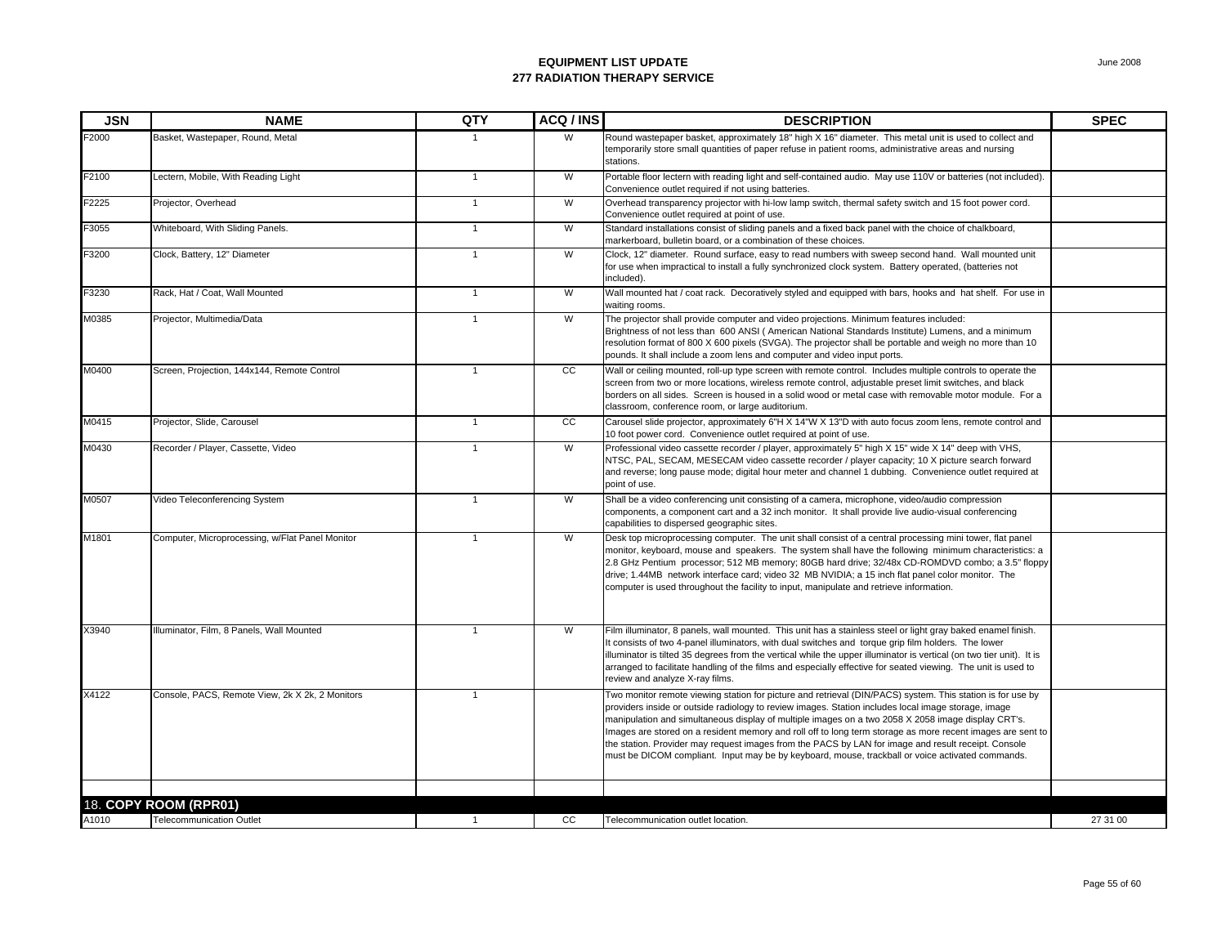| <b>JSN</b> | <b>NAME</b>                                     | QTY            | ACQ / INS | <b>DESCRIPTION</b>                                                                                                                                                                                                                                                                                                                                                                                                                                                                                                                                                                                                                               | <b>SPEC</b> |
|------------|-------------------------------------------------|----------------|-----------|--------------------------------------------------------------------------------------------------------------------------------------------------------------------------------------------------------------------------------------------------------------------------------------------------------------------------------------------------------------------------------------------------------------------------------------------------------------------------------------------------------------------------------------------------------------------------------------------------------------------------------------------------|-------------|
| F2000      | Basket, Wastepaper, Round, Metal                |                | W         | Round wastepaper basket, approximately 18" high X 16" diameter. This metal unit is used to collect and<br>temporarily store small quantities of paper refuse in patient rooms, administrative areas and nursing<br>stations.                                                                                                                                                                                                                                                                                                                                                                                                                     |             |
| F2100      | Lectern, Mobile, With Reading Light             | $\overline{1}$ | W         | Portable floor lectern with reading light and self-contained audio. May use 110V or batteries (not included).<br>Convenience outlet required if not using batteries.                                                                                                                                                                                                                                                                                                                                                                                                                                                                             |             |
| F2225      | Projector, Overhead                             | $\overline{1}$ | W         | Overhead transparency projector with hi-low lamp switch, thermal safety switch and 15 foot power cord.<br>Convenience outlet required at point of use.                                                                                                                                                                                                                                                                                                                                                                                                                                                                                           |             |
| F3055      | Whiteboard, With Sliding Panels.                | $\overline{1}$ | W         | Standard installations consist of sliding panels and a fixed back panel with the choice of chalkboard,<br>markerboard, bulletin board, or a combination of these choices.                                                                                                                                                                                                                                                                                                                                                                                                                                                                        |             |
| F3200      | Clock, Battery, 12" Diameter                    | $\overline{1}$ | W         | Clock, 12" diameter. Round surface, easy to read numbers with sweep second hand. Wall mounted unit<br>for use when impractical to install a fully synchronized clock system. Battery operated, (batteries not<br>included).                                                                                                                                                                                                                                                                                                                                                                                                                      |             |
| F3230      | Rack, Hat / Coat, Wall Mounted                  | $\overline{1}$ | W         | Wall mounted hat / coat rack. Decoratively styled and equipped with bars, hooks and hat shelf. For use in<br>waiting rooms.                                                                                                                                                                                                                                                                                                                                                                                                                                                                                                                      |             |
| M0385      | Projector, Multimedia/Data                      | $\mathbf{1}$   | W         | The projector shall provide computer and video projections. Minimum features included:<br>Brightness of not less than 600 ANSI (American National Standards Institute) Lumens, and a minimum<br>resolution format of 800 X 600 pixels (SVGA). The projector shall be portable and weigh no more than 10<br>pounds. It shall include a zoom lens and computer and video input ports.                                                                                                                                                                                                                                                              |             |
| M0400      | Screen, Projection, 144x144, Remote Control     | $\mathbf{1}$   | cc        | Wall or ceiling mounted, roll-up type screen with remote control. Includes multiple controls to operate the<br>screen from two or more locations, wireless remote control, adjustable preset limit switches, and black<br>borders on all sides. Screen is housed in a solid wood or metal case with removable motor module. For a<br>classroom, conference room, or large auditorium.                                                                                                                                                                                                                                                            |             |
| M0415      | Projector, Slide, Carousel                      | $\overline{1}$ | CC        | Carousel slide projector, approximately 6"H X 14"W X 13"D with auto focus zoom lens, remote control and<br>10 foot power cord. Convenience outlet required at point of use.                                                                                                                                                                                                                                                                                                                                                                                                                                                                      |             |
| M0430      | Recorder / Player, Cassette, Video              | $\mathbf{1}$   | W         | Professional video cassette recorder / player, approximately 5" high X 15" wide X 14" deep with VHS,<br>NTSC, PAL, SECAM, MESECAM video cassette recorder / player capacity; 10 X picture search forward<br>and reverse; long pause mode; digital hour meter and channel 1 dubbing. Convenience outlet required at<br>point of use.                                                                                                                                                                                                                                                                                                              |             |
| M0507      | Video Teleconferencing System                   | $\overline{1}$ | W         | Shall be a video conferencing unit consisting of a camera, microphone, video/audio compression<br>components, a component cart and a 32 inch monitor. It shall provide live audio-visual conferencing<br>capabilities to dispersed geographic sites.                                                                                                                                                                                                                                                                                                                                                                                             |             |
| M1801      | Computer, Microprocessing, w/Flat Panel Monitor | $\overline{1}$ | W         | Desk top microprocessing computer. The unit shall consist of a central processing mini tower, flat panel<br>monitor, keyboard, mouse and speakers. The system shall have the following minimum characteristics: a<br>2.8 GHz Pentium processor; 512 MB memory; 80GB hard drive; 32/48x CD-ROMDVD combo; a 3.5" floppy<br>drive; 1.44MB network interface card; video 32 MB NVIDIA; a 15 inch flat panel color monitor. The<br>computer is used throughout the facility to input, manipulate and retrieve information.                                                                                                                            |             |
| X3940      | Illuminator, Film, 8 Panels, Wall Mounted       | $\mathbf{1}$   | W         | Film illuminator, 8 panels, wall mounted. This unit has a stainless steel or light gray baked enamel finish.<br>It consists of two 4-panel illuminators, with dual switches and torque grip film holders. The lower<br>illuminator is tilted 35 degrees from the vertical while the upper illuminator is vertical (on two tier unit). It is<br>arranged to facilitate handling of the films and especially effective for seated viewing. The unit is used to<br>review and analyze X-ray films.                                                                                                                                                  |             |
| X4122      | Console, PACS, Remote View, 2k X 2k, 2 Monitors | $\overline{1}$ |           | Two monitor remote viewing station for picture and retrieval (DIN/PACS) system. This station is for use by<br>providers inside or outside radiology to review images. Station includes local image storage, image<br>manipulation and simultaneous display of multiple images on a two 2058 X 2058 image display CRT's.<br>Images are stored on a resident memory and roll off to long term storage as more recent images are sent to<br>the station. Provider may request images from the PACS by LAN for image and result receipt. Console<br>must be DICOM compliant. Input may be by keyboard, mouse, trackball or voice activated commands. |             |
|            | 18. COPY ROOM (RPR01)                           |                |           |                                                                                                                                                                                                                                                                                                                                                                                                                                                                                                                                                                                                                                                  |             |
| A1010      | <b>Telecommunication Outlet</b>                 | $\overline{1}$ | CC        | Telecommunication outlet location.                                                                                                                                                                                                                                                                                                                                                                                                                                                                                                                                                                                                               | 27 31 00    |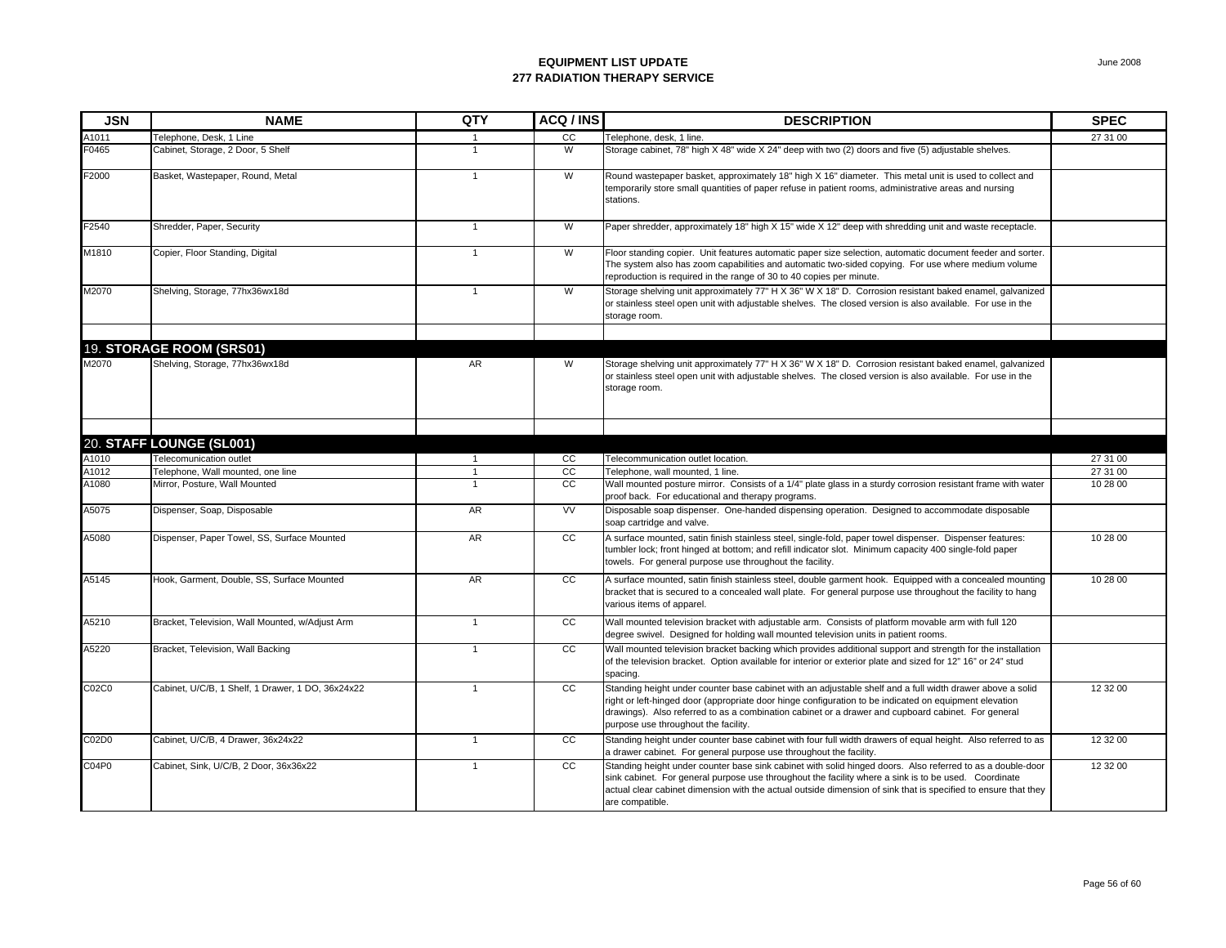| <b>JSN</b> | <b>NAME</b>                                       | QTY            | ACQ/INS         | <b>DESCRIPTION</b>                                                                                                                                                                                                                                                                                                                                                | <b>SPEC</b> |
|------------|---------------------------------------------------|----------------|-----------------|-------------------------------------------------------------------------------------------------------------------------------------------------------------------------------------------------------------------------------------------------------------------------------------------------------------------------------------------------------------------|-------------|
| A1011      | Telephone, Desk, 1 Line                           |                | cc              | Telephone, desk, 1 line.                                                                                                                                                                                                                                                                                                                                          | 27 31 00    |
| F0465      | Cabinet, Storage, 2 Door, 5 Shelf                 | $\mathbf{1}$   | W               | Storage cabinet, 78" high X 48" wide X 24" deep with two (2) doors and five (5) adjustable shelves.                                                                                                                                                                                                                                                               |             |
| F2000      | Basket, Wastepaper, Round, Metal                  | $\mathbf{1}$   | W               | Round wastepaper basket, approximately 18" high X 16" diameter. This metal unit is used to collect and<br>temporarily store small quantities of paper refuse in patient rooms, administrative areas and nursing<br>stations.                                                                                                                                      |             |
| F2540      | Shredder, Paper, Security                         | $\mathbf{1}$   | W               | Paper shredder, approximately 18" high X 15" wide X 12" deep with shredding unit and waste receptacle.                                                                                                                                                                                                                                                            |             |
| M1810      | Copier, Floor Standing, Digital                   | $\overline{1}$ | W               | Floor standing copier. Unit features automatic paper size selection, automatic document feeder and sorter.<br>The system also has zoom capabilities and automatic two-sided copying. For use where medium volume<br>reproduction is required in the range of 30 to 40 copies per minute.                                                                          |             |
| M2070      | Shelving, Storage, 77hx36wx18d                    | $\mathbf{1}$   | W               | Storage shelving unit approximately 77" H X 36" W X 18" D. Corrosion resistant baked enamel, galvanized<br>or stainless steel open unit with adjustable shelves. The closed version is also available. For use in the<br>storage room.                                                                                                                            |             |
|            | 19. STORAGE ROOM (SRS01)                          |                |                 |                                                                                                                                                                                                                                                                                                                                                                   |             |
| M2070      | Shelving, Storage, 77hx36wx18d                    | AR             | W               | Storage shelving unit approximately 77" H X 36" W X 18" D. Corrosion resistant baked enamel, galvanized<br>or stainless steel open unit with adjustable shelves. The closed version is also available. For use in the<br>storage room.                                                                                                                            |             |
|            |                                                   |                |                 |                                                                                                                                                                                                                                                                                                                                                                   |             |
|            | 20. STAFF LOUNGE (SL001)                          |                |                 |                                                                                                                                                                                                                                                                                                                                                                   |             |
| A1010      | Telecomunication outlet                           |                | cc              | Telecommunication outlet location.                                                                                                                                                                                                                                                                                                                                | 27 31 00    |
| A1012      | Telephone, Wall mounted, one line                 | $\mathbf{1}$   | $\overline{cc}$ | Telephone, wall mounted, 1 line.                                                                                                                                                                                                                                                                                                                                  | 27 31 00    |
| A1080      | Mirror, Posture, Wall Mounted                     | $\overline{1}$ | <b>CC</b>       | Wall mounted posture mirror. Consists of a 1/4" plate glass in a sturdy corrosion resistant frame with water<br>proof back. For educational and therapy programs.                                                                                                                                                                                                 | 10 28 00    |
| A5075      | Dispenser, Soap, Disposable                       | AR             | VV              | Disposable soap dispenser. One-handed dispensing operation. Designed to accommodate disposable<br>soap cartridge and valve.                                                                                                                                                                                                                                       |             |
| A5080      | Dispenser, Paper Towel, SS, Surface Mounted       | AR             | cc              | A surface mounted, satin finish stainless steel, single-fold, paper towel dispenser. Dispenser features:<br>tumbler lock; front hinged at bottom; and refill indicator slot. Minimum capacity 400 single-fold paper<br>towels. For general purpose use throughout the facility.                                                                                   | 10 28 00    |
| A5145      | Hook, Garment, Double, SS, Surface Mounted        | AR             | cc              | A surface mounted, satin finish stainless steel, double garment hook. Equipped with a concealed mounting<br>bracket that is secured to a concealed wall plate. For general purpose use throughout the facility to hang<br>various items of apparel.                                                                                                               | 10 28 00    |
| A5210      | Bracket, Television, Wall Mounted, w/Adjust Arm   | $\mathbf{1}$   | cc              | Wall mounted television bracket with adjustable arm. Consists of platform movable arm with full 120<br>degree swivel. Designed for holding wall mounted television units in patient rooms.                                                                                                                                                                        |             |
| A5220      | Bracket, Television, Wall Backing                 | $\mathbf{1}$   | CC              | Wall mounted television bracket backing which provides additional support and strength for the installation<br>of the television bracket. Option available for interior or exterior plate and sized for 12" 16" or 24" stud<br>spacing.                                                                                                                           |             |
| C02C0      | Cabinet, U/C/B, 1 Shelf, 1 Drawer, 1 DO, 36x24x22 | $\overline{1}$ | CC              | Standing height under counter base cabinet with an adjustable shelf and a full width drawer above a solid<br>right or left-hinged door (appropriate door hinge configuration to be indicated on equipment elevation<br>drawings). Also referred to as a combination cabinet or a drawer and cupboard cabinet. For general<br>purpose use throughout the facility. | 12 32 00    |
| C02D0      | Cabinet, U/C/B, 4 Drawer, 36x24x22                | $\mathbf{1}$   | cc              | Standing height under counter base cabinet with four full width drawers of equal height. Also referred to as<br>a drawer cabinet. For general purpose use throughout the facility.                                                                                                                                                                                | 12 32 00    |
| CO4P0      | Cabinet, Sink, U/C/B, 2 Door, 36x36x22            | $\mathbf{1}$   | $\overline{cc}$ | Standing height under counter base sink cabinet with solid hinged doors. Also referred to as a double-door<br>sink cabinet. For general purpose use throughout the facility where a sink is to be used. Coordinate<br>actual clear cabinet dimension with the actual outside dimension of sink that is specified to ensure that they<br>are compatible.           | 12 32 00    |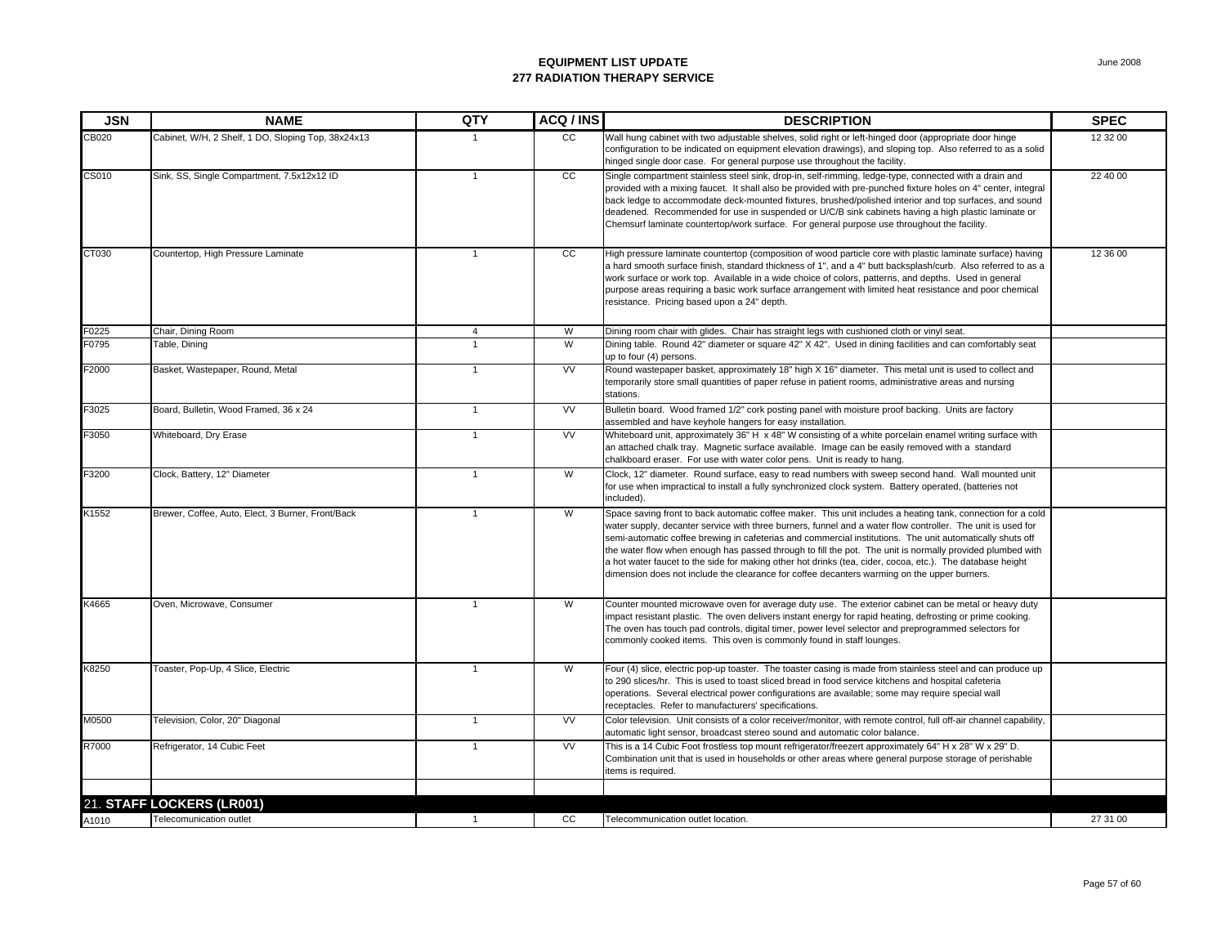| <b>JSN</b>   | <b>NAME</b>                                        | QTY            | ACQ / INS | <b>DESCRIPTION</b>                                                                                                                                                                                                                                                                                                                                                                                                                                                                                                                                                                                                                                               | <b>SPEC</b> |
|--------------|----------------------------------------------------|----------------|-----------|------------------------------------------------------------------------------------------------------------------------------------------------------------------------------------------------------------------------------------------------------------------------------------------------------------------------------------------------------------------------------------------------------------------------------------------------------------------------------------------------------------------------------------------------------------------------------------------------------------------------------------------------------------------|-------------|
| CB020        | Cabinet, W/H, 2 Shelf, 1 DO, Sloping Top, 38x24x13 |                | cc        | Wall hung cabinet with two adjustable shelves, solid right or left-hinged door (appropriate door hinge<br>configuration to be indicated on equipment elevation drawings), and sloping top. Also referred to as a solid<br>hinged single door case. For general purpose use throughout the facility.                                                                                                                                                                                                                                                                                                                                                              | 12 32 00    |
| <b>CS010</b> | Sink, SS, Single Compartment, 7.5x12x12 ID         | $\mathbf{1}$   | cc        | Single compartment stainless steel sink, drop-in, self-rimming, ledge-type, connected with a drain and<br>provided with a mixing faucet. It shall also be provided with pre-punched fixture holes on 4" center, integral<br>back ledge to accommodate deck-mounted fixtures, brushed/polished interior and top surfaces, and sound<br>deadened. Recommended for use in suspended or U/C/B sink cabinets having a high plastic laminate or<br>Chemsurf laminate countertop/work surface. For general purpose use throughout the facility.                                                                                                                         | 22 40 00    |
| CT030        | Countertop, High Pressure Laminate                 | $\overline{1}$ | cc        | High pressure laminate countertop (composition of wood particle core with plastic laminate surface) having<br>a hard smooth surface finish, standard thickness of 1", and a 4" butt backsplash/curb. Also referred to as a<br>work surface or work top. Available in a wide choice of colors, patterns, and depths. Used in general<br>purpose areas requiring a basic work surface arrangement with limited heat resistance and poor chemical<br>resistance. Pricing based upon a 24" depth.                                                                                                                                                                    | 12 36 00    |
| F0225        | Chair, Dining Room                                 | $\overline{4}$ | W         | Dining room chair with glides. Chair has straight legs with cushioned cloth or vinyl seat.                                                                                                                                                                                                                                                                                                                                                                                                                                                                                                                                                                       |             |
| F0795        | Table, Dining                                      | $\overline{1}$ | W         | Dining table. Round 42" diameter or square 42" X 42". Used in dining facilities and can comfortably seat<br>up to four (4) persons.                                                                                                                                                                                                                                                                                                                                                                                                                                                                                                                              |             |
| F2000        | Basket, Wastepaper, Round, Metal                   | $\overline{1}$ | <b>VV</b> | Round wastepaper basket, approximately 18" high X 16" diameter. This metal unit is used to collect and<br>temporarily store small quantities of paper refuse in patient rooms, administrative areas and nursing<br>stations.                                                                                                                                                                                                                                                                                                                                                                                                                                     |             |
| F3025        | Board, Bulletin, Wood Framed, 36 x 24              | $\overline{1}$ | <b>VV</b> | Bulletin board. Wood framed 1/2" cork posting panel with moisture proof backing. Units are factory<br>assembled and have keyhole hangers for easy installation.                                                                                                                                                                                                                                                                                                                                                                                                                                                                                                  |             |
| F3050        | Whiteboard, Dry Erase                              | $\overline{1}$ | <b>VV</b> | Whiteboard unit, approximately 36" H x 48" W consisting of a white porcelain enamel writing surface with<br>an attached chalk tray. Magnetic surface available. Image can be easily removed with a standard<br>chalkboard eraser. For use with water color pens. Unit is ready to hang.                                                                                                                                                                                                                                                                                                                                                                          |             |
| F3200        | Clock, Battery, 12" Diameter                       | $\overline{1}$ | W         | Clock, 12" diameter. Round surface, easy to read numbers with sweep second hand. Wall mounted unit<br>for use when impractical to install a fully synchronized clock system. Battery operated, (batteries not<br>included).                                                                                                                                                                                                                                                                                                                                                                                                                                      |             |
| K1552        | Brewer, Coffee, Auto, Elect, 3 Burner, Front/Back  | 1              | W         | Space saving front to back automatic coffee maker. This unit includes a heating tank, connection for a cold<br>water supply, decanter service with three burners, funnel and a water flow controller. The unit is used for<br>semi-automatic coffee brewing in cafeterias and commercial institutions. The unit automatically shuts off<br>the water flow when enough has passed through to fill the pot. The unit is normally provided plumbed with<br>a hot water faucet to the side for making other hot drinks (tea, cider, cocoa, etc.). The database height<br>dimension does not include the clearance for coffee decanters warming on the upper burners. |             |
| K4665        | Oven, Microwave, Consumer                          | $\mathbf{1}$   | W         | Counter mounted microwave oven for average duty use. The exterior cabinet can be metal or heavy duty<br>impact resistant plastic. The oven delivers instant energy for rapid heating, defrosting or prime cooking.<br>The oven has touch pad controls, digital timer, power level selector and preprogrammed selectors for<br>commonly cooked items. This oven is commonly found in staff lounges.                                                                                                                                                                                                                                                               |             |
| K8250        | Toaster, Pop-Up, 4 Slice, Electric                 | $\mathbf{1}$   | W         | Four (4) slice, electric pop-up toaster. The toaster casing is made from stainless steel and can produce up<br>to 290 slices/hr. This is used to toast sliced bread in food service kitchens and hospital cafeteria<br>operations. Several electrical power configurations are available; some may require special wall<br>receptacles. Refer to manufacturers' specifications.                                                                                                                                                                                                                                                                                  |             |
| M0500        | Television, Color, 20" Diagonal                    | $\mathbf{1}$   | <b>VV</b> | Color television. Unit consists of a color receiver/monitor, with remote control, full off-air channel capability,<br>automatic light sensor, broadcast stereo sound and automatic color balance.                                                                                                                                                                                                                                                                                                                                                                                                                                                                |             |
| R7000        | Refrigerator, 14 Cubic Feet                        | $\mathbf{1}$   | <b>VV</b> | This is a 14 Cubic Foot frostless top mount refrigerator/freezert approximately 64" H x 28" W x 29" D.<br>Combination unit that is used in households or other areas where general purpose storage of perishable<br>items is required.                                                                                                                                                                                                                                                                                                                                                                                                                           |             |
|              |                                                    |                |           |                                                                                                                                                                                                                                                                                                                                                                                                                                                                                                                                                                                                                                                                  |             |
|              | 21. STAFF LOCKERS (LR001)                          |                |           |                                                                                                                                                                                                                                                                                                                                                                                                                                                                                                                                                                                                                                                                  |             |
| A1010        | Telecomunication outlet                            | $\overline{1}$ | CC        | Telecommunication outlet location.                                                                                                                                                                                                                                                                                                                                                                                                                                                                                                                                                                                                                               | 27 31 00    |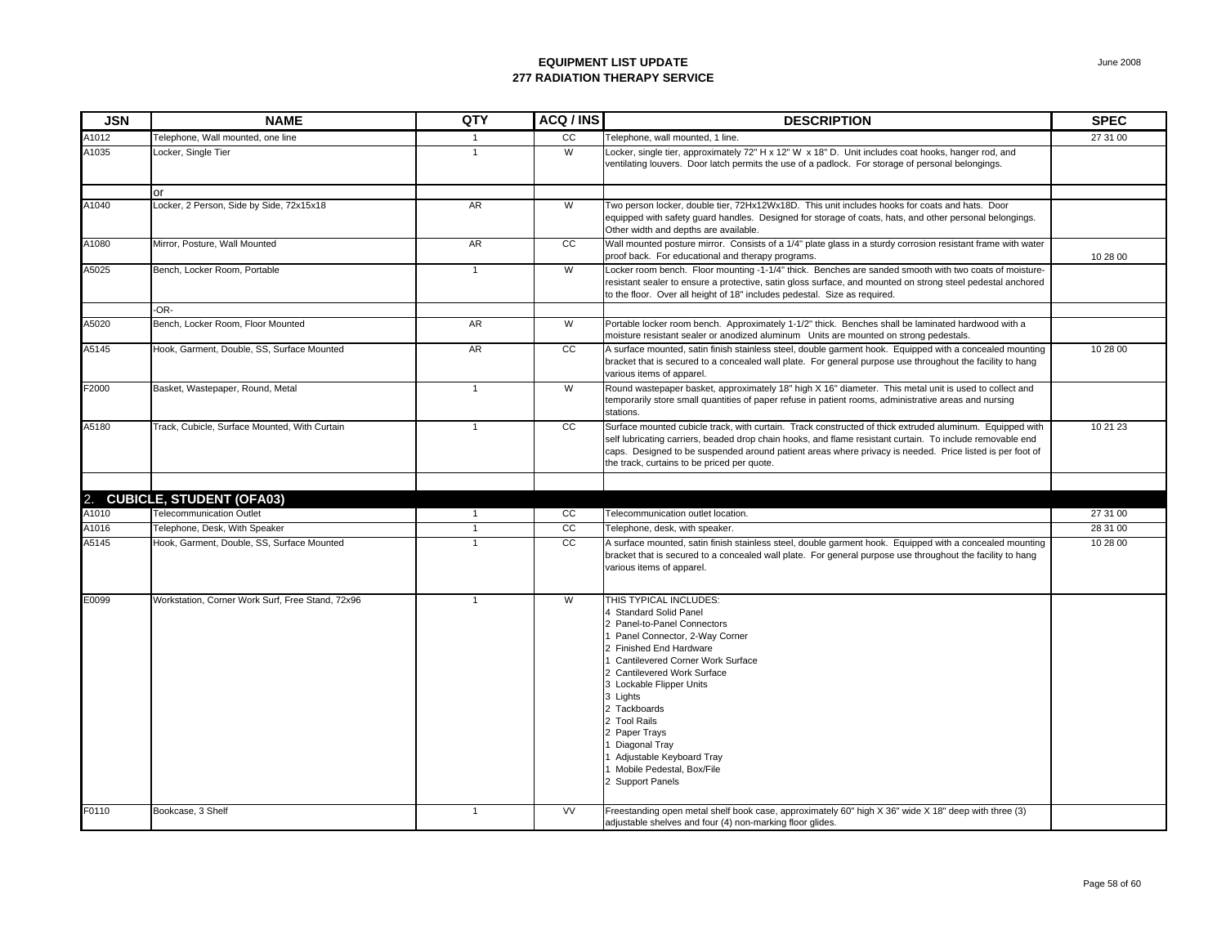| <b>JSN</b> | <b>NAME</b>                                      | QTY            | ACQ / INS       | <b>DESCRIPTION</b>                                                                                                                                                                                                                                                                                                                                                                                               | <b>SPEC</b> |
|------------|--------------------------------------------------|----------------|-----------------|------------------------------------------------------------------------------------------------------------------------------------------------------------------------------------------------------------------------------------------------------------------------------------------------------------------------------------------------------------------------------------------------------------------|-------------|
| A1012      | Telephone, Wall mounted, one line                | $\mathbf{1}$   | CC              | Telephone, wall mounted, 1 line.                                                                                                                                                                                                                                                                                                                                                                                 | 27 31 00    |
| A1035      | Locker, Single Tier                              | $\overline{1}$ | W               | Locker, single tier, approximately 72" H x 12" W x 18" D. Unit includes coat hooks, hanger rod, and<br>ventilating louvers. Door latch permits the use of a padlock. For storage of personal belongings.                                                                                                                                                                                                         |             |
|            | or                                               |                |                 |                                                                                                                                                                                                                                                                                                                                                                                                                  |             |
| A1040      | Locker, 2 Person, Side by Side, 72x15x18         | <b>AR</b>      | W               | Two person locker, double tier, 72Hx12Wx18D. This unit includes hooks for coats and hats. Door<br>equipped with safety guard handles. Designed for storage of coats, hats, and other personal belongings.<br>Other width and depths are available.                                                                                                                                                               |             |
| A1080      | Mirror, Posture, Wall Mounted                    | <b>AR</b>      | <b>CC</b>       | Wall mounted posture mirror. Consists of a 1/4" plate glass in a sturdy corrosion resistant frame with water<br>proof back. For educational and therapy programs.                                                                                                                                                                                                                                                | 10 28 00    |
| A5025      | Bench, Locker Room, Portable                     | $\mathbf{1}$   | W               | Locker room bench. Floor mounting -1-1/4" thick. Benches are sanded smooth with two coats of moisture-<br>resistant sealer to ensure a protective, satin gloss surface, and mounted on strong steel pedestal anchored<br>to the floor. Over all height of 18" includes pedestal. Size as required.                                                                                                               |             |
|            | -OR-                                             |                |                 |                                                                                                                                                                                                                                                                                                                                                                                                                  |             |
| A5020      | Bench, Locker Room, Floor Mounted                | AR             | W               | Portable locker room bench. Approximately 1-1/2" thick. Benches shall be laminated hardwood with a<br>moisture resistant sealer or anodized aluminum Units are mounted on strong pedestals.                                                                                                                                                                                                                      |             |
| A5145      | Hook, Garment, Double, SS, Surface Mounted       | <b>AR</b>      | <b>CC</b>       | A surface mounted, satin finish stainless steel, double garment hook. Equipped with a concealed mounting<br>bracket that is secured to a concealed wall plate. For general purpose use throughout the facility to hang<br>various items of apparel.                                                                                                                                                              | 10 28 00    |
| F2000      | Basket, Wastepaper, Round, Metal                 | $\overline{1}$ | W               | Round wastepaper basket, approximately 18" high X 16" diameter. This metal unit is used to collect and<br>temporarily store small quantities of paper refuse in patient rooms, administrative areas and nursing<br>stations.                                                                                                                                                                                     |             |
| A5180      | Track, Cubicle, Surface Mounted, With Curtain    | $\mathbf{1}$   | $\overline{cc}$ | Surface mounted cubicle track, with curtain. Track constructed of thick extruded aluminum. Equipped with<br>self lubricating carriers, beaded drop chain hooks, and flame resistant curtain. To include removable end<br>caps. Designed to be suspended around patient areas where privacy is needed. Price listed is per foot of<br>the track, curtains to be priced per quote.                                 | 10 21 23    |
| 2.         | <b>CUBICLE, STUDENT (OFA03)</b>                  |                |                 |                                                                                                                                                                                                                                                                                                                                                                                                                  |             |
| A1010      | <b>Telecommunication Outlet</b>                  | $\mathbf{1}$   | cc              | Telecommunication outlet location.                                                                                                                                                                                                                                                                                                                                                                               | 27 31 00    |
| A1016      | Telephone, Desk, With Speaker                    | $\mathbf{1}$   | $\overline{cc}$ | Telephone, desk, with speaker.                                                                                                                                                                                                                                                                                                                                                                                   | 28 31 00    |
| A5145      | Hook, Garment, Double, SS, Surface Mounted       | $\overline{1}$ | <b>CC</b>       | A surface mounted, satin finish stainless steel, double garment hook. Equipped with a concealed mounting<br>bracket that is secured to a concealed wall plate. For general purpose use throughout the facility to hang<br>various items of apparel.                                                                                                                                                              | 10 28 00    |
| E0099      | Workstation, Corner Work Surf, Free Stand, 72x96 | $\overline{1}$ | W               | THIS TYPICAL INCLUDES:<br>4 Standard Solid Panel<br>2 Panel-to-Panel Connectors<br>1 Panel Connector, 2-Way Corner<br>2 Finished End Hardware<br><b>Cantilevered Corner Work Surface</b><br>2 Cantilevered Work Surface<br>3 Lockable Flipper Units<br>3 Lights<br>2 Tackboards<br>2 Tool Rails<br>2 Paper Trays<br>Diagonal Tray<br>Adjustable Keyboard Tray<br>1 Mobile Pedestal, Box/File<br>2 Support Panels |             |
| F0110      | Bookcase, 3 Shelf                                | $\mathbf{1}$   | <b>VV</b>       | Freestanding open metal shelf book case, approximately 60" high X 36" wide X 18" deep with three (3)<br>adjustable shelves and four (4) non-marking floor glides.                                                                                                                                                                                                                                                |             |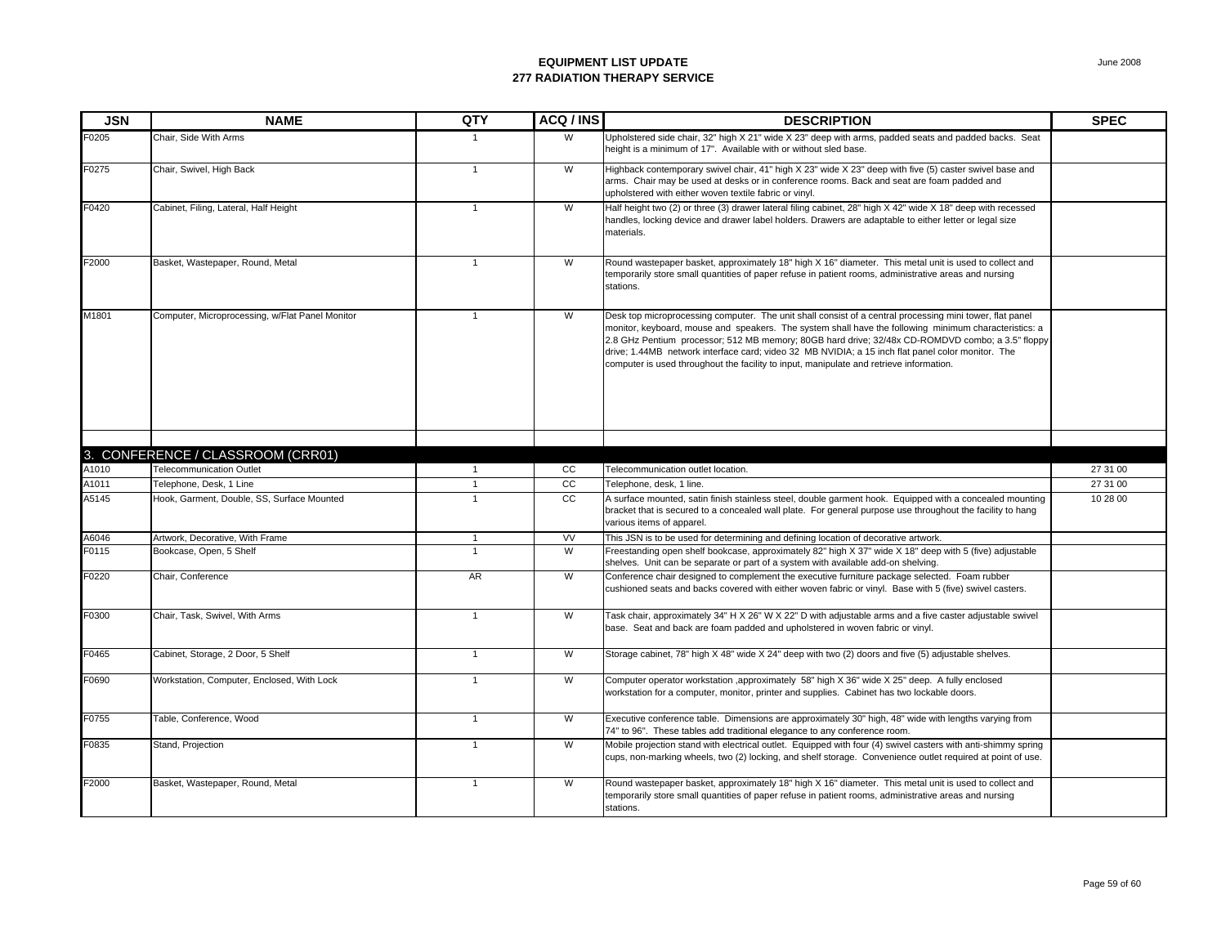| <b>JSN</b> | <b>NAME</b>                                     | QTY            | ACQ/INS        | <b>DESCRIPTION</b>                                                                                                                                                                                                                                                                                                                                                                                                                                                                                                    | <b>SPEC</b> |
|------------|-------------------------------------------------|----------------|----------------|-----------------------------------------------------------------------------------------------------------------------------------------------------------------------------------------------------------------------------------------------------------------------------------------------------------------------------------------------------------------------------------------------------------------------------------------------------------------------------------------------------------------------|-------------|
| F0205      | Chair. Side With Arms                           |                | W              | Upholstered side chair, 32" high X 21" wide X 23" deep with arms, padded seats and padded backs. Seat<br>height is a minimum of 17". Available with or without sled base.                                                                                                                                                                                                                                                                                                                                             |             |
| F0275      | Chair, Swivel, High Back                        | $\mathbf{1}$   | W              | Highback contemporary swivel chair, 41" high X 23" wide X 23" deep with five (5) caster swivel base and<br>arms. Chair may be used at desks or in conference rooms. Back and seat are foam padded and<br>upholstered with either woven textile fabric or vinyl.                                                                                                                                                                                                                                                       |             |
| F0420      | Cabinet, Filing, Lateral, Half Height           | $\mathbf{1}$   | W              | Half height two (2) or three (3) drawer lateral filing cabinet, 28" high X 42" wide X 18" deep with recessed<br>handles, locking device and drawer label holders. Drawers are adaptable to either letter or legal size<br>materials.                                                                                                                                                                                                                                                                                  |             |
| F2000      | Basket, Wastepaper, Round, Metal                | $\mathbf{1}$   | W              | Round wastepaper basket, approximately 18" high X 16" diameter. This metal unit is used to collect and<br>temporarily store small quantities of paper refuse in patient rooms, administrative areas and nursing<br>stations.                                                                                                                                                                                                                                                                                          |             |
| M1801      | Computer, Microprocessing, w/Flat Panel Monitor | $\overline{1}$ | W              | Desk top microprocessing computer. The unit shall consist of a central processing mini tower, flat panel<br>monitor, keyboard, mouse and speakers. The system shall have the following minimum characteristics: a<br>2.8 GHz Pentium processor; 512 MB memory; 80GB hard drive; 32/48x CD-ROMDVD combo; a 3.5" floppy<br>drive; 1.44MB network interface card; video 32 MB NVIDIA; a 15 inch flat panel color monitor. The<br>computer is used throughout the facility to input, manipulate and retrieve information. |             |
|            |                                                 |                |                |                                                                                                                                                                                                                                                                                                                                                                                                                                                                                                                       |             |
|            | 3. CONFERENCE / CLASSROOM (CRR01)               |                |                |                                                                                                                                                                                                                                                                                                                                                                                                                                                                                                                       |             |
| A1010      | <b>Telecommunication Outlet</b>                 | 1              | cc             | Telecommunication outlet location.                                                                                                                                                                                                                                                                                                                                                                                                                                                                                    | 27 31 00    |
| A1011      | Telephone, Desk, 1 Line                         | $\overline{1}$ | cc             | Telephone, desk, 1 line.                                                                                                                                                                                                                                                                                                                                                                                                                                                                                              | 27 31 00    |
| A5145      | Hook, Garment, Double, SS, Surface Mounted      | $\overline{1}$ | cc             | A surface mounted, satin finish stainless steel, double garment hook. Equipped with a concealed mounting<br>bracket that is secured to a concealed wall plate. For general purpose use throughout the facility to hang<br>various items of apparel.                                                                                                                                                                                                                                                                   | 10 28 00    |
| A6046      | Artwork, Decorative, With Frame                 | $\mathbf{1}$   | <b>VV</b>      | This JSN is to be used for determining and defining location of decorative artwork.                                                                                                                                                                                                                                                                                                                                                                                                                                   |             |
| F0115      | Bookcase, Open, 5 Shelf                         | $\overline{1}$ | $\overline{W}$ | Freestanding open shelf bookcase, approximately 82" high X 37" wide X 18" deep with 5 (five) adjustable<br>shelves. Unit can be separate or part of a system with available add-on shelving.                                                                                                                                                                                                                                                                                                                          |             |
| F0220      | Chair, Conference                               | AR             | W              | Conference chair designed to complement the executive furniture package selected. Foam rubber<br>cushioned seats and backs covered with either woven fabric or vinyl. Base with 5 (five) swivel casters.                                                                                                                                                                                                                                                                                                              |             |
| F0300      | Chair, Task, Swivel, With Arms                  | $\mathbf{1}$   | W              | Task chair, approximately 34" H X 26" W X 22" D with adjustable arms and a five caster adjustable swivel<br>base. Seat and back are foam padded and upholstered in woven fabric or vinyl.                                                                                                                                                                                                                                                                                                                             |             |
| F0465      | Cabinet, Storage, 2 Door, 5 Shelf               | $\overline{1}$ | W              | Storage cabinet, 78" high X 48" wide X 24" deep with two (2) doors and five (5) adjustable shelves.                                                                                                                                                                                                                                                                                                                                                                                                                   |             |
| F0690      | Workstation, Computer, Enclosed, With Lock      | $\overline{1}$ | W              | Computer operator workstation ,approximately 58" high X 36" wide X 25" deep. A fully enclosed<br>workstation for a computer, monitor, printer and supplies. Cabinet has two lockable doors.                                                                                                                                                                                                                                                                                                                           |             |
| F0755      | Table, Conference, Wood                         | $\mathbf{1}$   | W              | Executive conference table. Dimensions are approximately 30" high, 48" wide with lengths varying from<br>74" to 96". These tables add traditional elegance to any conference room.                                                                                                                                                                                                                                                                                                                                    |             |
| F0835      | Stand, Projection                               | $\mathbf{1}$   | W              | Mobile projection stand with electrical outlet. Equipped with four (4) swivel casters with anti-shimmy spring<br>cups, non-marking wheels, two (2) locking, and shelf storage. Convenience outlet required at point of use.                                                                                                                                                                                                                                                                                           |             |
| F2000      | Basket, Wastepaper, Round, Metal                | $\mathbf{1}$   | W              | Round wastepaper basket, approximately 18" high X 16" diameter. This metal unit is used to collect and<br>temporarily store small quantities of paper refuse in patient rooms, administrative areas and nursing<br>stations.                                                                                                                                                                                                                                                                                          |             |